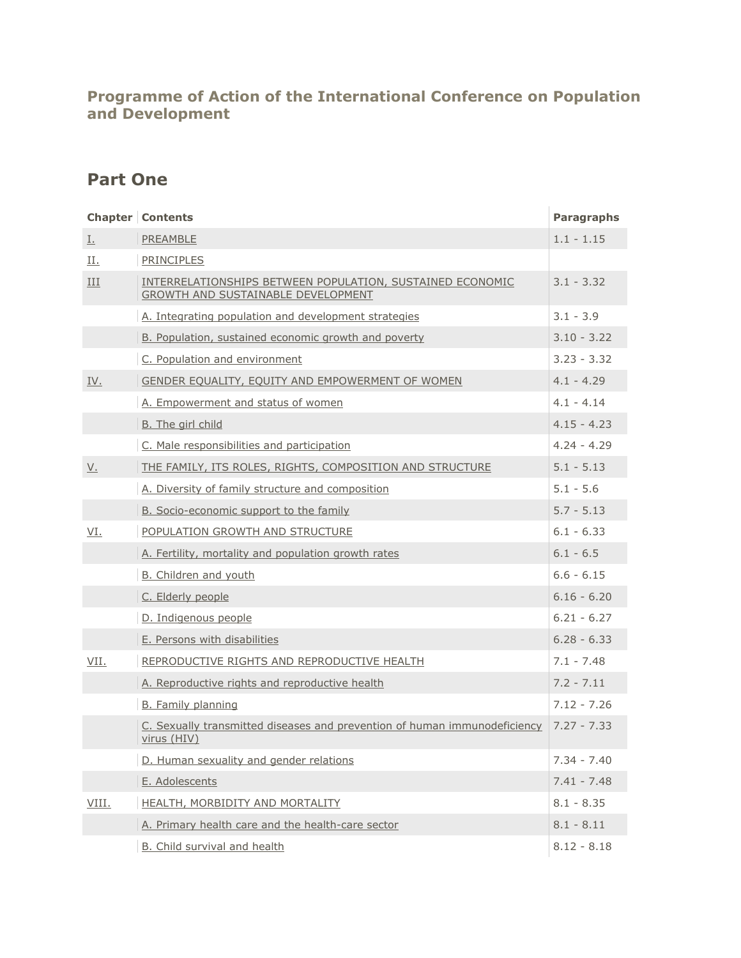#### **Programme of Action of the International Conference on Population and Development**

### **Part One**

|              | <b>Chapter Contents</b>                                                                         | <b>Paragraphs</b> |
|--------------|-------------------------------------------------------------------------------------------------|-------------------|
| <u>L</u>     | PREAMBLE                                                                                        | $1.1 - 1.15$      |
| П.           | <b>PRINCIPLES</b>                                                                               |                   |
| Ш            | INTERRELATIONSHIPS BETWEEN POPULATION, SUSTAINED ECONOMIC<br>GROWTH AND SUSTAINABLE DEVELOPMENT | $3.1 - 3.32$      |
|              | A. Integrating population and development strategies                                            | $3.1 - 3.9$       |
|              | B. Population, sustained economic growth and poverty                                            | $3.10 - 3.22$     |
|              | C. Population and environment                                                                   | $3.23 - 3.32$     |
| IV.          | <b>GENDER EQUALITY, EQUITY AND EMPOWERMENT OF WOMEN</b>                                         | $4.1 - 4.29$      |
|              | A. Empowerment and status of women                                                              | $4.1 - 4.14$      |
|              | <b>B.</b> The girl child                                                                        | $4.15 - 4.23$     |
|              | C. Male responsibilities and participation                                                      | $4.24 - 4.29$     |
| <u>V.</u>    | THE FAMILY, ITS ROLES, RIGHTS, COMPOSITION AND STRUCTURE                                        | $5.1 - 5.13$      |
|              | A. Diversity of family structure and composition                                                | $5.1 - 5.6$       |
|              | B. Socio-economic support to the family                                                         | $5.7 - 5.13$      |
| VI.          | POPULATION GROWTH AND STRUCTURE                                                                 | $6.1 - 6.33$      |
|              | A. Fertility, mortality and population growth rates                                             | $6.1 - 6.5$       |
|              | B. Children and youth                                                                           | $6.6 - 6.15$      |
|              | C. Elderly people                                                                               | $6.16 - 6.20$     |
|              | D. Indigenous people                                                                            | $6.21 - 6.27$     |
|              | E. Persons with disabilities                                                                    | $6.28 - 6.33$     |
| VII.         | REPRODUCTIVE RIGHTS AND REPRODUCTIVE HEALTH                                                     | $7.1 - 7.48$      |
|              | A. Reproductive rights and reproductive health                                                  | $7.2 - 7.11$      |
|              | <b>B.</b> Family planning                                                                       | $7.12 - 7.26$     |
|              | C. Sexually transmitted diseases and prevention of human immunodeficiency<br>virus (HIV)        | $7.27 - 7.33$     |
|              | D. Human sexuality and gender relations                                                         | $7.34 - 7.40$     |
|              | E. Adolescents                                                                                  | $7.41 - 7.48$     |
| <u>VIII.</u> | HEALTH, MORBIDITY AND MORTALITY                                                                 | $8.1 - 8.35$      |
|              | A. Primary health care and the health-care sector                                               | $8.1 - 8.11$      |
|              | B. Child survival and health                                                                    | $8.12 - 8.18$     |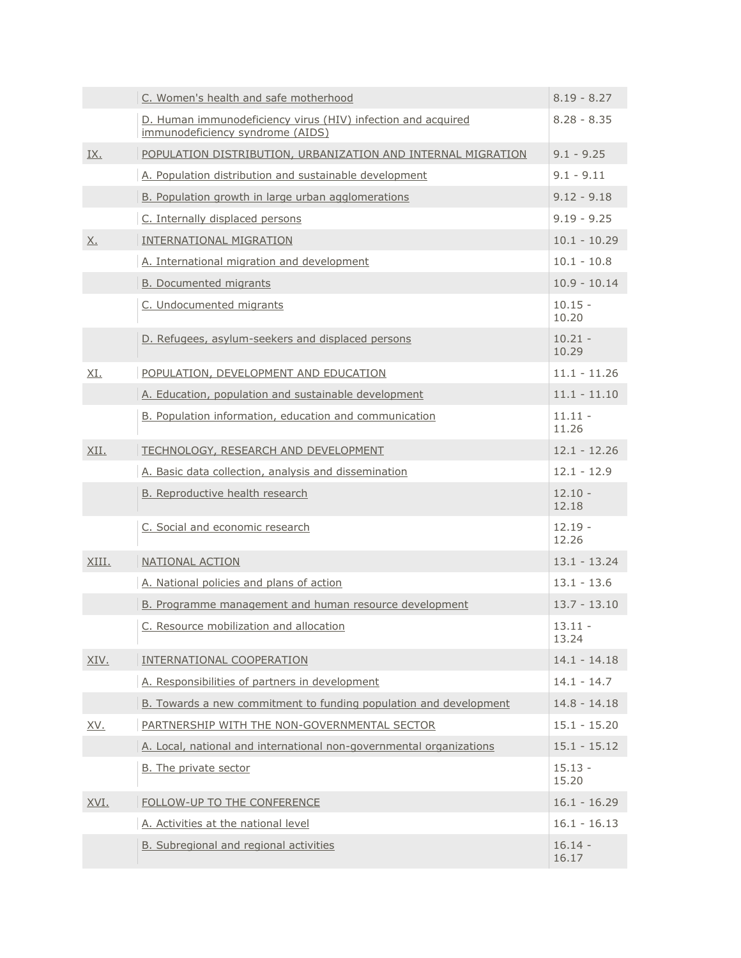|            | C. Women's health and safe motherhood                                                            | $8.19 - 8.27$      |
|------------|--------------------------------------------------------------------------------------------------|--------------------|
|            | D. Human immunodeficiency virus (HIV) infection and acquired<br>immunodeficiency syndrome (AIDS) | $8.28 - 8.35$      |
| <u>IX.</u> | POPULATION DISTRIBUTION, URBANIZATION AND INTERNAL MIGRATION                                     | $9.1 - 9.25$       |
|            | A. Population distribution and sustainable development                                           | $9.1 - 9.11$       |
|            | B. Population growth in large urban agglomerations                                               | $9.12 - 9.18$      |
|            | C. Internally displaced persons                                                                  | $9.19 - 9.25$      |
| <u>X.</u>  | <b>INTERNATIONAL MIGRATION</b>                                                                   | $10.1 - 10.29$     |
|            | A. International migration and development                                                       | $10.1 - 10.8$      |
|            | <b>B. Documented migrants</b>                                                                    | $10.9 - 10.14$     |
|            | C. Undocumented migrants                                                                         | $10.15 -$<br>10.20 |
|            | D. Refugees, asylum-seekers and displaced persons                                                | $10.21 -$<br>10.29 |
| <u>XI.</u> | POPULATION, DEVELOPMENT AND EDUCATION                                                            | $11.1 - 11.26$     |
|            | A. Education, population and sustainable development                                             | $11.1 - 11.10$     |
|            | B. Population information, education and communication                                           | $11.11 -$<br>11.26 |
| XII.       | TECHNOLOGY, RESEARCH AND DEVELOPMENT                                                             | $12.1 - 12.26$     |
|            | A. Basic data collection, analysis and dissemination                                             | $12.1 - 12.9$      |
|            | <b>B.</b> Reproductive health research                                                           | $12.10 -$<br>12.18 |
|            | C. Social and economic research                                                                  | $12.19 -$<br>12.26 |
| XIII.      | <b>NATIONAL ACTION</b>                                                                           | $13.1 - 13.24$     |
|            | A. National policies and plans of action                                                         | $13.1 - 13.6$      |
|            | B. Programme management and human resource development                                           | $13.7 - 13.10$     |
|            | C. Resource mobilization and allocation                                                          | $13.11 -$<br>13.24 |
| XIV.       | <b>INTERNATIONAL COOPERATION</b>                                                                 | $14.1 - 14.18$     |
|            | A. Responsibilities of partners in development                                                   | $14.1 - 14.7$      |
|            | B. Towards a new commitment to funding population and development                                | $14.8 - 14.18$     |
| <u>XV.</u> | PARTNERSHIP WITH THE NON-GOVERNMENTAL SECTOR                                                     | $15.1 - 15.20$     |
|            | A. Local, national and international non-governmental organizations                              | $15.1 - 15.12$     |
|            | <b>B.</b> The private sector                                                                     | $15.13 -$<br>15.20 |
| XVI.       | FOLLOW-UP TO THE CONFERENCE                                                                      | $16.1 - 16.29$     |
|            | A. Activities at the national level                                                              | $16.1 - 16.13$     |
|            | B. Subregional and regional activities                                                           | $16.14 -$<br>16.17 |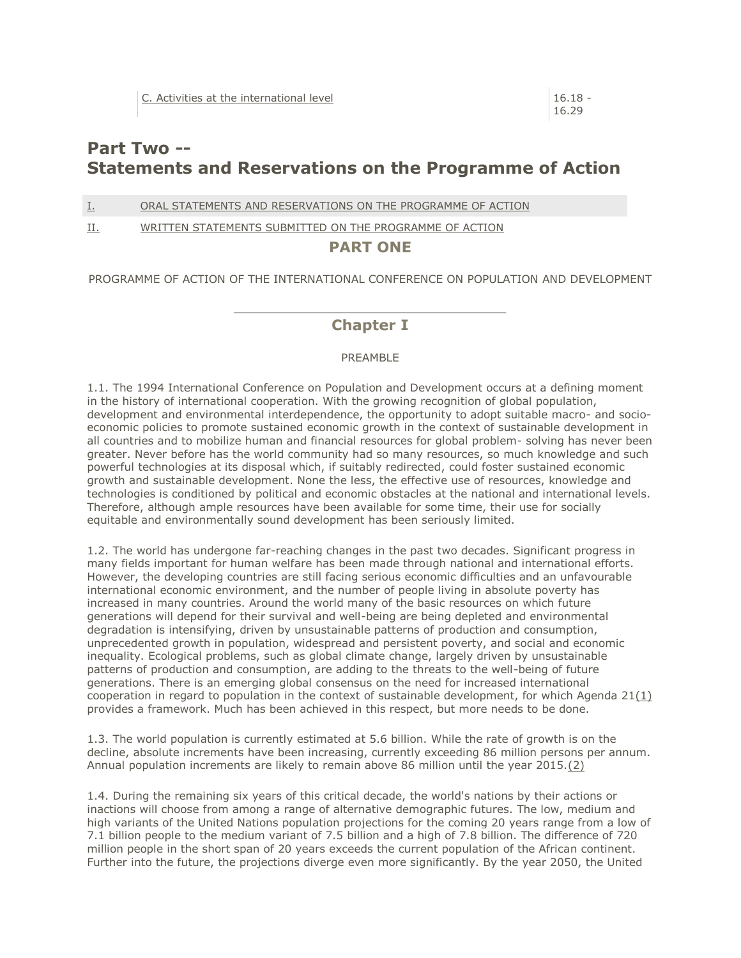#### **Part Two -- Statements and Reservations on the Programme of Action**

[I.](http://www.unfpa.org/public/icpd/pid/5066#pt2ch1) ORAL STATEMENTS [AND RESERVATIONS ON THE PROGRAMME OF ACTION](http://www.unfpa.org/public/icpd/pid/5066#pt2ch1)

[II.](http://www.unfpa.org/public/icpd/pid/5066#pt2ch2) [WRITTEN STATEMENTS SUBMITTED ON THE PROGRAMME OF ACTION](http://www.unfpa.org/public/icpd/pid/5066#pt2ch2)

#### **PART ONE**

PROGRAMME OF ACTION OF THE INTERNATIONAL CONFERENCE ON POPULATION AND DEVELOPMENT

#### **Chapter I**

#### PREAMBLE

1.1. The 1994 International Conference on Population and Development occurs at a defining moment in the history of international cooperation. With the growing recognition of global population, development and environmental interdependence, the opportunity to adopt suitable macro- and socioeconomic policies to promote sustained economic growth in the context of sustainable development in all countries and to mobilize human and financial resources for global problem- solving has never been greater. Never before has the world community had so many resources, so much knowledge and such powerful technologies at its disposal which, if suitably redirected, could foster sustained economic growth and sustainable development. None the less, the effective use of resources, knowledge and technologies is conditioned by political and economic obstacles at the national and international levels. Therefore, although ample resources have been available for some time, their use for socially equitable and environmentally sound development has been seriously limited.

1.2. The world has undergone far-reaching changes in the past two decades. Significant progress in many fields important for human welfare has been made through national and international efforts. However, the developing countries are still facing serious economic difficulties and an unfavourable international economic environment, and the number of people living in absolute poverty has increased in many countries. Around the world many of the basic resources on which future generations will depend for their survival and well-being are being depleted and environmental degradation is intensifying, driven by unsustainable patterns of production and consumption, unprecedented growth in population, widespread and persistent poverty, and social and economic inequality. Ecological problems, such as global climate change, largely driven by unsustainable patterns of production and consumption, are adding to the threats to the well-being of future generations. There is an emerging global consensus on the need for increased international cooperation in regard to population in the context of sustainable development, for which Agenda 2[1\(1\)](http://www.unfpa.org/public/icpd/pid/5066#1) provides a framework. Much has been achieved in this respect, but more needs to be done.

1.3. The world population is currently estimated at 5.6 billion. While the rate of growth is on the decline, absolute increments have been increasing, currently exceeding 86 million persons per annum. Annual population increments are likely to remain above 86 million until the year 2015. $(2)$ 

1.4. During the remaining six years of this critical decade, the world's nations by their actions or inactions will choose from among a range of alternative demographic futures. The low, medium and high variants of the United Nations population projections for the coming 20 years range from a low of 7.1 billion people to the medium variant of 7.5 billion and a high of 7.8 billion. The difference of 720 million people in the short span of 20 years exceeds the current population of the African continent. Further into the future, the projections diverge even more significantly. By the year 2050, the United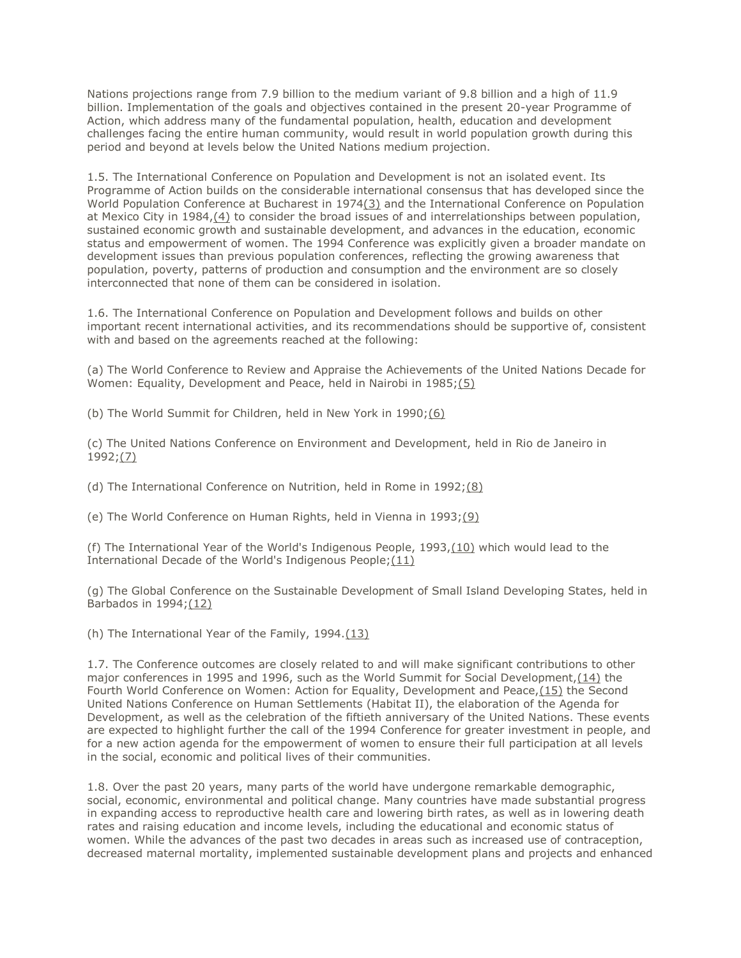Nations projections range from 7.9 billion to the medium variant of 9.8 billion and a high of 11.9 billion. Implementation of the goals and objectives contained in the present 20-year Programme of Action, which address many of the fundamental population, health, education and development challenges facing the entire human community, would result in world population growth during this period and beyond at levels below the United Nations medium projection.

1.5. The International Conference on Population and Development is not an isolated event. Its Programme of Action builds on the considerable international consensus that has developed since the World Population Conference at Bucharest in 197[4\(3\)](http://www.unfpa.org/public/icpd/pid/5066#3) and the International Conference on Population at Mexico City in 1984[,\(4\)](http://www.unfpa.org/public/icpd/pid/5066#4) to consider the broad issues of and interrelationships between population, sustained economic growth and sustainable development, and advances in the education, economic status and empowerment of women. The 1994 Conference was explicitly given a broader mandate on development issues than previous population conferences, reflecting the growing awareness that population, poverty, patterns of production and consumption and the environment are so closely interconnected that none of them can be considered in isolation.

1.6. The International Conference on Population and Development follows and builds on other important recent international activities, and its recommendations should be supportive of, consistent with and based on the agreements reached at the following:

(a) The World Conference to Review and Appraise the Achievements of the United Nations Decade for Women: Equality, Development and Peace, held in Nairobi in 1985[;\(5\)](http://www.unfpa.org/public/icpd/pid/5066#5)

(b) The World Summit for Children, held in New York in 1990[;\(6\)](http://www.unfpa.org/public/icpd/pid/5066#6)

(c) The United Nations Conference on Environment and Development, held in Rio de Janeiro in 1992[;\(7\)](http://www.unfpa.org/public/icpd/pid/5066#7)

(d) The International Conference on Nutrition, held in Rome in 1992[;\(8\)](http://www.unfpa.org/public/icpd/pid/5066#8)

(e) The World Conference on Human Rights, held in Vienna in 1993[;\(9\)](http://www.unfpa.org/public/icpd/pid/5066#9)

(f) The International Year of the World's Indigenous People, 1993[,\(10\)](http://www.unfpa.org/public/icpd/pid/5066#10) which would lead to the International Decade of the World's Indigenous People[;\(11\)](http://www.unfpa.org/public/icpd/pid/5066#11)

(g) The Global Conference on the Sustainable Development of Small Island Developing States, held in Barbados in 1994[;\(12\)](http://www.unfpa.org/public/icpd/pid/5066#12)

(h) The International Year of the Family, 1994[.\(13\)](http://www.unfpa.org/public/icpd/pid/5066#13)

1.7. The Conference outcomes are closely related to and will make significant contributions to other major conferences in 1995 and 1996, such as the World Summit for Social Development[,\(14\)](http://www.unfpa.org/public/icpd/pid/5066#14) the Fourth World Conference on Women: Action for Equality, Development and Peace, (15) the Second United Nations Conference on Human Settlements (Habitat II), the elaboration of the Agenda for Development, as well as the celebration of the fiftieth anniversary of the United Nations. These events are expected to highlight further the call of the 1994 Conference for greater investment in people, and for a new action agenda for the empowerment of women to ensure their full participation at all levels in the social, economic and political lives of their communities.

1.8. Over the past 20 years, many parts of the world have undergone remarkable demographic, social, economic, environmental and political change. Many countries have made substantial progress in expanding access to reproductive health care and lowering birth rates, as well as in lowering death rates and raising education and income levels, including the educational and economic status of women. While the advances of the past two decades in areas such as increased use of contraception, decreased maternal mortality, implemented sustainable development plans and projects and enhanced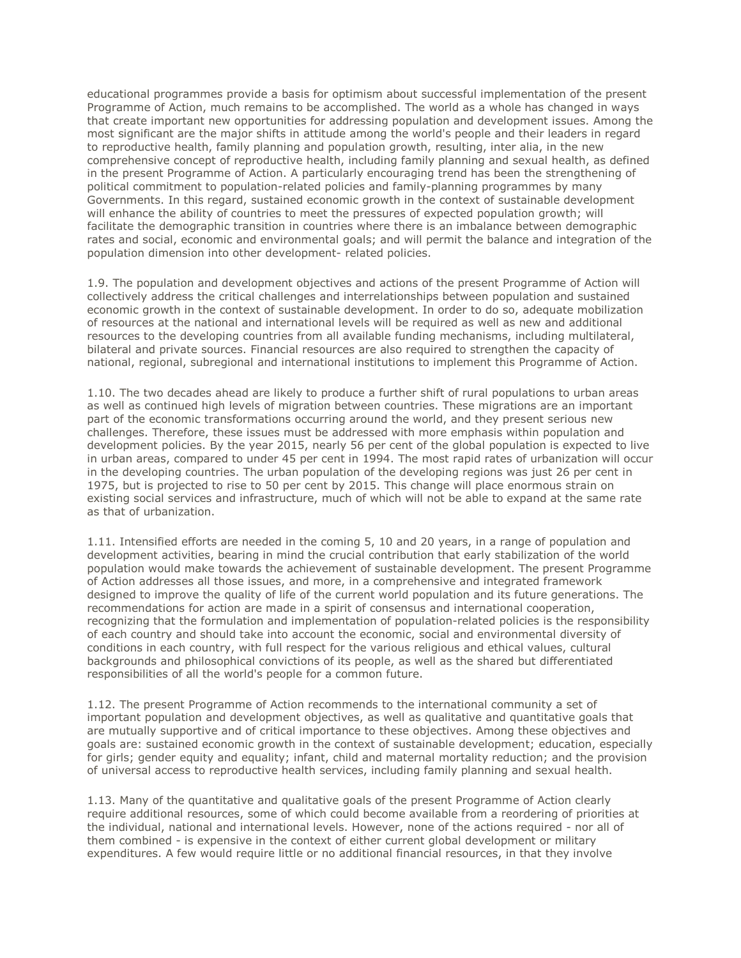educational programmes provide a basis for optimism about successful implementation of the present Programme of Action, much remains to be accomplished. The world as a whole has changed in ways that create important new opportunities for addressing population and development issues. Among the most significant are the major shifts in attitude among the world's people and their leaders in regard to reproductive health, family planning and population growth, resulting, inter alia, in the new comprehensive concept of reproductive health, including family planning and sexual health, as defined in the present Programme of Action. A particularly encouraging trend has been the strengthening of political commitment to population-related policies and family-planning programmes by many Governments. In this regard, sustained economic growth in the context of sustainable development will enhance the ability of countries to meet the pressures of expected population growth; will facilitate the demographic transition in countries where there is an imbalance between demographic rates and social, economic and environmental goals; and will permit the balance and integration of the population dimension into other development- related policies.

1.9. The population and development objectives and actions of the present Programme of Action will collectively address the critical challenges and interrelationships between population and sustained economic growth in the context of sustainable development. In order to do so, adequate mobilization of resources at the national and international levels will be required as well as new and additional resources to the developing countries from all available funding mechanisms, including multilateral, bilateral and private sources. Financial resources are also required to strengthen the capacity of national, regional, subregional and international institutions to implement this Programme of Action.

1.10. The two decades ahead are likely to produce a further shift of rural populations to urban areas as well as continued high levels of migration between countries. These migrations are an important part of the economic transformations occurring around the world, and they present serious new challenges. Therefore, these issues must be addressed with more emphasis within population and development policies. By the year 2015, nearly 56 per cent of the global population is expected to live in urban areas, compared to under 45 per cent in 1994. The most rapid rates of urbanization will occur in the developing countries. The urban population of the developing regions was just 26 per cent in 1975, but is projected to rise to 50 per cent by 2015. This change will place enormous strain on existing social services and infrastructure, much of which will not be able to expand at the same rate as that of urbanization.

1.11. Intensified efforts are needed in the coming 5, 10 and 20 years, in a range of population and development activities, bearing in mind the crucial contribution that early stabilization of the world population would make towards the achievement of sustainable development. The present Programme of Action addresses all those issues, and more, in a comprehensive and integrated framework designed to improve the quality of life of the current world population and its future generations. The recommendations for action are made in a spirit of consensus and international cooperation, recognizing that the formulation and implementation of population-related policies is the responsibility of each country and should take into account the economic, social and environmental diversity of conditions in each country, with full respect for the various religious and ethical values, cultural backgrounds and philosophical convictions of its people, as well as the shared but differentiated responsibilities of all the world's people for a common future.

1.12. The present Programme of Action recommends to the international community a set of important population and development objectives, as well as qualitative and quantitative goals that are mutually supportive and of critical importance to these objectives. Among these objectives and goals are: sustained economic growth in the context of sustainable development; education, especially for girls; gender equity and equality; infant, child and maternal mortality reduction; and the provision of universal access to reproductive health services, including family planning and sexual health.

1.13. Many of the quantitative and qualitative goals of the present Programme of Action clearly require additional resources, some of which could become available from a reordering of priorities at the individual, national and international levels. However, none of the actions required - nor all of them combined - is expensive in the context of either current global development or military expenditures. A few would require little or no additional financial resources, in that they involve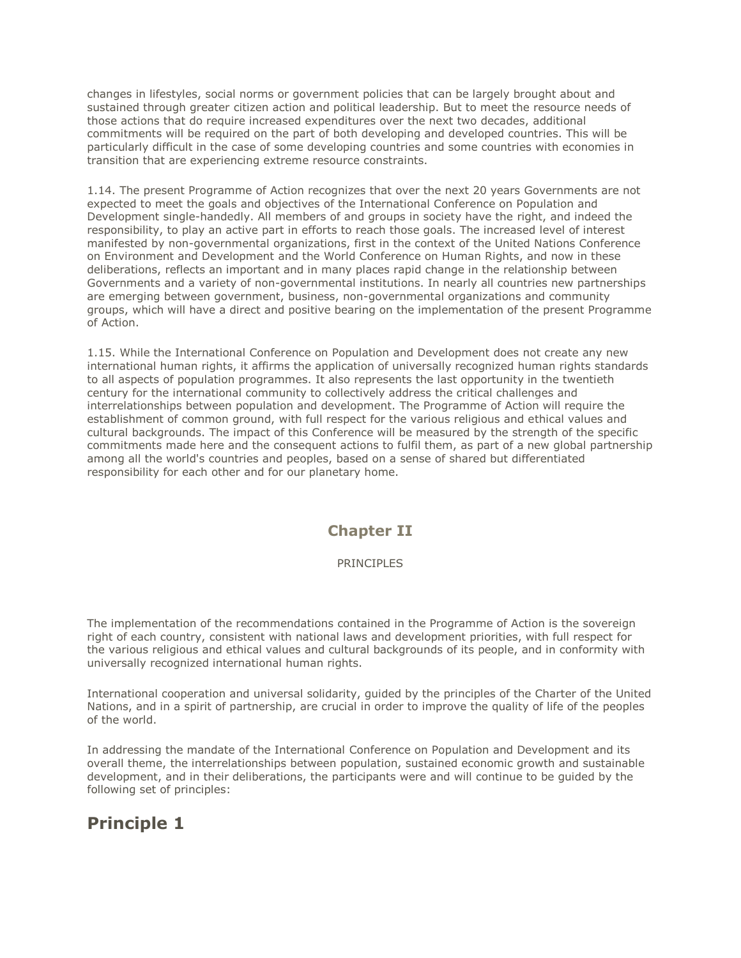changes in lifestyles, social norms or government policies that can be largely brought about and sustained through greater citizen action and political leadership. But to meet the resource needs of those actions that do require increased expenditures over the next two decades, additional commitments will be required on the part of both developing and developed countries. This will be particularly difficult in the case of some developing countries and some countries with economies in transition that are experiencing extreme resource constraints.

1.14. The present Programme of Action recognizes that over the next 20 years Governments are not expected to meet the goals and objectives of the International Conference on Population and Development single-handedly. All members of and groups in society have the right, and indeed the responsibility, to play an active part in efforts to reach those goals. The increased level of interest manifested by non-governmental organizations, first in the context of the United Nations Conference on Environment and Development and the World Conference on Human Rights, and now in these deliberations, reflects an important and in many places rapid change in the relationship between Governments and a variety of non-governmental institutions. In nearly all countries new partnerships are emerging between government, business, non-governmental organizations and community groups, which will have a direct and positive bearing on the implementation of the present Programme of Action.

1.15. While the International Conference on Population and Development does not create any new international human rights, it affirms the application of universally recognized human rights standards to all aspects of population programmes. It also represents the last opportunity in the twentieth century for the international community to collectively address the critical challenges and interrelationships between population and development. The Programme of Action will require the establishment of common ground, with full respect for the various religious and ethical values and cultural backgrounds. The impact of this Conference will be measured by the strength of the specific commitments made here and the consequent actions to fulfil them, as part of a new global partnership among all the world's countries and peoples, based on a sense of shared but differentiated responsibility for each other and for our planetary home.

#### **Chapter II**

#### PRINCIPLES

The implementation of the recommendations contained in the Programme of Action is the sovereign right of each country, consistent with national laws and development priorities, with full respect for the various religious and ethical values and cultural backgrounds of its people, and in conformity with universally recognized international human rights.

International cooperation and universal solidarity, guided by the principles of the Charter of the United Nations, and in a spirit of partnership, are crucial in order to improve the quality of life of the peoples of the world.

In addressing the mandate of the International Conference on Population and Development and its overall theme, the interrelationships between population, sustained economic growth and sustainable development, and in their deliberations, the participants were and will continue to be guided by the following set of principles:

### **Principle 1**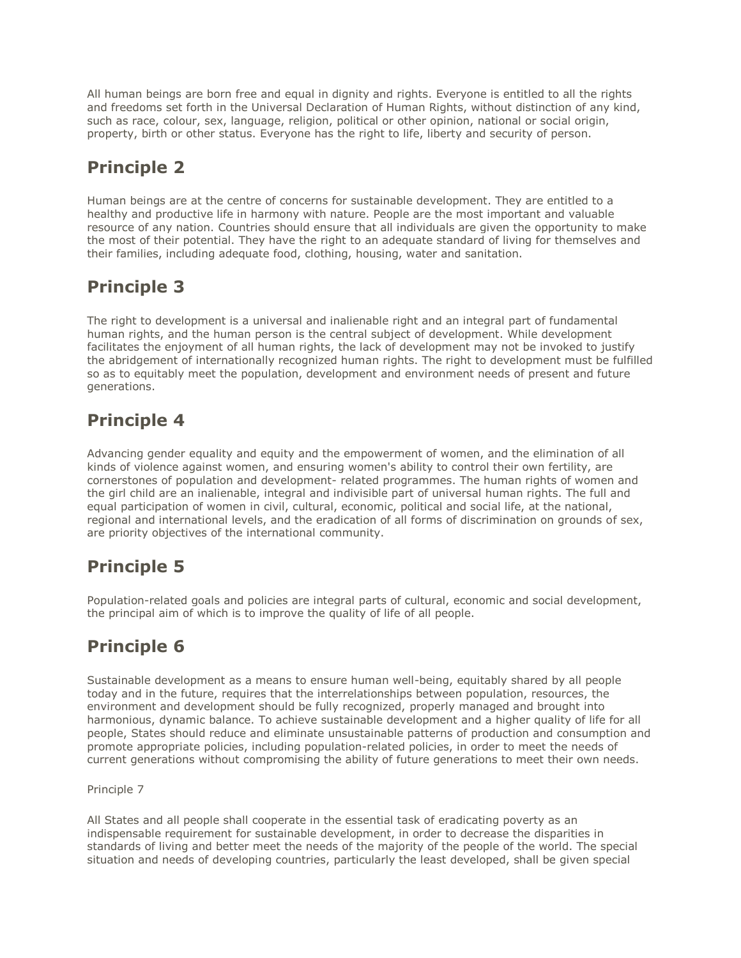All human beings are born free and equal in dignity and rights. Everyone is entitled to all the rights and freedoms set forth in the Universal Declaration of Human Rights, without distinction of any kind, such as race, colour, sex, language, religion, political or other opinion, national or social origin, property, birth or other status. Everyone has the right to life, liberty and security of person.

# **Principle 2**

Human beings are at the centre of concerns for sustainable development. They are entitled to a healthy and productive life in harmony with nature. People are the most important and valuable resource of any nation. Countries should ensure that all individuals are given the opportunity to make the most of their potential. They have the right to an adequate standard of living for themselves and their families, including adequate food, clothing, housing, water and sanitation.

## **Principle 3**

The right to development is a universal and inalienable right and an integral part of fundamental human rights, and the human person is the central subject of development. While development facilitates the enjoyment of all human rights, the lack of development may not be invoked to justify the abridgement of internationally recognized human rights. The right to development must be fulfilled so as to equitably meet the population, development and environment needs of present and future generations.

## **Principle 4**

Advancing gender equality and equity and the empowerment of women, and the elimination of all kinds of violence against women, and ensuring women's ability to control their own fertility, are cornerstones of population and development- related programmes. The human rights of women and the girl child are an inalienable, integral and indivisible part of universal human rights. The full and equal participation of women in civil, cultural, economic, political and social life, at the national, regional and international levels, and the eradication of all forms of discrimination on grounds of sex, are priority objectives of the international community.

## **Principle 5**

Population-related goals and policies are integral parts of cultural, economic and social development, the principal aim of which is to improve the quality of life of all people.

# **Principle 6**

Sustainable development as a means to ensure human well-being, equitably shared by all people today and in the future, requires that the interrelationships between population, resources, the environment and development should be fully recognized, properly managed and brought into harmonious, dynamic balance. To achieve sustainable development and a higher quality of life for all people, States should reduce and eliminate unsustainable patterns of production and consumption and promote appropriate policies, including population-related policies, in order to meet the needs of current generations without compromising the ability of future generations to meet their own needs.

#### Principle 7

All States and all people shall cooperate in the essential task of eradicating poverty as an indispensable requirement for sustainable development, in order to decrease the disparities in standards of living and better meet the needs of the majority of the people of the world. The special situation and needs of developing countries, particularly the least developed, shall be given special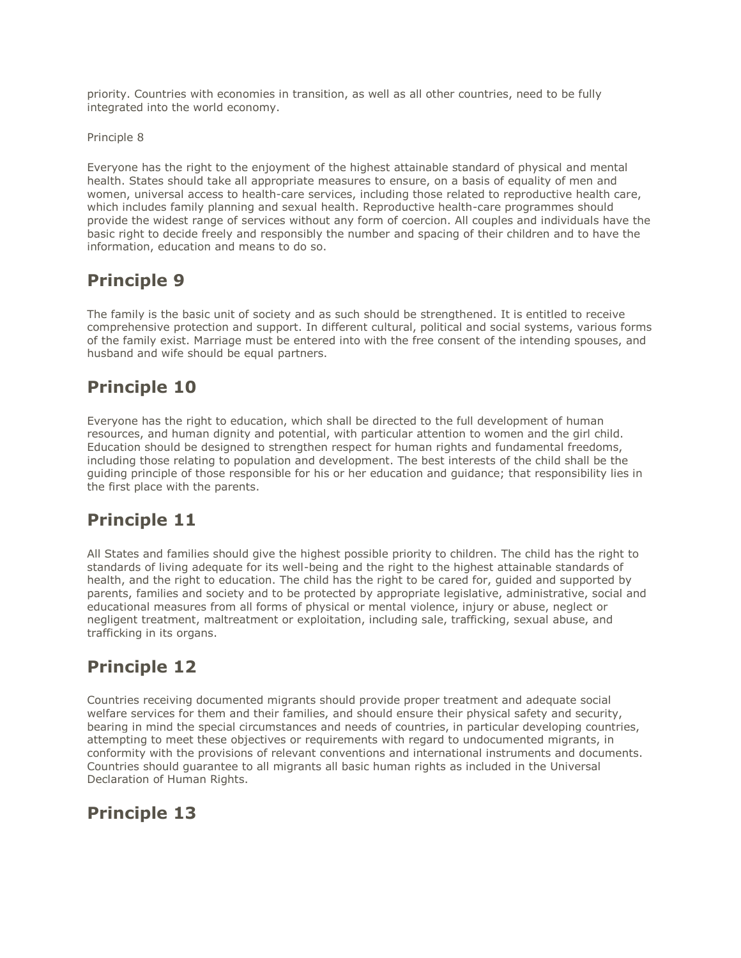priority. Countries with economies in transition, as well as all other countries, need to be fully integrated into the world economy.

Principle 8

Everyone has the right to the enjoyment of the highest attainable standard of physical and mental health. States should take all appropriate measures to ensure, on a basis of equality of men and women, universal access to health-care services, including those related to reproductive health care, which includes family planning and sexual health. Reproductive health-care programmes should provide the widest range of services without any form of coercion. All couples and individuals have the basic right to decide freely and responsibly the number and spacing of their children and to have the information, education and means to do so.

## **Principle 9**

The family is the basic unit of society and as such should be strengthened. It is entitled to receive comprehensive protection and support. In different cultural, political and social systems, various forms of the family exist. Marriage must be entered into with the free consent of the intending spouses, and husband and wife should be equal partners.

## **Principle 10**

Everyone has the right to education, which shall be directed to the full development of human resources, and human dignity and potential, with particular attention to women and the girl child. Education should be designed to strengthen respect for human rights and fundamental freedoms, including those relating to population and development. The best interests of the child shall be the guiding principle of those responsible for his or her education and guidance; that responsibility lies in the first place with the parents.

## **Principle 11**

All States and families should give the highest possible priority to children. The child has the right to standards of living adequate for its well-being and the right to the highest attainable standards of health, and the right to education. The child has the right to be cared for, guided and supported by parents, families and society and to be protected by appropriate legislative, administrative, social and educational measures from all forms of physical or mental violence, injury or abuse, neglect or negligent treatment, maltreatment or exploitation, including sale, trafficking, sexual abuse, and trafficking in its organs.

## **Principle 12**

Countries receiving documented migrants should provide proper treatment and adequate social welfare services for them and their families, and should ensure their physical safety and security, bearing in mind the special circumstances and needs of countries, in particular developing countries, attempting to meet these objectives or requirements with regard to undocumented migrants, in conformity with the provisions of relevant conventions and international instruments and documents. Countries should guarantee to all migrants all basic human rights as included in the Universal Declaration of Human Rights.

## **Principle 13**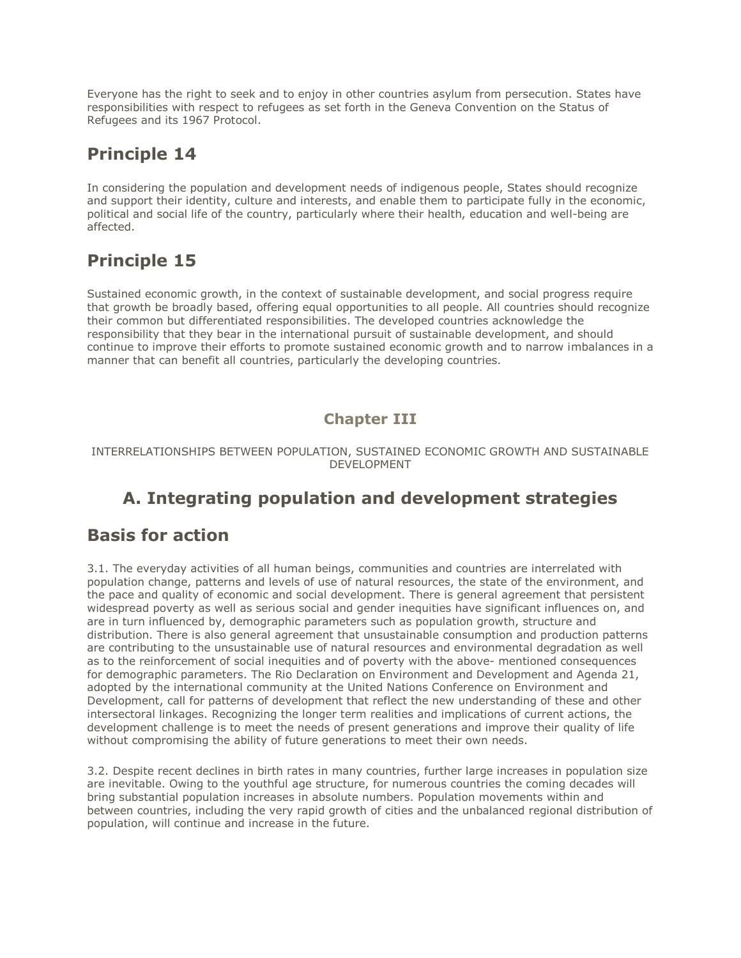Everyone has the right to seek and to enjoy in other countries asylum from persecution. States have responsibilities with respect to refugees as set forth in the Geneva Convention on the Status of Refugees and its 1967 Protocol.

# **Principle 14**

In considering the population and development needs of indigenous people, States should recognize and support their identity, culture and interests, and enable them to participate fully in the economic, political and social life of the country, particularly where their health, education and well-being are affected.

# **Principle 15**

Sustained economic growth, in the context of sustainable development, and social progress require that growth be broadly based, offering equal opportunities to all people. All countries should recognize their common but differentiated responsibilities. The developed countries acknowledge the responsibility that they bear in the international pursuit of sustainable development, and should continue to improve their efforts to promote sustained economic growth and to narrow imbalances in a manner that can benefit all countries, particularly the developing countries.

#### **Chapter III**

INTERRELATIONSHIPS BETWEEN POPULATION, SUSTAINED ECONOMIC GROWTH AND SUSTAINABLE DEVELOPMENT

## **A. Integrating population and development strategies**

### **Basis for action**

3.1. The everyday activities of all human beings, communities and countries are interrelated with population change, patterns and levels of use of natural resources, the state of the environment, and the pace and quality of economic and social development. There is general agreement that persistent widespread poverty as well as serious social and gender inequities have significant influences on, and are in turn influenced by, demographic parameters such as population growth, structure and distribution. There is also general agreement that unsustainable consumption and production patterns are contributing to the unsustainable use of natural resources and environmental degradation as well as to the reinforcement of social inequities and of poverty with the above- mentioned consequences for demographic parameters. The Rio Declaration on Environment and Development and Agenda 21, adopted by the international community at the United Nations Conference on Environment and Development, call for patterns of development that reflect the new understanding of these and other intersectoral linkages. Recognizing the longer term realities and implications of current actions, the development challenge is to meet the needs of present generations and improve their quality of life without compromising the ability of future generations to meet their own needs.

3.2. Despite recent declines in birth rates in many countries, further large increases in population size are inevitable. Owing to the youthful age structure, for numerous countries the coming decades will bring substantial population increases in absolute numbers. Population movements within and between countries, including the very rapid growth of cities and the unbalanced regional distribution of population, will continue and increase in the future.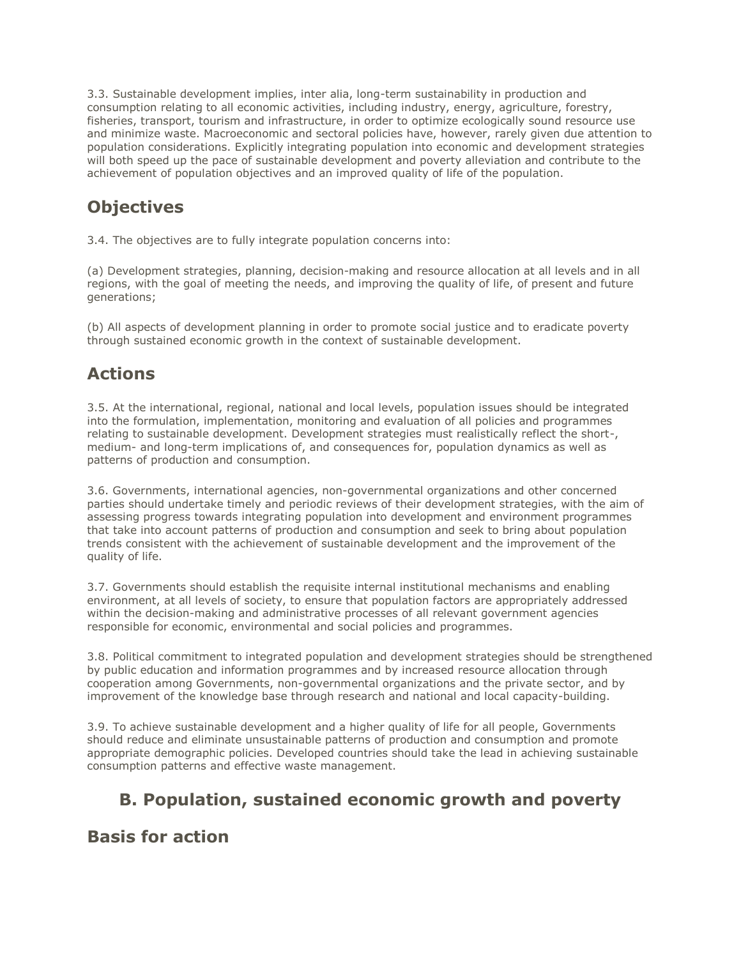3.3. Sustainable development implies, inter alia, long-term sustainability in production and consumption relating to all economic activities, including industry, energy, agriculture, forestry, fisheries, transport, tourism and infrastructure, in order to optimize ecologically sound resource use and minimize waste. Macroeconomic and sectoral policies have, however, rarely given due attention to population considerations. Explicitly integrating population into economic and development strategies will both speed up the pace of sustainable development and poverty alleviation and contribute to the achievement of population objectives and an improved quality of life of the population.

## **Objectives**

3.4. The objectives are to fully integrate population concerns into:

(a) Development strategies, planning, decision-making and resource allocation at all levels and in all regions, with the goal of meeting the needs, and improving the quality of life, of present and future generations;

(b) All aspects of development planning in order to promote social justice and to eradicate poverty through sustained economic growth in the context of sustainable development.

## **Actions**

3.5. At the international, regional, national and local levels, population issues should be integrated into the formulation, implementation, monitoring and evaluation of all policies and programmes relating to sustainable development. Development strategies must realistically reflect the short-, medium- and long-term implications of, and consequences for, population dynamics as well as patterns of production and consumption.

3.6. Governments, international agencies, non-governmental organizations and other concerned parties should undertake timely and periodic reviews of their development strategies, with the aim of assessing progress towards integrating population into development and environment programmes that take into account patterns of production and consumption and seek to bring about population trends consistent with the achievement of sustainable development and the improvement of the quality of life.

3.7. Governments should establish the requisite internal institutional mechanisms and enabling environment, at all levels of society, to ensure that population factors are appropriately addressed within the decision-making and administrative processes of all relevant government agencies responsible for economic, environmental and social policies and programmes.

3.8. Political commitment to integrated population and development strategies should be strengthened by public education and information programmes and by increased resource allocation through cooperation among Governments, non-governmental organizations and the private sector, and by improvement of the knowledge base through research and national and local capacity-building.

3.9. To achieve sustainable development and a higher quality of life for all people, Governments should reduce and eliminate unsustainable patterns of production and consumption and promote appropriate demographic policies. Developed countries should take the lead in achieving sustainable consumption patterns and effective waste management.

## **B. Population, sustained economic growth and poverty**

#### **Basis for action**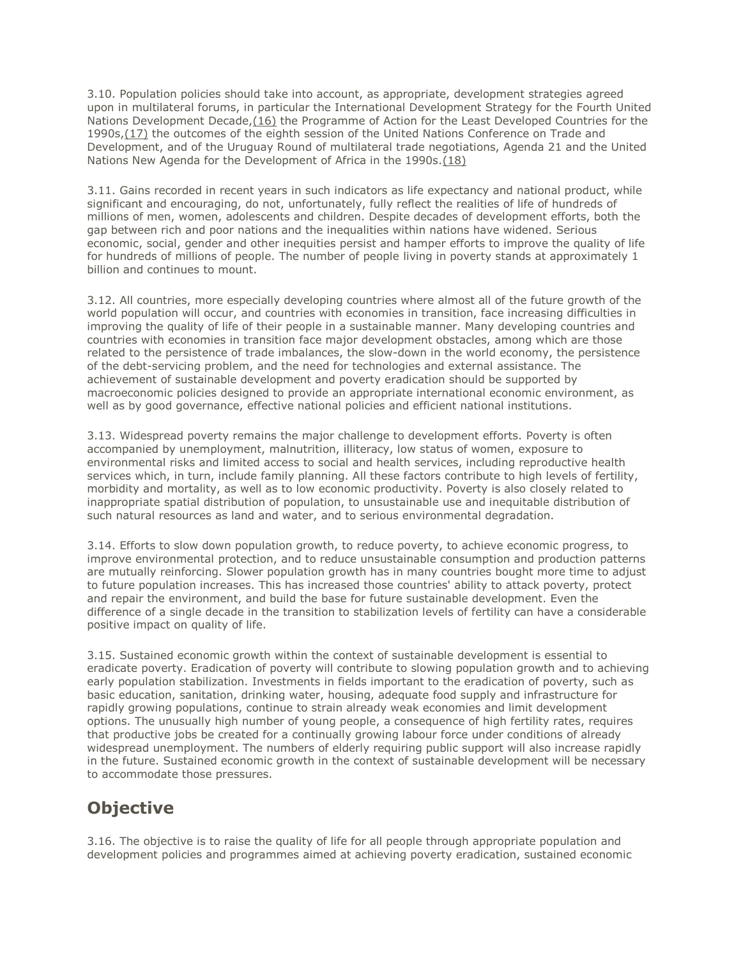3.10. Population policies should take into account, as appropriate, development strategies agreed upon in multilateral forums, in particular the International Development Strategy for the Fourth United Nations Development Decade, (16) the Programme of Action for the Least Developed Countries for the 1990s[,\(17\)](http://www.unfpa.org/public/icpd/pid/5066#17) the outcomes of the eighth session of the United Nations Conference on Trade and Development, and of the Uruguay Round of multilateral trade negotiations, Agenda 21 and the United Nations New Agenda for the Development of Africa in the 1990s[.\(18\)](http://www.unfpa.org/public/icpd/pid/5066#18)

3.11. Gains recorded in recent years in such indicators as life expectancy and national product, while significant and encouraging, do not, unfortunately, fully reflect the realities of life of hundreds of millions of men, women, adolescents and children. Despite decades of development efforts, both the gap between rich and poor nations and the inequalities within nations have widened. Serious economic, social, gender and other inequities persist and hamper efforts to improve the quality of life for hundreds of millions of people. The number of people living in poverty stands at approximately 1 billion and continues to mount.

3.12. All countries, more especially developing countries where almost all of the future growth of the world population will occur, and countries with economies in transition, face increasing difficulties in improving the quality of life of their people in a sustainable manner. Many developing countries and countries with economies in transition face major development obstacles, among which are those related to the persistence of trade imbalances, the slow-down in the world economy, the persistence of the debt-servicing problem, and the need for technologies and external assistance. The achievement of sustainable development and poverty eradication should be supported by macroeconomic policies designed to provide an appropriate international economic environment, as well as by good governance, effective national policies and efficient national institutions.

3.13. Widespread poverty remains the major challenge to development efforts. Poverty is often accompanied by unemployment, malnutrition, illiteracy, low status of women, exposure to environmental risks and limited access to social and health services, including reproductive health services which, in turn, include family planning. All these factors contribute to high levels of fertility, morbidity and mortality, as well as to low economic productivity. Poverty is also closely related to inappropriate spatial distribution of population, to unsustainable use and inequitable distribution of such natural resources as land and water, and to serious environmental degradation.

3.14. Efforts to slow down population growth, to reduce poverty, to achieve economic progress, to improve environmental protection, and to reduce unsustainable consumption and production patterns are mutually reinforcing. Slower population growth has in many countries bought more time to adjust to future population increases. This has increased those countries' ability to attack poverty, protect and repair the environment, and build the base for future sustainable development. Even the difference of a single decade in the transition to stabilization levels of fertility can have a considerable positive impact on quality of life.

3.15. Sustained economic growth within the context of sustainable development is essential to eradicate poverty. Eradication of poverty will contribute to slowing population growth and to achieving early population stabilization. Investments in fields important to the eradication of poverty, such as basic education, sanitation, drinking water, housing, adequate food supply and infrastructure for rapidly growing populations, continue to strain already weak economies and limit development options. The unusually high number of young people, a consequence of high fertility rates, requires that productive jobs be created for a continually growing labour force under conditions of already widespread unemployment. The numbers of elderly requiring public support will also increase rapidly in the future. Sustained economic growth in the context of sustainable development will be necessary to accommodate those pressures.

## **Objective**

3.16. The objective is to raise the quality of life for all people through appropriate population and development policies and programmes aimed at achieving poverty eradication, sustained economic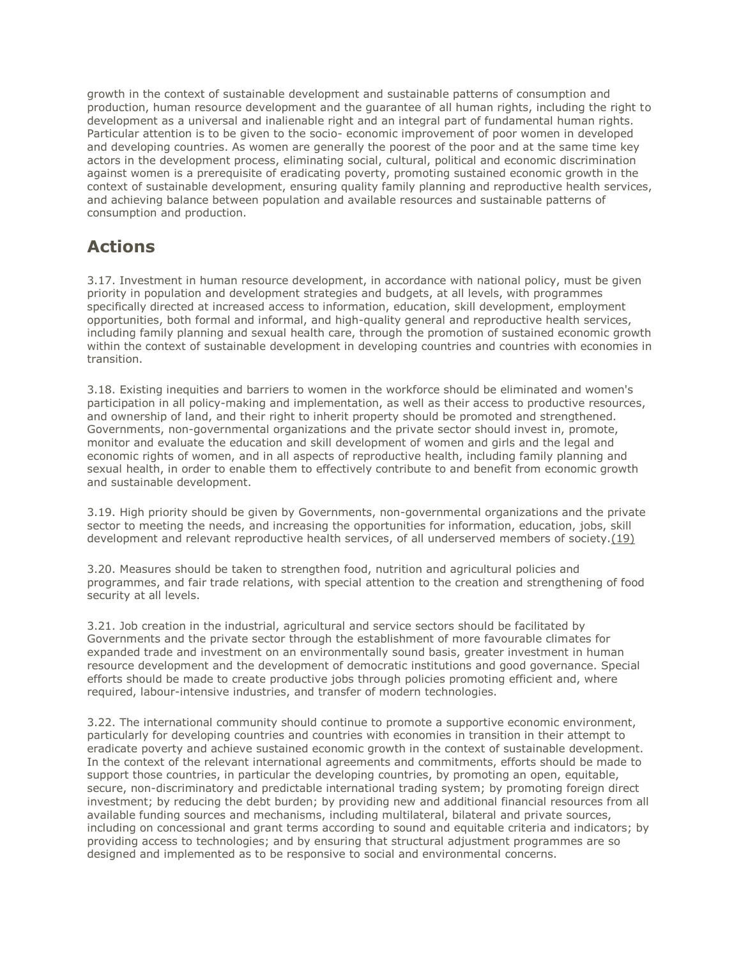growth in the context of sustainable development and sustainable patterns of consumption and production, human resource development and the guarantee of all human rights, including the right to development as a universal and inalienable right and an integral part of fundamental human rights. Particular attention is to be given to the socio- economic improvement of poor women in developed and developing countries. As women are generally the poorest of the poor and at the same time key actors in the development process, eliminating social, cultural, political and economic discrimination against women is a prerequisite of eradicating poverty, promoting sustained economic growth in the context of sustainable development, ensuring quality family planning and reproductive health services, and achieving balance between population and available resources and sustainable patterns of consumption and production.

## **Actions**

3.17. Investment in human resource development, in accordance with national policy, must be given priority in population and development strategies and budgets, at all levels, with programmes specifically directed at increased access to information, education, skill development, employment opportunities, both formal and informal, and high-quality general and reproductive health services, including family planning and sexual health care, through the promotion of sustained economic growth within the context of sustainable development in developing countries and countries with economies in transition.

3.18. Existing inequities and barriers to women in the workforce should be eliminated and women's participation in all policy-making and implementation, as well as their access to productive resources, and ownership of land, and their right to inherit property should be promoted and strengthened. Governments, non-governmental organizations and the private sector should invest in, promote, monitor and evaluate the education and skill development of women and girls and the legal and economic rights of women, and in all aspects of reproductive health, including family planning and sexual health, in order to enable them to effectively contribute to and benefit from economic growth and sustainable development.

3.19. High priority should be given by Governments, non-governmental organizations and the private sector to meeting the needs, and increasing the opportunities for information, education, jobs, skill development and relevant reproductive health services, of all underserved members of society[.\(19\)](http://www.unfpa.org/public/icpd/pid/5066#19)

3.20. Measures should be taken to strengthen food, nutrition and agricultural policies and programmes, and fair trade relations, with special attention to the creation and strengthening of food security at all levels.

3.21. Job creation in the industrial, agricultural and service sectors should be facilitated by Governments and the private sector through the establishment of more favourable climates for expanded trade and investment on an environmentally sound basis, greater investment in human resource development and the development of democratic institutions and good governance. Special efforts should be made to create productive jobs through policies promoting efficient and, where required, labour-intensive industries, and transfer of modern technologies.

3.22. The international community should continue to promote a supportive economic environment, particularly for developing countries and countries with economies in transition in their attempt to eradicate poverty and achieve sustained economic growth in the context of sustainable development. In the context of the relevant international agreements and commitments, efforts should be made to support those countries, in particular the developing countries, by promoting an open, equitable, secure, non-discriminatory and predictable international trading system; by promoting foreign direct investment; by reducing the debt burden; by providing new and additional financial resources from all available funding sources and mechanisms, including multilateral, bilateral and private sources, including on concessional and grant terms according to sound and equitable criteria and indicators; by providing access to technologies; and by ensuring that structural adjustment programmes are so designed and implemented as to be responsive to social and environmental concerns.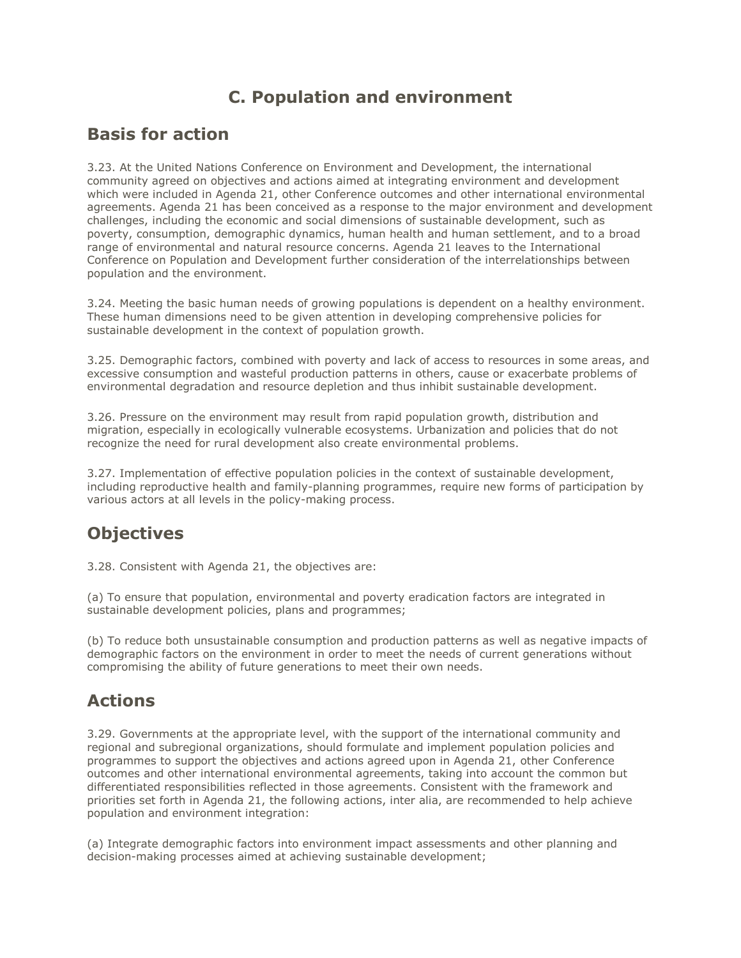## **C. Population and environment**

#### **Basis for action**

3.23. At the United Nations Conference on Environment and Development, the international community agreed on objectives and actions aimed at integrating environment and development which were included in Agenda 21, other Conference outcomes and other international environmental agreements. Agenda 21 has been conceived as a response to the major environment and development challenges, including the economic and social dimensions of sustainable development, such as poverty, consumption, demographic dynamics, human health and human settlement, and to a broad range of environmental and natural resource concerns. Agenda 21 leaves to the International Conference on Population and Development further consideration of the interrelationships between population and the environment.

3.24. Meeting the basic human needs of growing populations is dependent on a healthy environment. These human dimensions need to be given attention in developing comprehensive policies for sustainable development in the context of population growth.

3.25. Demographic factors, combined with poverty and lack of access to resources in some areas, and excessive consumption and wasteful production patterns in others, cause or exacerbate problems of environmental degradation and resource depletion and thus inhibit sustainable development.

3.26. Pressure on the environment may result from rapid population growth, distribution and migration, especially in ecologically vulnerable ecosystems. Urbanization and policies that do not recognize the need for rural development also create environmental problems.

3.27. Implementation of effective population policies in the context of sustainable development, including reproductive health and family-planning programmes, require new forms of participation by various actors at all levels in the policy-making process.

## **Objectives**

3.28. Consistent with Agenda 21, the objectives are:

(a) To ensure that population, environmental and poverty eradication factors are integrated in sustainable development policies, plans and programmes;

(b) To reduce both unsustainable consumption and production patterns as well as negative impacts of demographic factors on the environment in order to meet the needs of current generations without compromising the ability of future generations to meet their own needs.

### **Actions**

3.29. Governments at the appropriate level, with the support of the international community and regional and subregional organizations, should formulate and implement population policies and programmes to support the objectives and actions agreed upon in Agenda 21, other Conference outcomes and other international environmental agreements, taking into account the common but differentiated responsibilities reflected in those agreements. Consistent with the framework and priorities set forth in Agenda 21, the following actions, inter alia, are recommended to help achieve population and environment integration:

(a) Integrate demographic factors into environment impact assessments and other planning and decision-making processes aimed at achieving sustainable development;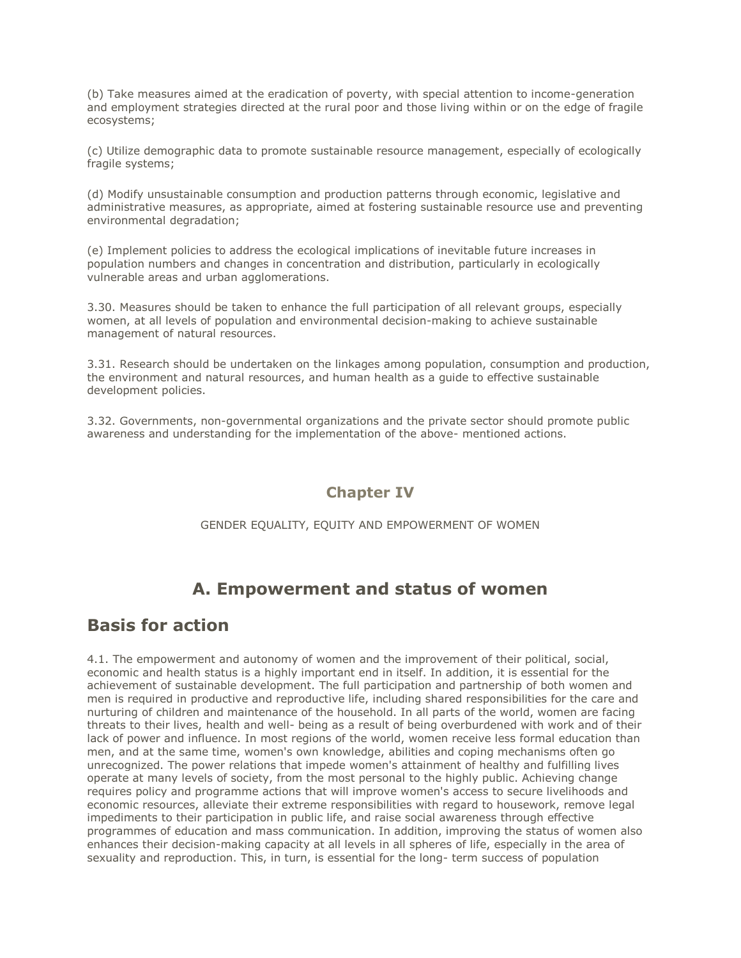(b) Take measures aimed at the eradication of poverty, with special attention to income-generation and employment strategies directed at the rural poor and those living within or on the edge of fragile ecosystems;

(c) Utilize demographic data to promote sustainable resource management, especially of ecologically fragile systems;

(d) Modify unsustainable consumption and production patterns through economic, legislative and administrative measures, as appropriate, aimed at fostering sustainable resource use and preventing environmental degradation;

(e) Implement policies to address the ecological implications of inevitable future increases in population numbers and changes in concentration and distribution, particularly in ecologically vulnerable areas and urban agglomerations.

3.30. Measures should be taken to enhance the full participation of all relevant groups, especially women, at all levels of population and environmental decision-making to achieve sustainable management of natural resources.

3.31. Research should be undertaken on the linkages among population, consumption and production, the environment and natural resources, and human health as a guide to effective sustainable development policies.

3.32. Governments, non-governmental organizations and the private sector should promote public awareness and understanding for the implementation of the above- mentioned actions.

#### **Chapter IV**

GENDER EQUALITY, EQUITY AND EMPOWERMENT OF WOMEN

#### **A. Empowerment and status of women**

#### **Basis for action**

4.1. The empowerment and autonomy of women and the improvement of their political, social, economic and health status is a highly important end in itself. In addition, it is essential for the achievement of sustainable development. The full participation and partnership of both women and men is required in productive and reproductive life, including shared responsibilities for the care and nurturing of children and maintenance of the household. In all parts of the world, women are facing threats to their lives, health and well- being as a result of being overburdened with work and of their lack of power and influence. In most regions of the world, women receive less formal education than men, and at the same time, women's own knowledge, abilities and coping mechanisms often go unrecognized. The power relations that impede women's attainment of healthy and fulfilling lives operate at many levels of society, from the most personal to the highly public. Achieving change requires policy and programme actions that will improve women's access to secure livelihoods and economic resources, alleviate their extreme responsibilities with regard to housework, remove legal impediments to their participation in public life, and raise social awareness through effective programmes of education and mass communication. In addition, improving the status of women also enhances their decision-making capacity at all levels in all spheres of life, especially in the area of sexuality and reproduction. This, in turn, is essential for the long- term success of population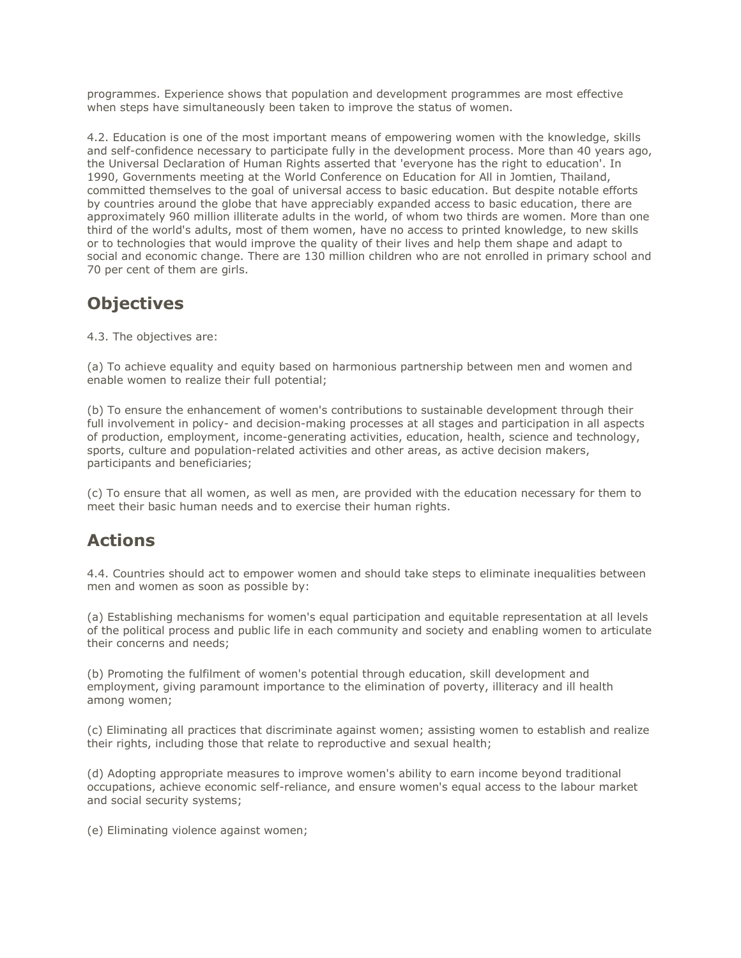programmes. Experience shows that population and development programmes are most effective when steps have simultaneously been taken to improve the status of women.

4.2. Education is one of the most important means of empowering women with the knowledge, skills and self-confidence necessary to participate fully in the development process. More than 40 years ago, the Universal Declaration of Human Rights asserted that 'everyone has the right to education'. In 1990, Governments meeting at the World Conference on Education for All in Jomtien, Thailand, committed themselves to the goal of universal access to basic education. But despite notable efforts by countries around the globe that have appreciably expanded access to basic education, there are approximately 960 million illiterate adults in the world, of whom two thirds are women. More than one third of the world's adults, most of them women, have no access to printed knowledge, to new skills or to technologies that would improve the quality of their lives and help them shape and adapt to social and economic change. There are 130 million children who are not enrolled in primary school and 70 per cent of them are girls.

### **Objectives**

4.3. The objectives are:

(a) To achieve equality and equity based on harmonious partnership between men and women and enable women to realize their full potential;

(b) To ensure the enhancement of women's contributions to sustainable development through their full involvement in policy- and decision-making processes at all stages and participation in all aspects of production, employment, income-generating activities, education, health, science and technology, sports, culture and population-related activities and other areas, as active decision makers, participants and beneficiaries;

(c) To ensure that all women, as well as men, are provided with the education necessary for them to meet their basic human needs and to exercise their human rights.

### **Actions**

4.4. Countries should act to empower women and should take steps to eliminate inequalities between men and women as soon as possible by:

(a) Establishing mechanisms for women's equal participation and equitable representation at all levels of the political process and public life in each community and society and enabling women to articulate their concerns and needs;

(b) Promoting the fulfilment of women's potential through education, skill development and employment, giving paramount importance to the elimination of poverty, illiteracy and ill health among women;

(c) Eliminating all practices that discriminate against women; assisting women to establish and realize their rights, including those that relate to reproductive and sexual health;

(d) Adopting appropriate measures to improve women's ability to earn income beyond traditional occupations, achieve economic self-reliance, and ensure women's equal access to the labour market and social security systems;

(e) Eliminating violence against women;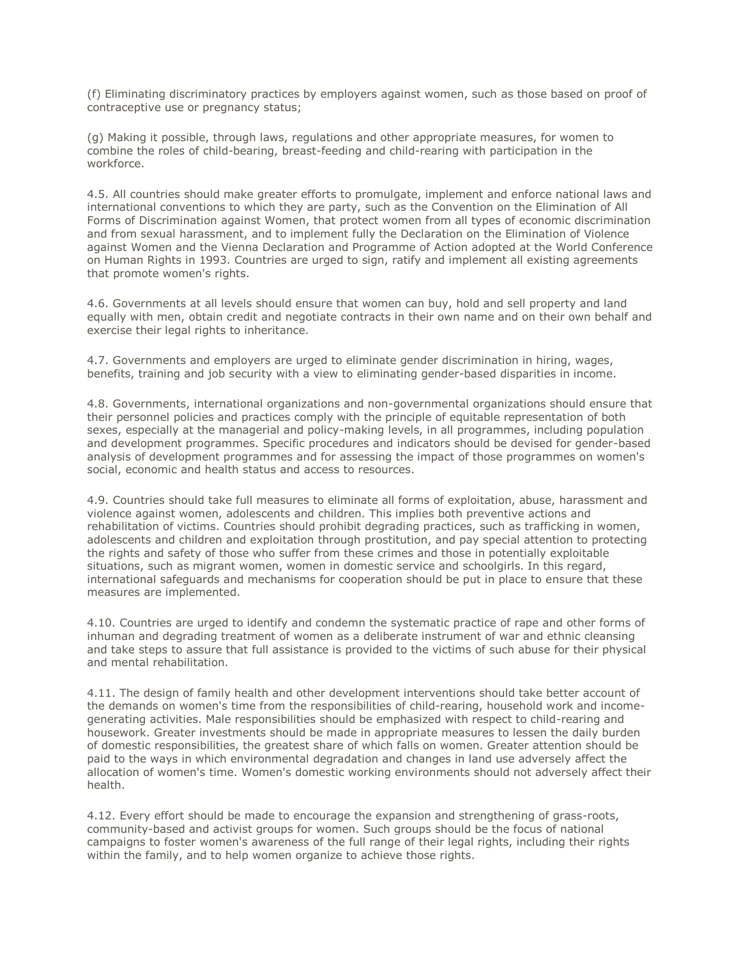(f) Eliminating discriminatory practices by employers against women, such as those based on proof of contraceptive use or pregnancy status;

(g) Making it possible, through laws, regulations and other appropriate measures, for women to combine the roles of child-bearing, breast-feeding and child-rearing with participation in the workforce.

4.5. All countries should make greater efforts to promulgate, implement and enforce national laws and international conventions to which they are party, such as the Convention on the Elimination of All Forms of Discrimination against Women, that protect women from all types of economic discrimination and from sexual harassment, and to implement fully the Declaration on the Elimination of Violence against Women and the Vienna Declaration and Programme of Action adopted at the World Conference on Human Rights in 1993. Countries are urged to sign, ratify and implement all existing agreements that promote women's rights.

4.6. Governments at all levels should ensure that women can buy, hold and sell property and land equally with men, obtain credit and negotiate contracts in their own name and on their own behalf and exercise their legal rights to inheritance.

4.7. Governments and employers are urged to eliminate gender discrimination in hiring, wages, benefits, training and job security with a view to eliminating gender-based disparities in income.

4.8. Governments, international organizations and non-governmental organizations should ensure that their personnel policies and practices comply with the principle of equitable representation of both sexes, especially at the managerial and policy-making levels, in all programmes, including population and development programmes. Specific procedures and indicators should be devised for gender-based analysis of development programmes and for assessing the impact of those programmes on women's social, economic and health status and access to resources.

4.9. Countries should take full measures to eliminate all forms of exploitation, abuse, harassment and violence against women, adolescents and children. This implies both preventive actions and rehabilitation of victims. Countries should prohibit degrading practices, such as trafficking in women, adolescents and children and exploitation through prostitution, and pay special attention to protecting the rights and safety of those who suffer from these crimes and those in potentially exploitable situations, such as migrant women, women in domestic service and schoolgirls. In this regard, international safeguards and mechanisms for cooperation should be put in place to ensure that these measures are implemented.

4.10. Countries are urged to identify and condemn the systematic practice of rape and other forms of inhuman and degrading treatment of women as a deliberate instrument of war and ethnic cleansing and take steps to assure that full assistance is provided to the victims of such abuse for their physical and mental rehabilitation.

4.11. The design of family health and other development interventions should take better account of the demands on women's time from the responsibilities of child-rearing, household work and incomegenerating activities. Male responsibilities should be emphasized with respect to child-rearing and housework. Greater investments should be made in appropriate measures to lessen the daily burden of domestic responsibilities, the greatest share of which falls on women. Greater attention should be paid to the ways in which environmental degradation and changes in land use adversely affect the allocation of women's time. Women's domestic working environments should not adversely affect their health.

4.12. Every effort should be made to encourage the expansion and strengthening of grass-roots, community-based and activist groups for women. Such groups should be the focus of national campaigns to foster women's awareness of the full range of their legal rights, including their rights within the family, and to help women organize to achieve those rights.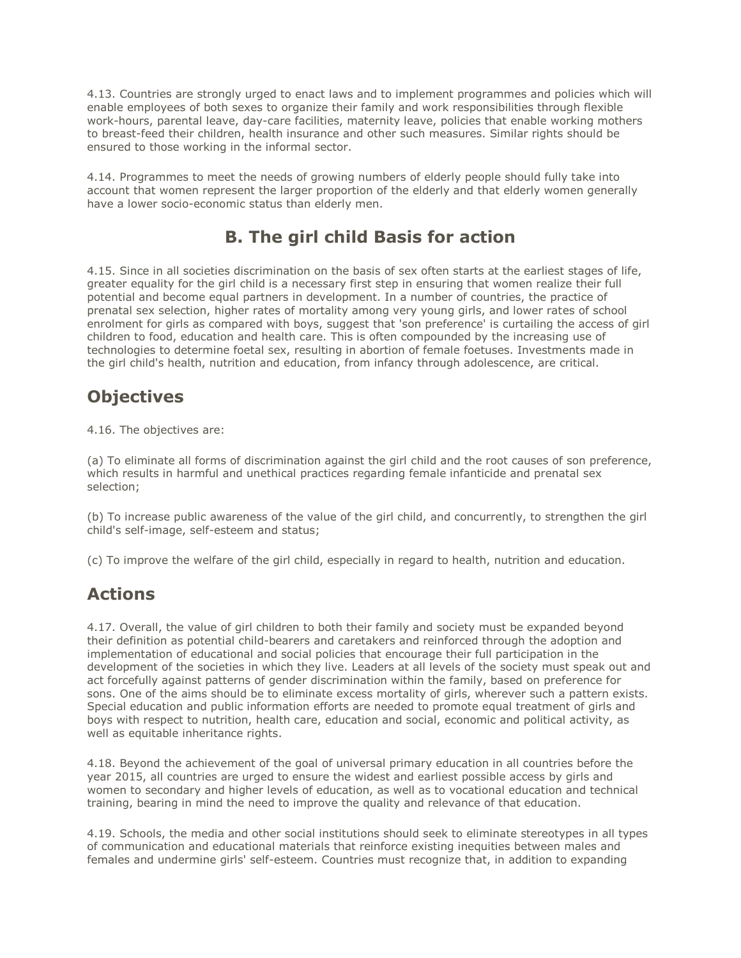4.13. Countries are strongly urged to enact laws and to implement programmes and policies which will enable employees of both sexes to organize their family and work responsibilities through flexible work-hours, parental leave, day-care facilities, maternity leave, policies that enable working mothers to breast-feed their children, health insurance and other such measures. Similar rights should be ensured to those working in the informal sector.

4.14. Programmes to meet the needs of growing numbers of elderly people should fully take into account that women represent the larger proportion of the elderly and that elderly women generally have a lower socio-economic status than elderly men.

## **B. The girl child Basis for action**

4.15. Since in all societies discrimination on the basis of sex often starts at the earliest stages of life, greater equality for the girl child is a necessary first step in ensuring that women realize their full potential and become equal partners in development. In a number of countries, the practice of prenatal sex selection, higher rates of mortality among very young girls, and lower rates of school enrolment for girls as compared with boys, suggest that 'son preference' is curtailing the access of girl children to food, education and health care. This is often compounded by the increasing use of technologies to determine foetal sex, resulting in abortion of female foetuses. Investments made in the girl child's health, nutrition and education, from infancy through adolescence, are critical.

## **Objectives**

4.16. The objectives are:

(a) To eliminate all forms of discrimination against the girl child and the root causes of son preference, which results in harmful and unethical practices regarding female infanticide and prenatal sex selection;

(b) To increase public awareness of the value of the girl child, and concurrently, to strengthen the girl child's self-image, self-esteem and status;

(c) To improve the welfare of the girl child, especially in regard to health, nutrition and education.

## **Actions**

4.17. Overall, the value of girl children to both their family and society must be expanded beyond their definition as potential child-bearers and caretakers and reinforced through the adoption and implementation of educational and social policies that encourage their full participation in the development of the societies in which they live. Leaders at all levels of the society must speak out and act forcefully against patterns of gender discrimination within the family, based on preference for sons. One of the aims should be to eliminate excess mortality of girls, wherever such a pattern exists. Special education and public information efforts are needed to promote equal treatment of girls and boys with respect to nutrition, health care, education and social, economic and political activity, as well as equitable inheritance rights.

4.18. Beyond the achievement of the goal of universal primary education in all countries before the year 2015, all countries are urged to ensure the widest and earliest possible access by girls and women to secondary and higher levels of education, as well as to vocational education and technical training, bearing in mind the need to improve the quality and relevance of that education.

4.19. Schools, the media and other social institutions should seek to eliminate stereotypes in all types of communication and educational materials that reinforce existing inequities between males and females and undermine girls' self-esteem. Countries must recognize that, in addition to expanding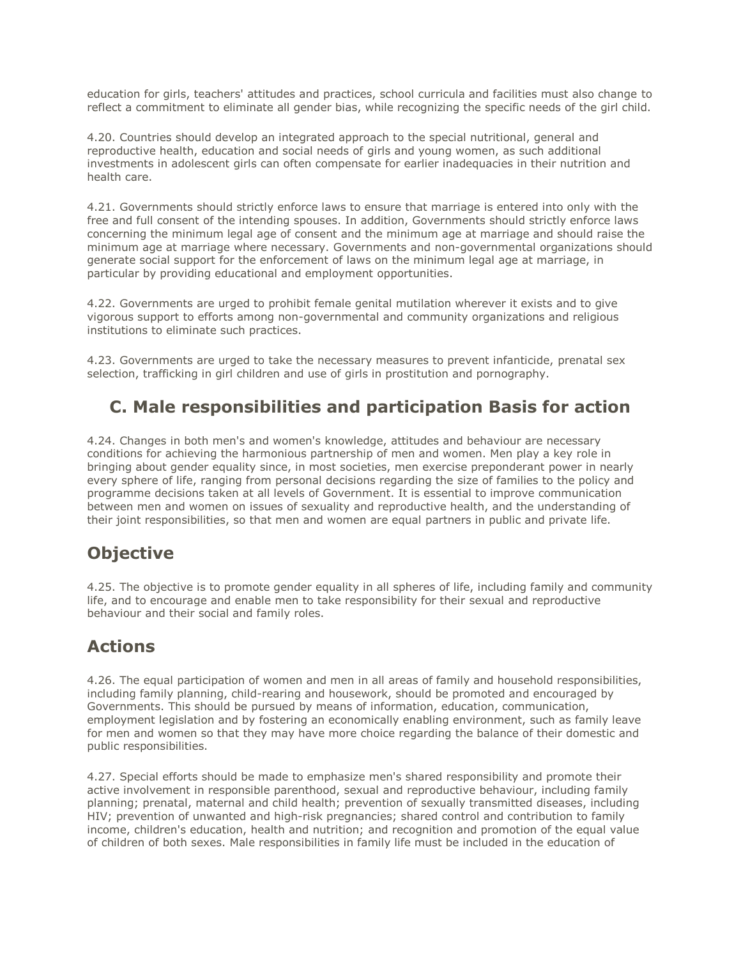education for girls, teachers' attitudes and practices, school curricula and facilities must also change to reflect a commitment to eliminate all gender bias, while recognizing the specific needs of the girl child.

4.20. Countries should develop an integrated approach to the special nutritional, general and reproductive health, education and social needs of girls and young women, as such additional investments in adolescent girls can often compensate for earlier inadequacies in their nutrition and health care.

4.21. Governments should strictly enforce laws to ensure that marriage is entered into only with the free and full consent of the intending spouses. In addition, Governments should strictly enforce laws concerning the minimum legal age of consent and the minimum age at marriage and should raise the minimum age at marriage where necessary. Governments and non-governmental organizations should generate social support for the enforcement of laws on the minimum legal age at marriage, in particular by providing educational and employment opportunities.

4.22. Governments are urged to prohibit female genital mutilation wherever it exists and to give vigorous support to efforts among non-governmental and community organizations and religious institutions to eliminate such practices.

4.23. Governments are urged to take the necessary measures to prevent infanticide, prenatal sex selection, trafficking in girl children and use of girls in prostitution and pornography.

### **C. Male responsibilities and participation Basis for action**

4.24. Changes in both men's and women's knowledge, attitudes and behaviour are necessary conditions for achieving the harmonious partnership of men and women. Men play a key role in bringing about gender equality since, in most societies, men exercise preponderant power in nearly every sphere of life, ranging from personal decisions regarding the size of families to the policy and programme decisions taken at all levels of Government. It is essential to improve communication between men and women on issues of sexuality and reproductive health, and the understanding of their joint responsibilities, so that men and women are equal partners in public and private life.

### **Objective**

4.25. The objective is to promote gender equality in all spheres of life, including family and community life, and to encourage and enable men to take responsibility for their sexual and reproductive behaviour and their social and family roles.

### **Actions**

4.26. The equal participation of women and men in all areas of family and household responsibilities, including family planning, child-rearing and housework, should be promoted and encouraged by Governments. This should be pursued by means of information, education, communication, employment legislation and by fostering an economically enabling environment, such as family leave for men and women so that they may have more choice regarding the balance of their domestic and public responsibilities.

4.27. Special efforts should be made to emphasize men's shared responsibility and promote their active involvement in responsible parenthood, sexual and reproductive behaviour, including family planning; prenatal, maternal and child health; prevention of sexually transmitted diseases, including HIV; prevention of unwanted and high-risk pregnancies; shared control and contribution to family income, children's education, health and nutrition; and recognition and promotion of the equal value of children of both sexes. Male responsibilities in family life must be included in the education of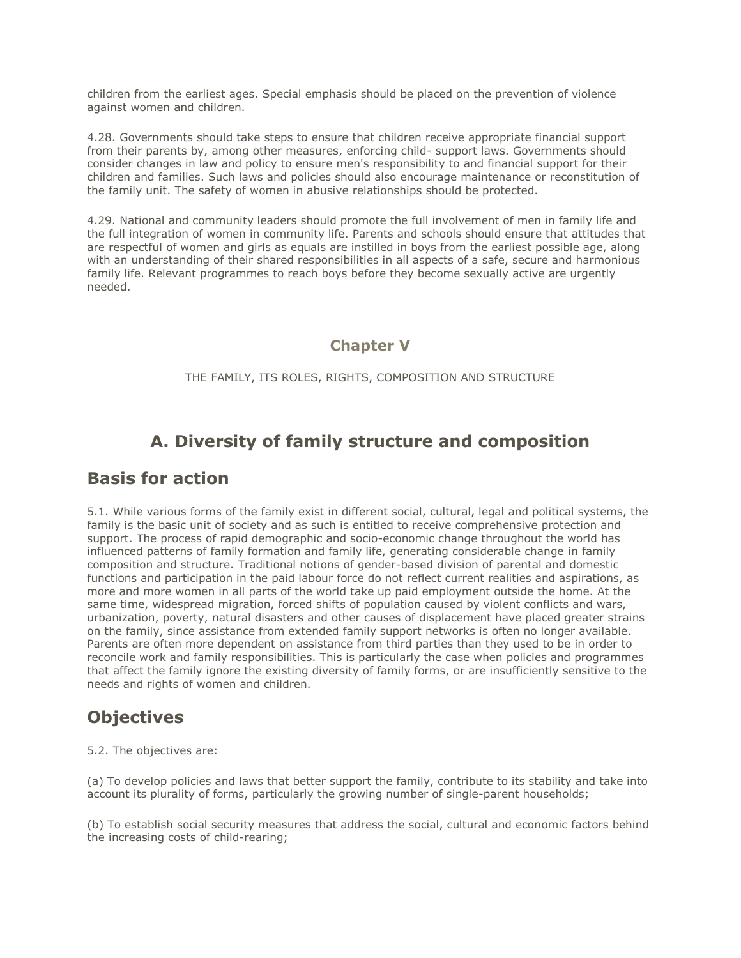children from the earliest ages. Special emphasis should be placed on the prevention of violence against women and children.

4.28. Governments should take steps to ensure that children receive appropriate financial support from their parents by, among other measures, enforcing child- support laws. Governments should consider changes in law and policy to ensure men's responsibility to and financial support for their children and families. Such laws and policies should also encourage maintenance or reconstitution of the family unit. The safety of women in abusive relationships should be protected.

4.29. National and community leaders should promote the full involvement of men in family life and the full integration of women in community life. Parents and schools should ensure that attitudes that are respectful of women and girls as equals are instilled in boys from the earliest possible age, along with an understanding of their shared responsibilities in all aspects of a safe, secure and harmonious family life. Relevant programmes to reach boys before they become sexually active are urgently needed.

#### **Chapter V**

THE FAMILY, ITS ROLES, RIGHTS, COMPOSITION AND STRUCTURE

## **A. Diversity of family structure and composition**

#### **Basis for action**

5.1. While various forms of the family exist in different social, cultural, legal and political systems, the family is the basic unit of society and as such is entitled to receive comprehensive protection and support. The process of rapid demographic and socio-economic change throughout the world has influenced patterns of family formation and family life, generating considerable change in family composition and structure. Traditional notions of gender-based division of parental and domestic functions and participation in the paid labour force do not reflect current realities and aspirations, as more and more women in all parts of the world take up paid employment outside the home. At the same time, widespread migration, forced shifts of population caused by violent conflicts and wars, urbanization, poverty, natural disasters and other causes of displacement have placed greater strains on the family, since assistance from extended family support networks is often no longer available. Parents are often more dependent on assistance from third parties than they used to be in order to reconcile work and family responsibilities. This is particularly the case when policies and programmes that affect the family ignore the existing diversity of family forms, or are insufficiently sensitive to the needs and rights of women and children.

### **Objectives**

#### 5.2. The objectives are:

(a) To develop policies and laws that better support the family, contribute to its stability and take into account its plurality of forms, particularly the growing number of single-parent households;

(b) To establish social security measures that address the social, cultural and economic factors behind the increasing costs of child-rearing;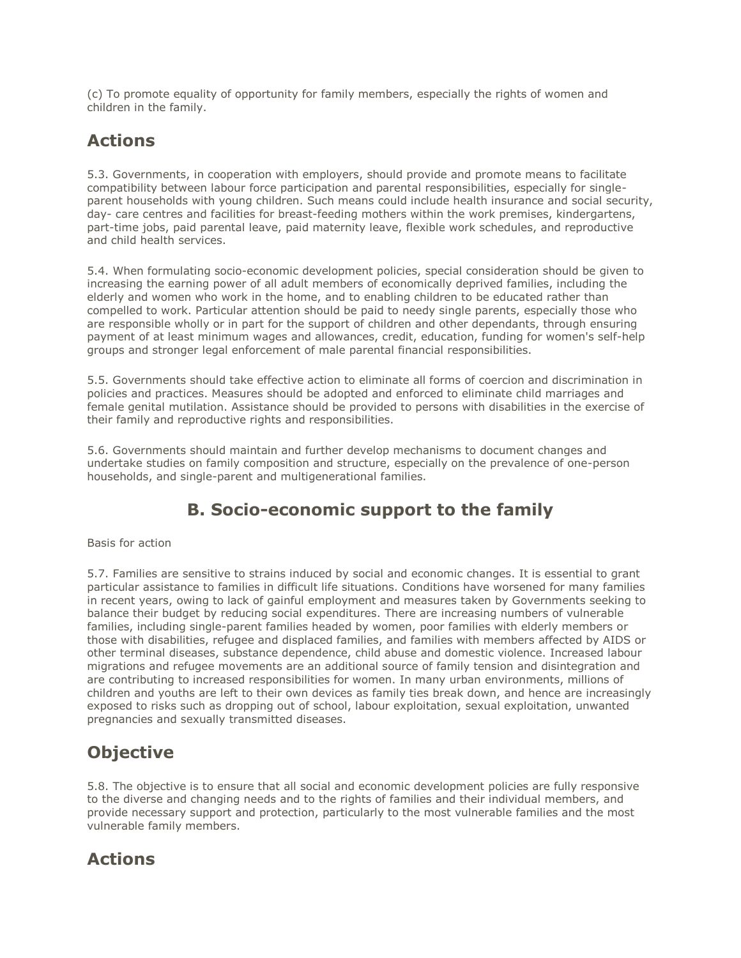(c) To promote equality of opportunity for family members, especially the rights of women and children in the family.

# **Actions**

5.3. Governments, in cooperation with employers, should provide and promote means to facilitate compatibility between labour force participation and parental responsibilities, especially for singleparent households with young children. Such means could include health insurance and social security, day- care centres and facilities for breast-feeding mothers within the work premises, kindergartens, part-time jobs, paid parental leave, paid maternity leave, flexible work schedules, and reproductive and child health services.

5.4. When formulating socio-economic development policies, special consideration should be given to increasing the earning power of all adult members of economically deprived families, including the elderly and women who work in the home, and to enabling children to be educated rather than compelled to work. Particular attention should be paid to needy single parents, especially those who are responsible wholly or in part for the support of children and other dependants, through ensuring payment of at least minimum wages and allowances, credit, education, funding for women's self-help groups and stronger legal enforcement of male parental financial responsibilities.

5.5. Governments should take effective action to eliminate all forms of coercion and discrimination in policies and practices. Measures should be adopted and enforced to eliminate child marriages and female genital mutilation. Assistance should be provided to persons with disabilities in the exercise of their family and reproductive rights and responsibilities.

5.6. Governments should maintain and further develop mechanisms to document changes and undertake studies on family composition and structure, especially on the prevalence of one-person households, and single-parent and multigenerational families.

## **B. Socio-economic support to the family**

Basis for action

5.7. Families are sensitive to strains induced by social and economic changes. It is essential to grant particular assistance to families in difficult life situations. Conditions have worsened for many families in recent years, owing to lack of gainful employment and measures taken by Governments seeking to balance their budget by reducing social expenditures. There are increasing numbers of vulnerable families, including single-parent families headed by women, poor families with elderly members or those with disabilities, refugee and displaced families, and families with members affected by AIDS or other terminal diseases, substance dependence, child abuse and domestic violence. Increased labour migrations and refugee movements are an additional source of family tension and disintegration and are contributing to increased responsibilities for women. In many urban environments, millions of children and youths are left to their own devices as family ties break down, and hence are increasingly exposed to risks such as dropping out of school, labour exploitation, sexual exploitation, unwanted pregnancies and sexually transmitted diseases.

## **Objective**

5.8. The objective is to ensure that all social and economic development policies are fully responsive to the diverse and changing needs and to the rights of families and their individual members, and provide necessary support and protection, particularly to the most vulnerable families and the most vulnerable family members.

## **Actions**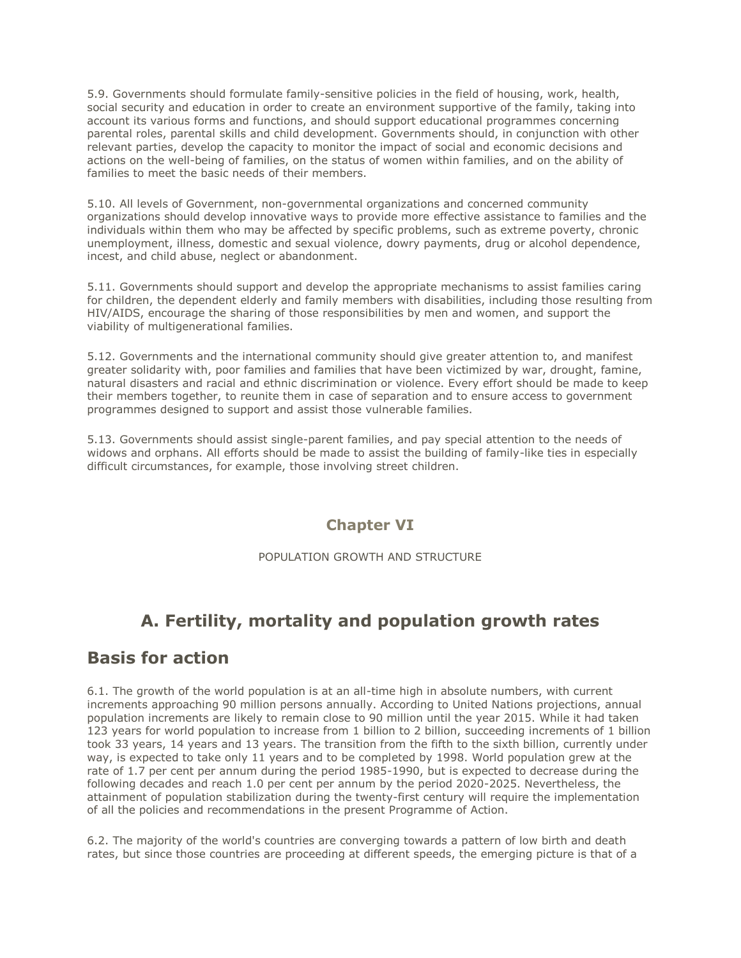5.9. Governments should formulate family-sensitive policies in the field of housing, work, health, social security and education in order to create an environment supportive of the family, taking into account its various forms and functions, and should support educational programmes concerning parental roles, parental skills and child development. Governments should, in conjunction with other relevant parties, develop the capacity to monitor the impact of social and economic decisions and actions on the well-being of families, on the status of women within families, and on the ability of families to meet the basic needs of their members.

5.10. All levels of Government, non-governmental organizations and concerned community organizations should develop innovative ways to provide more effective assistance to families and the individuals within them who may be affected by specific problems, such as extreme poverty, chronic unemployment, illness, domestic and sexual violence, dowry payments, drug or alcohol dependence, incest, and child abuse, neglect or abandonment.

5.11. Governments should support and develop the appropriate mechanisms to assist families caring for children, the dependent elderly and family members with disabilities, including those resulting from HIV/AIDS, encourage the sharing of those responsibilities by men and women, and support the viability of multigenerational families.

5.12. Governments and the international community should give greater attention to, and manifest greater solidarity with, poor families and families that have been victimized by war, drought, famine, natural disasters and racial and ethnic discrimination or violence. Every effort should be made to keep their members together, to reunite them in case of separation and to ensure access to government programmes designed to support and assist those vulnerable families.

5.13. Governments should assist single-parent families, and pay special attention to the needs of widows and orphans. All efforts should be made to assist the building of family-like ties in especially difficult circumstances, for example, those involving street children.

#### **Chapter VI**

POPULATION GROWTH AND STRUCTURE

## **A. Fertility, mortality and population growth rates**

#### **Basis for action**

6.1. The growth of the world population is at an all-time high in absolute numbers, with current increments approaching 90 million persons annually. According to United Nations projections, annual population increments are likely to remain close to 90 million until the year 2015. While it had taken 123 years for world population to increase from 1 billion to 2 billion, succeeding increments of 1 billion took 33 years, 14 years and 13 years. The transition from the fifth to the sixth billion, currently under way, is expected to take only 11 years and to be completed by 1998. World population grew at the rate of 1.7 per cent per annum during the period 1985-1990, but is expected to decrease during the following decades and reach 1.0 per cent per annum by the period 2020-2025. Nevertheless, the attainment of population stabilization during the twenty-first century will require the implementation of all the policies and recommendations in the present Programme of Action.

6.2. The majority of the world's countries are converging towards a pattern of low birth and death rates, but since those countries are proceeding at different speeds, the emerging picture is that of a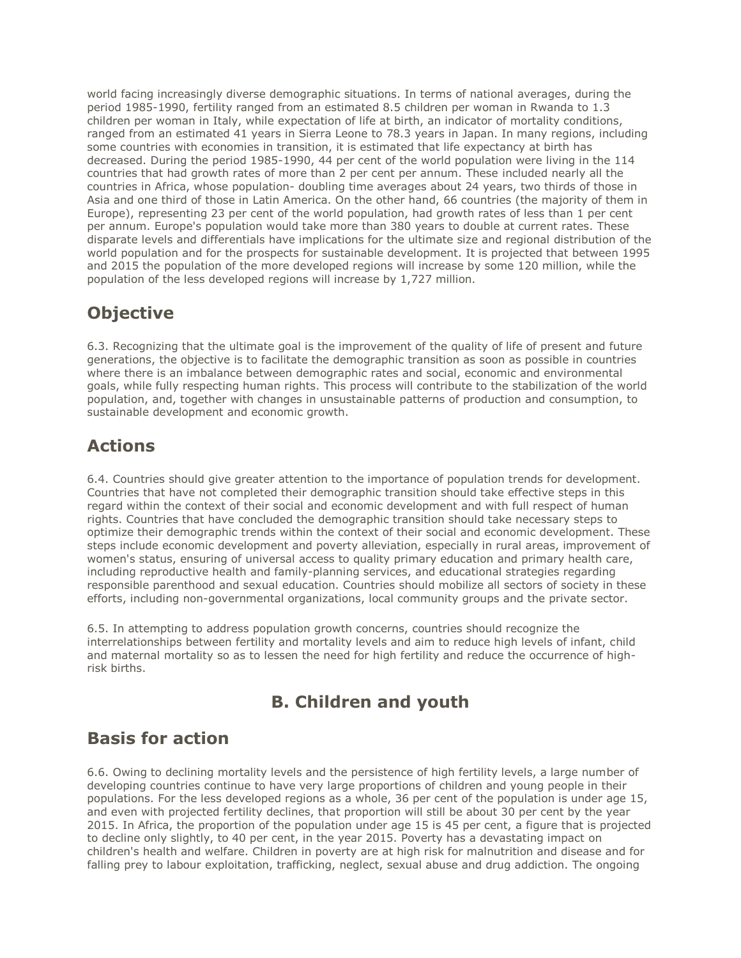world facing increasingly diverse demographic situations. In terms of national averages, during the period 1985-1990, fertility ranged from an estimated 8.5 children per woman in Rwanda to 1.3 children per woman in Italy, while expectation of life at birth, an indicator of mortality conditions, ranged from an estimated 41 years in Sierra Leone to 78.3 years in Japan. In many regions, including some countries with economies in transition, it is estimated that life expectancy at birth has decreased. During the period 1985-1990, 44 per cent of the world population were living in the 114 countries that had growth rates of more than 2 per cent per annum. These included nearly all the countries in Africa, whose population- doubling time averages about 24 years, two thirds of those in Asia and one third of those in Latin America. On the other hand, 66 countries (the majority of them in Europe), representing 23 per cent of the world population, had growth rates of less than 1 per cent per annum. Europe's population would take more than 380 years to double at current rates. These disparate levels and differentials have implications for the ultimate size and regional distribution of the world population and for the prospects for sustainable development. It is projected that between 1995 and 2015 the population of the more developed regions will increase by some 120 million, while the population of the less developed regions will increase by 1,727 million.

# **Objective**

6.3. Recognizing that the ultimate goal is the improvement of the quality of life of present and future generations, the objective is to facilitate the demographic transition as soon as possible in countries where there is an imbalance between demographic rates and social, economic and environmental goals, while fully respecting human rights. This process will contribute to the stabilization of the world population, and, together with changes in unsustainable patterns of production and consumption, to sustainable development and economic growth.

## **Actions**

6.4. Countries should give greater attention to the importance of population trends for development. Countries that have not completed their demographic transition should take effective steps in this regard within the context of their social and economic development and with full respect of human rights. Countries that have concluded the demographic transition should take necessary steps to optimize their demographic trends within the context of their social and economic development. These steps include economic development and poverty alleviation, especially in rural areas, improvement of women's status, ensuring of universal access to quality primary education and primary health care, including reproductive health and family-planning services, and educational strategies regarding responsible parenthood and sexual education. Countries should mobilize all sectors of society in these efforts, including non-governmental organizations, local community groups and the private sector.

6.5. In attempting to address population growth concerns, countries should recognize the interrelationships between fertility and mortality levels and aim to reduce high levels of infant, child and maternal mortality so as to lessen the need for high fertility and reduce the occurrence of highrisk births.

## **B. Children and youth**

### **Basis for action**

6.6. Owing to declining mortality levels and the persistence of high fertility levels, a large number of developing countries continue to have very large proportions of children and young people in their populations. For the less developed regions as a whole, 36 per cent of the population is under age 15, and even with projected fertility declines, that proportion will still be about 30 per cent by the year 2015. In Africa, the proportion of the population under age 15 is 45 per cent, a figure that is projected to decline only slightly, to 40 per cent, in the year 2015. Poverty has a devastating impact on children's health and welfare. Children in poverty are at high risk for malnutrition and disease and for falling prey to labour exploitation, trafficking, neglect, sexual abuse and drug addiction. The ongoing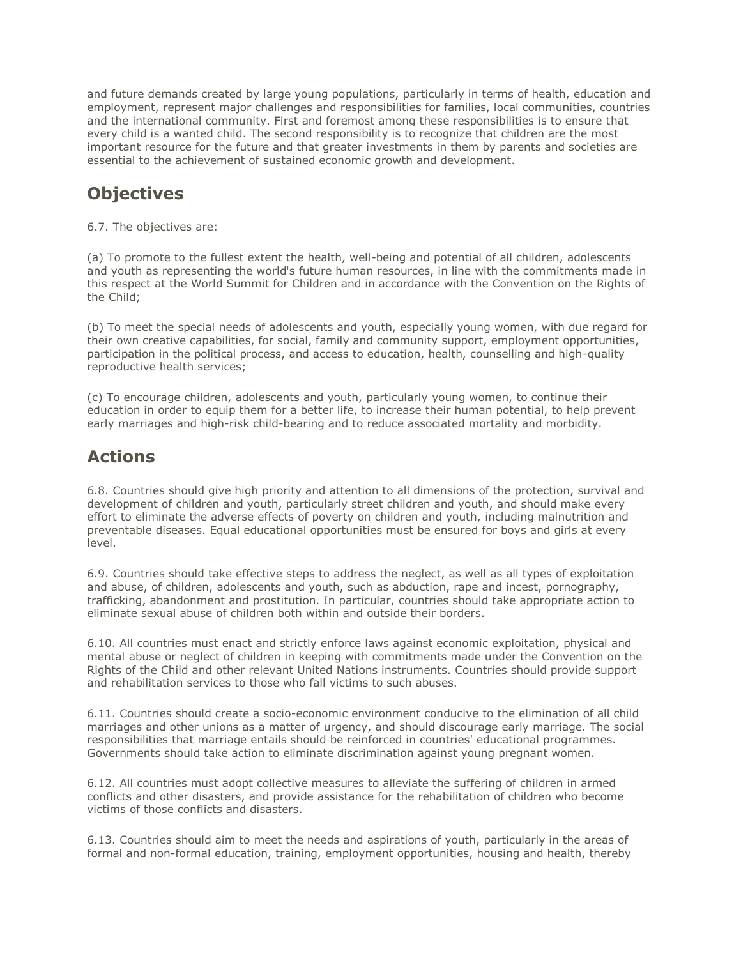and future demands created by large young populations, particularly in terms of health, education and employment, represent major challenges and responsibilities for families, local communities, countries and the international community. First and foremost among these responsibilities is to ensure that every child is a wanted child. The second responsibility is to recognize that children are the most important resource for the future and that greater investments in them by parents and societies are essential to the achievement of sustained economic growth and development.

## **Objectives**

6.7. The objectives are:

(a) To promote to the fullest extent the health, well-being and potential of all children, adolescents and youth as representing the world's future human resources, in line with the commitments made in this respect at the World Summit for Children and in accordance with the Convention on the Rights of the Child;

(b) To meet the special needs of adolescents and youth, especially young women, with due regard for their own creative capabilities, for social, family and community support, employment opportunities, participation in the political process, and access to education, health, counselling and high-quality reproductive health services;

(c) To encourage children, adolescents and youth, particularly young women, to continue their education in order to equip them for a better life, to increase their human potential, to help prevent early marriages and high-risk child-bearing and to reduce associated mortality and morbidity.

## **Actions**

6.8. Countries should give high priority and attention to all dimensions of the protection, survival and development of children and youth, particularly street children and youth, and should make every effort to eliminate the adverse effects of poverty on children and youth, including malnutrition and preventable diseases. Equal educational opportunities must be ensured for boys and girls at every level.

6.9. Countries should take effective steps to address the neglect, as well as all types of exploitation and abuse, of children, adolescents and youth, such as abduction, rape and incest, pornography, trafficking, abandonment and prostitution. In particular, countries should take appropriate action to eliminate sexual abuse of children both within and outside their borders.

6.10. All countries must enact and strictly enforce laws against economic exploitation, physical and mental abuse or neglect of children in keeping with commitments made under the Convention on the Rights of the Child and other relevant United Nations instruments. Countries should provide support and rehabilitation services to those who fall victims to such abuses.

6.11. Countries should create a socio-economic environment conducive to the elimination of all child marriages and other unions as a matter of urgency, and should discourage early marriage. The social responsibilities that marriage entails should be reinforced in countries' educational programmes. Governments should take action to eliminate discrimination against young pregnant women.

6.12. All countries must adopt collective measures to alleviate the suffering of children in armed conflicts and other disasters, and provide assistance for the rehabilitation of children who become victims of those conflicts and disasters.

6.13. Countries should aim to meet the needs and aspirations of youth, particularly in the areas of formal and non-formal education, training, employment opportunities, housing and health, thereby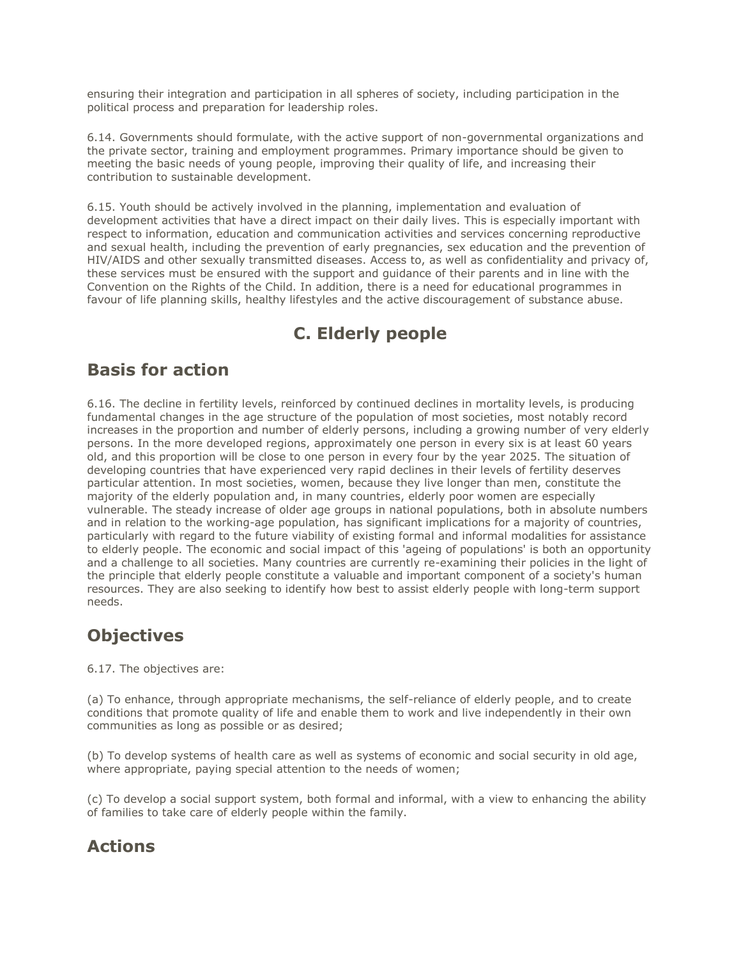ensuring their integration and participation in all spheres of society, including participation in the political process and preparation for leadership roles.

6.14. Governments should formulate, with the active support of non-governmental organizations and the private sector, training and employment programmes. Primary importance should be given to meeting the basic needs of young people, improving their quality of life, and increasing their contribution to sustainable development.

6.15. Youth should be actively involved in the planning, implementation and evaluation of development activities that have a direct impact on their daily lives. This is especially important with respect to information, education and communication activities and services concerning reproductive and sexual health, including the prevention of early pregnancies, sex education and the prevention of HIV/AIDS and other sexually transmitted diseases. Access to, as well as confidentiality and privacy of, these services must be ensured with the support and guidance of their parents and in line with the Convention on the Rights of the Child. In addition, there is a need for educational programmes in favour of life planning skills, healthy lifestyles and the active discouragement of substance abuse.

## **C. Elderly people**

#### **Basis for action**

6.16. The decline in fertility levels, reinforced by continued declines in mortality levels, is producing fundamental changes in the age structure of the population of most societies, most notably record increases in the proportion and number of elderly persons, including a growing number of very elderly persons. In the more developed regions, approximately one person in every six is at least 60 years old, and this proportion will be close to one person in every four by the year 2025. The situation of developing countries that have experienced very rapid declines in their levels of fertility deserves particular attention. In most societies, women, because they live longer than men, constitute the majority of the elderly population and, in many countries, elderly poor women are especially vulnerable. The steady increase of older age groups in national populations, both in absolute numbers and in relation to the working-age population, has significant implications for a majority of countries, particularly with regard to the future viability of existing formal and informal modalities for assistance to elderly people. The economic and social impact of this 'ageing of populations' is both an opportunity and a challenge to all societies. Many countries are currently re-examining their policies in the light of the principle that elderly people constitute a valuable and important component of a society's human resources. They are also seeking to identify how best to assist elderly people with long-term support needs.

### **Objectives**

6.17. The objectives are:

(a) To enhance, through appropriate mechanisms, the self-reliance of elderly people, and to create conditions that promote quality of life and enable them to work and live independently in their own communities as long as possible or as desired;

(b) To develop systems of health care as well as systems of economic and social security in old age, where appropriate, paying special attention to the needs of women;

(c) To develop a social support system, both formal and informal, with a view to enhancing the ability of families to take care of elderly people within the family.

### **Actions**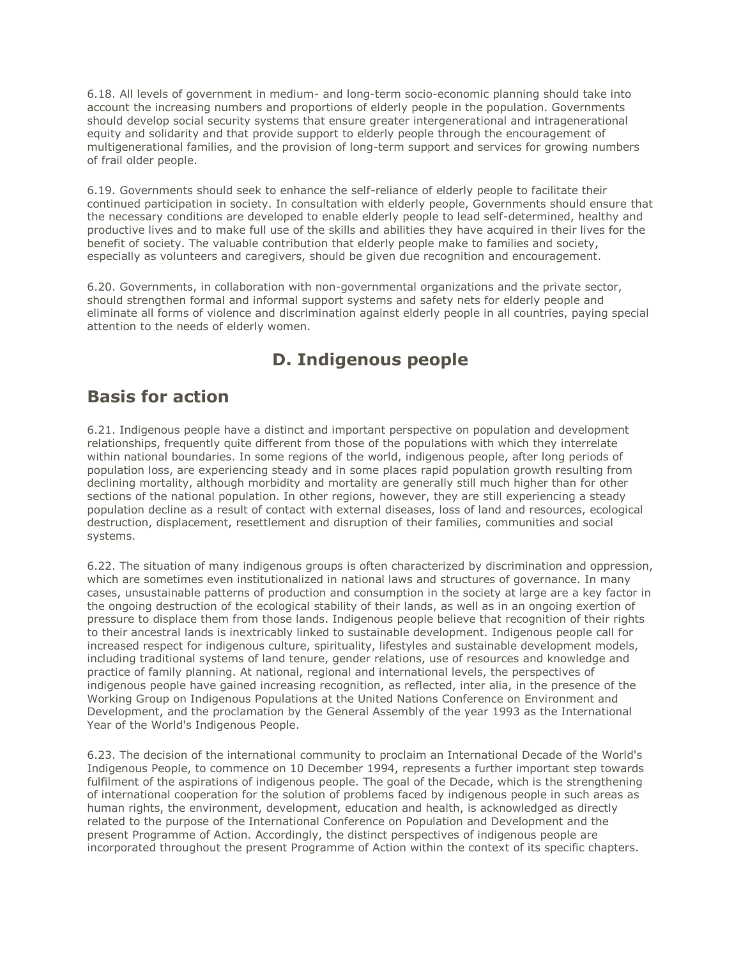6.18. All levels of government in medium- and long-term socio-economic planning should take into account the increasing numbers and proportions of elderly people in the population. Governments should develop social security systems that ensure greater intergenerational and intragenerational equity and solidarity and that provide support to elderly people through the encouragement of multigenerational families, and the provision of long-term support and services for growing numbers of frail older people.

6.19. Governments should seek to enhance the self-reliance of elderly people to facilitate their continued participation in society. In consultation with elderly people, Governments should ensure that the necessary conditions are developed to enable elderly people to lead self-determined, healthy and productive lives and to make full use of the skills and abilities they have acquired in their lives for the benefit of society. The valuable contribution that elderly people make to families and society, especially as volunteers and caregivers, should be given due recognition and encouragement.

6.20. Governments, in collaboration with non-governmental organizations and the private sector, should strengthen formal and informal support systems and safety nets for elderly people and eliminate all forms of violence and discrimination against elderly people in all countries, paying special attention to the needs of elderly women.

## **D. Indigenous people**

#### **Basis for action**

6.21. Indigenous people have a distinct and important perspective on population and development relationships, frequently quite different from those of the populations with which they interrelate within national boundaries. In some regions of the world, indigenous people, after long periods of population loss, are experiencing steady and in some places rapid population growth resulting from declining mortality, although morbidity and mortality are generally still much higher than for other sections of the national population. In other regions, however, they are still experiencing a steady population decline as a result of contact with external diseases, loss of land and resources, ecological destruction, displacement, resettlement and disruption of their families, communities and social systems.

6.22. The situation of many indigenous groups is often characterized by discrimination and oppression, which are sometimes even institutionalized in national laws and structures of governance. In many cases, unsustainable patterns of production and consumption in the society at large are a key factor in the ongoing destruction of the ecological stability of their lands, as well as in an ongoing exertion of pressure to displace them from those lands. Indigenous people believe that recognition of their rights to their ancestral lands is inextricably linked to sustainable development. Indigenous people call for increased respect for indigenous culture, spirituality, lifestyles and sustainable development models, including traditional systems of land tenure, gender relations, use of resources and knowledge and practice of family planning. At national, regional and international levels, the perspectives of indigenous people have gained increasing recognition, as reflected, inter alia, in the presence of the Working Group on Indigenous Populations at the United Nations Conference on Environment and Development, and the proclamation by the General Assembly of the year 1993 as the International Year of the World's Indigenous People.

6.23. The decision of the international community to proclaim an International Decade of the World's Indigenous People, to commence on 10 December 1994, represents a further important step towards fulfilment of the aspirations of indigenous people. The goal of the Decade, which is the strengthening of international cooperation for the solution of problems faced by indigenous people in such areas as human rights, the environment, development, education and health, is acknowledged as directly related to the purpose of the International Conference on Population and Development and the present Programme of Action. Accordingly, the distinct perspectives of indigenous people are incorporated throughout the present Programme of Action within the context of its specific chapters.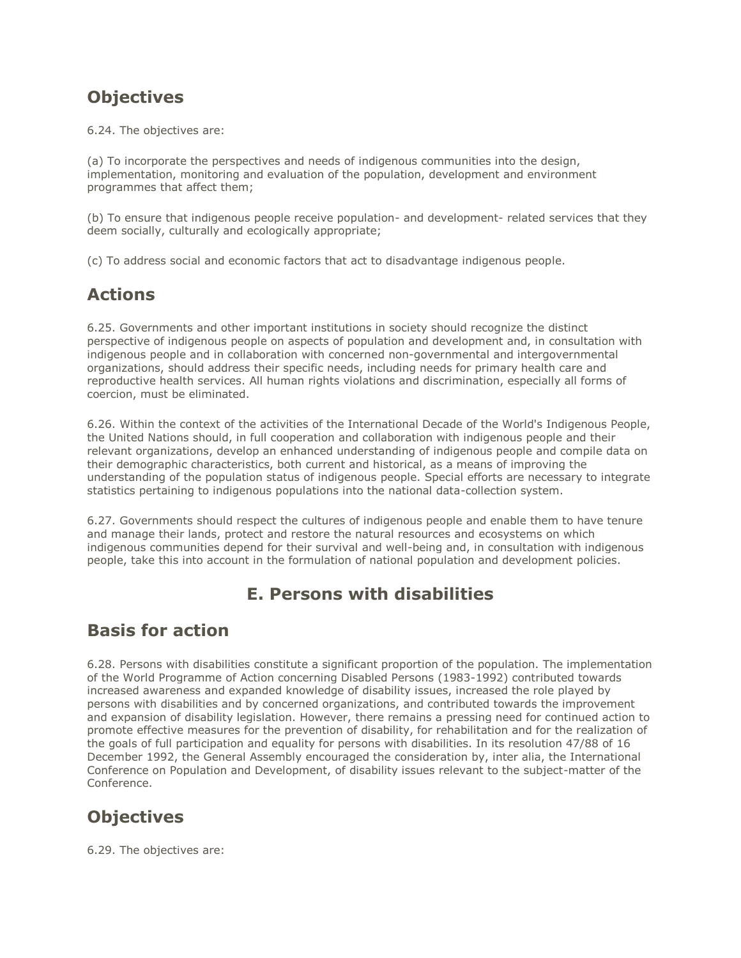## **Objectives**

6.24. The objectives are:

(a) To incorporate the perspectives and needs of indigenous communities into the design, implementation, monitoring and evaluation of the population, development and environment programmes that affect them;

(b) To ensure that indigenous people receive population- and development- related services that they deem socially, culturally and ecologically appropriate;

(c) To address social and economic factors that act to disadvantage indigenous people.

#### **Actions**

6.25. Governments and other important institutions in society should recognize the distinct perspective of indigenous people on aspects of population and development and, in consultation with indigenous people and in collaboration with concerned non-governmental and intergovernmental organizations, should address their specific needs, including needs for primary health care and reproductive health services. All human rights violations and discrimination, especially all forms of coercion, must be eliminated.

6.26. Within the context of the activities of the International Decade of the World's Indigenous People, the United Nations should, in full cooperation and collaboration with indigenous people and their relevant organizations, develop an enhanced understanding of indigenous people and compile data on their demographic characteristics, both current and historical, as a means of improving the understanding of the population status of indigenous people. Special efforts are necessary to integrate statistics pertaining to indigenous populations into the national data-collection system.

6.27. Governments should respect the cultures of indigenous people and enable them to have tenure and manage their lands, protect and restore the natural resources and ecosystems on which indigenous communities depend for their survival and well-being and, in consultation with indigenous people, take this into account in the formulation of national population and development policies.

## **E. Persons with disabilities**

#### **Basis for action**

6.28. Persons with disabilities constitute a significant proportion of the population. The implementation of the World Programme of Action concerning Disabled Persons (1983-1992) contributed towards increased awareness and expanded knowledge of disability issues, increased the role played by persons with disabilities and by concerned organizations, and contributed towards the improvement and expansion of disability legislation. However, there remains a pressing need for continued action to promote effective measures for the prevention of disability, for rehabilitation and for the realization of the goals of full participation and equality for persons with disabilities. In its resolution 47/88 of 16 December 1992, the General Assembly encouraged the consideration by, inter alia, the International Conference on Population and Development, of disability issues relevant to the subject-matter of the Conference.

## **Objectives**

6.29. The objectives are: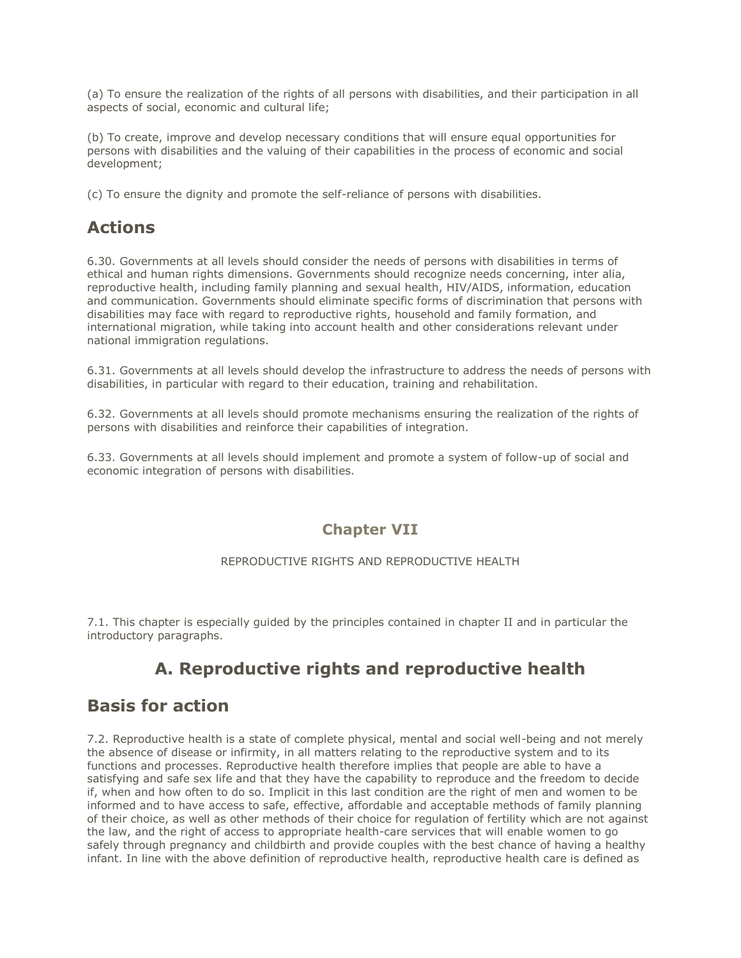(a) To ensure the realization of the rights of all persons with disabilities, and their participation in all aspects of social, economic and cultural life;

(b) To create, improve and develop necessary conditions that will ensure equal opportunities for persons with disabilities and the valuing of their capabilities in the process of economic and social development;

(c) To ensure the dignity and promote the self-reliance of persons with disabilities.

## **Actions**

6.30. Governments at all levels should consider the needs of persons with disabilities in terms of ethical and human rights dimensions. Governments should recognize needs concerning, inter alia, reproductive health, including family planning and sexual health, HIV/AIDS, information, education and communication. Governments should eliminate specific forms of discrimination that persons with disabilities may face with regard to reproductive rights, household and family formation, and international migration, while taking into account health and other considerations relevant under national immigration regulations.

6.31. Governments at all levels should develop the infrastructure to address the needs of persons with disabilities, in particular with regard to their education, training and rehabilitation.

6.32. Governments at all levels should promote mechanisms ensuring the realization of the rights of persons with disabilities and reinforce their capabilities of integration.

6.33. Governments at all levels should implement and promote a system of follow-up of social and economic integration of persons with disabilities.

#### **Chapter VII**

REPRODUCTIVE RIGHTS AND REPRODUCTIVE HEALTH

7.1. This chapter is especially guided by the principles contained in chapter II and in particular the introductory paragraphs.

### **A. Reproductive rights and reproductive health**

#### **Basis for action**

7.2. Reproductive health is a state of complete physical, mental and social well-being and not merely the absence of disease or infirmity, in all matters relating to the reproductive system and to its functions and processes. Reproductive health therefore implies that people are able to have a satisfying and safe sex life and that they have the capability to reproduce and the freedom to decide if, when and how often to do so. Implicit in this last condition are the right of men and women to be informed and to have access to safe, effective, affordable and acceptable methods of family planning of their choice, as well as other methods of their choice for regulation of fertility which are not against the law, and the right of access to appropriate health-care services that will enable women to go safely through pregnancy and childbirth and provide couples with the best chance of having a healthy infant. In line with the above definition of reproductive health, reproductive health care is defined as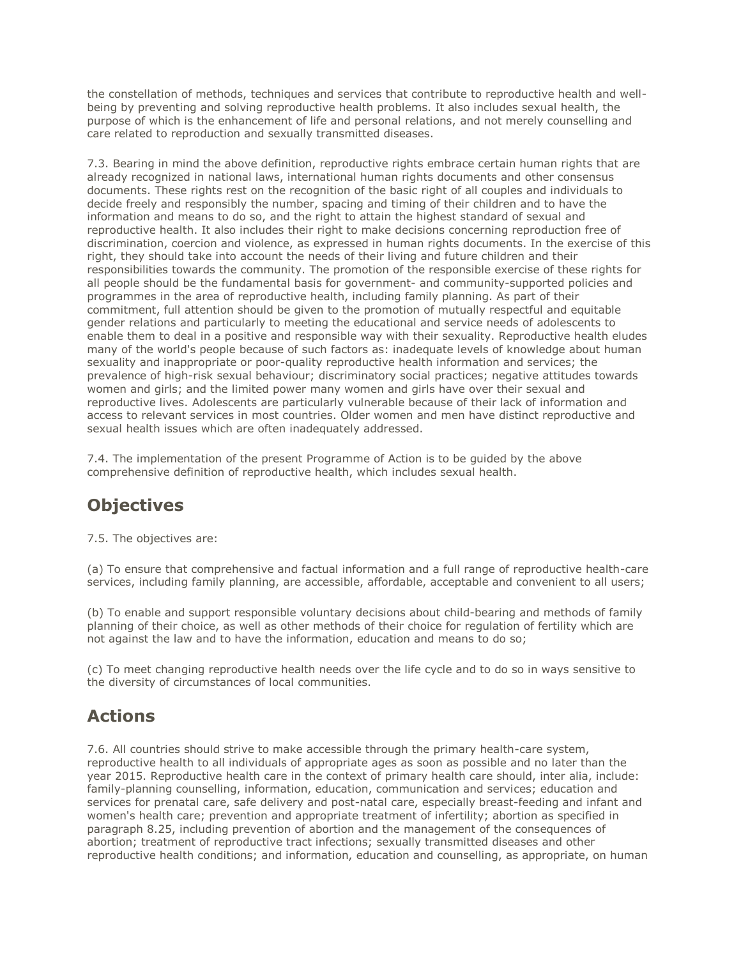the constellation of methods, techniques and services that contribute to reproductive health and wellbeing by preventing and solving reproductive health problems. It also includes sexual health, the purpose of which is the enhancement of life and personal relations, and not merely counselling and care related to reproduction and sexually transmitted diseases.

7.3. Bearing in mind the above definition, reproductive rights embrace certain human rights that are already recognized in national laws, international human rights documents and other consensus documents. These rights rest on the recognition of the basic right of all couples and individuals to decide freely and responsibly the number, spacing and timing of their children and to have the information and means to do so, and the right to attain the highest standard of sexual and reproductive health. It also includes their right to make decisions concerning reproduction free of discrimination, coercion and violence, as expressed in human rights documents. In the exercise of this right, they should take into account the needs of their living and future children and their responsibilities towards the community. The promotion of the responsible exercise of these rights for all people should be the fundamental basis for government- and community-supported policies and programmes in the area of reproductive health, including family planning. As part of their commitment, full attention should be given to the promotion of mutually respectful and equitable gender relations and particularly to meeting the educational and service needs of adolescents to enable them to deal in a positive and responsible way with their sexuality. Reproductive health eludes many of the world's people because of such factors as: inadequate levels of knowledge about human sexuality and inappropriate or poor-quality reproductive health information and services; the prevalence of high-risk sexual behaviour; discriminatory social practices; negative attitudes towards women and girls; and the limited power many women and girls have over their sexual and reproductive lives. Adolescents are particularly vulnerable because of their lack of information and access to relevant services in most countries. Older women and men have distinct reproductive and sexual health issues which are often inadequately addressed.

7.4. The implementation of the present Programme of Action is to be guided by the above comprehensive definition of reproductive health, which includes sexual health.

### **Objectives**

7.5. The objectives are:

(a) To ensure that comprehensive and factual information and a full range of reproductive health-care services, including family planning, are accessible, affordable, acceptable and convenient to all users;

(b) To enable and support responsible voluntary decisions about child-bearing and methods of family planning of their choice, as well as other methods of their choice for regulation of fertility which are not against the law and to have the information, education and means to do so;

(c) To meet changing reproductive health needs over the life cycle and to do so in ways sensitive to the diversity of circumstances of local communities.

### **Actions**

7.6. All countries should strive to make accessible through the primary health-care system, reproductive health to all individuals of appropriate ages as soon as possible and no later than the year 2015. Reproductive health care in the context of primary health care should, inter alia, include: family-planning counselling, information, education, communication and services; education and services for prenatal care, safe delivery and post-natal care, especially breast-feeding and infant and women's health care; prevention and appropriate treatment of infertility; abortion as specified in paragraph 8.25, including prevention of abortion and the management of the consequences of abortion; treatment of reproductive tract infections; sexually transmitted diseases and other reproductive health conditions; and information, education and counselling, as appropriate, on human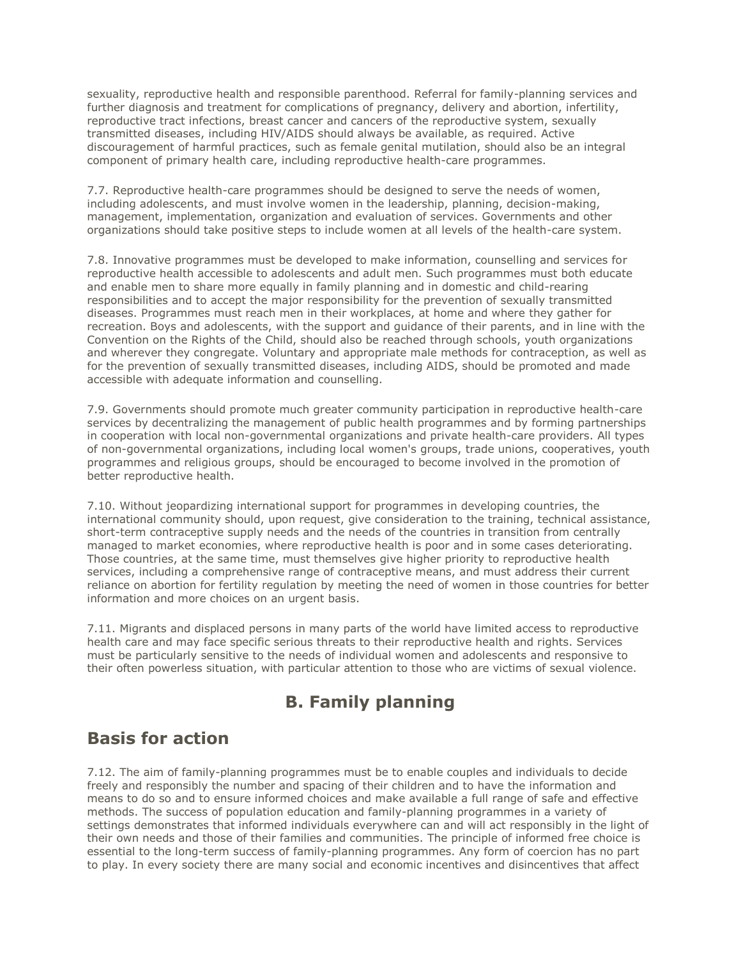sexuality, reproductive health and responsible parenthood. Referral for family-planning services and further diagnosis and treatment for complications of pregnancy, delivery and abortion, infertility, reproductive tract infections, breast cancer and cancers of the reproductive system, sexually transmitted diseases, including HIV/AIDS should always be available, as required. Active discouragement of harmful practices, such as female genital mutilation, should also be an integral component of primary health care, including reproductive health-care programmes.

7.7. Reproductive health-care programmes should be designed to serve the needs of women, including adolescents, and must involve women in the leadership, planning, decision-making, management, implementation, organization and evaluation of services. Governments and other organizations should take positive steps to include women at all levels of the health-care system.

7.8. Innovative programmes must be developed to make information, counselling and services for reproductive health accessible to adolescents and adult men. Such programmes must both educate and enable men to share more equally in family planning and in domestic and child-rearing responsibilities and to accept the major responsibility for the prevention of sexually transmitted diseases. Programmes must reach men in their workplaces, at home and where they gather for recreation. Boys and adolescents, with the support and guidance of their parents, and in line with the Convention on the Rights of the Child, should also be reached through schools, youth organizations and wherever they congregate. Voluntary and appropriate male methods for contraception, as well as for the prevention of sexually transmitted diseases, including AIDS, should be promoted and made accessible with adequate information and counselling.

7.9. Governments should promote much greater community participation in reproductive health-care services by decentralizing the management of public health programmes and by forming partnerships in cooperation with local non-governmental organizations and private health-care providers. All types of non-governmental organizations, including local women's groups, trade unions, cooperatives, youth programmes and religious groups, should be encouraged to become involved in the promotion of better reproductive health.

7.10. Without jeopardizing international support for programmes in developing countries, the international community should, upon request, give consideration to the training, technical assistance, short-term contraceptive supply needs and the needs of the countries in transition from centrally managed to market economies, where reproductive health is poor and in some cases deteriorating. Those countries, at the same time, must themselves give higher priority to reproductive health services, including a comprehensive range of contraceptive means, and must address their current reliance on abortion for fertility regulation by meeting the need of women in those countries for better information and more choices on an urgent basis.

7.11. Migrants and displaced persons in many parts of the world have limited access to reproductive health care and may face specific serious threats to their reproductive health and rights. Services must be particularly sensitive to the needs of individual women and adolescents and responsive to their often powerless situation, with particular attention to those who are victims of sexual violence.

## **B. Family planning**

### **Basis for action**

7.12. The aim of family-planning programmes must be to enable couples and individuals to decide freely and responsibly the number and spacing of their children and to have the information and means to do so and to ensure informed choices and make available a full range of safe and effective methods. The success of population education and family-planning programmes in a variety of settings demonstrates that informed individuals everywhere can and will act responsibly in the light of their own needs and those of their families and communities. The principle of informed free choice is essential to the long-term success of family-planning programmes. Any form of coercion has no part to play. In every society there are many social and economic incentives and disincentives that affect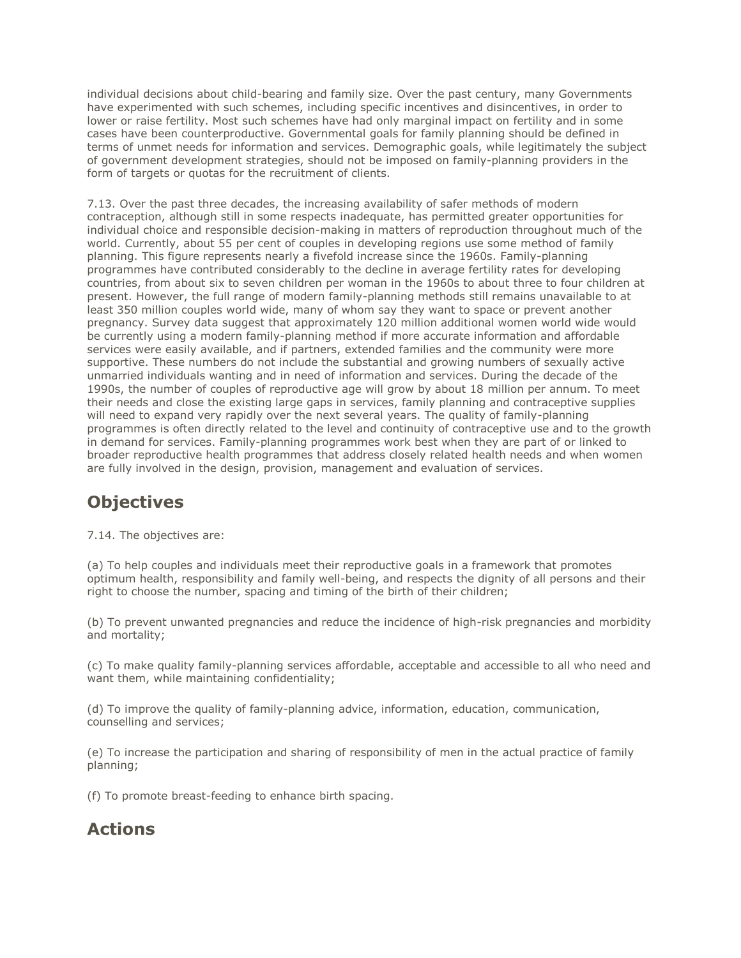individual decisions about child-bearing and family size. Over the past century, many Governments have experimented with such schemes, including specific incentives and disincentives, in order to lower or raise fertility. Most such schemes have had only marginal impact on fertility and in some cases have been counterproductive. Governmental goals for family planning should be defined in terms of unmet needs for information and services. Demographic goals, while legitimately the subject of government development strategies, should not be imposed on family-planning providers in the form of targets or quotas for the recruitment of clients.

7.13. Over the past three decades, the increasing availability of safer methods of modern contraception, although still in some respects inadequate, has permitted greater opportunities for individual choice and responsible decision-making in matters of reproduction throughout much of the world. Currently, about 55 per cent of couples in developing regions use some method of family planning. This figure represents nearly a fivefold increase since the 1960s. Family-planning programmes have contributed considerably to the decline in average fertility rates for developing countries, from about six to seven children per woman in the 1960s to about three to four children at present. However, the full range of modern family-planning methods still remains unavailable to at least 350 million couples world wide, many of whom say they want to space or prevent another pregnancy. Survey data suggest that approximately 120 million additional women world wide would be currently using a modern family-planning method if more accurate information and affordable services were easily available, and if partners, extended families and the community were more supportive. These numbers do not include the substantial and growing numbers of sexually active unmarried individuals wanting and in need of information and services. During the decade of the 1990s, the number of couples of reproductive age will grow by about 18 million per annum. To meet their needs and close the existing large gaps in services, family planning and contraceptive supplies will need to expand very rapidly over the next several years. The quality of family-planning programmes is often directly related to the level and continuity of contraceptive use and to the growth in demand for services. Family-planning programmes work best when they are part of or linked to broader reproductive health programmes that address closely related health needs and when women are fully involved in the design, provision, management and evaluation of services.

## **Objectives**

7.14. The objectives are:

(a) To help couples and individuals meet their reproductive goals in a framework that promotes optimum health, responsibility and family well-being, and respects the dignity of all persons and their right to choose the number, spacing and timing of the birth of their children;

(b) To prevent unwanted pregnancies and reduce the incidence of high-risk pregnancies and morbidity and mortality;

(c) To make quality family-planning services affordable, acceptable and accessible to all who need and want them, while maintaining confidentiality;

(d) To improve the quality of family-planning advice, information, education, communication, counselling and services;

(e) To increase the participation and sharing of responsibility of men in the actual practice of family planning;

(f) To promote breast-feeding to enhance birth spacing.

### **Actions**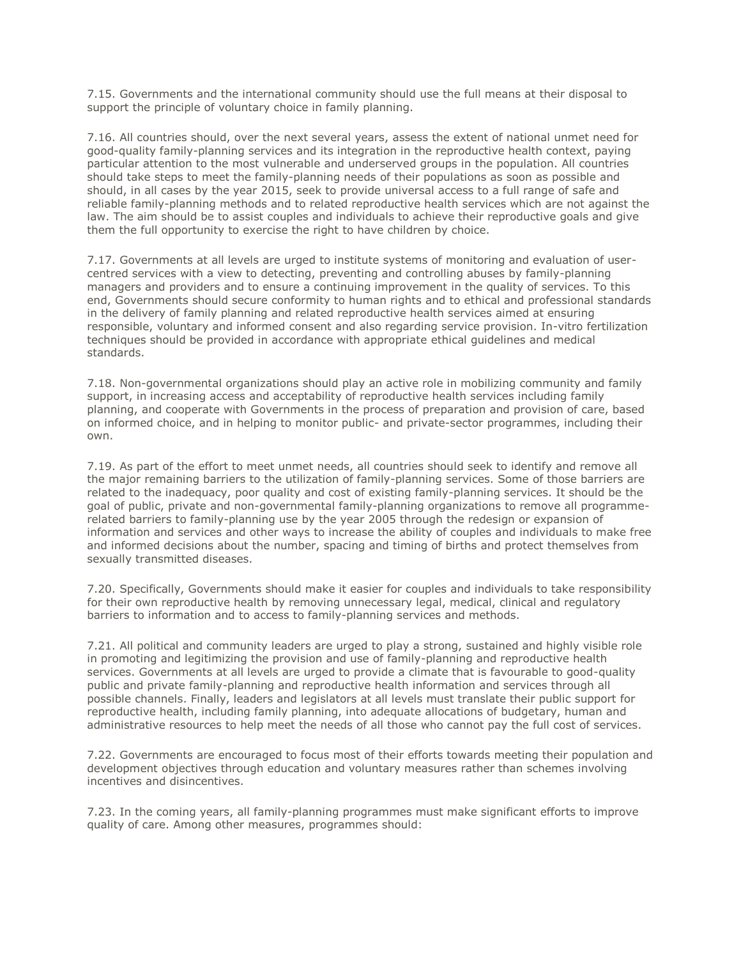7.15. Governments and the international community should use the full means at their disposal to support the principle of voluntary choice in family planning.

7.16. All countries should, over the next several years, assess the extent of national unmet need for good-quality family-planning services and its integration in the reproductive health context, paying particular attention to the most vulnerable and underserved groups in the population. All countries should take steps to meet the family-planning needs of their populations as soon as possible and should, in all cases by the year 2015, seek to provide universal access to a full range of safe and reliable family-planning methods and to related reproductive health services which are not against the law. The aim should be to assist couples and individuals to achieve their reproductive goals and give them the full opportunity to exercise the right to have children by choice.

7.17. Governments at all levels are urged to institute systems of monitoring and evaluation of usercentred services with a view to detecting, preventing and controlling abuses by family-planning managers and providers and to ensure a continuing improvement in the quality of services. To this end, Governments should secure conformity to human rights and to ethical and professional standards in the delivery of family planning and related reproductive health services aimed at ensuring responsible, voluntary and informed consent and also regarding service provision. In-vitro fertilization techniques should be provided in accordance with appropriate ethical guidelines and medical standards.

7.18. Non-governmental organizations should play an active role in mobilizing community and family support, in increasing access and acceptability of reproductive health services including family planning, and cooperate with Governments in the process of preparation and provision of care, based on informed choice, and in helping to monitor public- and private-sector programmes, including their own.

7.19. As part of the effort to meet unmet needs, all countries should seek to identify and remove all the major remaining barriers to the utilization of family-planning services. Some of those barriers are related to the inadequacy, poor quality and cost of existing family-planning services. It should be the goal of public, private and non-governmental family-planning organizations to remove all programmerelated barriers to family-planning use by the year 2005 through the redesign or expansion of information and services and other ways to increase the ability of couples and individuals to make free and informed decisions about the number, spacing and timing of births and protect themselves from sexually transmitted diseases.

7.20. Specifically, Governments should make it easier for couples and individuals to take responsibility for their own reproductive health by removing unnecessary legal, medical, clinical and regulatory barriers to information and to access to family-planning services and methods.

7.21. All political and community leaders are urged to play a strong, sustained and highly visible role in promoting and legitimizing the provision and use of family-planning and reproductive health services. Governments at all levels are urged to provide a climate that is favourable to good-quality public and private family-planning and reproductive health information and services through all possible channels. Finally, leaders and legislators at all levels must translate their public support for reproductive health, including family planning, into adequate allocations of budgetary, human and administrative resources to help meet the needs of all those who cannot pay the full cost of services.

7.22. Governments are encouraged to focus most of their efforts towards meeting their population and development objectives through education and voluntary measures rather than schemes involving incentives and disincentives.

7.23. In the coming years, all family-planning programmes must make significant efforts to improve quality of care. Among other measures, programmes should: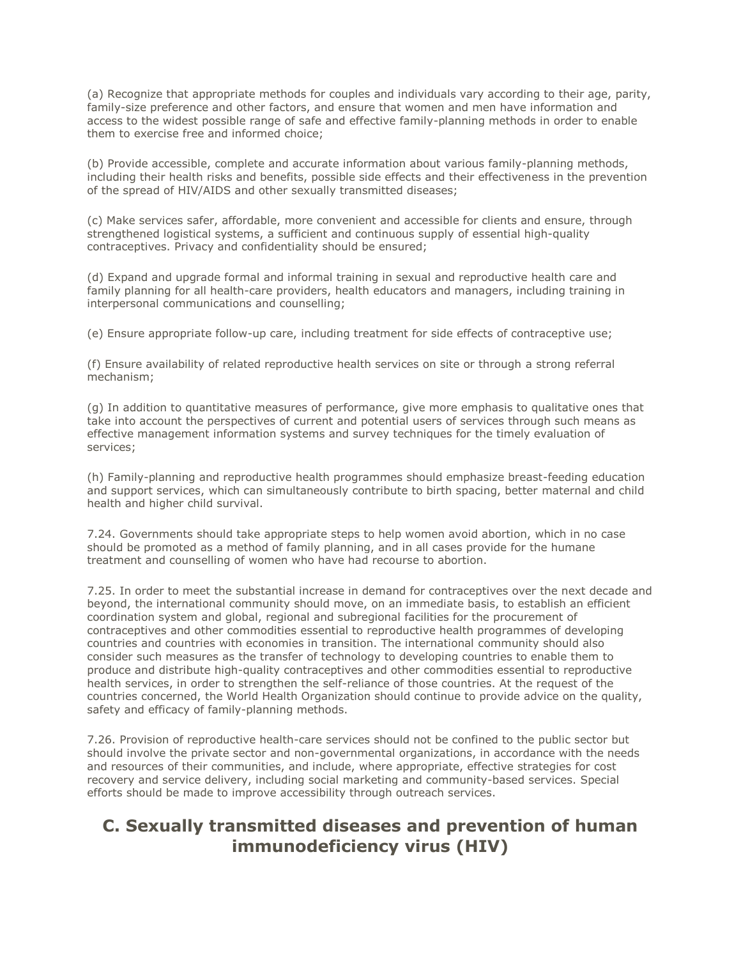(a) Recognize that appropriate methods for couples and individuals vary according to their age, parity, family-size preference and other factors, and ensure that women and men have information and access to the widest possible range of safe and effective family-planning methods in order to enable them to exercise free and informed choice;

(b) Provide accessible, complete and accurate information about various family-planning methods, including their health risks and benefits, possible side effects and their effectiveness in the prevention of the spread of HIV/AIDS and other sexually transmitted diseases;

(c) Make services safer, affordable, more convenient and accessible for clients and ensure, through strengthened logistical systems, a sufficient and continuous supply of essential high-quality contraceptives. Privacy and confidentiality should be ensured;

(d) Expand and upgrade formal and informal training in sexual and reproductive health care and family planning for all health-care providers, health educators and managers, including training in interpersonal communications and counselling;

(e) Ensure appropriate follow-up care, including treatment for side effects of contraceptive use;

(f) Ensure availability of related reproductive health services on site or through a strong referral mechanism;

(g) In addition to quantitative measures of performance, give more emphasis to qualitative ones that take into account the perspectives of current and potential users of services through such means as effective management information systems and survey techniques for the timely evaluation of services;

(h) Family-planning and reproductive health programmes should emphasize breast-feeding education and support services, which can simultaneously contribute to birth spacing, better maternal and child health and higher child survival.

7.24. Governments should take appropriate steps to help women avoid abortion, which in no case should be promoted as a method of family planning, and in all cases provide for the humane treatment and counselling of women who have had recourse to abortion.

7.25. In order to meet the substantial increase in demand for contraceptives over the next decade and beyond, the international community should move, on an immediate basis, to establish an efficient coordination system and global, regional and subregional facilities for the procurement of contraceptives and other commodities essential to reproductive health programmes of developing countries and countries with economies in transition. The international community should also consider such measures as the transfer of technology to developing countries to enable them to produce and distribute high-quality contraceptives and other commodities essential to reproductive health services, in order to strengthen the self-reliance of those countries. At the request of the countries concerned, the World Health Organization should continue to provide advice on the quality, safety and efficacy of family-planning methods.

7.26. Provision of reproductive health-care services should not be confined to the public sector but should involve the private sector and non-governmental organizations, in accordance with the needs and resources of their communities, and include, where appropriate, effective strategies for cost recovery and service delivery, including social marketing and community-based services. Special efforts should be made to improve accessibility through outreach services.

#### **C. Sexually transmitted diseases and prevention of human immunodeficiency virus (HIV)**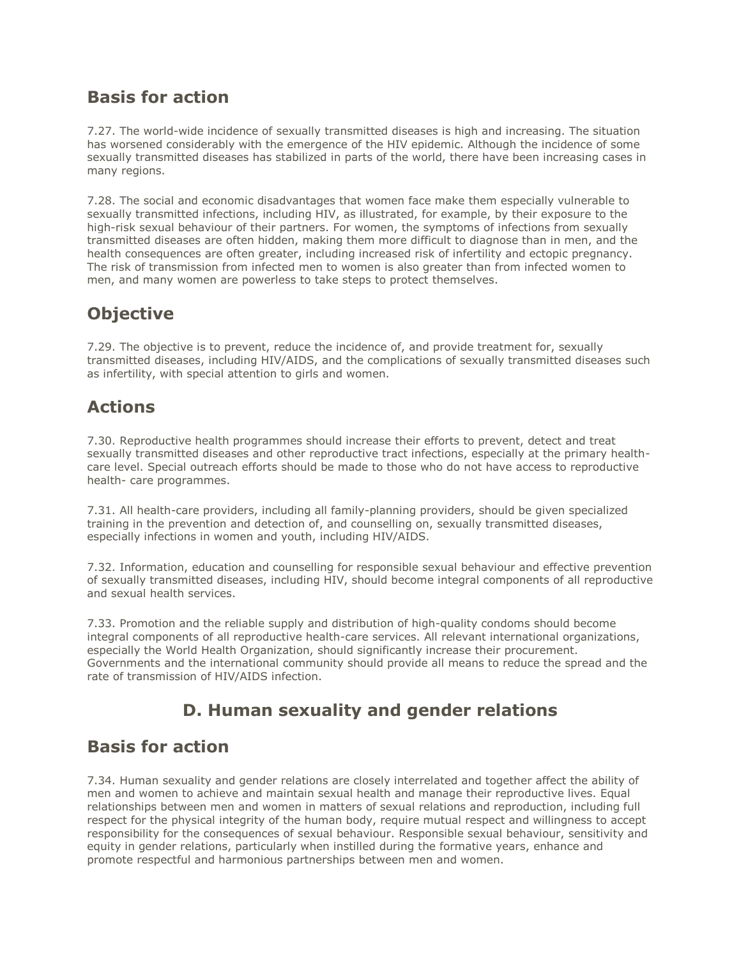### **Basis for action**

7.27. The world-wide incidence of sexually transmitted diseases is high and increasing. The situation has worsened considerably with the emergence of the HIV epidemic. Although the incidence of some sexually transmitted diseases has stabilized in parts of the world, there have been increasing cases in many regions.

7.28. The social and economic disadvantages that women face make them especially vulnerable to sexually transmitted infections, including HIV, as illustrated, for example, by their exposure to the high-risk sexual behaviour of their partners. For women, the symptoms of infections from sexually transmitted diseases are often hidden, making them more difficult to diagnose than in men, and the health consequences are often greater, including increased risk of infertility and ectopic pregnancy. The risk of transmission from infected men to women is also greater than from infected women to men, and many women are powerless to take steps to protect themselves.

## **Objective**

7.29. The objective is to prevent, reduce the incidence of, and provide treatment for, sexually transmitted diseases, including HIV/AIDS, and the complications of sexually transmitted diseases such as infertility, with special attention to girls and women.

## **Actions**

7.30. Reproductive health programmes should increase their efforts to prevent, detect and treat sexually transmitted diseases and other reproductive tract infections, especially at the primary healthcare level. Special outreach efforts should be made to those who do not have access to reproductive health- care programmes.

7.31. All health-care providers, including all family-planning providers, should be given specialized training in the prevention and detection of, and counselling on, sexually transmitted diseases, especially infections in women and youth, including HIV/AIDS.

7.32. Information, education and counselling for responsible sexual behaviour and effective prevention of sexually transmitted diseases, including HIV, should become integral components of all reproductive and sexual health services.

7.33. Promotion and the reliable supply and distribution of high-quality condoms should become integral components of all reproductive health-care services. All relevant international organizations, especially the World Health Organization, should significantly increase their procurement. Governments and the international community should provide all means to reduce the spread and the rate of transmission of HIV/AIDS infection.

## **D. Human sexuality and gender relations**

### **Basis for action**

7.34. Human sexuality and gender relations are closely interrelated and together affect the ability of men and women to achieve and maintain sexual health and manage their reproductive lives. Equal relationships between men and women in matters of sexual relations and reproduction, including full respect for the physical integrity of the human body, require mutual respect and willingness to accept responsibility for the consequences of sexual behaviour. Responsible sexual behaviour, sensitivity and equity in gender relations, particularly when instilled during the formative years, enhance and promote respectful and harmonious partnerships between men and women.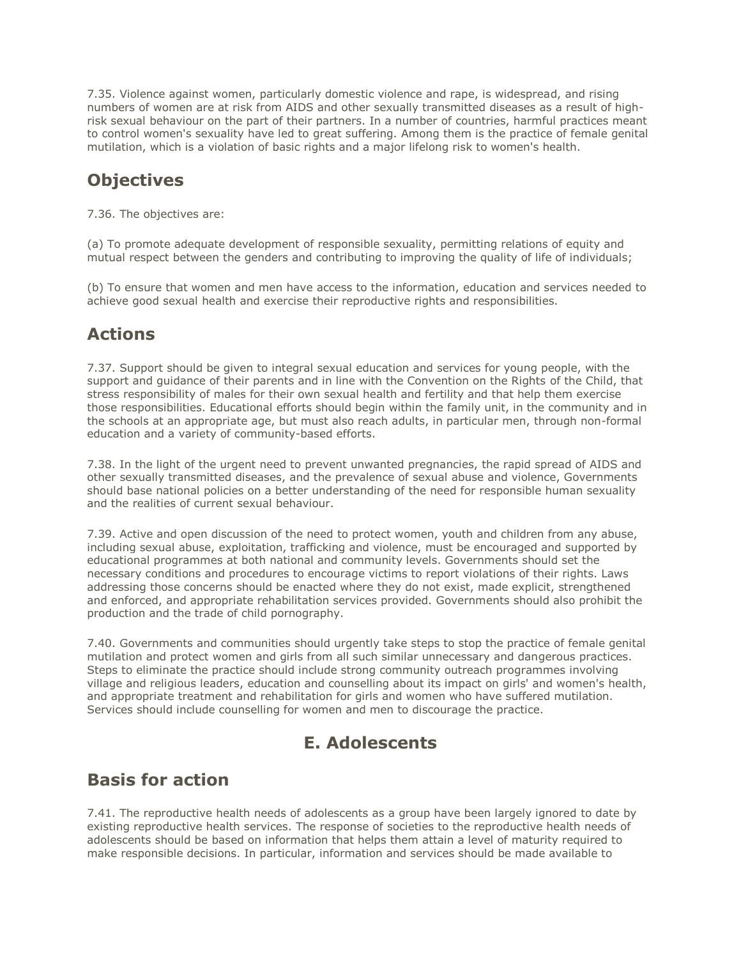7.35. Violence against women, particularly domestic violence and rape, is widespread, and rising numbers of women are at risk from AIDS and other sexually transmitted diseases as a result of highrisk sexual behaviour on the part of their partners. In a number of countries, harmful practices meant to control women's sexuality have led to great suffering. Among them is the practice of female genital mutilation, which is a violation of basic rights and a major lifelong risk to women's health.

## **Objectives**

7.36. The objectives are:

(a) To promote adequate development of responsible sexuality, permitting relations of equity and mutual respect between the genders and contributing to improving the quality of life of individuals;

(b) To ensure that women and men have access to the information, education and services needed to achieve good sexual health and exercise their reproductive rights and responsibilities.

### **Actions**

7.37. Support should be given to integral sexual education and services for young people, with the support and guidance of their parents and in line with the Convention on the Rights of the Child, that stress responsibility of males for their own sexual health and fertility and that help them exercise those responsibilities. Educational efforts should begin within the family unit, in the community and in the schools at an appropriate age, but must also reach adults, in particular men, through non-formal education and a variety of community-based efforts.

7.38. In the light of the urgent need to prevent unwanted pregnancies, the rapid spread of AIDS and other sexually transmitted diseases, and the prevalence of sexual abuse and violence, Governments should base national policies on a better understanding of the need for responsible human sexuality and the realities of current sexual behaviour.

7.39. Active and open discussion of the need to protect women, youth and children from any abuse, including sexual abuse, exploitation, trafficking and violence, must be encouraged and supported by educational programmes at both national and community levels. Governments should set the necessary conditions and procedures to encourage victims to report violations of their rights. Laws addressing those concerns should be enacted where they do not exist, made explicit, strengthened and enforced, and appropriate rehabilitation services provided. Governments should also prohibit the production and the trade of child pornography.

7.40. Governments and communities should urgently take steps to stop the practice of female genital mutilation and protect women and girls from all such similar unnecessary and dangerous practices. Steps to eliminate the practice should include strong community outreach programmes involving village and religious leaders, education and counselling about its impact on girls' and women's health, and appropriate treatment and rehabilitation for girls and women who have suffered mutilation. Services should include counselling for women and men to discourage the practice.

## **E. Adolescents**

#### **Basis for action**

7.41. The reproductive health needs of adolescents as a group have been largely ignored to date by existing reproductive health services. The response of societies to the reproductive health needs of adolescents should be based on information that helps them attain a level of maturity required to make responsible decisions. In particular, information and services should be made available to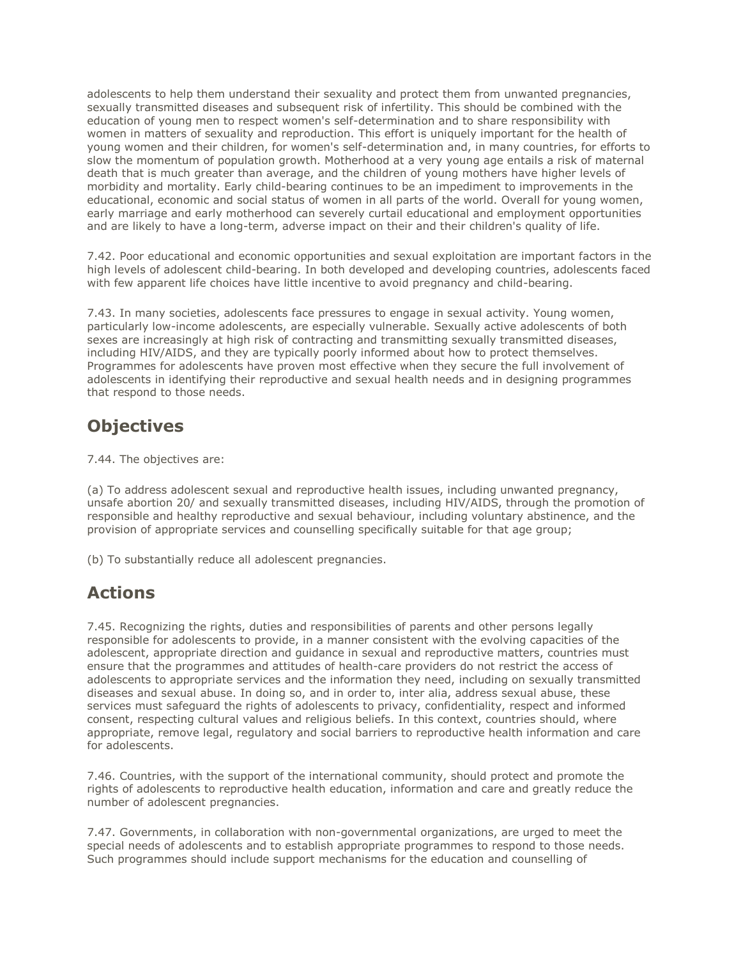adolescents to help them understand their sexuality and protect them from unwanted pregnancies, sexually transmitted diseases and subsequent risk of infertility. This should be combined with the education of young men to respect women's self-determination and to share responsibility with women in matters of sexuality and reproduction. This effort is uniquely important for the health of young women and their children, for women's self-determination and, in many countries, for efforts to slow the momentum of population growth. Motherhood at a very young age entails a risk of maternal death that is much greater than average, and the children of young mothers have higher levels of morbidity and mortality. Early child-bearing continues to be an impediment to improvements in the educational, economic and social status of women in all parts of the world. Overall for young women, early marriage and early motherhood can severely curtail educational and employment opportunities and are likely to have a long-term, adverse impact on their and their children's quality of life.

7.42. Poor educational and economic opportunities and sexual exploitation are important factors in the high levels of adolescent child-bearing. In both developed and developing countries, adolescents faced with few apparent life choices have little incentive to avoid pregnancy and child-bearing.

7.43. In many societies, adolescents face pressures to engage in sexual activity. Young women, particularly low-income adolescents, are especially vulnerable. Sexually active adolescents of both sexes are increasingly at high risk of contracting and transmitting sexually transmitted diseases, including HIV/AIDS, and they are typically poorly informed about how to protect themselves. Programmes for adolescents have proven most effective when they secure the full involvement of adolescents in identifying their reproductive and sexual health needs and in designing programmes that respond to those needs.

#### **Objectives**

7.44. The objectives are:

(a) To address adolescent sexual and reproductive health issues, including unwanted pregnancy, unsafe abortion 20/ and sexually transmitted diseases, including HIV/AIDS, through the promotion of responsible and healthy reproductive and sexual behaviour, including voluntary abstinence, and the provision of appropriate services and counselling specifically suitable for that age group;

(b) To substantially reduce all adolescent pregnancies.

### **Actions**

7.45. Recognizing the rights, duties and responsibilities of parents and other persons legally responsible for adolescents to provide, in a manner consistent with the evolving capacities of the adolescent, appropriate direction and guidance in sexual and reproductive matters, countries must ensure that the programmes and attitudes of health-care providers do not restrict the access of adolescents to appropriate services and the information they need, including on sexually transmitted diseases and sexual abuse. In doing so, and in order to, inter alia, address sexual abuse, these services must safeguard the rights of adolescents to privacy, confidentiality, respect and informed consent, respecting cultural values and religious beliefs. In this context, countries should, where appropriate, remove legal, regulatory and social barriers to reproductive health information and care for adolescents.

7.46. Countries, with the support of the international community, should protect and promote the rights of adolescents to reproductive health education, information and care and greatly reduce the number of adolescent pregnancies.

7.47. Governments, in collaboration with non-governmental organizations, are urged to meet the special needs of adolescents and to establish appropriate programmes to respond to those needs. Such programmes should include support mechanisms for the education and counselling of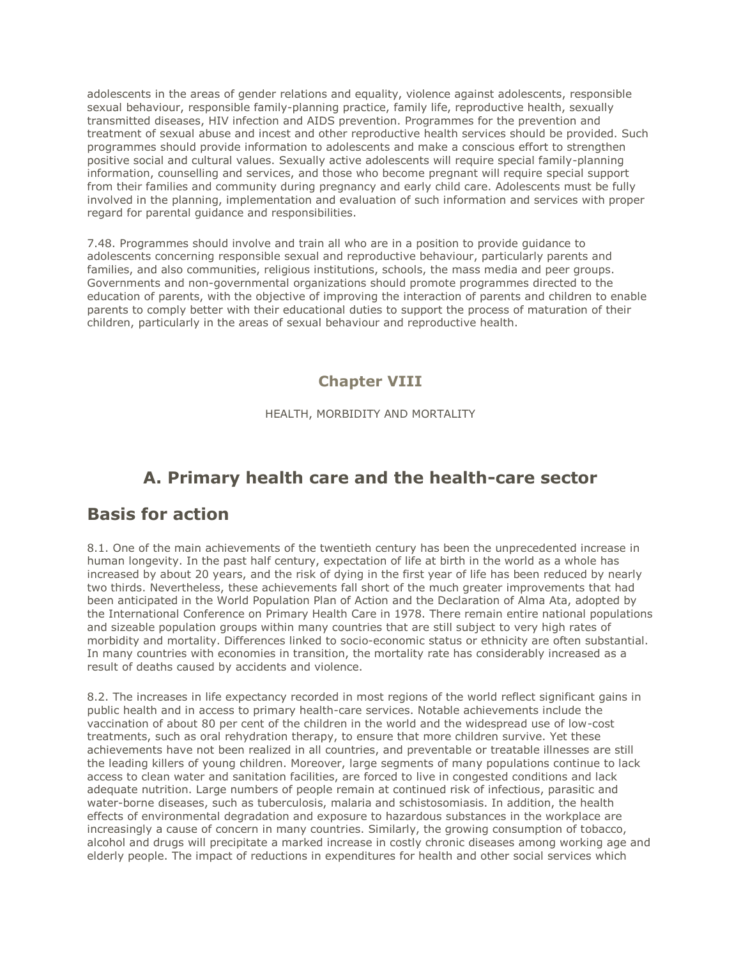adolescents in the areas of gender relations and equality, violence against adolescents, responsible sexual behaviour, responsible family-planning practice, family life, reproductive health, sexually transmitted diseases, HIV infection and AIDS prevention. Programmes for the prevention and treatment of sexual abuse and incest and other reproductive health services should be provided. Such programmes should provide information to adolescents and make a conscious effort to strengthen positive social and cultural values. Sexually active adolescents will require special family-planning information, counselling and services, and those who become pregnant will require special support from their families and community during pregnancy and early child care. Adolescents must be fully involved in the planning, implementation and evaluation of such information and services with proper regard for parental guidance and responsibilities.

7.48. Programmes should involve and train all who are in a position to provide guidance to adolescents concerning responsible sexual and reproductive behaviour, particularly parents and families, and also communities, religious institutions, schools, the mass media and peer groups. Governments and non-governmental organizations should promote programmes directed to the education of parents, with the objective of improving the interaction of parents and children to enable parents to comply better with their educational duties to support the process of maturation of their children, particularly in the areas of sexual behaviour and reproductive health.

#### **Chapter VIII**

HEALTH, MORBIDITY AND MORTALITY

## **A. Primary health care and the health-care sector**

#### **Basis for action**

8.1. One of the main achievements of the twentieth century has been the unprecedented increase in human longevity. In the past half century, expectation of life at birth in the world as a whole has increased by about 20 years, and the risk of dying in the first year of life has been reduced by nearly two thirds. Nevertheless, these achievements fall short of the much greater improvements that had been anticipated in the World Population Plan of Action and the Declaration of Alma Ata, adopted by the International Conference on Primary Health Care in 1978. There remain entire national populations and sizeable population groups within many countries that are still subject to very high rates of morbidity and mortality. Differences linked to socio-economic status or ethnicity are often substantial. In many countries with economies in transition, the mortality rate has considerably increased as a result of deaths caused by accidents and violence.

8.2. The increases in life expectancy recorded in most regions of the world reflect significant gains in public health and in access to primary health-care services. Notable achievements include the vaccination of about 80 per cent of the children in the world and the widespread use of low-cost treatments, such as oral rehydration therapy, to ensure that more children survive. Yet these achievements have not been realized in all countries, and preventable or treatable illnesses are still the leading killers of young children. Moreover, large segments of many populations continue to lack access to clean water and sanitation facilities, are forced to live in congested conditions and lack adequate nutrition. Large numbers of people remain at continued risk of infectious, parasitic and water-borne diseases, such as tuberculosis, malaria and schistosomiasis. In addition, the health effects of environmental degradation and exposure to hazardous substances in the workplace are increasingly a cause of concern in many countries. Similarly, the growing consumption of tobacco, alcohol and drugs will precipitate a marked increase in costly chronic diseases among working age and elderly people. The impact of reductions in expenditures for health and other social services which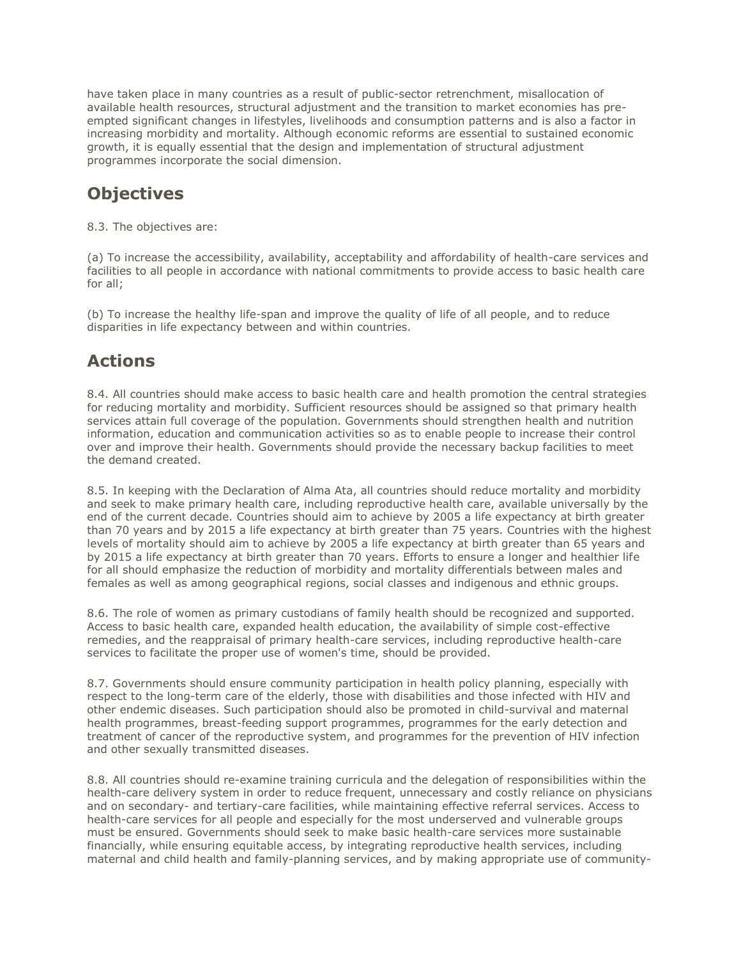have taken place in many countries as a result of public-sector retrenchment, misallocation of available health resources, structural adjustment and the transition to market economies has preempted significant changes in lifestyles, livelihoods and consumption patterns and is also a factor in increasing morbidity and mortality. Although economic reforms are essential to sustained economic growth, it is equally essential that the design and implementation of structural adjustment programmes incorporate the social dimension.

## **Objectives**

8.3. The objectives are:

(a) To increase the accessibility, availability, acceptability and affordability of health-care services and facilities to all people in accordance with national commitments to provide access to basic health care for all;

(b) To increase the healthy life-span and improve the quality of life of all people, and to reduce disparities in life expectancy between and within countries.

## **Actions**

8.4. All countries should make access to basic health care and health promotion the central strategies for reducing mortality and morbidity. Sufficient resources should be assigned so that primary health services attain full coverage of the population. Governments should strengthen health and nutrition information, education and communication activities so as to enable people to increase their control over and improve their health. Governments should provide the necessary backup facilities to meet the demand created.

8.5. In keeping with the Declaration of Alma Ata, all countries should reduce mortality and morbidity and seek to make primary health care, including reproductive health care, available universally by the end of the current decade. Countries should aim to achieve by 2005 a life expectancy at birth greater than 70 years and by 2015 a life expectancy at birth greater than 75 years. Countries with the highest levels of mortality should aim to achieve by 2005 a life expectancy at birth greater than 65 years and by 2015 a life expectancy at birth greater than 70 years. Efforts to ensure a longer and healthier life for all should emphasize the reduction of morbidity and mortality differentials between males and females as well as among geographical regions, social classes and indigenous and ethnic groups.

8.6. The role of women as primary custodians of family health should be recognized and supported. Access to basic health care, expanded health education, the availability of simple cost-effective remedies, and the reappraisal of primary health-care services, including reproductive health-care services to facilitate the proper use of women's time, should be provided.

8.7. Governments should ensure community participation in health policy planning, especially with respect to the long-term care of the elderly, those with disabilities and those infected with HIV and other endemic diseases. Such participation should also be promoted in child-survival and maternal health programmes, breast-feeding support programmes, programmes for the early detection and treatment of cancer of the reproductive system, and programmes for the prevention of HIV infection and other sexually transmitted diseases.

8.8. All countries should re-examine training curricula and the delegation of responsibilities within the health-care delivery system in order to reduce frequent, unnecessary and costly reliance on physicians and on secondary- and tertiary-care facilities, while maintaining effective referral services. Access to health-care services for all people and especially for the most underserved and vulnerable groups must be ensured. Governments should seek to make basic health-care services more sustainable financially, while ensuring equitable access, by integrating reproductive health services, including maternal and child health and family-planning services, and by making appropriate use of community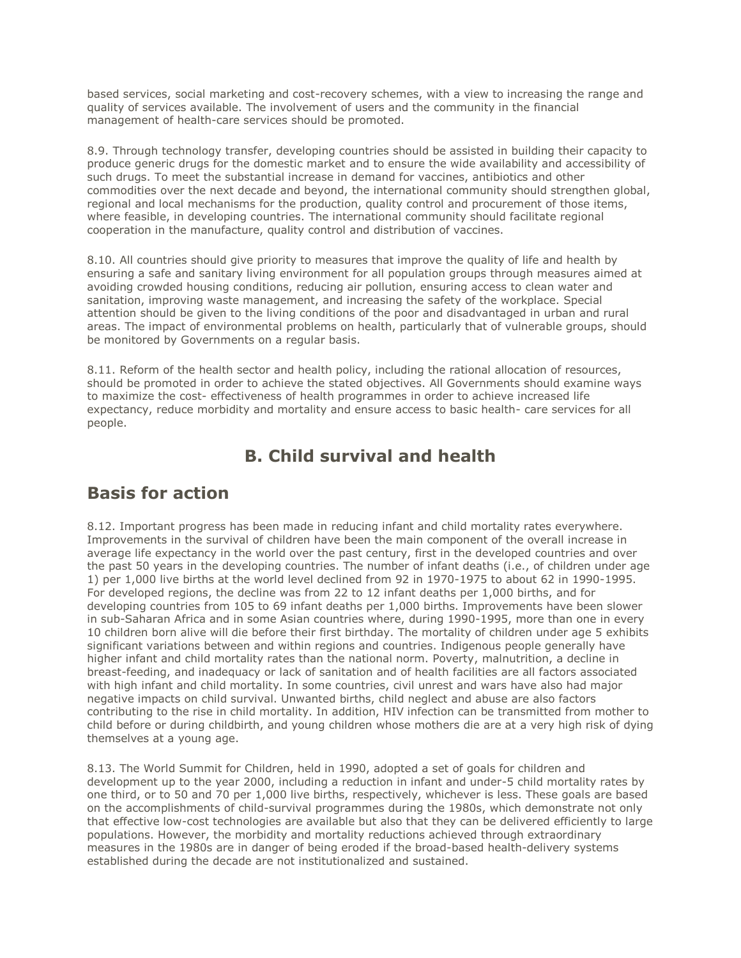based services, social marketing and cost-recovery schemes, with a view to increasing the range and quality of services available. The involvement of users and the community in the financial management of health-care services should be promoted.

8.9. Through technology transfer, developing countries should be assisted in building their capacity to produce generic drugs for the domestic market and to ensure the wide availability and accessibility of such drugs. To meet the substantial increase in demand for vaccines, antibiotics and other commodities over the next decade and beyond, the international community should strengthen global, regional and local mechanisms for the production, quality control and procurement of those items, where feasible, in developing countries. The international community should facilitate regional cooperation in the manufacture, quality control and distribution of vaccines.

8.10. All countries should give priority to measures that improve the quality of life and health by ensuring a safe and sanitary living environment for all population groups through measures aimed at avoiding crowded housing conditions, reducing air pollution, ensuring access to clean water and sanitation, improving waste management, and increasing the safety of the workplace. Special attention should be given to the living conditions of the poor and disadvantaged in urban and rural areas. The impact of environmental problems on health, particularly that of vulnerable groups, should be monitored by Governments on a regular basis.

8.11. Reform of the health sector and health policy, including the rational allocation of resources, should be promoted in order to achieve the stated objectives. All Governments should examine ways to maximize the cost- effectiveness of health programmes in order to achieve increased life expectancy, reduce morbidity and mortality and ensure access to basic health- care services for all people.

## **B. Child survival and health**

#### **Basis for action**

8.12. Important progress has been made in reducing infant and child mortality rates everywhere. Improvements in the survival of children have been the main component of the overall increase in average life expectancy in the world over the past century, first in the developed countries and over the past 50 years in the developing countries. The number of infant deaths (i.e., of children under age 1) per 1,000 live births at the world level declined from 92 in 1970-1975 to about 62 in 1990-1995. For developed regions, the decline was from 22 to 12 infant deaths per 1,000 births, and for developing countries from 105 to 69 infant deaths per 1,000 births. Improvements have been slower in sub-Saharan Africa and in some Asian countries where, during 1990-1995, more than one in every 10 children born alive will die before their first birthday. The mortality of children under age 5 exhibits significant variations between and within regions and countries. Indigenous people generally have higher infant and child mortality rates than the national norm. Poverty, malnutrition, a decline in breast-feeding, and inadequacy or lack of sanitation and of health facilities are all factors associated with high infant and child mortality. In some countries, civil unrest and wars have also had major negative impacts on child survival. Unwanted births, child neglect and abuse are also factors contributing to the rise in child mortality. In addition, HIV infection can be transmitted from mother to child before or during childbirth, and young children whose mothers die are at a very high risk of dying themselves at a young age.

8.13. The World Summit for Children, held in 1990, adopted a set of goals for children and development up to the year 2000, including a reduction in infant and under-5 child mortality rates by one third, or to 50 and 70 per 1,000 live births, respectively, whichever is less. These goals are based on the accomplishments of child-survival programmes during the 1980s, which demonstrate not only that effective low-cost technologies are available but also that they can be delivered efficiently to large populations. However, the morbidity and mortality reductions achieved through extraordinary measures in the 1980s are in danger of being eroded if the broad-based health-delivery systems established during the decade are not institutionalized and sustained.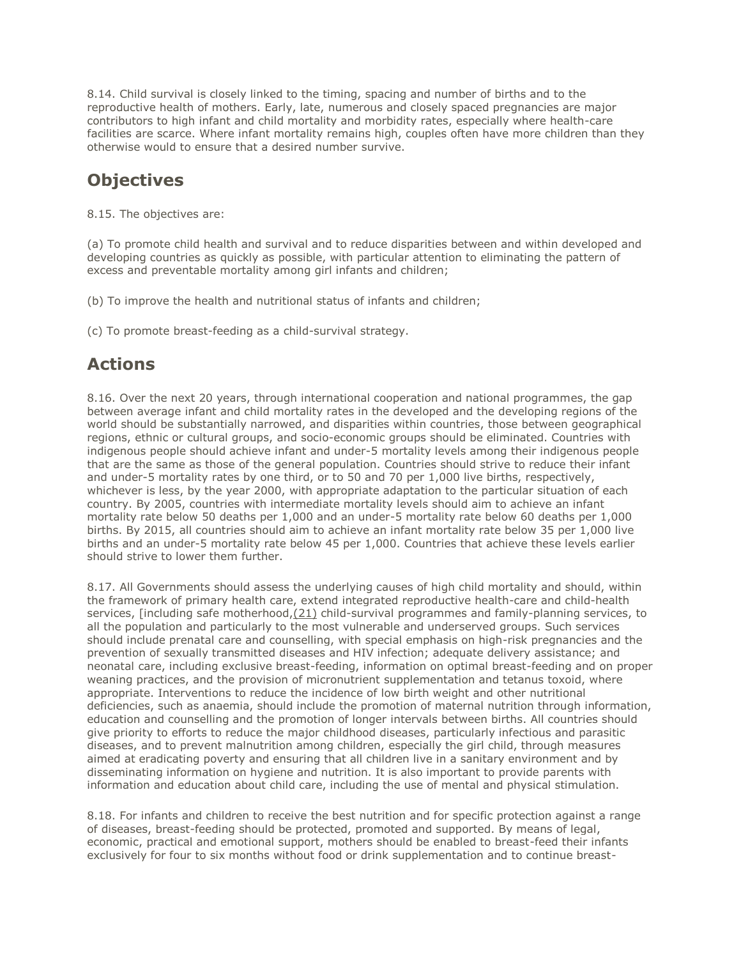8.14. Child survival is closely linked to the timing, spacing and number of births and to the reproductive health of mothers. Early, late, numerous and closely spaced pregnancies are major contributors to high infant and child mortality and morbidity rates, especially where health-care facilities are scarce. Where infant mortality remains high, couples often have more children than they otherwise would to ensure that a desired number survive.

## **Objectives**

8.15. The objectives are:

(a) To promote child health and survival and to reduce disparities between and within developed and developing countries as quickly as possible, with particular attention to eliminating the pattern of excess and preventable mortality among girl infants and children;

(b) To improve the health and nutritional status of infants and children;

(c) To promote breast-feeding as a child-survival strategy.

## **Actions**

8.16. Over the next 20 years, through international cooperation and national programmes, the gap between average infant and child mortality rates in the developed and the developing regions of the world should be substantially narrowed, and disparities within countries, those between geographical regions, ethnic or cultural groups, and socio-economic groups should be eliminated. Countries with indigenous people should achieve infant and under-5 mortality levels among their indigenous people that are the same as those of the general population. Countries should strive to reduce their infant and under-5 mortality rates by one third, or to 50 and 70 per 1,000 live births, respectively, whichever is less, by the year 2000, with appropriate adaptation to the particular situation of each country. By 2005, countries with intermediate mortality levels should aim to achieve an infant mortality rate below 50 deaths per 1,000 and an under-5 mortality rate below 60 deaths per 1,000 births. By 2015, all countries should aim to achieve an infant mortality rate below 35 per 1,000 live births and an under-5 mortality rate below 45 per 1,000. Countries that achieve these levels earlier should strive to lower them further.

8.17. All Governments should assess the underlying causes of high child mortality and should, within the framework of primary health care, extend integrated reproductive health-care and child-health services, [including safe motherhood, (21) child-survival programmes and family-planning services, to all the population and particularly to the most vulnerable and underserved groups. Such services should include prenatal care and counselling, with special emphasis on high-risk pregnancies and the prevention of sexually transmitted diseases and HIV infection; adequate delivery assistance; and neonatal care, including exclusive breast-feeding, information on optimal breast-feeding and on proper weaning practices, and the provision of micronutrient supplementation and tetanus toxoid, where appropriate. Interventions to reduce the incidence of low birth weight and other nutritional deficiencies, such as anaemia, should include the promotion of maternal nutrition through information, education and counselling and the promotion of longer intervals between births. All countries should give priority to efforts to reduce the major childhood diseases, particularly infectious and parasitic diseases, and to prevent malnutrition among children, especially the girl child, through measures aimed at eradicating poverty and ensuring that all children live in a sanitary environment and by disseminating information on hygiene and nutrition. It is also important to provide parents with information and education about child care, including the use of mental and physical stimulation.

8.18. For infants and children to receive the best nutrition and for specific protection against a range of diseases, breast-feeding should be protected, promoted and supported. By means of legal, economic, practical and emotional support, mothers should be enabled to breast-feed their infants exclusively for four to six months without food or drink supplementation and to continue breast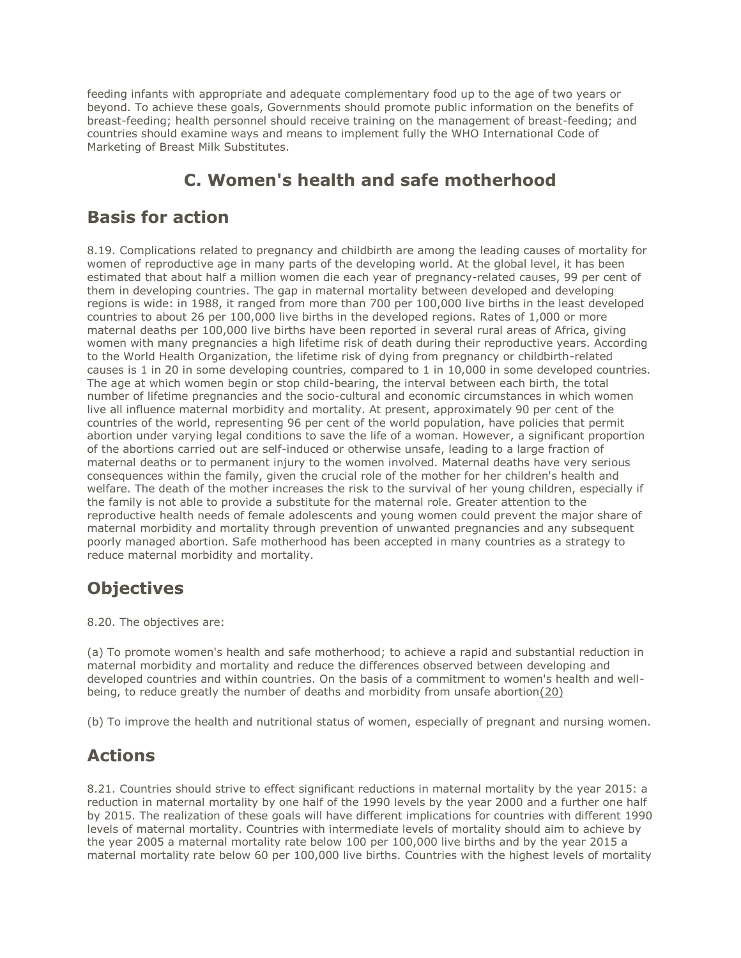feeding infants with appropriate and adequate complementary food up to the age of two years or beyond. To achieve these goals, Governments should promote public information on the benefits of breast-feeding; health personnel should receive training on the management of breast-feeding; and countries should examine ways and means to implement fully the WHO International Code of Marketing of Breast Milk Substitutes.

## **C. Women's health and safe motherhood**

### **Basis for action**

8.19. Complications related to pregnancy and childbirth are among the leading causes of mortality for women of reproductive age in many parts of the developing world. At the global level, it has been estimated that about half a million women die each year of pregnancy-related causes, 99 per cent of them in developing countries. The gap in maternal mortality between developed and developing regions is wide: in 1988, it ranged from more than 700 per 100,000 live births in the least developed countries to about 26 per 100,000 live births in the developed regions. Rates of 1,000 or more maternal deaths per 100,000 live births have been reported in several rural areas of Africa, giving women with many pregnancies a high lifetime risk of death during their reproductive years. According to the World Health Organization, the lifetime risk of dying from pregnancy or childbirth-related causes is 1 in 20 in some developing countries, compared to 1 in 10,000 in some developed countries. The age at which women begin or stop child-bearing, the interval between each birth, the total number of lifetime pregnancies and the socio-cultural and economic circumstances in which women live all influence maternal morbidity and mortality. At present, approximately 90 per cent of the countries of the world, representing 96 per cent of the world population, have policies that permit abortion under varying legal conditions to save the life of a woman. However, a significant proportion of the abortions carried out are self-induced or otherwise unsafe, leading to a large fraction of maternal deaths or to permanent injury to the women involved. Maternal deaths have very serious consequences within the family, given the crucial role of the mother for her children's health and welfare. The death of the mother increases the risk to the survival of her young children, especially if the family is not able to provide a substitute for the maternal role. Greater attention to the reproductive health needs of female adolescents and young women could prevent the major share of maternal morbidity and mortality through prevention of unwanted pregnancies and any subsequent poorly managed abortion. Safe motherhood has been accepted in many countries as a strategy to reduce maternal morbidity and mortality.

### **Objectives**

8.20. The objectives are:

(a) To promote women's health and safe motherhood; to achieve a rapid and substantial reduction in maternal morbidity and mortality and reduce the differences observed between developing and developed countries and within countries. On the basis of a commitment to women's health and wellbeing, to reduce greatly the number of deaths and morbidity from unsafe abortio[n\(20\)](http://www.unfpa.org/public/icpd/pid/5066#20)

(b) To improve the health and nutritional status of women, especially of pregnant and nursing women.

## **Actions**

8.21. Countries should strive to effect significant reductions in maternal mortality by the year 2015: a reduction in maternal mortality by one half of the 1990 levels by the year 2000 and a further one half by 2015. The realization of these goals will have different implications for countries with different 1990 levels of maternal mortality. Countries with intermediate levels of mortality should aim to achieve by the year 2005 a maternal mortality rate below 100 per 100,000 live births and by the year 2015 a maternal mortality rate below 60 per 100,000 live births. Countries with the highest levels of mortality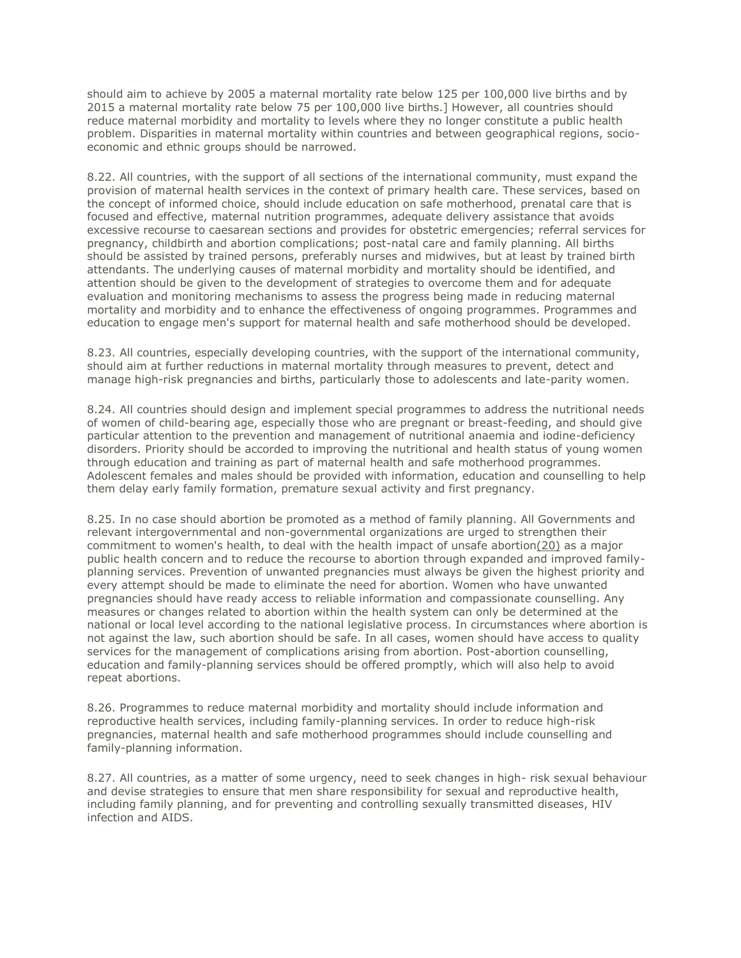should aim to achieve by 2005 a maternal mortality rate below 125 per 100,000 live births and by 2015 a maternal mortality rate below 75 per 100,000 live births.] However, all countries should reduce maternal morbidity and mortality to levels where they no longer constitute a public health problem. Disparities in maternal mortality within countries and between geographical regions, socioeconomic and ethnic groups should be narrowed.

8.22. All countries, with the support of all sections of the international community, must expand the provision of maternal health services in the context of primary health care. These services, based on the concept of informed choice, should include education on safe motherhood, prenatal care that is focused and effective, maternal nutrition programmes, adequate delivery assistance that avoids excessive recourse to caesarean sections and provides for obstetric emergencies; referral services for pregnancy, childbirth and abortion complications; post-natal care and family planning. All births should be assisted by trained persons, preferably nurses and midwives, but at least by trained birth attendants. The underlying causes of maternal morbidity and mortality should be identified, and attention should be given to the development of strategies to overcome them and for adequate evaluation and monitoring mechanisms to assess the progress being made in reducing maternal mortality and morbidity and to enhance the effectiveness of ongoing programmes. Programmes and education to engage men's support for maternal health and safe motherhood should be developed.

8.23. All countries, especially developing countries, with the support of the international community, should aim at further reductions in maternal mortality through measures to prevent, detect and manage high-risk pregnancies and births, particularly those to adolescents and late-parity women.

8.24. All countries should design and implement special programmes to address the nutritional needs of women of child-bearing age, especially those who are pregnant or breast-feeding, and should give particular attention to the prevention and management of nutritional anaemia and iodine-deficiency disorders. Priority should be accorded to improving the nutritional and health status of young women through education and training as part of maternal health and safe motherhood programmes. Adolescent females and males should be provided with information, education and counselling to help them delay early family formation, premature sexual activity and first pregnancy.

8.25. In no case should abortion be promoted as a method of family planning. All Governments and relevant intergovernmental and non-governmental organizations are urged to strengthen their commitment to women's health, to deal with the health impact of unsafe abortio[n\(20\)](http://www.unfpa.org/public/icpd/pid/5066#20) as a major public health concern and to reduce the recourse to abortion through expanded and improved familyplanning services. Prevention of unwanted pregnancies must always be given the highest priority and every attempt should be made to eliminate the need for abortion. Women who have unwanted pregnancies should have ready access to reliable information and compassionate counselling. Any measures or changes related to abortion within the health system can only be determined at the national or local level according to the national legislative process. In circumstances where abortion is not against the law, such abortion should be safe. In all cases, women should have access to quality services for the management of complications arising from abortion. Post-abortion counselling, education and family-planning services should be offered promptly, which will also help to avoid repeat abortions.

8.26. Programmes to reduce maternal morbidity and mortality should include information and reproductive health services, including family-planning services. In order to reduce high-risk pregnancies, maternal health and safe motherhood programmes should include counselling and family-planning information.

8.27. All countries, as a matter of some urgency, need to seek changes in high- risk sexual behaviour and devise strategies to ensure that men share responsibility for sexual and reproductive health, including family planning, and for preventing and controlling sexually transmitted diseases, HIV infection and AIDS.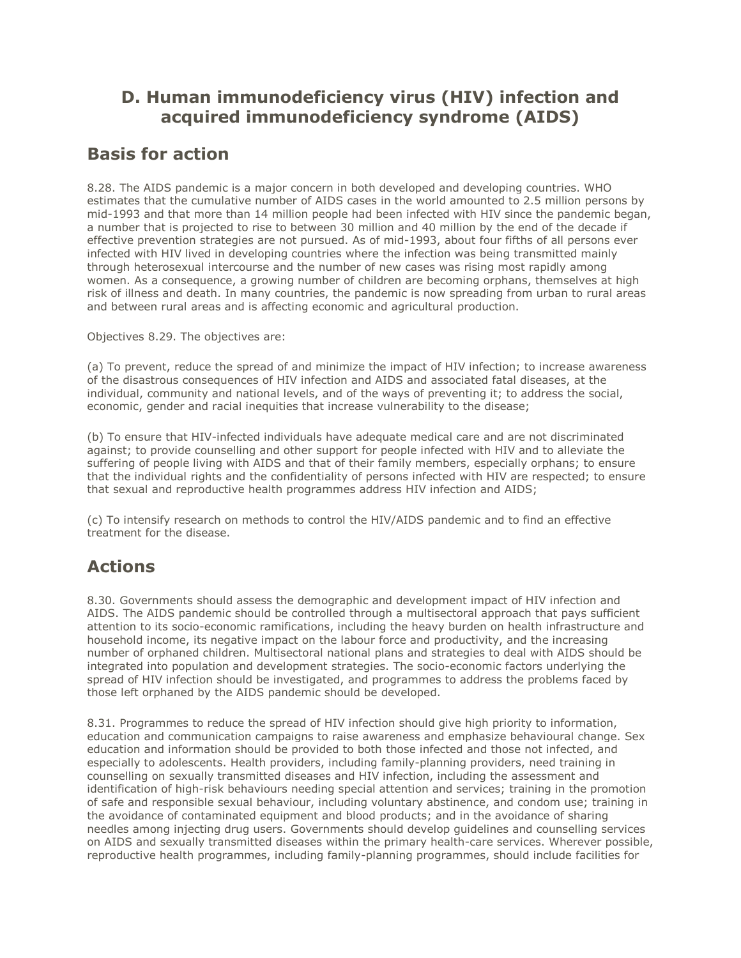#### **D. Human immunodeficiency virus (HIV) infection and acquired immunodeficiency syndrome (AIDS)**

#### **Basis for action**

8.28. The AIDS pandemic is a major concern in both developed and developing countries. WHO estimates that the cumulative number of AIDS cases in the world amounted to 2.5 million persons by mid-1993 and that more than 14 million people had been infected with HIV since the pandemic began, a number that is projected to rise to between 30 million and 40 million by the end of the decade if effective prevention strategies are not pursued. As of mid-1993, about four fifths of all persons ever infected with HIV lived in developing countries where the infection was being transmitted mainly through heterosexual intercourse and the number of new cases was rising most rapidly among women. As a consequence, a growing number of children are becoming orphans, themselves at high risk of illness and death. In many countries, the pandemic is now spreading from urban to rural areas and between rural areas and is affecting economic and agricultural production.

Objectives 8.29. The objectives are:

(a) To prevent, reduce the spread of and minimize the impact of HIV infection; to increase awareness of the disastrous consequences of HIV infection and AIDS and associated fatal diseases, at the individual, community and national levels, and of the ways of preventing it; to address the social, economic, gender and racial inequities that increase vulnerability to the disease;

(b) To ensure that HIV-infected individuals have adequate medical care and are not discriminated against; to provide counselling and other support for people infected with HIV and to alleviate the suffering of people living with AIDS and that of their family members, especially orphans; to ensure that the individual rights and the confidentiality of persons infected with HIV are respected; to ensure that sexual and reproductive health programmes address HIV infection and AIDS;

(c) To intensify research on methods to control the HIV/AIDS pandemic and to find an effective treatment for the disease.

## **Actions**

8.30. Governments should assess the demographic and development impact of HIV infection and AIDS. The AIDS pandemic should be controlled through a multisectoral approach that pays sufficient attention to its socio-economic ramifications, including the heavy burden on health infrastructure and household income, its negative impact on the labour force and productivity, and the increasing number of orphaned children. Multisectoral national plans and strategies to deal with AIDS should be integrated into population and development strategies. The socio-economic factors underlying the spread of HIV infection should be investigated, and programmes to address the problems faced by those left orphaned by the AIDS pandemic should be developed.

8.31. Programmes to reduce the spread of HIV infection should give high priority to information, education and communication campaigns to raise awareness and emphasize behavioural change. Sex education and information should be provided to both those infected and those not infected, and especially to adolescents. Health providers, including family-planning providers, need training in counselling on sexually transmitted diseases and HIV infection, including the assessment and identification of high-risk behaviours needing special attention and services; training in the promotion of safe and responsible sexual behaviour, including voluntary abstinence, and condom use; training in the avoidance of contaminated equipment and blood products; and in the avoidance of sharing needles among injecting drug users. Governments should develop guidelines and counselling services on AIDS and sexually transmitted diseases within the primary health-care services. Wherever possible, reproductive health programmes, including family-planning programmes, should include facilities for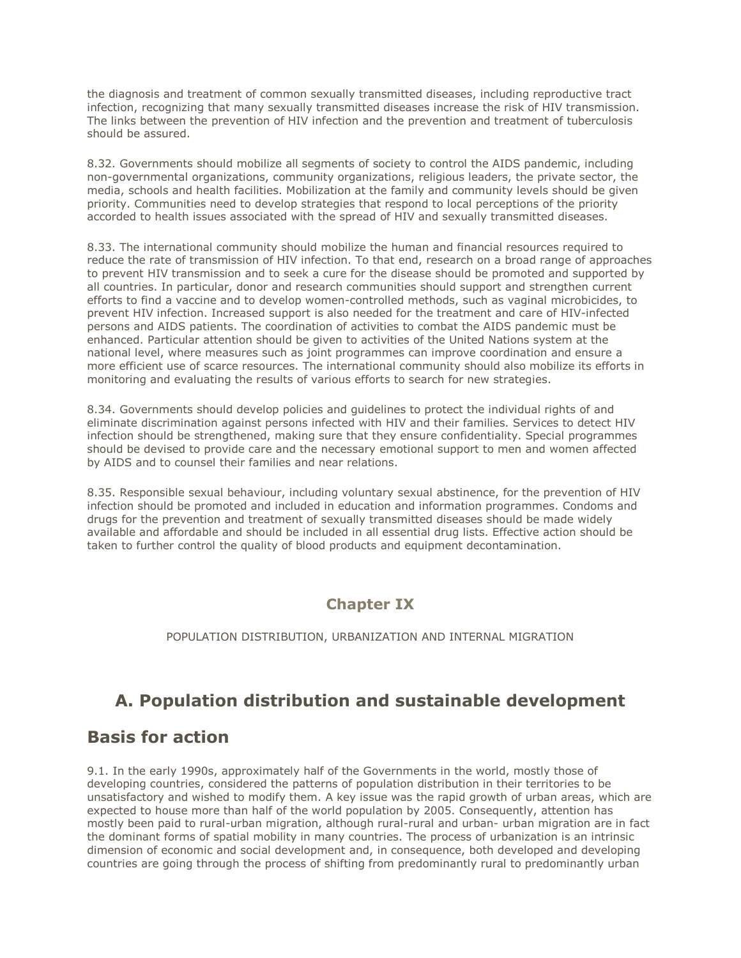the diagnosis and treatment of common sexually transmitted diseases, including reproductive tract infection, recognizing that many sexually transmitted diseases increase the risk of HIV transmission. The links between the prevention of HIV infection and the prevention and treatment of tuberculosis should be assured.

8.32. Governments should mobilize all segments of society to control the AIDS pandemic, including non-governmental organizations, community organizations, religious leaders, the private sector, the media, schools and health facilities. Mobilization at the family and community levels should be given priority. Communities need to develop strategies that respond to local perceptions of the priority accorded to health issues associated with the spread of HIV and sexually transmitted diseases.

8.33. The international community should mobilize the human and financial resources required to reduce the rate of transmission of HIV infection. To that end, research on a broad range of approaches to prevent HIV transmission and to seek a cure for the disease should be promoted and supported by all countries. In particular, donor and research communities should support and strengthen current efforts to find a vaccine and to develop women-controlled methods, such as vaginal microbicides, to prevent HIV infection. Increased support is also needed for the treatment and care of HIV-infected persons and AIDS patients. The coordination of activities to combat the AIDS pandemic must be enhanced. Particular attention should be given to activities of the United Nations system at the national level, where measures such as joint programmes can improve coordination and ensure a more efficient use of scarce resources. The international community should also mobilize its efforts in monitoring and evaluating the results of various efforts to search for new strategies.

8.34. Governments should develop policies and guidelines to protect the individual rights of and eliminate discrimination against persons infected with HIV and their families. Services to detect HIV infection should be strengthened, making sure that they ensure confidentiality. Special programmes should be devised to provide care and the necessary emotional support to men and women affected by AIDS and to counsel their families and near relations.

8.35. Responsible sexual behaviour, including voluntary sexual abstinence, for the prevention of HIV infection should be promoted and included in education and information programmes. Condoms and drugs for the prevention and treatment of sexually transmitted diseases should be made widely available and affordable and should be included in all essential drug lists. Effective action should be taken to further control the quality of blood products and equipment decontamination.

#### **Chapter IX**

POPULATION DISTRIBUTION, URBANIZATION AND INTERNAL MIGRATION

## **A. Population distribution and sustainable development**

#### **Basis for action**

9.1. In the early 1990s, approximately half of the Governments in the world, mostly those of developing countries, considered the patterns of population distribution in their territories to be unsatisfactory and wished to modify them. A key issue was the rapid growth of urban areas, which are expected to house more than half of the world population by 2005. Consequently, attention has mostly been paid to rural-urban migration, although rural-rural and urban- urban migration are in fact the dominant forms of spatial mobility in many countries. The process of urbanization is an intrinsic dimension of economic and social development and, in consequence, both developed and developing countries are going through the process of shifting from predominantly rural to predominantly urban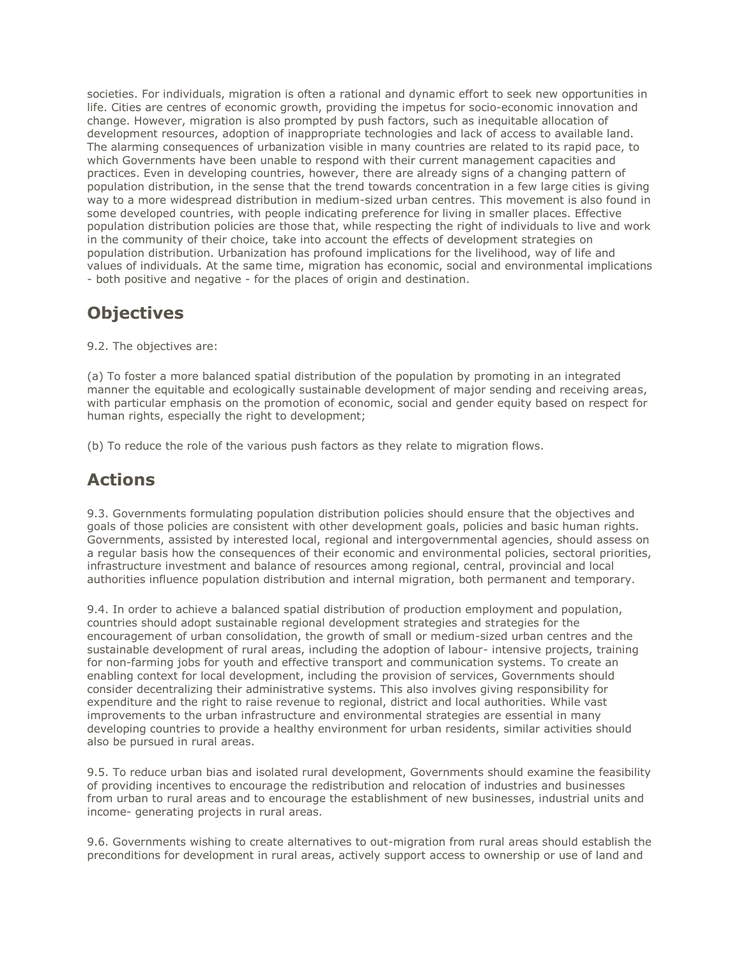societies. For individuals, migration is often a rational and dynamic effort to seek new opportunities in life. Cities are centres of economic growth, providing the impetus for socio-economic innovation and change. However, migration is also prompted by push factors, such as inequitable allocation of development resources, adoption of inappropriate technologies and lack of access to available land. The alarming consequences of urbanization visible in many countries are related to its rapid pace, to which Governments have been unable to respond with their current management capacities and practices. Even in developing countries, however, there are already signs of a changing pattern of population distribution, in the sense that the trend towards concentration in a few large cities is giving way to a more widespread distribution in medium-sized urban centres. This movement is also found in some developed countries, with people indicating preference for living in smaller places. Effective population distribution policies are those that, while respecting the right of individuals to live and work in the community of their choice, take into account the effects of development strategies on population distribution. Urbanization has profound implications for the livelihood, way of life and values of individuals. At the same time, migration has economic, social and environmental implications - both positive and negative - for the places of origin and destination.

## **Objectives**

9.2. The objectives are:

(a) To foster a more balanced spatial distribution of the population by promoting in an integrated manner the equitable and ecologically sustainable development of major sending and receiving areas, with particular emphasis on the promotion of economic, social and gender equity based on respect for human rights, especially the right to development;

(b) To reduce the role of the various push factors as they relate to migration flows.

### **Actions**

9.3. Governments formulating population distribution policies should ensure that the objectives and goals of those policies are consistent with other development goals, policies and basic human rights. Governments, assisted by interested local, regional and intergovernmental agencies, should assess on a regular basis how the consequences of their economic and environmental policies, sectoral priorities, infrastructure investment and balance of resources among regional, central, provincial and local authorities influence population distribution and internal migration, both permanent and temporary.

9.4. In order to achieve a balanced spatial distribution of production employment and population, countries should adopt sustainable regional development strategies and strategies for the encouragement of urban consolidation, the growth of small or medium-sized urban centres and the sustainable development of rural areas, including the adoption of labour- intensive projects, training for non-farming jobs for youth and effective transport and communication systems. To create an enabling context for local development, including the provision of services, Governments should consider decentralizing their administrative systems. This also involves giving responsibility for expenditure and the right to raise revenue to regional, district and local authorities. While vast improvements to the urban infrastructure and environmental strategies are essential in many developing countries to provide a healthy environment for urban residents, similar activities should also be pursued in rural areas.

9.5. To reduce urban bias and isolated rural development, Governments should examine the feasibility of providing incentives to encourage the redistribution and relocation of industries and businesses from urban to rural areas and to encourage the establishment of new businesses, industrial units and income- generating projects in rural areas.

9.6. Governments wishing to create alternatives to out-migration from rural areas should establish the preconditions for development in rural areas, actively support access to ownership or use of land and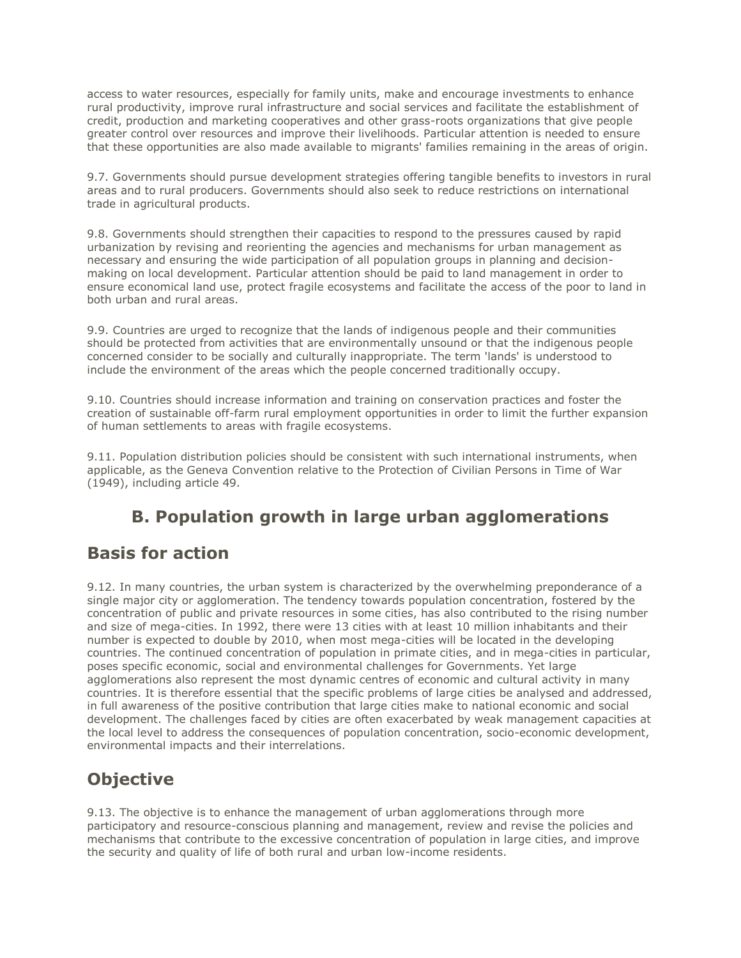access to water resources, especially for family units, make and encourage investments to enhance rural productivity, improve rural infrastructure and social services and facilitate the establishment of credit, production and marketing cooperatives and other grass-roots organizations that give people greater control over resources and improve their livelihoods. Particular attention is needed to ensure that these opportunities are also made available to migrants' families remaining in the areas of origin.

9.7. Governments should pursue development strategies offering tangible benefits to investors in rural areas and to rural producers. Governments should also seek to reduce restrictions on international trade in agricultural products.

9.8. Governments should strengthen their capacities to respond to the pressures caused by rapid urbanization by revising and reorienting the agencies and mechanisms for urban management as necessary and ensuring the wide participation of all population groups in planning and decisionmaking on local development. Particular attention should be paid to land management in order to ensure economical land use, protect fragile ecosystems and facilitate the access of the poor to land in both urban and rural areas.

9.9. Countries are urged to recognize that the lands of indigenous people and their communities should be protected from activities that are environmentally unsound or that the indigenous people concerned consider to be socially and culturally inappropriate. The term 'lands' is understood to include the environment of the areas which the people concerned traditionally occupy.

9.10. Countries should increase information and training on conservation practices and foster the creation of sustainable off-farm rural employment opportunities in order to limit the further expansion of human settlements to areas with fragile ecosystems.

9.11. Population distribution policies should be consistent with such international instruments, when applicable, as the Geneva Convention relative to the Protection of Civilian Persons in Time of War (1949), including article 49.

## **B. Population growth in large urban agglomerations**

### **Basis for action**

9.12. In many countries, the urban system is characterized by the overwhelming preponderance of a single major city or agglomeration. The tendency towards population concentration, fostered by the concentration of public and private resources in some cities, has also contributed to the rising number and size of mega-cities. In 1992, there were 13 cities with at least 10 million inhabitants and their number is expected to double by 2010, when most mega-cities will be located in the developing countries. The continued concentration of population in primate cities, and in mega-cities in particular, poses specific economic, social and environmental challenges for Governments. Yet large agglomerations also represent the most dynamic centres of economic and cultural activity in many countries. It is therefore essential that the specific problems of large cities be analysed and addressed, in full awareness of the positive contribution that large cities make to national economic and social development. The challenges faced by cities are often exacerbated by weak management capacities at the local level to address the consequences of population concentration, socio-economic development, environmental impacts and their interrelations.

## **Objective**

9.13. The objective is to enhance the management of urban agglomerations through more participatory and resource-conscious planning and management, review and revise the policies and mechanisms that contribute to the excessive concentration of population in large cities, and improve the security and quality of life of both rural and urban low-income residents.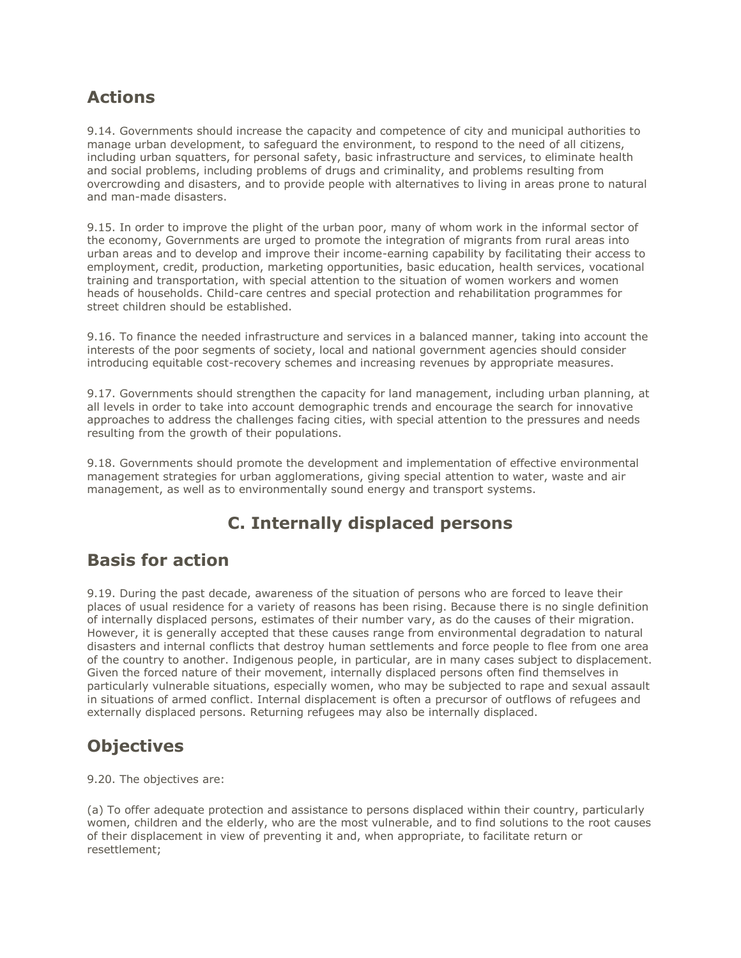## **Actions**

9.14. Governments should increase the capacity and competence of city and municipal authorities to manage urban development, to safeguard the environment, to respond to the need of all citizens, including urban squatters, for personal safety, basic infrastructure and services, to eliminate health and social problems, including problems of drugs and criminality, and problems resulting from overcrowding and disasters, and to provide people with alternatives to living in areas prone to natural and man-made disasters.

9.15. In order to improve the plight of the urban poor, many of whom work in the informal sector of the economy, Governments are urged to promote the integration of migrants from rural areas into urban areas and to develop and improve their income-earning capability by facilitating their access to employment, credit, production, marketing opportunities, basic education, health services, vocational training and transportation, with special attention to the situation of women workers and women heads of households. Child-care centres and special protection and rehabilitation programmes for street children should be established.

9.16. To finance the needed infrastructure and services in a balanced manner, taking into account the interests of the poor segments of society, local and national government agencies should consider introducing equitable cost-recovery schemes and increasing revenues by appropriate measures.

9.17. Governments should strengthen the capacity for land management, including urban planning, at all levels in order to take into account demographic trends and encourage the search for innovative approaches to address the challenges facing cities, with special attention to the pressures and needs resulting from the growth of their populations.

9.18. Governments should promote the development and implementation of effective environmental management strategies for urban agglomerations, giving special attention to water, waste and air management, as well as to environmentally sound energy and transport systems.

## **C. Internally displaced persons**

### **Basis for action**

9.19. During the past decade, awareness of the situation of persons who are forced to leave their places of usual residence for a variety of reasons has been rising. Because there is no single definition of internally displaced persons, estimates of their number vary, as do the causes of their migration. However, it is generally accepted that these causes range from environmental degradation to natural disasters and internal conflicts that destroy human settlements and force people to flee from one area of the country to another. Indigenous people, in particular, are in many cases subject to displacement. Given the forced nature of their movement, internally displaced persons often find themselves in particularly vulnerable situations, especially women, who may be subjected to rape and sexual assault in situations of armed conflict. Internal displacement is often a precursor of outflows of refugees and externally displaced persons. Returning refugees may also be internally displaced.

### **Objectives**

9.20. The objectives are:

(a) To offer adequate protection and assistance to persons displaced within their country, particularly women, children and the elderly, who are the most vulnerable, and to find solutions to the root causes of their displacement in view of preventing it and, when appropriate, to facilitate return or resettlement;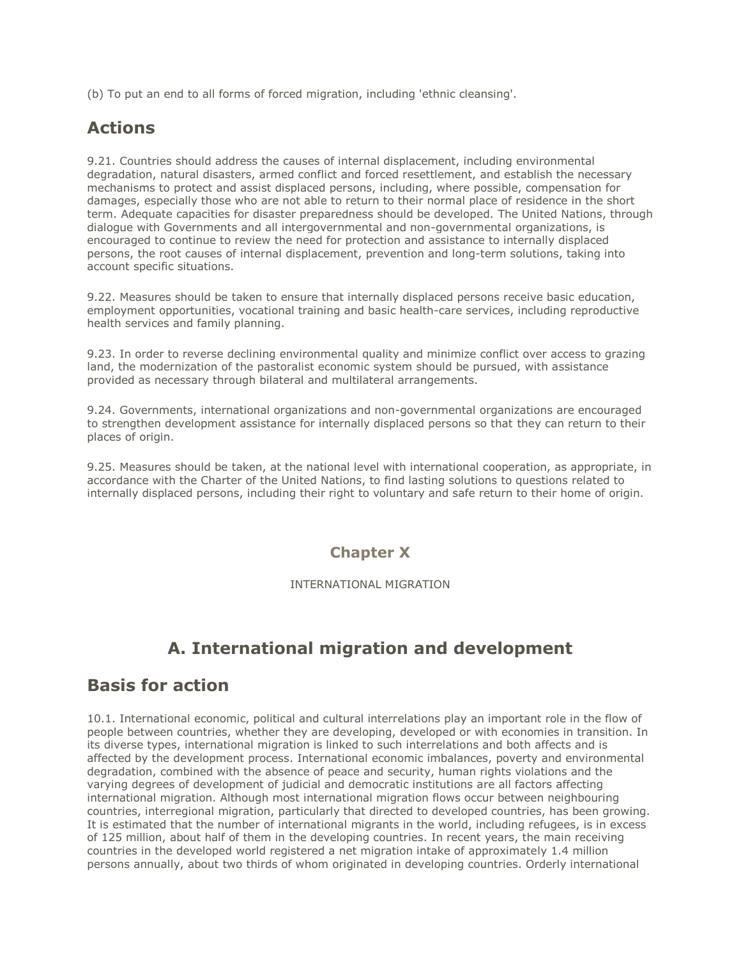(b) To put an end to all forms of forced migration, including 'ethnic cleansing'.

## **Actions**

9.21. Countries should address the causes of internal displacement, including environmental degradation, natural disasters, armed conflict and forced resettlement, and establish the necessary mechanisms to protect and assist displaced persons, including, where possible, compensation for damages, especially those who are not able to return to their normal place of residence in the short term. Adequate capacities for disaster preparedness should be developed. The United Nations, through dialogue with Governments and all intergovernmental and non-governmental organizations, is encouraged to continue to review the need for protection and assistance to internally displaced persons, the root causes of internal displacement, prevention and long-term solutions, taking into account specific situations.

9.22. Measures should be taken to ensure that internally displaced persons receive basic education, employment opportunities, vocational training and basic health-care services, including reproductive health services and family planning.

9.23. In order to reverse declining environmental quality and minimize conflict over access to grazing land, the modernization of the pastoralist economic system should be pursued, with assistance provided as necessary through bilateral and multilateral arrangements.

9.24. Governments, international organizations and non-governmental organizations are encouraged to strengthen development assistance for internally displaced persons so that they can return to their places of origin.

9.25. Measures should be taken, at the national level with international cooperation, as appropriate, in accordance with the Charter of the United Nations, to find lasting solutions to questions related to internally displaced persons, including their right to voluntary and safe return to their home of origin.

#### **Chapter X**

#### INTERNATIONAL MIGRATION

### **A. International migration and development**

#### **Basis for action**

10.1. International economic, political and cultural interrelations play an important role in the flow of people between countries, whether they are developing, developed or with economies in transition. In its diverse types, international migration is linked to such interrelations and both affects and is affected by the development process. International economic imbalances, poverty and environmental degradation, combined with the absence of peace and security, human rights violations and the varying degrees of development of judicial and democratic institutions are all factors affecting international migration. Although most international migration flows occur between neighbouring countries, interregional migration, particularly that directed to developed countries, has been growing. It is estimated that the number of international migrants in the world, including refugees, is in excess of 125 million, about half of them in the developing countries. In recent years, the main receiving countries in the developed world registered a net migration intake of approximately 1.4 million persons annually, about two thirds of whom originated in developing countries. Orderly international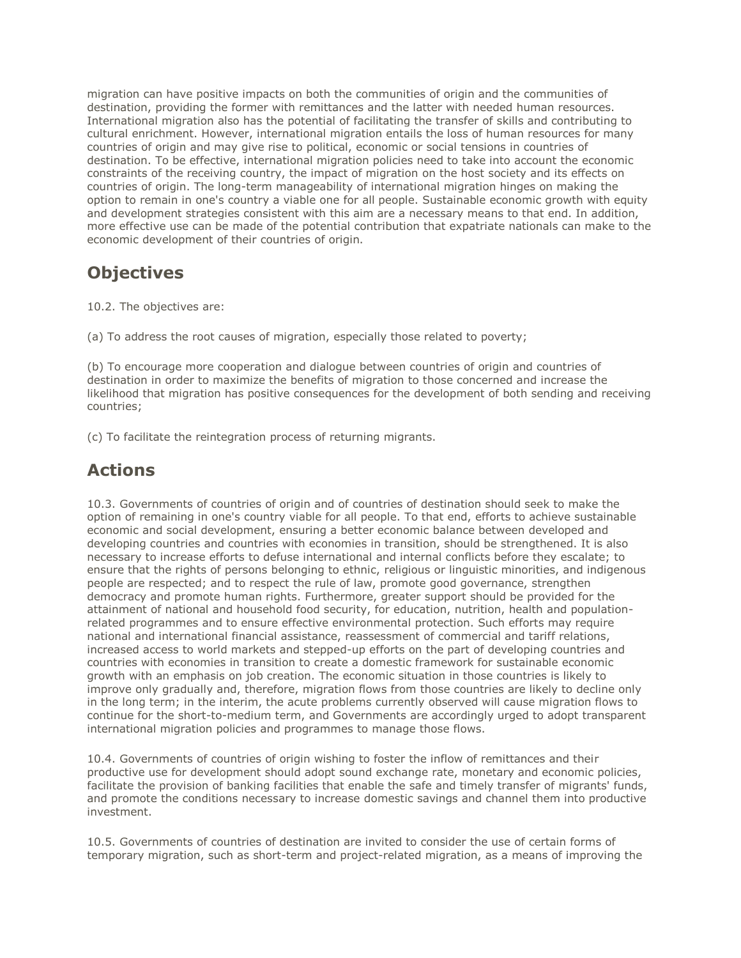migration can have positive impacts on both the communities of origin and the communities of destination, providing the former with remittances and the latter with needed human resources. International migration also has the potential of facilitating the transfer of skills and contributing to cultural enrichment. However, international migration entails the loss of human resources for many countries of origin and may give rise to political, economic or social tensions in countries of destination. To be effective, international migration policies need to take into account the economic constraints of the receiving country, the impact of migration on the host society and its effects on countries of origin. The long-term manageability of international migration hinges on making the option to remain in one's country a viable one for all people. Sustainable economic growth with equity and development strategies consistent with this aim are a necessary means to that end. In addition, more effective use can be made of the potential contribution that expatriate nationals can make to the economic development of their countries of origin.

## **Objectives**

10.2. The objectives are:

(a) To address the root causes of migration, especially those related to poverty;

(b) To encourage more cooperation and dialogue between countries of origin and countries of destination in order to maximize the benefits of migration to those concerned and increase the likelihood that migration has positive consequences for the development of both sending and receiving countries;

(c) To facilitate the reintegration process of returning migrants.

## **Actions**

10.3. Governments of countries of origin and of countries of destination should seek to make the option of remaining in one's country viable for all people. To that end, efforts to achieve sustainable economic and social development, ensuring a better economic balance between developed and developing countries and countries with economies in transition, should be strengthened. It is also necessary to increase efforts to defuse international and internal conflicts before they escalate; to ensure that the rights of persons belonging to ethnic, religious or linguistic minorities, and indigenous people are respected; and to respect the rule of law, promote good governance, strengthen democracy and promote human rights. Furthermore, greater support should be provided for the attainment of national and household food security, for education, nutrition, health and populationrelated programmes and to ensure effective environmental protection. Such efforts may require national and international financial assistance, reassessment of commercial and tariff relations, increased access to world markets and stepped-up efforts on the part of developing countries and countries with economies in transition to create a domestic framework for sustainable economic growth with an emphasis on job creation. The economic situation in those countries is likely to improve only gradually and, therefore, migration flows from those countries are likely to decline only in the long term; in the interim, the acute problems currently observed will cause migration flows to continue for the short-to-medium term, and Governments are accordingly urged to adopt transparent international migration policies and programmes to manage those flows.

10.4. Governments of countries of origin wishing to foster the inflow of remittances and their productive use for development should adopt sound exchange rate, monetary and economic policies, facilitate the provision of banking facilities that enable the safe and timely transfer of migrants' funds, and promote the conditions necessary to increase domestic savings and channel them into productive investment.

10.5. Governments of countries of destination are invited to consider the use of certain forms of temporary migration, such as short-term and project-related migration, as a means of improving the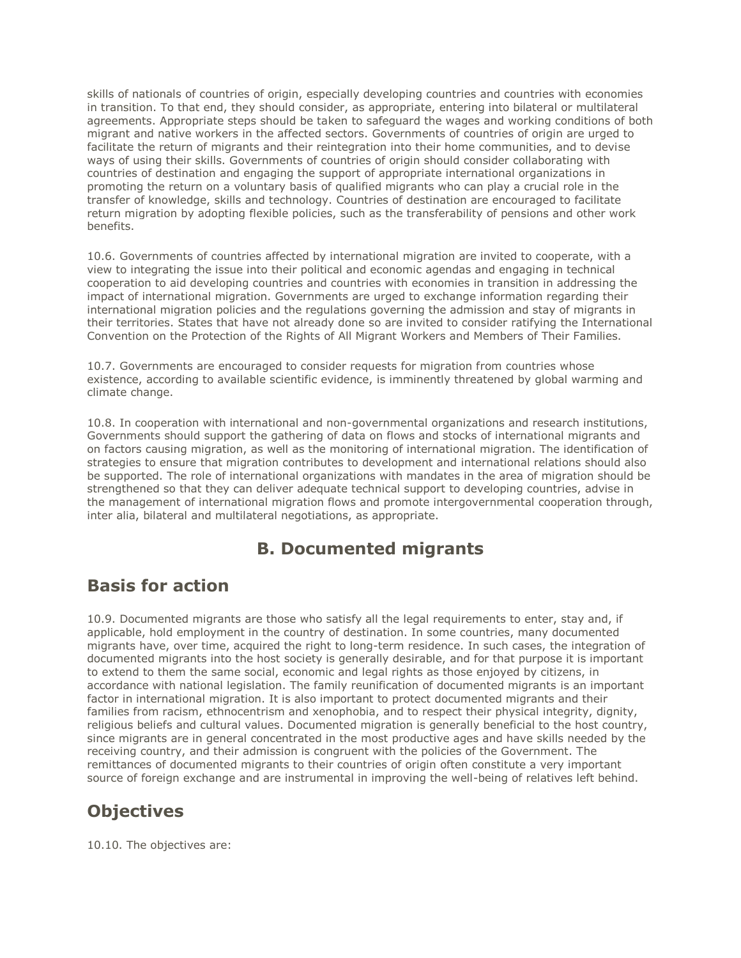skills of nationals of countries of origin, especially developing countries and countries with economies in transition. To that end, they should consider, as appropriate, entering into bilateral or multilateral agreements. Appropriate steps should be taken to safeguard the wages and working conditions of both migrant and native workers in the affected sectors. Governments of countries of origin are urged to facilitate the return of migrants and their reintegration into their home communities, and to devise ways of using their skills. Governments of countries of origin should consider collaborating with countries of destination and engaging the support of appropriate international organizations in promoting the return on a voluntary basis of qualified migrants who can play a crucial role in the transfer of knowledge, skills and technology. Countries of destination are encouraged to facilitate return migration by adopting flexible policies, such as the transferability of pensions and other work benefits.

10.6. Governments of countries affected by international migration are invited to cooperate, with a view to integrating the issue into their political and economic agendas and engaging in technical cooperation to aid developing countries and countries with economies in transition in addressing the impact of international migration. Governments are urged to exchange information regarding their international migration policies and the regulations governing the admission and stay of migrants in their territories. States that have not already done so are invited to consider ratifying the International Convention on the Protection of the Rights of All Migrant Workers and Members of Their Families.

10.7. Governments are encouraged to consider requests for migration from countries whose existence, according to available scientific evidence, is imminently threatened by global warming and climate change.

10.8. In cooperation with international and non-governmental organizations and research institutions, Governments should support the gathering of data on flows and stocks of international migrants and on factors causing migration, as well as the monitoring of international migration. The identification of strategies to ensure that migration contributes to development and international relations should also be supported. The role of international organizations with mandates in the area of migration should be strengthened so that they can deliver adequate technical support to developing countries, advise in the management of international migration flows and promote intergovernmental cooperation through, inter alia, bilateral and multilateral negotiations, as appropriate.

### **B. Documented migrants**

#### **Basis for action**

10.9. Documented migrants are those who satisfy all the legal requirements to enter, stay and, if applicable, hold employment in the country of destination. In some countries, many documented migrants have, over time, acquired the right to long-term residence. In such cases, the integration of documented migrants into the host society is generally desirable, and for that purpose it is important to extend to them the same social, economic and legal rights as those enjoyed by citizens, in accordance with national legislation. The family reunification of documented migrants is an important factor in international migration. It is also important to protect documented migrants and their families from racism, ethnocentrism and xenophobia, and to respect their physical integrity, dignity, religious beliefs and cultural values. Documented migration is generally beneficial to the host country, since migrants are in general concentrated in the most productive ages and have skills needed by the receiving country, and their admission is congruent with the policies of the Government. The remittances of documented migrants to their countries of origin often constitute a very important source of foreign exchange and are instrumental in improving the well-being of relatives left behind.

# **Objectives**

10.10. The objectives are: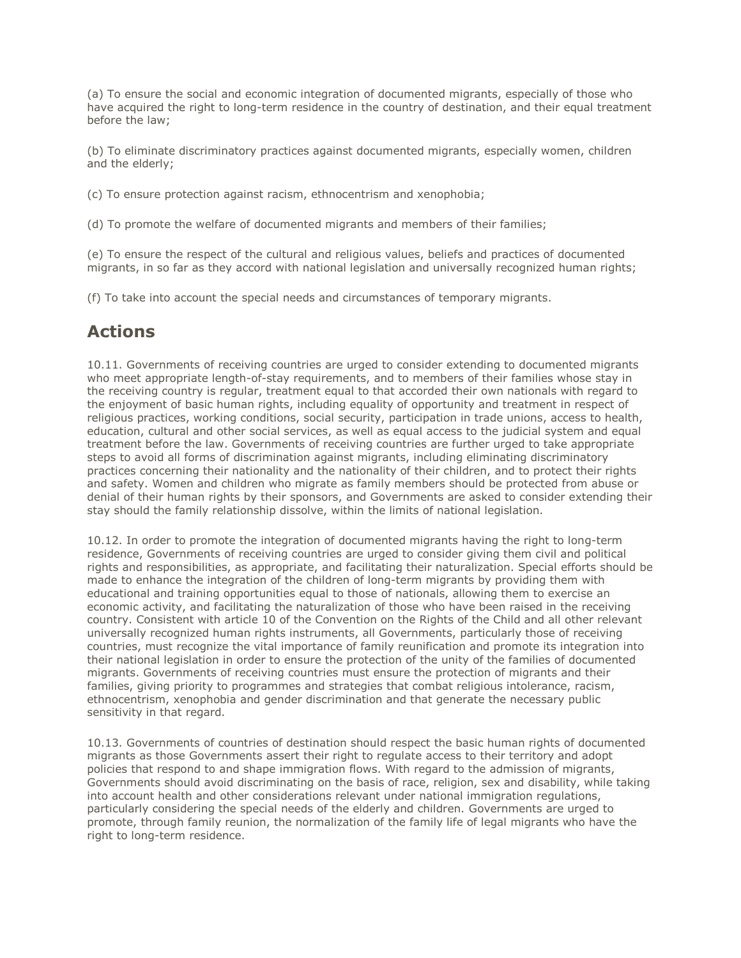(a) To ensure the social and economic integration of documented migrants, especially of those who have acquired the right to long-term residence in the country of destination, and their equal treatment before the law;

(b) To eliminate discriminatory practices against documented migrants, especially women, children and the elderly;

(c) To ensure protection against racism, ethnocentrism and xenophobia;

(d) To promote the welfare of documented migrants and members of their families;

(e) To ensure the respect of the cultural and religious values, beliefs and practices of documented migrants, in so far as they accord with national legislation and universally recognized human rights;

(f) To take into account the special needs and circumstances of temporary migrants.

## **Actions**

10.11. Governments of receiving countries are urged to consider extending to documented migrants who meet appropriate length-of-stay requirements, and to members of their families whose stay in the receiving country is regular, treatment equal to that accorded their own nationals with regard to the enjoyment of basic human rights, including equality of opportunity and treatment in respect of religious practices, working conditions, social security, participation in trade unions, access to health, education, cultural and other social services, as well as equal access to the judicial system and equal treatment before the law. Governments of receiving countries are further urged to take appropriate steps to avoid all forms of discrimination against migrants, including eliminating discriminatory practices concerning their nationality and the nationality of their children, and to protect their rights and safety. Women and children who migrate as family members should be protected from abuse or denial of their human rights by their sponsors, and Governments are asked to consider extending their stay should the family relationship dissolve, within the limits of national legislation.

10.12. In order to promote the integration of documented migrants having the right to long-term residence, Governments of receiving countries are urged to consider giving them civil and political rights and responsibilities, as appropriate, and facilitating their naturalization. Special efforts should be made to enhance the integration of the children of long-term migrants by providing them with educational and training opportunities equal to those of nationals, allowing them to exercise an economic activity, and facilitating the naturalization of those who have been raised in the receiving country. Consistent with article 10 of the Convention on the Rights of the Child and all other relevant universally recognized human rights instruments, all Governments, particularly those of receiving countries, must recognize the vital importance of family reunification and promote its integration into their national legislation in order to ensure the protection of the unity of the families of documented migrants. Governments of receiving countries must ensure the protection of migrants and their families, giving priority to programmes and strategies that combat religious intolerance, racism, ethnocentrism, xenophobia and gender discrimination and that generate the necessary public sensitivity in that regard.

10.13. Governments of countries of destination should respect the basic human rights of documented migrants as those Governments assert their right to regulate access to their territory and adopt policies that respond to and shape immigration flows. With regard to the admission of migrants, Governments should avoid discriminating on the basis of race, religion, sex and disability, while taking into account health and other considerations relevant under national immigration regulations, particularly considering the special needs of the elderly and children. Governments are urged to promote, through family reunion, the normalization of the family life of legal migrants who have the right to long-term residence.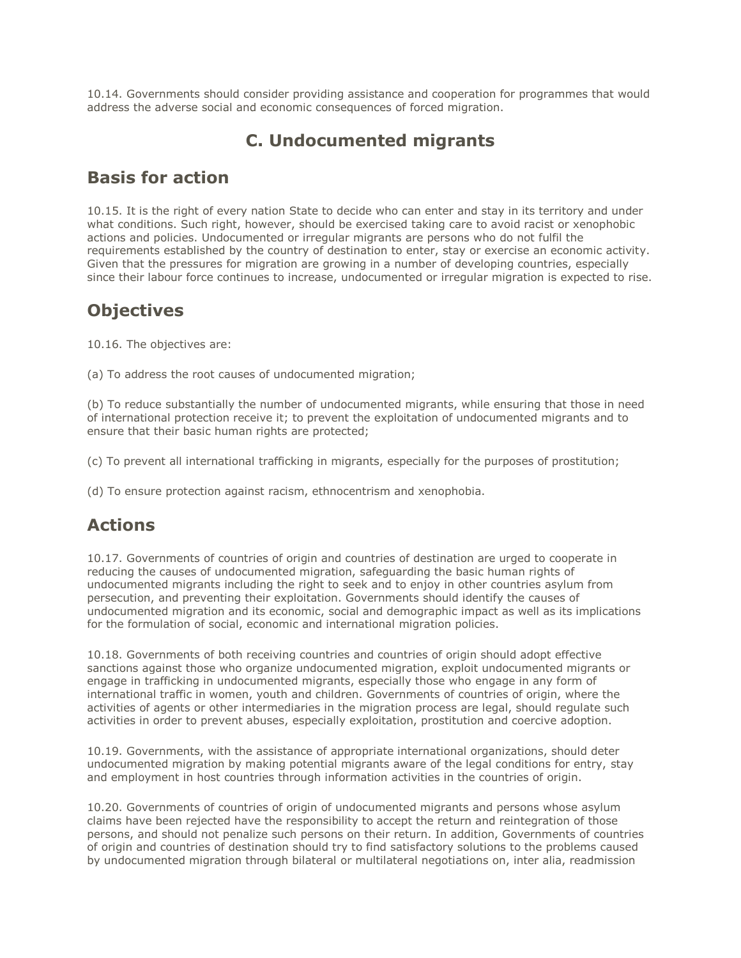10.14. Governments should consider providing assistance and cooperation for programmes that would address the adverse social and economic consequences of forced migration.

## **C. Undocumented migrants**

#### **Basis for action**

10.15. It is the right of every nation State to decide who can enter and stay in its territory and under what conditions. Such right, however, should be exercised taking care to avoid racist or xenophobic actions and policies. Undocumented or irregular migrants are persons who do not fulfil the requirements established by the country of destination to enter, stay or exercise an economic activity. Given that the pressures for migration are growing in a number of developing countries, especially since their labour force continues to increase, undocumented or irregular migration is expected to rise.

### **Objectives**

10.16. The objectives are:

(a) To address the root causes of undocumented migration;

(b) To reduce substantially the number of undocumented migrants, while ensuring that those in need of international protection receive it; to prevent the exploitation of undocumented migrants and to ensure that their basic human rights are protected;

(c) To prevent all international trafficking in migrants, especially for the purposes of prostitution;

(d) To ensure protection against racism, ethnocentrism and xenophobia.

# **Actions**

10.17. Governments of countries of origin and countries of destination are urged to cooperate in reducing the causes of undocumented migration, safeguarding the basic human rights of undocumented migrants including the right to seek and to enjoy in other countries asylum from persecution, and preventing their exploitation. Governments should identify the causes of undocumented migration and its economic, social and demographic impact as well as its implications for the formulation of social, economic and international migration policies.

10.18. Governments of both receiving countries and countries of origin should adopt effective sanctions against those who organize undocumented migration, exploit undocumented migrants or engage in trafficking in undocumented migrants, especially those who engage in any form of international traffic in women, youth and children. Governments of countries of origin, where the activities of agents or other intermediaries in the migration process are legal, should regulate such activities in order to prevent abuses, especially exploitation, prostitution and coercive adoption.

10.19. Governments, with the assistance of appropriate international organizations, should deter undocumented migration by making potential migrants aware of the legal conditions for entry, stay and employment in host countries through information activities in the countries of origin.

10.20. Governments of countries of origin of undocumented migrants and persons whose asylum claims have been rejected have the responsibility to accept the return and reintegration of those persons, and should not penalize such persons on their return. In addition, Governments of countries of origin and countries of destination should try to find satisfactory solutions to the problems caused by undocumented migration through bilateral or multilateral negotiations on, inter alia, readmission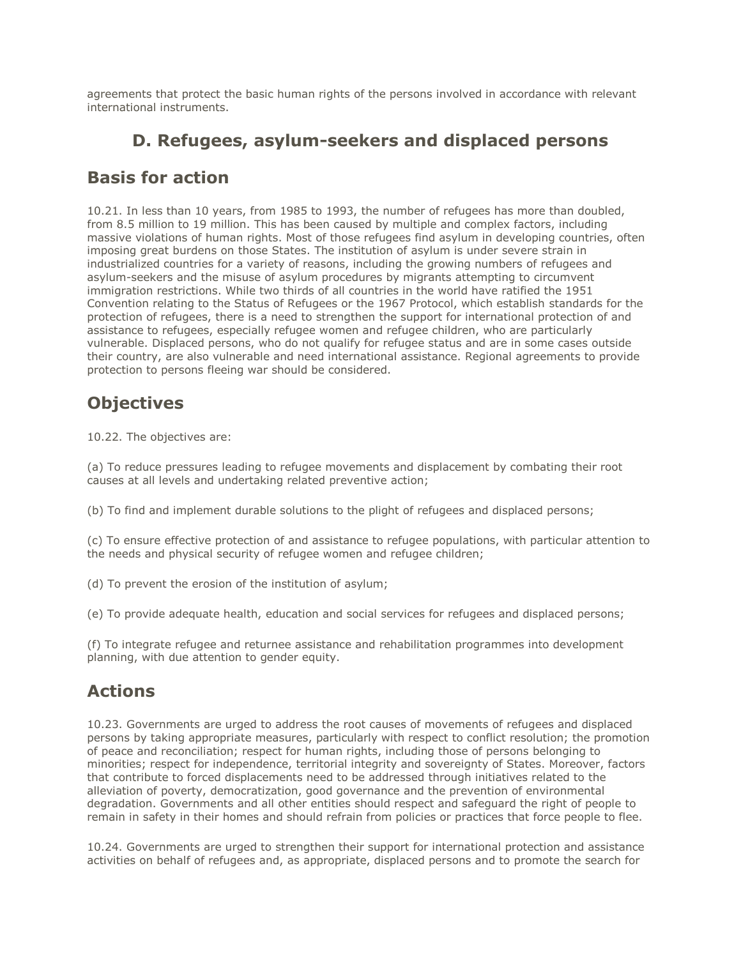agreements that protect the basic human rights of the persons involved in accordance with relevant international instruments.

## **D. Refugees, asylum-seekers and displaced persons**

#### **Basis for action**

10.21. In less than 10 years, from 1985 to 1993, the number of refugees has more than doubled, from 8.5 million to 19 million. This has been caused by multiple and complex factors, including massive violations of human rights. Most of those refugees find asylum in developing countries, often imposing great burdens on those States. The institution of asylum is under severe strain in industrialized countries for a variety of reasons, including the growing numbers of refugees and asylum-seekers and the misuse of asylum procedures by migrants attempting to circumvent immigration restrictions. While two thirds of all countries in the world have ratified the 1951 Convention relating to the Status of Refugees or the 1967 Protocol, which establish standards for the protection of refugees, there is a need to strengthen the support for international protection of and assistance to refugees, especially refugee women and refugee children, who are particularly vulnerable. Displaced persons, who do not qualify for refugee status and are in some cases outside their country, are also vulnerable and need international assistance. Regional agreements to provide protection to persons fleeing war should be considered.

## **Objectives**

10.22. The objectives are:

(a) To reduce pressures leading to refugee movements and displacement by combating their root causes at all levels and undertaking related preventive action;

(b) To find and implement durable solutions to the plight of refugees and displaced persons;

(c) To ensure effective protection of and assistance to refugee populations, with particular attention to the needs and physical security of refugee women and refugee children;

(d) To prevent the erosion of the institution of asylum;

(e) To provide adequate health, education and social services for refugees and displaced persons;

(f) To integrate refugee and returnee assistance and rehabilitation programmes into development planning, with due attention to gender equity.

# **Actions**

10.23. Governments are urged to address the root causes of movements of refugees and displaced persons by taking appropriate measures, particularly with respect to conflict resolution; the promotion of peace and reconciliation; respect for human rights, including those of persons belonging to minorities; respect for independence, territorial integrity and sovereignty of States. Moreover, factors that contribute to forced displacements need to be addressed through initiatives related to the alleviation of poverty, democratization, good governance and the prevention of environmental degradation. Governments and all other entities should respect and safeguard the right of people to remain in safety in their homes and should refrain from policies or practices that force people to flee.

10.24. Governments are urged to strengthen their support for international protection and assistance activities on behalf of refugees and, as appropriate, displaced persons and to promote the search for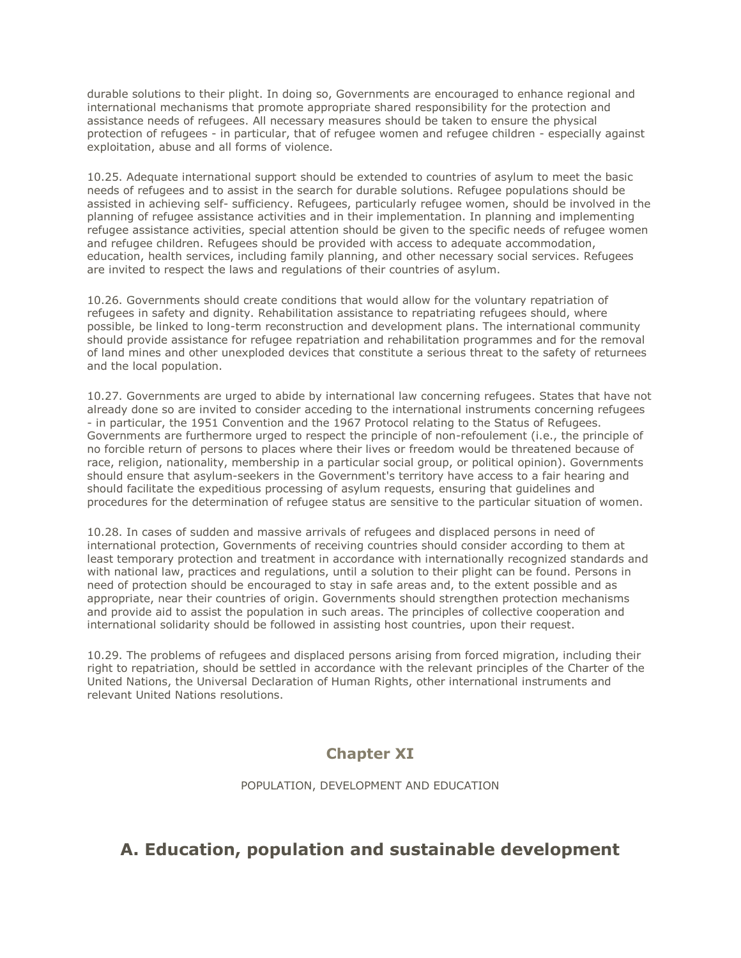durable solutions to their plight. In doing so, Governments are encouraged to enhance regional and international mechanisms that promote appropriate shared responsibility for the protection and assistance needs of refugees. All necessary measures should be taken to ensure the physical protection of refugees - in particular, that of refugee women and refugee children - especially against exploitation, abuse and all forms of violence.

10.25. Adequate international support should be extended to countries of asylum to meet the basic needs of refugees and to assist in the search for durable solutions. Refugee populations should be assisted in achieving self- sufficiency. Refugees, particularly refugee women, should be involved in the planning of refugee assistance activities and in their implementation. In planning and implementing refugee assistance activities, special attention should be given to the specific needs of refugee women and refugee children. Refugees should be provided with access to adequate accommodation, education, health services, including family planning, and other necessary social services. Refugees are invited to respect the laws and regulations of their countries of asylum.

10.26. Governments should create conditions that would allow for the voluntary repatriation of refugees in safety and dignity. Rehabilitation assistance to repatriating refugees should, where possible, be linked to long-term reconstruction and development plans. The international community should provide assistance for refugee repatriation and rehabilitation programmes and for the removal of land mines and other unexploded devices that constitute a serious threat to the safety of returnees and the local population.

10.27. Governments are urged to abide by international law concerning refugees. States that have not already done so are invited to consider acceding to the international instruments concerning refugees - in particular, the 1951 Convention and the 1967 Protocol relating to the Status of Refugees. Governments are furthermore urged to respect the principle of non-refoulement (i.e., the principle of no forcible return of persons to places where their lives or freedom would be threatened because of race, religion, nationality, membership in a particular social group, or political opinion). Governments should ensure that asylum-seekers in the Government's territory have access to a fair hearing and should facilitate the expeditious processing of asylum requests, ensuring that guidelines and procedures for the determination of refugee status are sensitive to the particular situation of women.

10.28. In cases of sudden and massive arrivals of refugees and displaced persons in need of international protection, Governments of receiving countries should consider according to them at least temporary protection and treatment in accordance with internationally recognized standards and with national law, practices and regulations, until a solution to their plight can be found. Persons in need of protection should be encouraged to stay in safe areas and, to the extent possible and as appropriate, near their countries of origin. Governments should strengthen protection mechanisms and provide aid to assist the population in such areas. The principles of collective cooperation and international solidarity should be followed in assisting host countries, upon their request.

10.29. The problems of refugees and displaced persons arising from forced migration, including their right to repatriation, should be settled in accordance with the relevant principles of the Charter of the United Nations, the Universal Declaration of Human Rights, other international instruments and relevant United Nations resolutions.

#### **Chapter XI**

POPULATION, DEVELOPMENT AND EDUCATION

#### **A. Education, population and sustainable development**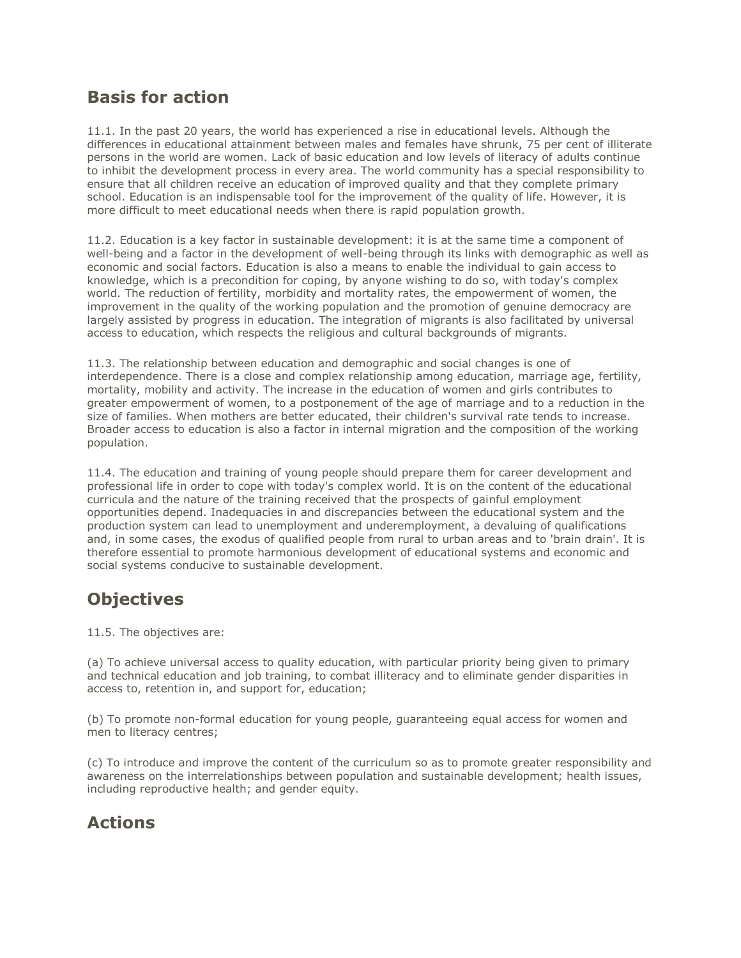#### **Basis for action**

11.1. In the past 20 years, the world has experienced a rise in educational levels. Although the differences in educational attainment between males and females have shrunk, 75 per cent of illiterate persons in the world are women. Lack of basic education and low levels of literacy of adults continue to inhibit the development process in every area. The world community has a special responsibility to ensure that all children receive an education of improved quality and that they complete primary school. Education is an indispensable tool for the improvement of the quality of life. However, it is more difficult to meet educational needs when there is rapid population growth.

11.2. Education is a key factor in sustainable development: it is at the same time a component of well-being and a factor in the development of well-being through its links with demographic as well as economic and social factors. Education is also a means to enable the individual to gain access to knowledge, which is a precondition for coping, by anyone wishing to do so, with today's complex world. The reduction of fertility, morbidity and mortality rates, the empowerment of women, the improvement in the quality of the working population and the promotion of genuine democracy are largely assisted by progress in education. The integration of migrants is also facilitated by universal access to education, which respects the religious and cultural backgrounds of migrants.

11.3. The relationship between education and demographic and social changes is one of interdependence. There is a close and complex relationship among education, marriage age, fertility, mortality, mobility and activity. The increase in the education of women and girls contributes to greater empowerment of women, to a postponement of the age of marriage and to a reduction in the size of families. When mothers are better educated, their children's survival rate tends to increase. Broader access to education is also a factor in internal migration and the composition of the working population.

11.4. The education and training of young people should prepare them for career development and professional life in order to cope with today's complex world. It is on the content of the educational curricula and the nature of the training received that the prospects of gainful employment opportunities depend. Inadequacies in and discrepancies between the educational system and the production system can lead to unemployment and underemployment, a devaluing of qualifications and, in some cases, the exodus of qualified people from rural to urban areas and to 'brain drain'. It is therefore essential to promote harmonious development of educational systems and economic and social systems conducive to sustainable development.

### **Objectives**

11.5. The objectives are:

(a) To achieve universal access to quality education, with particular priority being given to primary and technical education and job training, to combat illiteracy and to eliminate gender disparities in access to, retention in, and support for, education;

(b) To promote non-formal education for young people, guaranteeing equal access for women and men to literacy centres;

(c) To introduce and improve the content of the curriculum so as to promote greater responsibility and awareness on the interrelationships between population and sustainable development; health issues, including reproductive health; and gender equity.

### **Actions**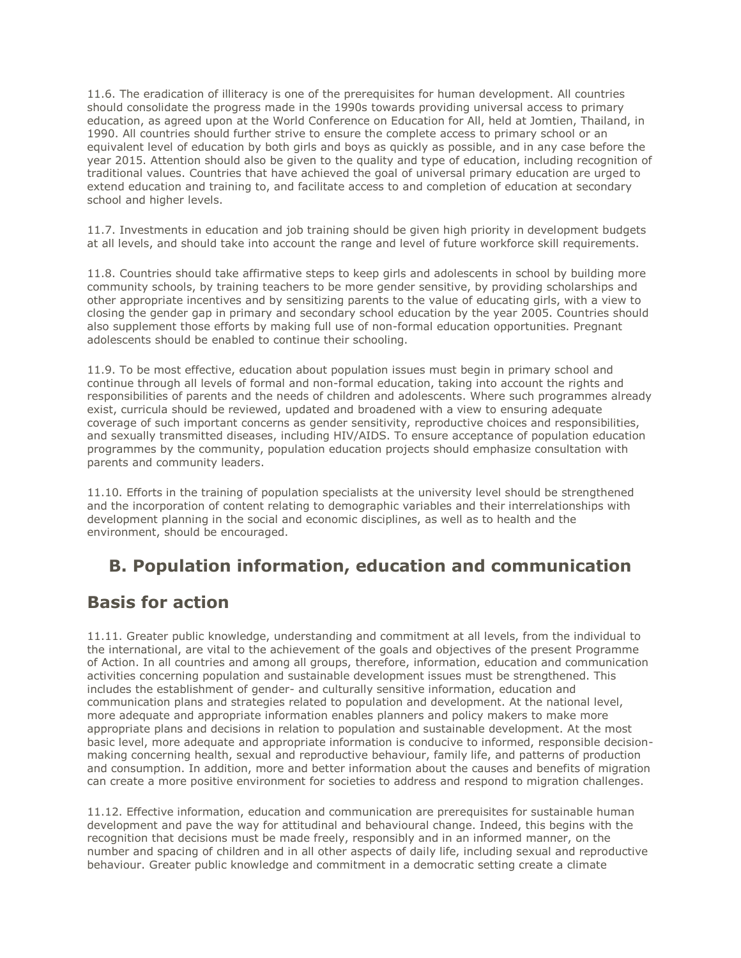11.6. The eradication of illiteracy is one of the prerequisites for human development. All countries should consolidate the progress made in the 1990s towards providing universal access to primary education, as agreed upon at the World Conference on Education for All, held at Jomtien, Thailand, in 1990. All countries should further strive to ensure the complete access to primary school or an equivalent level of education by both girls and boys as quickly as possible, and in any case before the year 2015. Attention should also be given to the quality and type of education, including recognition of traditional values. Countries that have achieved the goal of universal primary education are urged to extend education and training to, and facilitate access to and completion of education at secondary school and higher levels.

11.7. Investments in education and job training should be given high priority in development budgets at all levels, and should take into account the range and level of future workforce skill requirements.

11.8. Countries should take affirmative steps to keep girls and adolescents in school by building more community schools, by training teachers to be more gender sensitive, by providing scholarships and other appropriate incentives and by sensitizing parents to the value of educating girls, with a view to closing the gender gap in primary and secondary school education by the year 2005. Countries should also supplement those efforts by making full use of non-formal education opportunities. Pregnant adolescents should be enabled to continue their schooling.

11.9. To be most effective, education about population issues must begin in primary school and continue through all levels of formal and non-formal education, taking into account the rights and responsibilities of parents and the needs of children and adolescents. Where such programmes already exist, curricula should be reviewed, updated and broadened with a view to ensuring adequate coverage of such important concerns as gender sensitivity, reproductive choices and responsibilities, and sexually transmitted diseases, including HIV/AIDS. To ensure acceptance of population education programmes by the community, population education projects should emphasize consultation with parents and community leaders.

11.10. Efforts in the training of population specialists at the university level should be strengthened and the incorporation of content relating to demographic variables and their interrelationships with development planning in the social and economic disciplines, as well as to health and the environment, should be encouraged.

### **B. Population information, education and communication**

#### **Basis for action**

11.11. Greater public knowledge, understanding and commitment at all levels, from the individual to the international, are vital to the achievement of the goals and objectives of the present Programme of Action. In all countries and among all groups, therefore, information, education and communication activities concerning population and sustainable development issues must be strengthened. This includes the establishment of gender- and culturally sensitive information, education and communication plans and strategies related to population and development. At the national level, more adequate and appropriate information enables planners and policy makers to make more appropriate plans and decisions in relation to population and sustainable development. At the most basic level, more adequate and appropriate information is conducive to informed, responsible decisionmaking concerning health, sexual and reproductive behaviour, family life, and patterns of production and consumption. In addition, more and better information about the causes and benefits of migration can create a more positive environment for societies to address and respond to migration challenges.

11.12. Effective information, education and communication are prerequisites for sustainable human development and pave the way for attitudinal and behavioural change. Indeed, this begins with the recognition that decisions must be made freely, responsibly and in an informed manner, on the number and spacing of children and in all other aspects of daily life, including sexual and reproductive behaviour. Greater public knowledge and commitment in a democratic setting create a climate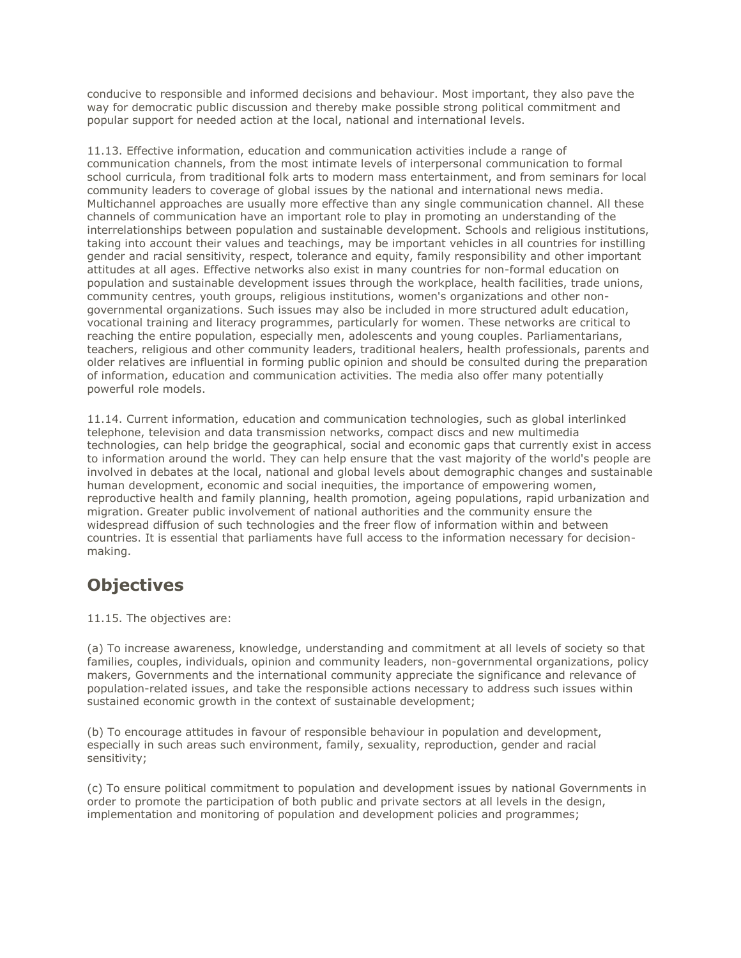conducive to responsible and informed decisions and behaviour. Most important, they also pave the way for democratic public discussion and thereby make possible strong political commitment and popular support for needed action at the local, national and international levels.

11.13. Effective information, education and communication activities include a range of communication channels, from the most intimate levels of interpersonal communication to formal school curricula, from traditional folk arts to modern mass entertainment, and from seminars for local community leaders to coverage of global issues by the national and international news media. Multichannel approaches are usually more effective than any single communication channel. All these channels of communication have an important role to play in promoting an understanding of the interrelationships between population and sustainable development. Schools and religious institutions, taking into account their values and teachings, may be important vehicles in all countries for instilling gender and racial sensitivity, respect, tolerance and equity, family responsibility and other important attitudes at all ages. Effective networks also exist in many countries for non-formal education on population and sustainable development issues through the workplace, health facilities, trade unions, community centres, youth groups, religious institutions, women's organizations and other nongovernmental organizations. Such issues may also be included in more structured adult education, vocational training and literacy programmes, particularly for women. These networks are critical to reaching the entire population, especially men, adolescents and young couples. Parliamentarians, teachers, religious and other community leaders, traditional healers, health professionals, parents and older relatives are influential in forming public opinion and should be consulted during the preparation of information, education and communication activities. The media also offer many potentially powerful role models.

11.14. Current information, education and communication technologies, such as global interlinked telephone, television and data transmission networks, compact discs and new multimedia technologies, can help bridge the geographical, social and economic gaps that currently exist in access to information around the world. They can help ensure that the vast majority of the world's people are involved in debates at the local, national and global levels about demographic changes and sustainable human development, economic and social inequities, the importance of empowering women, reproductive health and family planning, health promotion, ageing populations, rapid urbanization and migration. Greater public involvement of national authorities and the community ensure the widespread diffusion of such technologies and the freer flow of information within and between countries. It is essential that parliaments have full access to the information necessary for decisionmaking.

## **Objectives**

11.15. The objectives are:

(a) To increase awareness, knowledge, understanding and commitment at all levels of society so that families, couples, individuals, opinion and community leaders, non-governmental organizations, policy makers, Governments and the international community appreciate the significance and relevance of population-related issues, and take the responsible actions necessary to address such issues within sustained economic growth in the context of sustainable development;

(b) To encourage attitudes in favour of responsible behaviour in population and development, especially in such areas such environment, family, sexuality, reproduction, gender and racial sensitivity;

(c) To ensure political commitment to population and development issues by national Governments in order to promote the participation of both public and private sectors at all levels in the design, implementation and monitoring of population and development policies and programmes;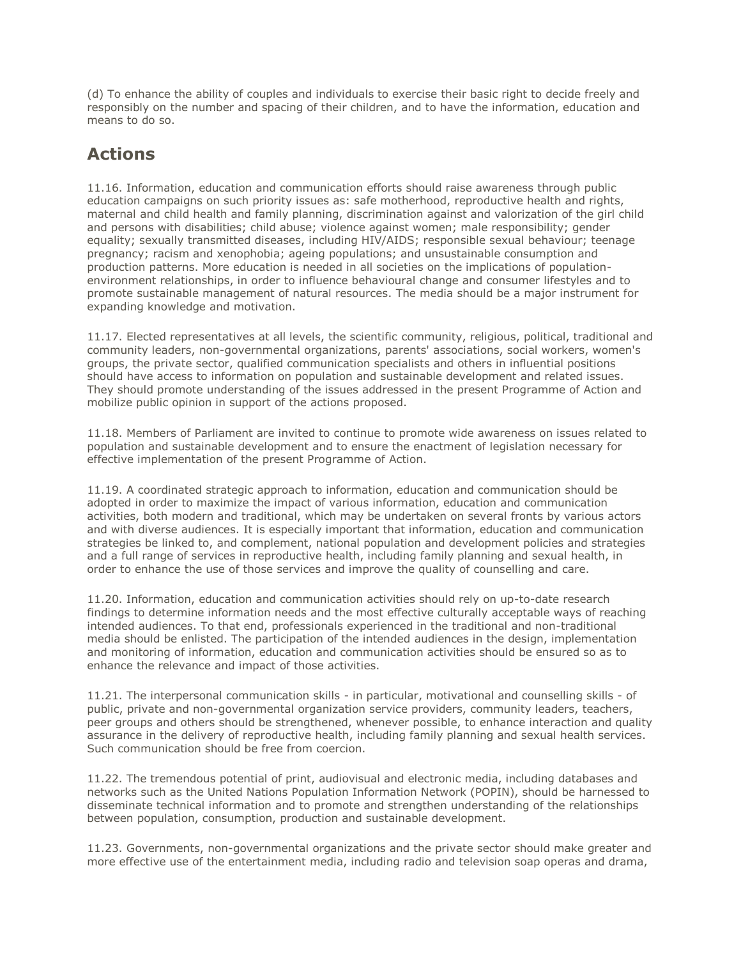(d) To enhance the ability of couples and individuals to exercise their basic right to decide freely and responsibly on the number and spacing of their children, and to have the information, education and means to do so.

## **Actions**

11.16. Information, education and communication efforts should raise awareness through public education campaigns on such priority issues as: safe motherhood, reproductive health and rights, maternal and child health and family planning, discrimination against and valorization of the girl child and persons with disabilities; child abuse; violence against women; male responsibility; gender equality; sexually transmitted diseases, including HIV/AIDS; responsible sexual behaviour; teenage pregnancy; racism and xenophobia; ageing populations; and unsustainable consumption and production patterns. More education is needed in all societies on the implications of populationenvironment relationships, in order to influence behavioural change and consumer lifestyles and to promote sustainable management of natural resources. The media should be a major instrument for expanding knowledge and motivation.

11.17. Elected representatives at all levels, the scientific community, religious, political, traditional and community leaders, non-governmental organizations, parents' associations, social workers, women's groups, the private sector, qualified communication specialists and others in influential positions should have access to information on population and sustainable development and related issues. They should promote understanding of the issues addressed in the present Programme of Action and mobilize public opinion in support of the actions proposed.

11.18. Members of Parliament are invited to continue to promote wide awareness on issues related to population and sustainable development and to ensure the enactment of legislation necessary for effective implementation of the present Programme of Action.

11.19. A coordinated strategic approach to information, education and communication should be adopted in order to maximize the impact of various information, education and communication activities, both modern and traditional, which may be undertaken on several fronts by various actors and with diverse audiences. It is especially important that information, education and communication strategies be linked to, and complement, national population and development policies and strategies and a full range of services in reproductive health, including family planning and sexual health, in order to enhance the use of those services and improve the quality of counselling and care.

11.20. Information, education and communication activities should rely on up-to-date research findings to determine information needs and the most effective culturally acceptable ways of reaching intended audiences. To that end, professionals experienced in the traditional and non-traditional media should be enlisted. The participation of the intended audiences in the design, implementation and monitoring of information, education and communication activities should be ensured so as to enhance the relevance and impact of those activities.

11.21. The interpersonal communication skills - in particular, motivational and counselling skills - of public, private and non-governmental organization service providers, community leaders, teachers, peer groups and others should be strengthened, whenever possible, to enhance interaction and quality assurance in the delivery of reproductive health, including family planning and sexual health services. Such communication should be free from coercion.

11.22. The tremendous potential of print, audiovisual and electronic media, including databases and networks such as the United Nations Population Information Network (POPIN), should be harnessed to disseminate technical information and to promote and strengthen understanding of the relationships between population, consumption, production and sustainable development.

11.23. Governments, non-governmental organizations and the private sector should make greater and more effective use of the entertainment media, including radio and television soap operas and drama,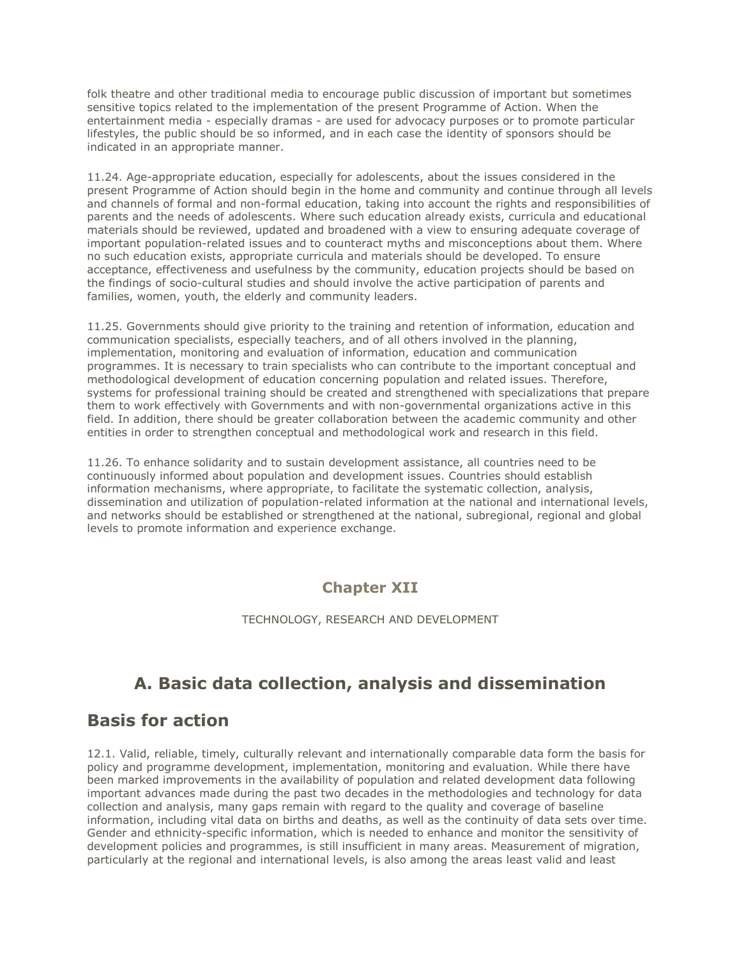folk theatre and other traditional media to encourage public discussion of important but sometimes sensitive topics related to the implementation of the present Programme of Action. When the entertainment media - especially dramas - are used for advocacy purposes or to promote particular lifestyles, the public should be so informed, and in each case the identity of sponsors should be indicated in an appropriate manner.

11.24. Age-appropriate education, especially for adolescents, about the issues considered in the present Programme of Action should begin in the home and community and continue through all levels and channels of formal and non-formal education, taking into account the rights and responsibilities of parents and the needs of adolescents. Where such education already exists, curricula and educational materials should be reviewed, updated and broadened with a view to ensuring adequate coverage of important population-related issues and to counteract myths and misconceptions about them. Where no such education exists, appropriate curricula and materials should be developed. To ensure acceptance, effectiveness and usefulness by the community, education projects should be based on the findings of socio-cultural studies and should involve the active participation of parents and families, women, youth, the elderly and community leaders.

11.25. Governments should give priority to the training and retention of information, education and communication specialists, especially teachers, and of all others involved in the planning, implementation, monitoring and evaluation of information, education and communication programmes. It is necessary to train specialists who can contribute to the important conceptual and methodological development of education concerning population and related issues. Therefore, systems for professional training should be created and strengthened with specializations that prepare them to work effectively with Governments and with non-governmental organizations active in this field. In addition, there should be greater collaboration between the academic community and other entities in order to strengthen conceptual and methodological work and research in this field.

11.26. To enhance solidarity and to sustain development assistance, all countries need to be continuously informed about population and development issues. Countries should establish information mechanisms, where appropriate, to facilitate the systematic collection, analysis, dissemination and utilization of population-related information at the national and international levels, and networks should be established or strengthened at the national, subregional, regional and global levels to promote information and experience exchange.

#### **Chapter XII**

TECHNOLOGY, RESEARCH AND DEVELOPMENT

## **A. Basic data collection, analysis and dissemination**

#### **Basis for action**

12.1. Valid, reliable, timely, culturally relevant and internationally comparable data form the basis for policy and programme development, implementation, monitoring and evaluation. While there have been marked improvements in the availability of population and related development data following important advances made during the past two decades in the methodologies and technology for data collection and analysis, many gaps remain with regard to the quality and coverage of baseline information, including vital data on births and deaths, as well as the continuity of data sets over time. Gender and ethnicity-specific information, which is needed to enhance and monitor the sensitivity of development policies and programmes, is still insufficient in many areas. Measurement of migration, particularly at the regional and international levels, is also among the areas least valid and least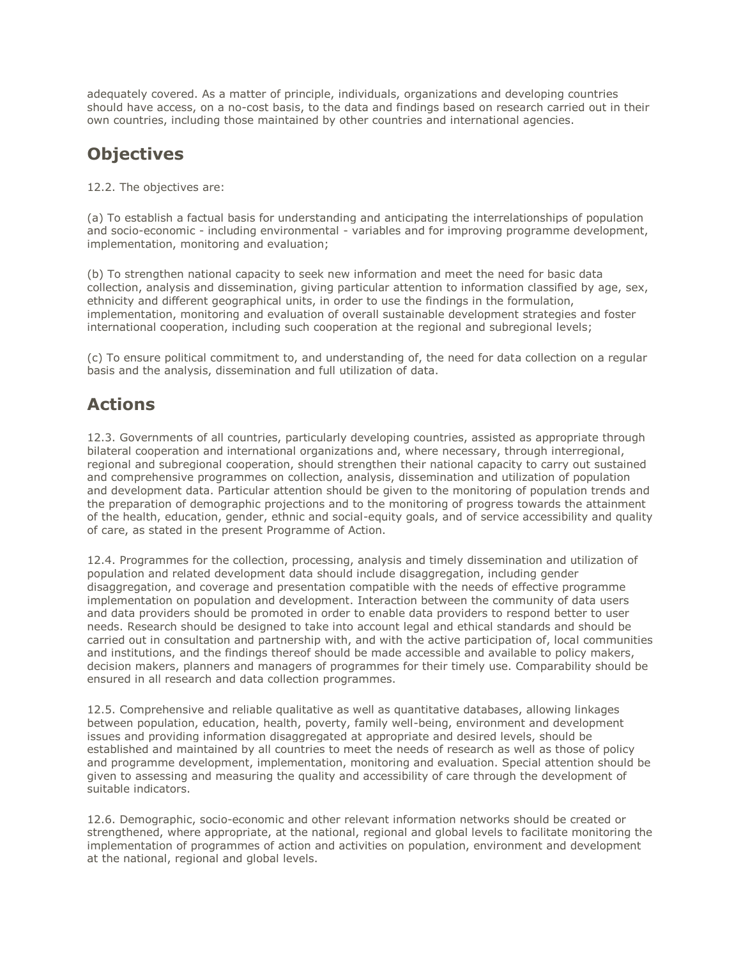adequately covered. As a matter of principle, individuals, organizations and developing countries should have access, on a no-cost basis, to the data and findings based on research carried out in their own countries, including those maintained by other countries and international agencies.

## **Objectives**

12.2. The objectives are:

(a) To establish a factual basis for understanding and anticipating the interrelationships of population and socio-economic - including environmental - variables and for improving programme development, implementation, monitoring and evaluation;

(b) To strengthen national capacity to seek new information and meet the need for basic data collection, analysis and dissemination, giving particular attention to information classified by age, sex, ethnicity and different geographical units, in order to use the findings in the formulation, implementation, monitoring and evaluation of overall sustainable development strategies and foster international cooperation, including such cooperation at the regional and subregional levels;

(c) To ensure political commitment to, and understanding of, the need for data collection on a regular basis and the analysis, dissemination and full utilization of data.

## **Actions**

12.3. Governments of all countries, particularly developing countries, assisted as appropriate through bilateral cooperation and international organizations and, where necessary, through interregional, regional and subregional cooperation, should strengthen their national capacity to carry out sustained and comprehensive programmes on collection, analysis, dissemination and utilization of population and development data. Particular attention should be given to the monitoring of population trends and the preparation of demographic projections and to the monitoring of progress towards the attainment of the health, education, gender, ethnic and social-equity goals, and of service accessibility and quality of care, as stated in the present Programme of Action.

12.4. Programmes for the collection, processing, analysis and timely dissemination and utilization of population and related development data should include disaggregation, including gender disaggregation, and coverage and presentation compatible with the needs of effective programme implementation on population and development. Interaction between the community of data users and data providers should be promoted in order to enable data providers to respond better to user needs. Research should be designed to take into account legal and ethical standards and should be carried out in consultation and partnership with, and with the active participation of, local communities and institutions, and the findings thereof should be made accessible and available to policy makers, decision makers, planners and managers of programmes for their timely use. Comparability should be ensured in all research and data collection programmes.

12.5. Comprehensive and reliable qualitative as well as quantitative databases, allowing linkages between population, education, health, poverty, family well-being, environment and development issues and providing information disaggregated at appropriate and desired levels, should be established and maintained by all countries to meet the needs of research as well as those of policy and programme development, implementation, monitoring and evaluation. Special attention should be given to assessing and measuring the quality and accessibility of care through the development of suitable indicators.

12.6. Demographic, socio-economic and other relevant information networks should be created or strengthened, where appropriate, at the national, regional and global levels to facilitate monitoring the implementation of programmes of action and activities on population, environment and development at the national, regional and global levels.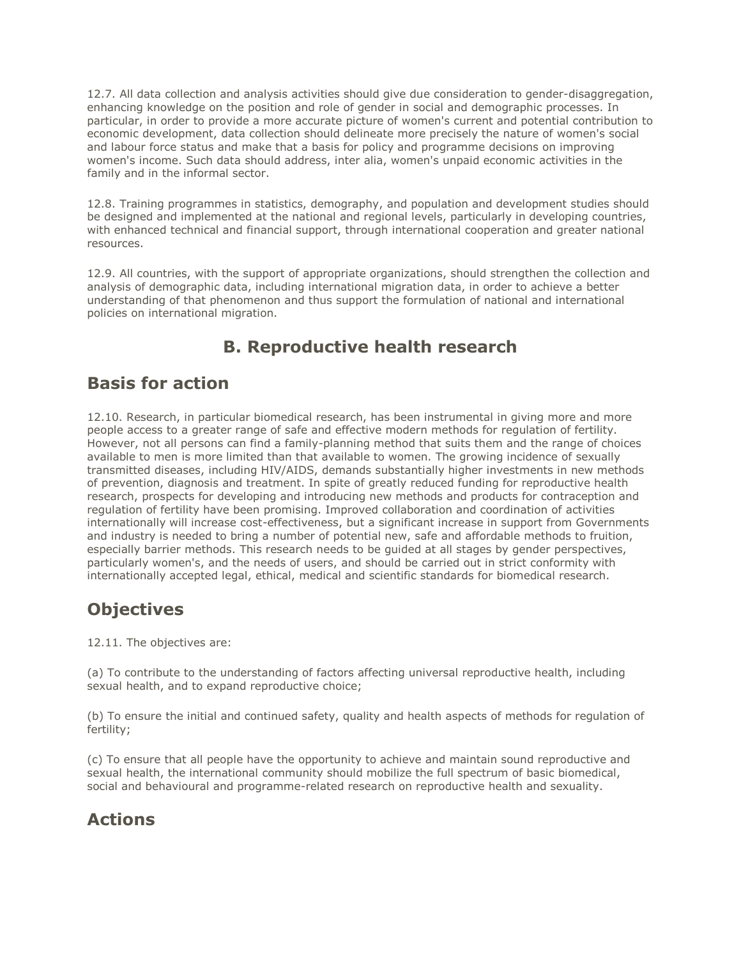12.7. All data collection and analysis activities should give due consideration to gender-disaggregation, enhancing knowledge on the position and role of gender in social and demographic processes. In particular, in order to provide a more accurate picture of women's current and potential contribution to economic development, data collection should delineate more precisely the nature of women's social and labour force status and make that a basis for policy and programme decisions on improving women's income. Such data should address, inter alia, women's unpaid economic activities in the family and in the informal sector.

12.8. Training programmes in statistics, demography, and population and development studies should be designed and implemented at the national and regional levels, particularly in developing countries, with enhanced technical and financial support, through international cooperation and greater national resources.

12.9. All countries, with the support of appropriate organizations, should strengthen the collection and analysis of demographic data, including international migration data, in order to achieve a better understanding of that phenomenon and thus support the formulation of national and international policies on international migration.

## **B. Reproductive health research**

### **Basis for action**

12.10. Research, in particular biomedical research, has been instrumental in giving more and more people access to a greater range of safe and effective modern methods for regulation of fertility. However, not all persons can find a family-planning method that suits them and the range of choices available to men is more limited than that available to women. The growing incidence of sexually transmitted diseases, including HIV/AIDS, demands substantially higher investments in new methods of prevention, diagnosis and treatment. In spite of greatly reduced funding for reproductive health research, prospects for developing and introducing new methods and products for contraception and regulation of fertility have been promising. Improved collaboration and coordination of activities internationally will increase cost-effectiveness, but a significant increase in support from Governments and industry is needed to bring a number of potential new, safe and affordable methods to fruition, especially barrier methods. This research needs to be guided at all stages by gender perspectives, particularly women's, and the needs of users, and should be carried out in strict conformity with internationally accepted legal, ethical, medical and scientific standards for biomedical research.

## **Objectives**

12.11. The objectives are:

(a) To contribute to the understanding of factors affecting universal reproductive health, including sexual health, and to expand reproductive choice;

(b) To ensure the initial and continued safety, quality and health aspects of methods for regulation of fertility;

(c) To ensure that all people have the opportunity to achieve and maintain sound reproductive and sexual health, the international community should mobilize the full spectrum of basic biomedical, social and behavioural and programme-related research on reproductive health and sexuality.

## **Actions**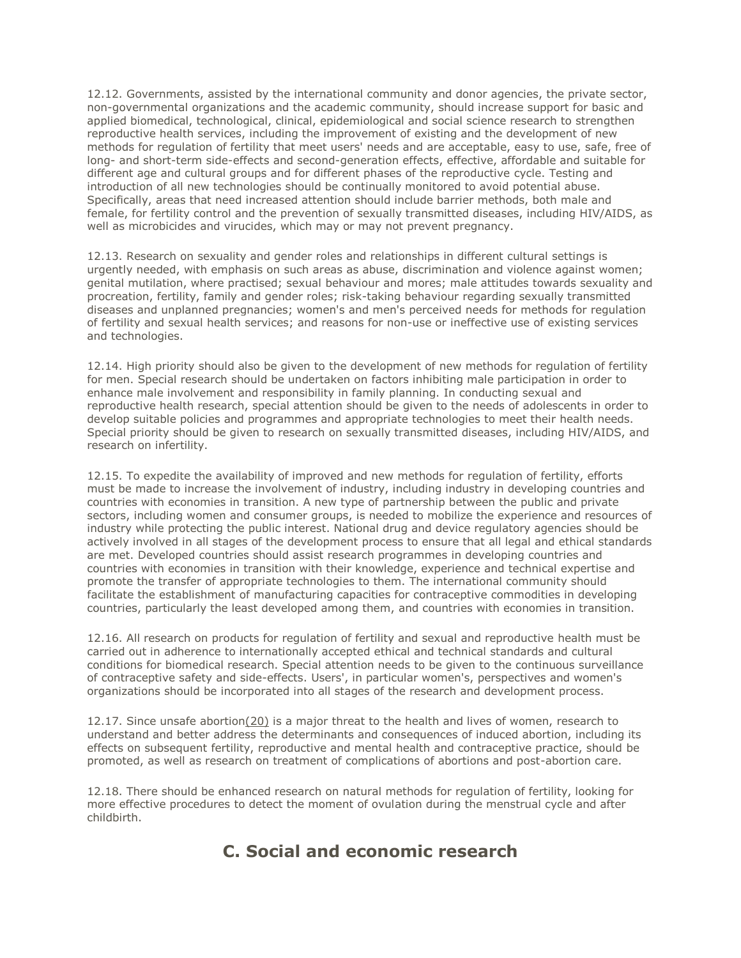12.12. Governments, assisted by the international community and donor agencies, the private sector, non-governmental organizations and the academic community, should increase support for basic and applied biomedical, technological, clinical, epidemiological and social science research to strengthen reproductive health services, including the improvement of existing and the development of new methods for regulation of fertility that meet users' needs and are acceptable, easy to use, safe, free of long- and short-term side-effects and second-generation effects, effective, affordable and suitable for different age and cultural groups and for different phases of the reproductive cycle. Testing and introduction of all new technologies should be continually monitored to avoid potential abuse. Specifically, areas that need increased attention should include barrier methods, both male and female, for fertility control and the prevention of sexually transmitted diseases, including HIV/AIDS, as well as microbicides and virucides, which may or may not prevent pregnancy.

12.13. Research on sexuality and gender roles and relationships in different cultural settings is urgently needed, with emphasis on such areas as abuse, discrimination and violence against women; genital mutilation, where practised; sexual behaviour and mores; male attitudes towards sexuality and procreation, fertility, family and gender roles; risk-taking behaviour regarding sexually transmitted diseases and unplanned pregnancies; women's and men's perceived needs for methods for regulation of fertility and sexual health services; and reasons for non-use or ineffective use of existing services and technologies.

12.14. High priority should also be given to the development of new methods for regulation of fertility for men. Special research should be undertaken on factors inhibiting male participation in order to enhance male involvement and responsibility in family planning. In conducting sexual and reproductive health research, special attention should be given to the needs of adolescents in order to develop suitable policies and programmes and appropriate technologies to meet their health needs. Special priority should be given to research on sexually transmitted diseases, including HIV/AIDS, and research on infertility.

12.15. To expedite the availability of improved and new methods for regulation of fertility, efforts must be made to increase the involvement of industry, including industry in developing countries and countries with economies in transition. A new type of partnership between the public and private sectors, including women and consumer groups, is needed to mobilize the experience and resources of industry while protecting the public interest. National drug and device regulatory agencies should be actively involved in all stages of the development process to ensure that all legal and ethical standards are met. Developed countries should assist research programmes in developing countries and countries with economies in transition with their knowledge, experience and technical expertise and promote the transfer of appropriate technologies to them. The international community should facilitate the establishment of manufacturing capacities for contraceptive commodities in developing countries, particularly the least developed among them, and countries with economies in transition.

12.16. All research on products for regulation of fertility and sexual and reproductive health must be carried out in adherence to internationally accepted ethical and technical standards and cultural conditions for biomedical research. Special attention needs to be given to the continuous surveillance of contraceptive safety and side-effects. Users', in particular women's, perspectives and women's organizations should be incorporated into all stages of the research and development process.

12.17. Since unsafe abortio[n\(20\)](http://www.unfpa.org/public/icpd/pid/5066#20) is a major threat to the health and lives of women, research to understand and better address the determinants and consequences of induced abortion, including its effects on subsequent fertility, reproductive and mental health and contraceptive practice, should be promoted, as well as research on treatment of complications of abortions and post-abortion care.

12.18. There should be enhanced research on natural methods for regulation of fertility, looking for more effective procedures to detect the moment of ovulation during the menstrual cycle and after childbirth.

#### **C. Social and economic research**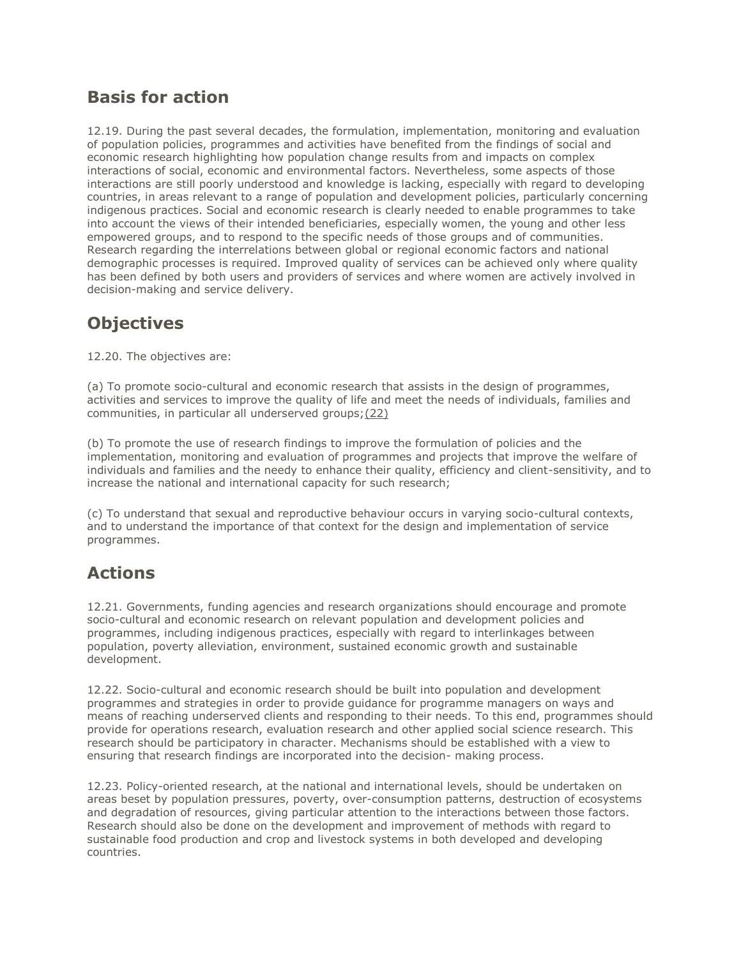### **Basis for action**

12.19. During the past several decades, the formulation, implementation, monitoring and evaluation of population policies, programmes and activities have benefited from the findings of social and economic research highlighting how population change results from and impacts on complex interactions of social, economic and environmental factors. Nevertheless, some aspects of those interactions are still poorly understood and knowledge is lacking, especially with regard to developing countries, in areas relevant to a range of population and development policies, particularly concerning indigenous practices. Social and economic research is clearly needed to enable programmes to take into account the views of their intended beneficiaries, especially women, the young and other less empowered groups, and to respond to the specific needs of those groups and of communities. Research regarding the interrelations between global or regional economic factors and national demographic processes is required. Improved quality of services can be achieved only where quality has been defined by both users and providers of services and where women are actively involved in decision-making and service delivery.

## **Objectives**

12.20. The objectives are:

(a) To promote socio-cultural and economic research that assists in the design of programmes, activities and services to improve the quality of life and meet the needs of individuals, families and communities, in particular all underserved groups[;\(22\)](http://www.unfpa.org/public/icpd/pid/5066#22)

(b) To promote the use of research findings to improve the formulation of policies and the implementation, monitoring and evaluation of programmes and projects that improve the welfare of individuals and families and the needy to enhance their quality, efficiency and client-sensitivity, and to increase the national and international capacity for such research;

(c) To understand that sexual and reproductive behaviour occurs in varying socio-cultural contexts, and to understand the importance of that context for the design and implementation of service programmes.

## **Actions**

12.21. Governments, funding agencies and research organizations should encourage and promote socio-cultural and economic research on relevant population and development policies and programmes, including indigenous practices, especially with regard to interlinkages between population, poverty alleviation, environment, sustained economic growth and sustainable development.

12.22. Socio-cultural and economic research should be built into population and development programmes and strategies in order to provide guidance for programme managers on ways and means of reaching underserved clients and responding to their needs. To this end, programmes should provide for operations research, evaluation research and other applied social science research. This research should be participatory in character. Mechanisms should be established with a view to ensuring that research findings are incorporated into the decision- making process.

12.23. Policy-oriented research, at the national and international levels, should be undertaken on areas beset by population pressures, poverty, over-consumption patterns, destruction of ecosystems and degradation of resources, giving particular attention to the interactions between those factors. Research should also be done on the development and improvement of methods with regard to sustainable food production and crop and livestock systems in both developed and developing countries.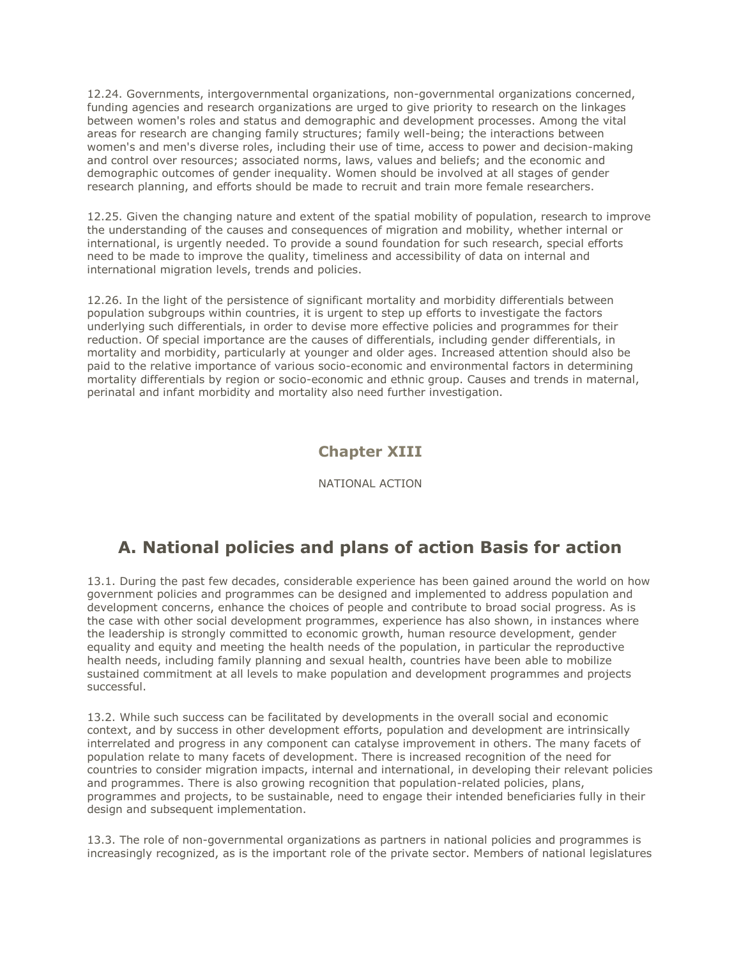12.24. Governments, intergovernmental organizations, non-governmental organizations concerned, funding agencies and research organizations are urged to give priority to research on the linkages between women's roles and status and demographic and development processes. Among the vital areas for research are changing family structures; family well-being; the interactions between women's and men's diverse roles, including their use of time, access to power and decision-making and control over resources; associated norms, laws, values and beliefs; and the economic and demographic outcomes of gender inequality. Women should be involved at all stages of gender research planning, and efforts should be made to recruit and train more female researchers.

12.25. Given the changing nature and extent of the spatial mobility of population, research to improve the understanding of the causes and consequences of migration and mobility, whether internal or international, is urgently needed. To provide a sound foundation for such research, special efforts need to be made to improve the quality, timeliness and accessibility of data on internal and international migration levels, trends and policies.

12.26. In the light of the persistence of significant mortality and morbidity differentials between population subgroups within countries, it is urgent to step up efforts to investigate the factors underlying such differentials, in order to devise more effective policies and programmes for their reduction. Of special importance are the causes of differentials, including gender differentials, in mortality and morbidity, particularly at younger and older ages. Increased attention should also be paid to the relative importance of various socio-economic and environmental factors in determining mortality differentials by region or socio-economic and ethnic group. Causes and trends in maternal, perinatal and infant morbidity and mortality also need further investigation.

#### **Chapter XIII**

NATIONAL ACTION

## **A. National policies and plans of action Basis for action**

13.1. During the past few decades, considerable experience has been gained around the world on how government policies and programmes can be designed and implemented to address population and development concerns, enhance the choices of people and contribute to broad social progress. As is the case with other social development programmes, experience has also shown, in instances where the leadership is strongly committed to economic growth, human resource development, gender equality and equity and meeting the health needs of the population, in particular the reproductive health needs, including family planning and sexual health, countries have been able to mobilize sustained commitment at all levels to make population and development programmes and projects successful.

13.2. While such success can be facilitated by developments in the overall social and economic context, and by success in other development efforts, population and development are intrinsically interrelated and progress in any component can catalyse improvement in others. The many facets of population relate to many facets of development. There is increased recognition of the need for countries to consider migration impacts, internal and international, in developing their relevant policies and programmes. There is also growing recognition that population-related policies, plans, programmes and projects, to be sustainable, need to engage their intended beneficiaries fully in their design and subsequent implementation.

13.3. The role of non-governmental organizations as partners in national policies and programmes is increasingly recognized, as is the important role of the private sector. Members of national legislatures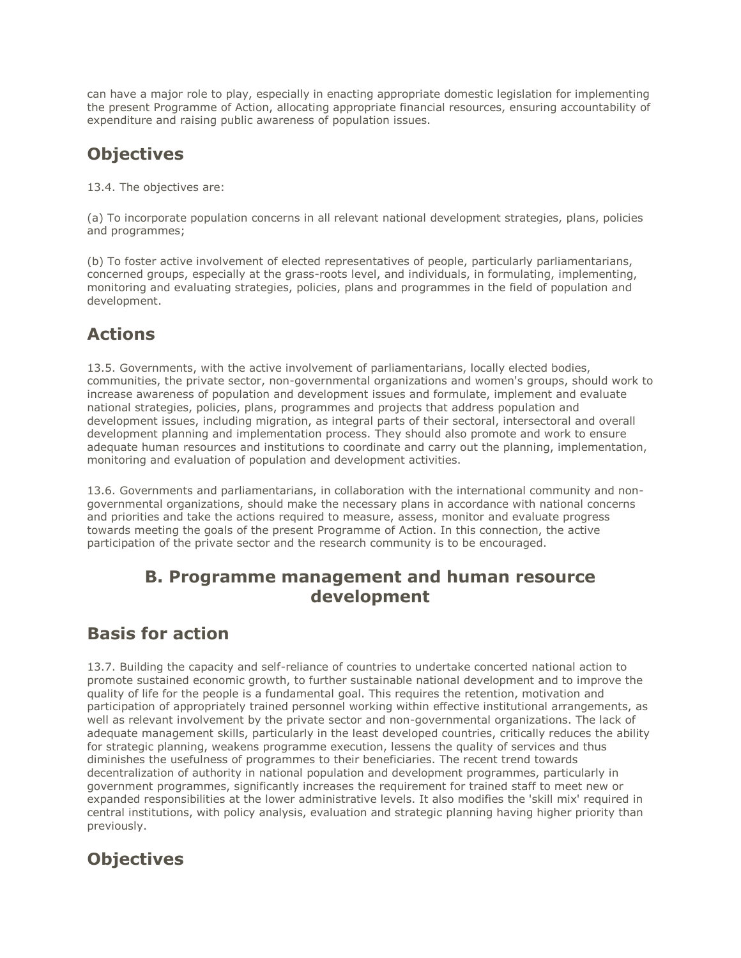can have a major role to play, especially in enacting appropriate domestic legislation for implementing the present Programme of Action, allocating appropriate financial resources, ensuring accountability of expenditure and raising public awareness of population issues.

## **Objectives**

13.4. The objectives are:

(a) To incorporate population concerns in all relevant national development strategies, plans, policies and programmes;

(b) To foster active involvement of elected representatives of people, particularly parliamentarians, concerned groups, especially at the grass-roots level, and individuals, in formulating, implementing, monitoring and evaluating strategies, policies, plans and programmes in the field of population and development.

# **Actions**

13.5. Governments, with the active involvement of parliamentarians, locally elected bodies, communities, the private sector, non-governmental organizations and women's groups, should work to increase awareness of population and development issues and formulate, implement and evaluate national strategies, policies, plans, programmes and projects that address population and development issues, including migration, as integral parts of their sectoral, intersectoral and overall development planning and implementation process. They should also promote and work to ensure adequate human resources and institutions to coordinate and carry out the planning, implementation, monitoring and evaluation of population and development activities.

13.6. Governments and parliamentarians, in collaboration with the international community and nongovernmental organizations, should make the necessary plans in accordance with national concerns and priorities and take the actions required to measure, assess, monitor and evaluate progress towards meeting the goals of the present Programme of Action. In this connection, the active participation of the private sector and the research community is to be encouraged.

#### **B. Programme management and human resource development**

# **Basis for action**

13.7. Building the capacity and self-reliance of countries to undertake concerted national action to promote sustained economic growth, to further sustainable national development and to improve the quality of life for the people is a fundamental goal. This requires the retention, motivation and participation of appropriately trained personnel working within effective institutional arrangements, as well as relevant involvement by the private sector and non-governmental organizations. The lack of adequate management skills, particularly in the least developed countries, critically reduces the ability for strategic planning, weakens programme execution, lessens the quality of services and thus diminishes the usefulness of programmes to their beneficiaries. The recent trend towards decentralization of authority in national population and development programmes, particularly in government programmes, significantly increases the requirement for trained staff to meet new or expanded responsibilities at the lower administrative levels. It also modifies the 'skill mix' required in central institutions, with policy analysis, evaluation and strategic planning having higher priority than previously.

# **Objectives**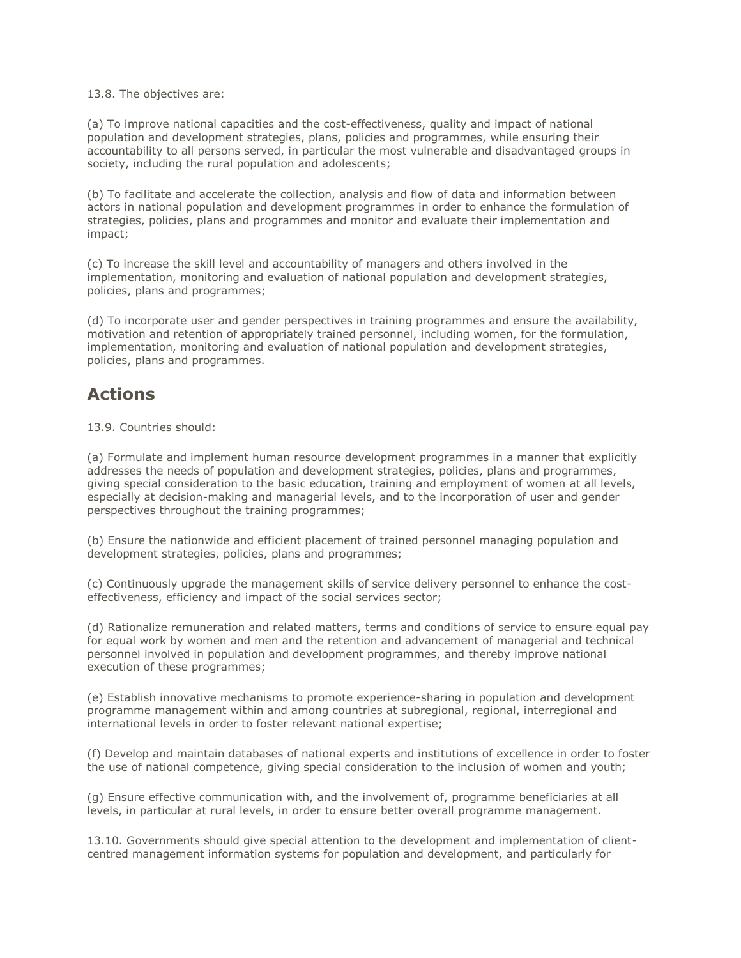#### 13.8. The objectives are:

(a) To improve national capacities and the cost-effectiveness, quality and impact of national population and development strategies, plans, policies and programmes, while ensuring their accountability to all persons served, in particular the most vulnerable and disadvantaged groups in society, including the rural population and adolescents;

(b) To facilitate and accelerate the collection, analysis and flow of data and information between actors in national population and development programmes in order to enhance the formulation of strategies, policies, plans and programmes and monitor and evaluate their implementation and impact;

(c) To increase the skill level and accountability of managers and others involved in the implementation, monitoring and evaluation of national population and development strategies, policies, plans and programmes;

(d) To incorporate user and gender perspectives in training programmes and ensure the availability, motivation and retention of appropriately trained personnel, including women, for the formulation, implementation, monitoring and evaluation of national population and development strategies, policies, plans and programmes.

#### **Actions**

13.9. Countries should:

(a) Formulate and implement human resource development programmes in a manner that explicitly addresses the needs of population and development strategies, policies, plans and programmes, giving special consideration to the basic education, training and employment of women at all levels, especially at decision-making and managerial levels, and to the incorporation of user and gender perspectives throughout the training programmes;

(b) Ensure the nationwide and efficient placement of trained personnel managing population and development strategies, policies, plans and programmes;

(c) Continuously upgrade the management skills of service delivery personnel to enhance the costeffectiveness, efficiency and impact of the social services sector;

(d) Rationalize remuneration and related matters, terms and conditions of service to ensure equal pay for equal work by women and men and the retention and advancement of managerial and technical personnel involved in population and development programmes, and thereby improve national execution of these programmes;

(e) Establish innovative mechanisms to promote experience-sharing in population and development programme management within and among countries at subregional, regional, interregional and international levels in order to foster relevant national expertise;

(f) Develop and maintain databases of national experts and institutions of excellence in order to foster the use of national competence, giving special consideration to the inclusion of women and youth;

(g) Ensure effective communication with, and the involvement of, programme beneficiaries at all levels, in particular at rural levels, in order to ensure better overall programme management.

13.10. Governments should give special attention to the development and implementation of clientcentred management information systems for population and development, and particularly for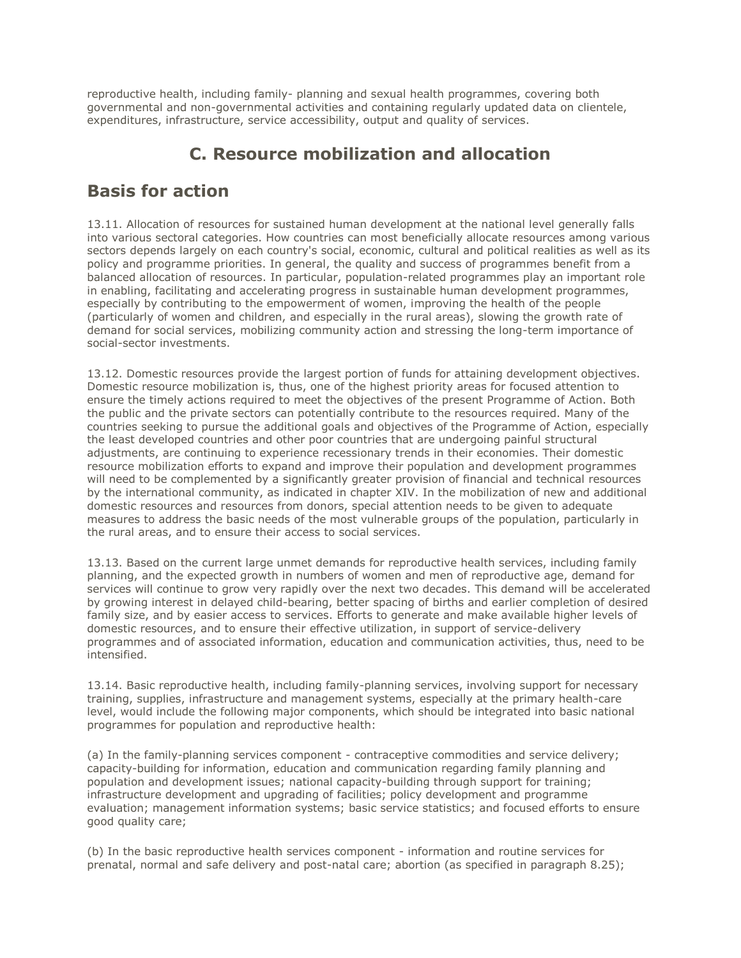reproductive health, including family- planning and sexual health programmes, covering both governmental and non-governmental activities and containing regularly updated data on clientele, expenditures, infrastructure, service accessibility, output and quality of services.

## **C. Resource mobilization and allocation**

## **Basis for action**

13.11. Allocation of resources for sustained human development at the national level generally falls into various sectoral categories. How countries can most beneficially allocate resources among various sectors depends largely on each country's social, economic, cultural and political realities as well as its policy and programme priorities. In general, the quality and success of programmes benefit from a balanced allocation of resources. In particular, population-related programmes play an important role in enabling, facilitating and accelerating progress in sustainable human development programmes, especially by contributing to the empowerment of women, improving the health of the people (particularly of women and children, and especially in the rural areas), slowing the growth rate of demand for social services, mobilizing community action and stressing the long-term importance of social-sector investments.

13.12. Domestic resources provide the largest portion of funds for attaining development objectives. Domestic resource mobilization is, thus, one of the highest priority areas for focused attention to ensure the timely actions required to meet the objectives of the present Programme of Action. Both the public and the private sectors can potentially contribute to the resources required. Many of the countries seeking to pursue the additional goals and objectives of the Programme of Action, especially the least developed countries and other poor countries that are undergoing painful structural adjustments, are continuing to experience recessionary trends in their economies. Their domestic resource mobilization efforts to expand and improve their population and development programmes will need to be complemented by a significantly greater provision of financial and technical resources by the international community, as indicated in chapter XIV. In the mobilization of new and additional domestic resources and resources from donors, special attention needs to be given to adequate measures to address the basic needs of the most vulnerable groups of the population, particularly in the rural areas, and to ensure their access to social services.

13.13. Based on the current large unmet demands for reproductive health services, including family planning, and the expected growth in numbers of women and men of reproductive age, demand for services will continue to grow very rapidly over the next two decades. This demand will be accelerated by growing interest in delayed child-bearing, better spacing of births and earlier completion of desired family size, and by easier access to services. Efforts to generate and make available higher levels of domestic resources, and to ensure their effective utilization, in support of service-delivery programmes and of associated information, education and communication activities, thus, need to be intensified.

13.14. Basic reproductive health, including family-planning services, involving support for necessary training, supplies, infrastructure and management systems, especially at the primary health-care level, would include the following major components, which should be integrated into basic national programmes for population and reproductive health:

(a) In the family-planning services component - contraceptive commodities and service delivery; capacity-building for information, education and communication regarding family planning and population and development issues; national capacity-building through support for training; infrastructure development and upgrading of facilities; policy development and programme evaluation; management information systems; basic service statistics; and focused efforts to ensure good quality care;

(b) In the basic reproductive health services component - information and routine services for prenatal, normal and safe delivery and post-natal care; abortion (as specified in paragraph 8.25);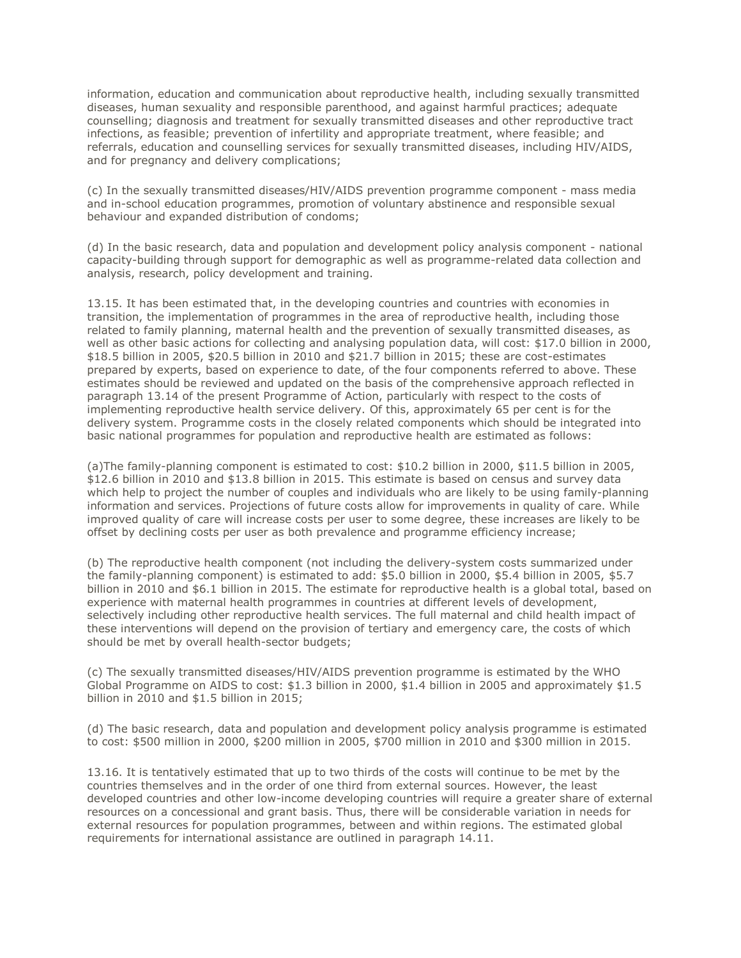information, education and communication about reproductive health, including sexually transmitted diseases, human sexuality and responsible parenthood, and against harmful practices; adequate counselling; diagnosis and treatment for sexually transmitted diseases and other reproductive tract infections, as feasible; prevention of infertility and appropriate treatment, where feasible; and referrals, education and counselling services for sexually transmitted diseases, including HIV/AIDS, and for pregnancy and delivery complications;

(c) In the sexually transmitted diseases/HIV/AIDS prevention programme component - mass media and in-school education programmes, promotion of voluntary abstinence and responsible sexual behaviour and expanded distribution of condoms;

(d) In the basic research, data and population and development policy analysis component - national capacity-building through support for demographic as well as programme-related data collection and analysis, research, policy development and training.

13.15. It has been estimated that, in the developing countries and countries with economies in transition, the implementation of programmes in the area of reproductive health, including those related to family planning, maternal health and the prevention of sexually transmitted diseases, as well as other basic actions for collecting and analysing population data, will cost: \$17.0 billion in 2000, \$18.5 billion in 2005, \$20.5 billion in 2010 and \$21.7 billion in 2015; these are cost-estimates prepared by experts, based on experience to date, of the four components referred to above. These estimates should be reviewed and updated on the basis of the comprehensive approach reflected in paragraph 13.14 of the present Programme of Action, particularly with respect to the costs of implementing reproductive health service delivery. Of this, approximately 65 per cent is for the delivery system. Programme costs in the closely related components which should be integrated into basic national programmes for population and reproductive health are estimated as follows:

(a)The family-planning component is estimated to cost: \$10.2 billion in 2000, \$11.5 billion in 2005, \$12.6 billion in 2010 and \$13.8 billion in 2015. This estimate is based on census and survey data which help to project the number of couples and individuals who are likely to be using family-planning information and services. Projections of future costs allow for improvements in quality of care. While improved quality of care will increase costs per user to some degree, these increases are likely to be offset by declining costs per user as both prevalence and programme efficiency increase;

(b) The reproductive health component (not including the delivery-system costs summarized under the family-planning component) is estimated to add: \$5.0 billion in 2000, \$5.4 billion in 2005, \$5.7 billion in 2010 and \$6.1 billion in 2015. The estimate for reproductive health is a global total, based on experience with maternal health programmes in countries at different levels of development, selectively including other reproductive health services. The full maternal and child health impact of these interventions will depend on the provision of tertiary and emergency care, the costs of which should be met by overall health-sector budgets;

(c) The sexually transmitted diseases/HIV/AIDS prevention programme is estimated by the WHO Global Programme on AIDS to cost: \$1.3 billion in 2000, \$1.4 billion in 2005 and approximately \$1.5 billion in 2010 and \$1.5 billion in 2015;

(d) The basic research, data and population and development policy analysis programme is estimated to cost: \$500 million in 2000, \$200 million in 2005, \$700 million in 2010 and \$300 million in 2015.

13.16. It is tentatively estimated that up to two thirds of the costs will continue to be met by the countries themselves and in the order of one third from external sources. However, the least developed countries and other low-income developing countries will require a greater share of external resources on a concessional and grant basis. Thus, there will be considerable variation in needs for external resources for population programmes, between and within regions. The estimated global requirements for international assistance are outlined in paragraph 14.11.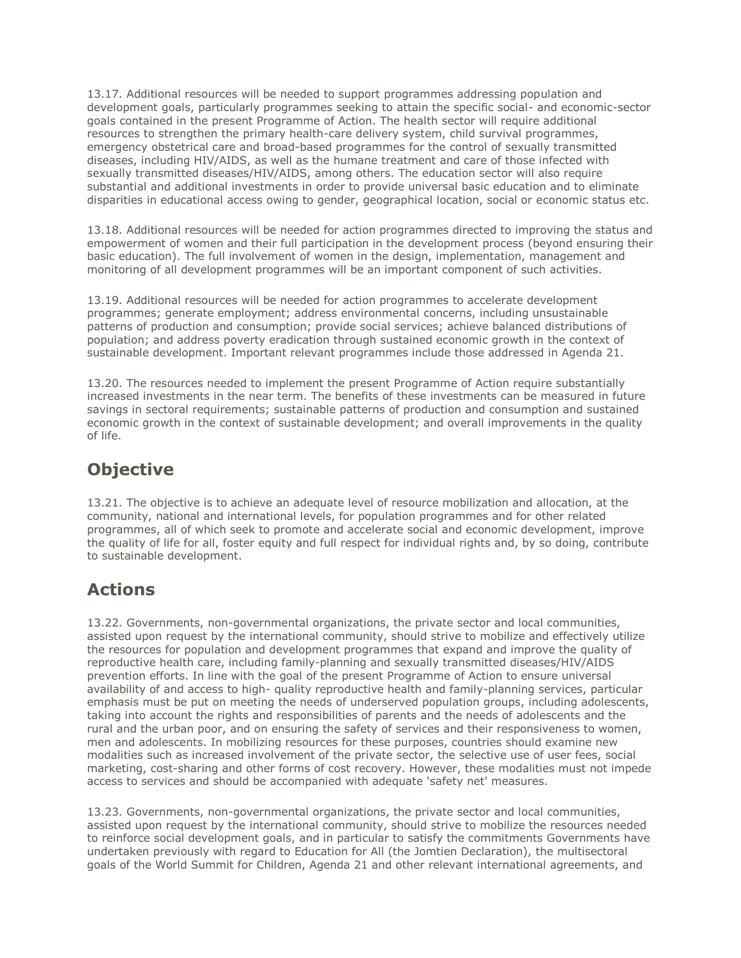13.17. Additional resources will be needed to support programmes addressing population and development goals, particularly programmes seeking to attain the specific social- and economic-sector goals contained in the present Programme of Action. The health sector will require additional resources to strengthen the primary health-care delivery system, child survival programmes, emergency obstetrical care and broad-based programmes for the control of sexually transmitted diseases, including HIV/AIDS, as well as the humane treatment and care of those infected with sexually transmitted diseases/HIV/AIDS, among others. The education sector will also require substantial and additional investments in order to provide universal basic education and to eliminate disparities in educational access owing to gender, geographical location, social or economic status etc.

13.18. Additional resources will be needed for action programmes directed to improving the status and empowerment of women and their full participation in the development process (beyond ensuring their basic education). The full involvement of women in the design, implementation, management and monitoring of all development programmes will be an important component of such activities.

13.19. Additional resources will be needed for action programmes to accelerate development programmes; generate employment; address environmental concerns, including unsustainable patterns of production and consumption; provide social services; achieve balanced distributions of population; and address poverty eradication through sustained economic growth in the context of sustainable development. Important relevant programmes include those addressed in Agenda 21.

13.20. The resources needed to implement the present Programme of Action require substantially increased investments in the near term. The benefits of these investments can be measured in future savings in sectoral requirements; sustainable patterns of production and consumption and sustained economic growth in the context of sustainable development; and overall improvements in the quality of life.

## **Objective**

13.21. The objective is to achieve an adequate level of resource mobilization and allocation, at the community, national and international levels, for population programmes and for other related programmes, all of which seek to promote and accelerate social and economic development, improve the quality of life for all, foster equity and full respect for individual rights and, by so doing, contribute to sustainable development.

## **Actions**

13.22. Governments, non-governmental organizations, the private sector and local communities, assisted upon request by the international community, should strive to mobilize and effectively utilize the resources for population and development programmes that expand and improve the quality of reproductive health care, including family-planning and sexually transmitted diseases/HIV/AIDS prevention efforts. In line with the goal of the present Programme of Action to ensure universal availability of and access to high- quality reproductive health and family-planning services, particular emphasis must be put on meeting the needs of underserved population groups, including adolescents, taking into account the rights and responsibilities of parents and the needs of adolescents and the rural and the urban poor, and on ensuring the safety of services and their responsiveness to women, men and adolescents. In mobilizing resources for these purposes, countries should examine new modalities such as increased involvement of the private sector, the selective use of user fees, social marketing, cost-sharing and other forms of cost recovery. However, these modalities must not impede access to services and should be accompanied with adequate 'safety net' measures.

13.23. Governments, non-governmental organizations, the private sector and local communities, assisted upon request by the international community, should strive to mobilize the resources needed to reinforce social development goals, and in particular to satisfy the commitments Governments have undertaken previously with regard to Education for All (the Jomtien Declaration), the multisectoral goals of the World Summit for Children, Agenda 21 and other relevant international agreements, and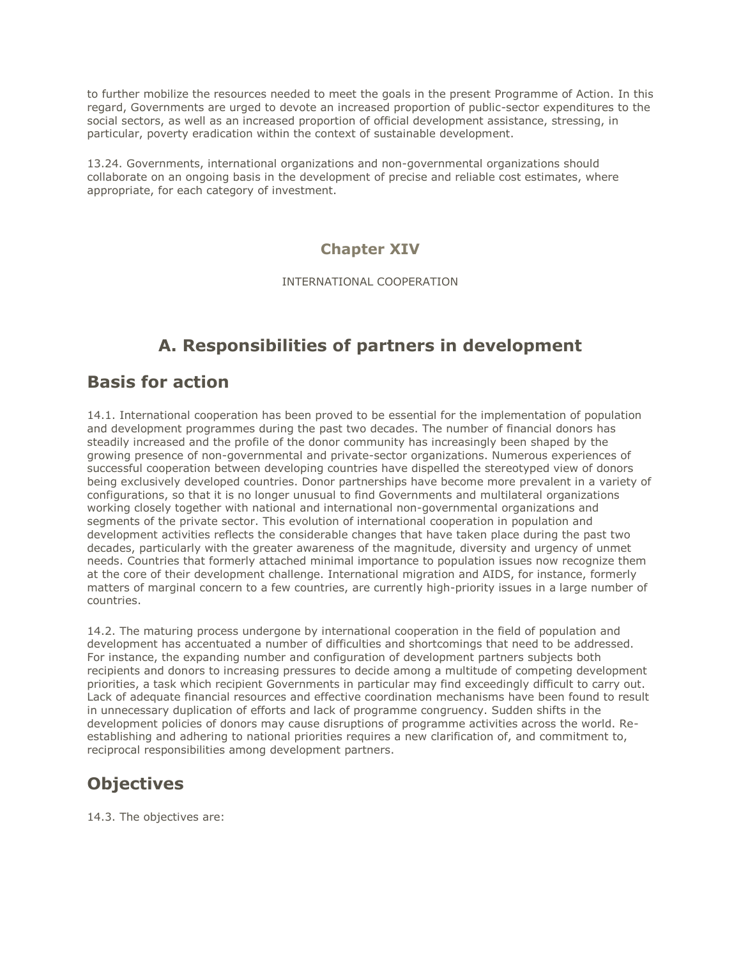to further mobilize the resources needed to meet the goals in the present Programme of Action. In this regard, Governments are urged to devote an increased proportion of public-sector expenditures to the social sectors, as well as an increased proportion of official development assistance, stressing, in particular, poverty eradication within the context of sustainable development.

13.24. Governments, international organizations and non-governmental organizations should collaborate on an ongoing basis in the development of precise and reliable cost estimates, where appropriate, for each category of investment.

#### **Chapter XIV**

INTERNATIONAL COOPERATION

## **A. Responsibilities of partners in development**

#### **Basis for action**

14.1. International cooperation has been proved to be essential for the implementation of population and development programmes during the past two decades. The number of financial donors has steadily increased and the profile of the donor community has increasingly been shaped by the growing presence of non-governmental and private-sector organizations. Numerous experiences of successful cooperation between developing countries have dispelled the stereotyped view of donors being exclusively developed countries. Donor partnerships have become more prevalent in a variety of configurations, so that it is no longer unusual to find Governments and multilateral organizations working closely together with national and international non-governmental organizations and segments of the private sector. This evolution of international cooperation in population and development activities reflects the considerable changes that have taken place during the past two decades, particularly with the greater awareness of the magnitude, diversity and urgency of unmet needs. Countries that formerly attached minimal importance to population issues now recognize them at the core of their development challenge. International migration and AIDS, for instance, formerly matters of marginal concern to a few countries, are currently high-priority issues in a large number of countries.

14.2. The maturing process undergone by international cooperation in the field of population and development has accentuated a number of difficulties and shortcomings that need to be addressed. For instance, the expanding number and configuration of development partners subjects both recipients and donors to increasing pressures to decide among a multitude of competing development priorities, a task which recipient Governments in particular may find exceedingly difficult to carry out. Lack of adequate financial resources and effective coordination mechanisms have been found to result in unnecessary duplication of efforts and lack of programme congruency. Sudden shifts in the development policies of donors may cause disruptions of programme activities across the world. Reestablishing and adhering to national priorities requires a new clarification of, and commitment to, reciprocal responsibilities among development partners.

## **Objectives**

14.3. The objectives are: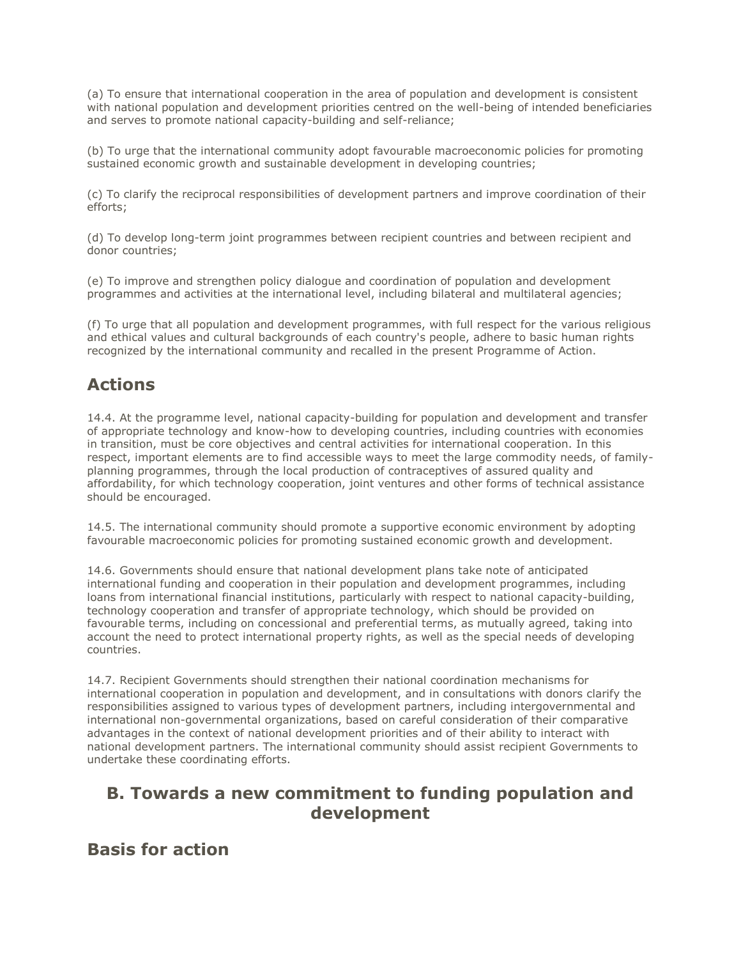(a) To ensure that international cooperation in the area of population and development is consistent with national population and development priorities centred on the well-being of intended beneficiaries and serves to promote national capacity-building and self-reliance;

(b) To urge that the international community adopt favourable macroeconomic policies for promoting sustained economic growth and sustainable development in developing countries;

(c) To clarify the reciprocal responsibilities of development partners and improve coordination of their efforts;

(d) To develop long-term joint programmes between recipient countries and between recipient and donor countries;

(e) To improve and strengthen policy dialogue and coordination of population and development programmes and activities at the international level, including bilateral and multilateral agencies;

(f) To urge that all population and development programmes, with full respect for the various religious and ethical values and cultural backgrounds of each country's people, adhere to basic human rights recognized by the international community and recalled in the present Programme of Action.

### **Actions**

14.4. At the programme level, national capacity-building for population and development and transfer of appropriate technology and know-how to developing countries, including countries with economies in transition, must be core objectives and central activities for international cooperation. In this respect, important elements are to find accessible ways to meet the large commodity needs, of familyplanning programmes, through the local production of contraceptives of assured quality and affordability, for which technology cooperation, joint ventures and other forms of technical assistance should be encouraged.

14.5. The international community should promote a supportive economic environment by adopting favourable macroeconomic policies for promoting sustained economic growth and development.

14.6. Governments should ensure that national development plans take note of anticipated international funding and cooperation in their population and development programmes, including loans from international financial institutions, particularly with respect to national capacity-building, technology cooperation and transfer of appropriate technology, which should be provided on favourable terms, including on concessional and preferential terms, as mutually agreed, taking into account the need to protect international property rights, as well as the special needs of developing countries.

14.7. Recipient Governments should strengthen their national coordination mechanisms for international cooperation in population and development, and in consultations with donors clarify the responsibilities assigned to various types of development partners, including intergovernmental and international non-governmental organizations, based on careful consideration of their comparative advantages in the context of national development priorities and of their ability to interact with national development partners. The international community should assist recipient Governments to undertake these coordinating efforts.

#### **B. Towards a new commitment to funding population and development**

#### **Basis for action**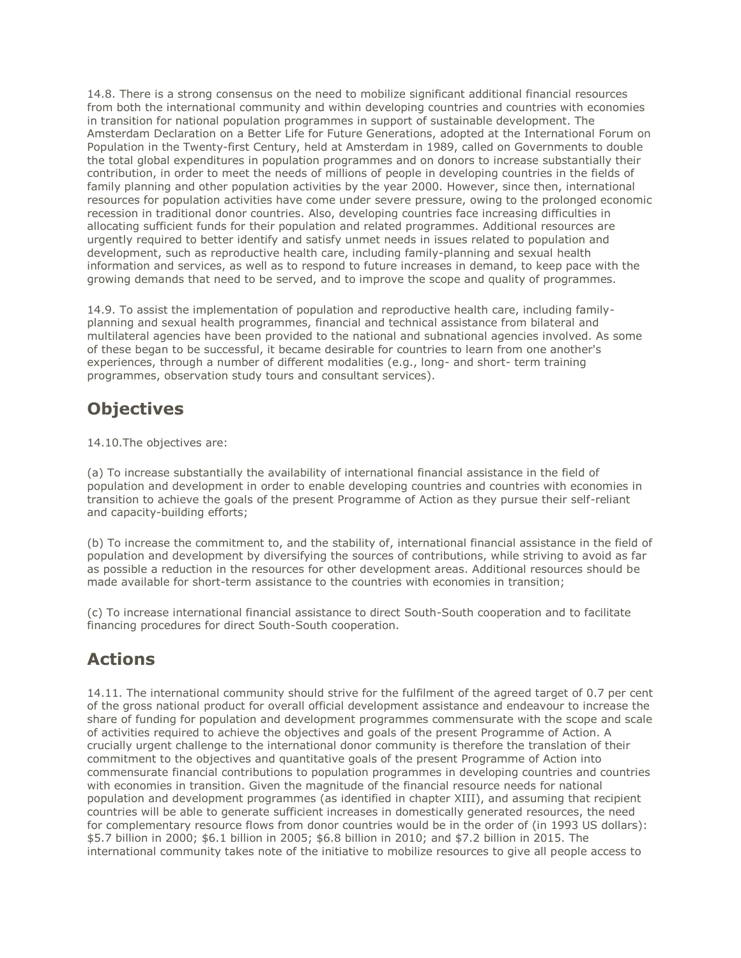14.8. There is a strong consensus on the need to mobilize significant additional financial resources from both the international community and within developing countries and countries with economies in transition for national population programmes in support of sustainable development. The Amsterdam Declaration on a Better Life for Future Generations, adopted at the International Forum on Population in the Twenty-first Century, held at Amsterdam in 1989, called on Governments to double the total global expenditures in population programmes and on donors to increase substantially their contribution, in order to meet the needs of millions of people in developing countries in the fields of family planning and other population activities by the year 2000. However, since then, international resources for population activities have come under severe pressure, owing to the prolonged economic recession in traditional donor countries. Also, developing countries face increasing difficulties in allocating sufficient funds for their population and related programmes. Additional resources are urgently required to better identify and satisfy unmet needs in issues related to population and development, such as reproductive health care, including family-planning and sexual health information and services, as well as to respond to future increases in demand, to keep pace with the growing demands that need to be served, and to improve the scope and quality of programmes.

14.9. To assist the implementation of population and reproductive health care, including familyplanning and sexual health programmes, financial and technical assistance from bilateral and multilateral agencies have been provided to the national and subnational agencies involved. As some of these began to be successful, it became desirable for countries to learn from one another's experiences, through a number of different modalities (e.g., long- and short- term training programmes, observation study tours and consultant services).

### **Objectives**

14.10.The objectives are:

(a) To increase substantially the availability of international financial assistance in the field of population and development in order to enable developing countries and countries with economies in transition to achieve the goals of the present Programme of Action as they pursue their self-reliant and capacity-building efforts;

(b) To increase the commitment to, and the stability of, international financial assistance in the field of population and development by diversifying the sources of contributions, while striving to avoid as far as possible a reduction in the resources for other development areas. Additional resources should be made available for short-term assistance to the countries with economies in transition;

(c) To increase international financial assistance to direct South-South cooperation and to facilitate financing procedures for direct South-South cooperation.

## **Actions**

14.11. The international community should strive for the fulfilment of the agreed target of 0.7 per cent of the gross national product for overall official development assistance and endeavour to increase the share of funding for population and development programmes commensurate with the scope and scale of activities required to achieve the objectives and goals of the present Programme of Action. A crucially urgent challenge to the international donor community is therefore the translation of their commitment to the objectives and quantitative goals of the present Programme of Action into commensurate financial contributions to population programmes in developing countries and countries with economies in transition. Given the magnitude of the financial resource needs for national population and development programmes (as identified in chapter XIII), and assuming that recipient countries will be able to generate sufficient increases in domestically generated resources, the need for complementary resource flows from donor countries would be in the order of (in 1993 US dollars): \$5.7 billion in 2000; \$6.1 billion in 2005; \$6.8 billion in 2010; and \$7.2 billion in 2015. The international community takes note of the initiative to mobilize resources to give all people access to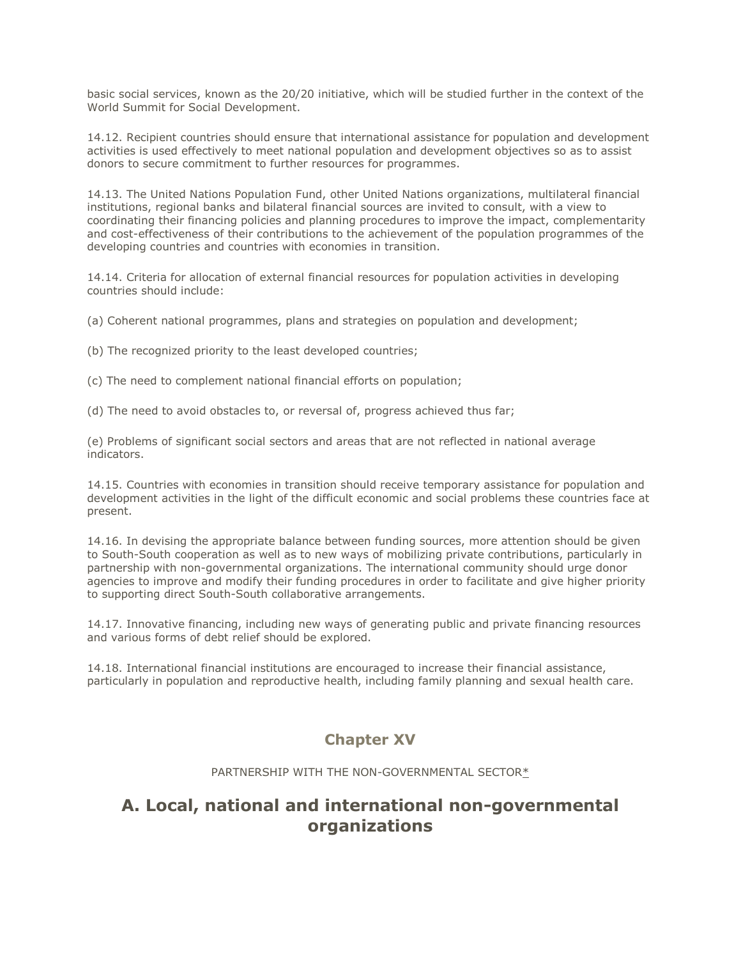basic social services, known as the 20/20 initiative, which will be studied further in the context of the World Summit for Social Development.

14.12. Recipient countries should ensure that international assistance for population and development activities is used effectively to meet national population and development objectives so as to assist donors to secure commitment to further resources for programmes.

14.13. The United Nations Population Fund, other United Nations organizations, multilateral financial institutions, regional banks and bilateral financial sources are invited to consult, with a view to coordinating their financing policies and planning procedures to improve the impact, complementarity and cost-effectiveness of their contributions to the achievement of the population programmes of the developing countries and countries with economies in transition.

14.14. Criteria for allocation of external financial resources for population activities in developing countries should include:

(a) Coherent national programmes, plans and strategies on population and development;

(b) The recognized priority to the least developed countries;

(c) The need to complement national financial efforts on population;

(d) The need to avoid obstacles to, or reversal of, progress achieved thus far;

(e) Problems of significant social sectors and areas that are not reflected in national average indicators.

14.15. Countries with economies in transition should receive temporary assistance for population and development activities in the light of the difficult economic and social problems these countries face at present.

14.16. In devising the appropriate balance between funding sources, more attention should be given to South-South cooperation as well as to new ways of mobilizing private contributions, particularly in partnership with non-governmental organizations. The international community should urge donor agencies to improve and modify their funding procedures in order to facilitate and give higher priority to supporting direct South-South collaborative arrangements.

14.17. Innovative financing, including new ways of generating public and private financing resources and various forms of debt relief should be explored.

14.18. International financial institutions are encouraged to increase their financial assistance, particularly in population and reproductive health, including family planning and sexual health care.

#### **Chapter XV**

PARTNERSHIP WITH THE NON-GOVERNMENTAL SECTO[R\\*](http://www.unfpa.org/public/icpd/pid/5066#res1)

#### **A. Local, national and international non-governmental organizations**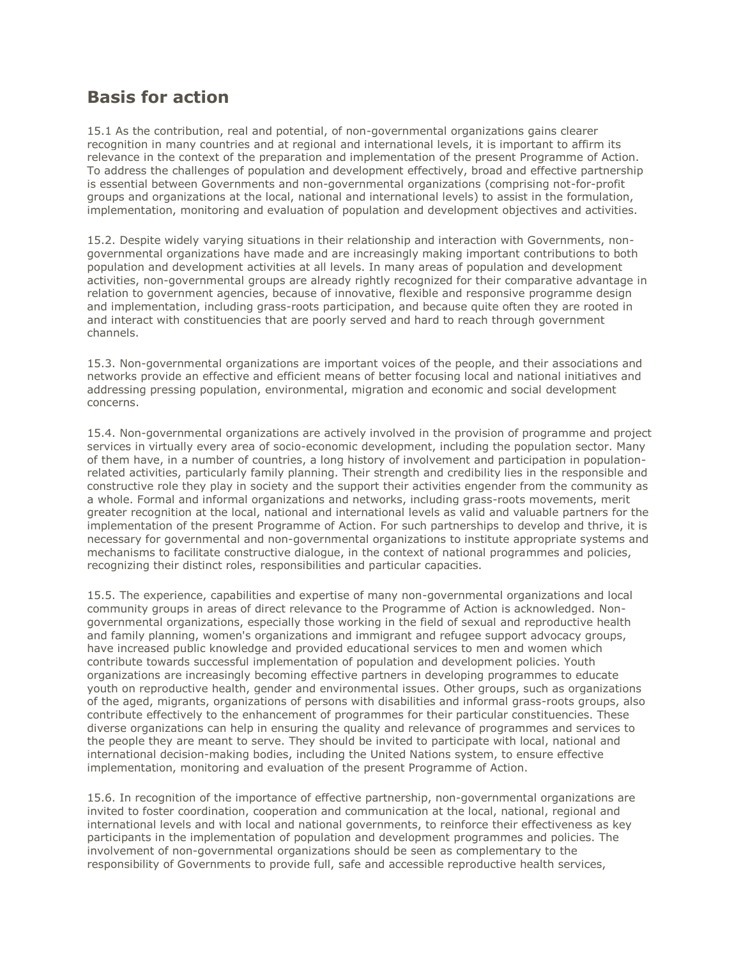#### **Basis for action**

15.1 As the contribution, real and potential, of non-governmental organizations gains clearer recognition in many countries and at regional and international levels, it is important to affirm its relevance in the context of the preparation and implementation of the present Programme of Action. To address the challenges of population and development effectively, broad and effective partnership is essential between Governments and non-governmental organizations (comprising not-for-profit groups and organizations at the local, national and international levels) to assist in the formulation, implementation, monitoring and evaluation of population and development objectives and activities.

15.2. Despite widely varying situations in their relationship and interaction with Governments, nongovernmental organizations have made and are increasingly making important contributions to both population and development activities at all levels. In many areas of population and development activities, non-governmental groups are already rightly recognized for their comparative advantage in relation to government agencies, because of innovative, flexible and responsive programme design and implementation, including grass-roots participation, and because quite often they are rooted in and interact with constituencies that are poorly served and hard to reach through government channels.

15.3. Non-governmental organizations are important voices of the people, and their associations and networks provide an effective and efficient means of better focusing local and national initiatives and addressing pressing population, environmental, migration and economic and social development concerns.

15.4. Non-governmental organizations are actively involved in the provision of programme and project services in virtually every area of socio-economic development, including the population sector. Many of them have, in a number of countries, a long history of involvement and participation in populationrelated activities, particularly family planning. Their strength and credibility lies in the responsible and constructive role they play in society and the support their activities engender from the community as a whole. Formal and informal organizations and networks, including grass-roots movements, merit greater recognition at the local, national and international levels as valid and valuable partners for the implementation of the present Programme of Action. For such partnerships to develop and thrive, it is necessary for governmental and non-governmental organizations to institute appropriate systems and mechanisms to facilitate constructive dialogue, in the context of national programmes and policies, recognizing their distinct roles, responsibilities and particular capacities.

15.5. The experience, capabilities and expertise of many non-governmental organizations and local community groups in areas of direct relevance to the Programme of Action is acknowledged. Nongovernmental organizations, especially those working in the field of sexual and reproductive health and family planning, women's organizations and immigrant and refugee support advocacy groups, have increased public knowledge and provided educational services to men and women which contribute towards successful implementation of population and development policies. Youth organizations are increasingly becoming effective partners in developing programmes to educate youth on reproductive health, gender and environmental issues. Other groups, such as organizations of the aged, migrants, organizations of persons with disabilities and informal grass-roots groups, also contribute effectively to the enhancement of programmes for their particular constituencies. These diverse organizations can help in ensuring the quality and relevance of programmes and services to the people they are meant to serve. They should be invited to participate with local, national and international decision-making bodies, including the United Nations system, to ensure effective implementation, monitoring and evaluation of the present Programme of Action.

15.6. In recognition of the importance of effective partnership, non-governmental organizations are invited to foster coordination, cooperation and communication at the local, national, regional and international levels and with local and national governments, to reinforce their effectiveness as key participants in the implementation of population and development programmes and policies. The involvement of non-governmental organizations should be seen as complementary to the responsibility of Governments to provide full, safe and accessible reproductive health services,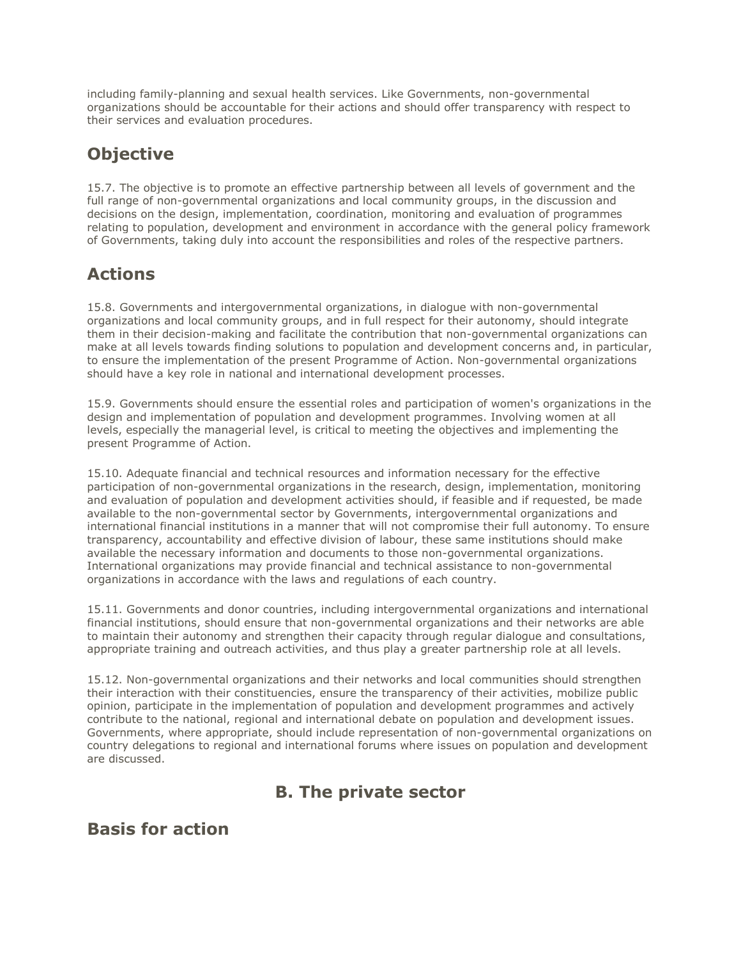including family-planning and sexual health services. Like Governments, non-governmental organizations should be accountable for their actions and should offer transparency with respect to their services and evaluation procedures.

# **Objective**

15.7. The objective is to promote an effective partnership between all levels of government and the full range of non-governmental organizations and local community groups, in the discussion and decisions on the design, implementation, coordination, monitoring and evaluation of programmes relating to population, development and environment in accordance with the general policy framework of Governments, taking duly into account the responsibilities and roles of the respective partners.

# **Actions**

15.8. Governments and intergovernmental organizations, in dialogue with non-governmental organizations and local community groups, and in full respect for their autonomy, should integrate them in their decision-making and facilitate the contribution that non-governmental organizations can make at all levels towards finding solutions to population and development concerns and, in particular, to ensure the implementation of the present Programme of Action. Non-governmental organizations should have a key role in national and international development processes.

15.9. Governments should ensure the essential roles and participation of women's organizations in the design and implementation of population and development programmes. Involving women at all levels, especially the managerial level, is critical to meeting the objectives and implementing the present Programme of Action.

15.10. Adequate financial and technical resources and information necessary for the effective participation of non-governmental organizations in the research, design, implementation, monitoring and evaluation of population and development activities should, if feasible and if requested, be made available to the non-governmental sector by Governments, intergovernmental organizations and international financial institutions in a manner that will not compromise their full autonomy. To ensure transparency, accountability and effective division of labour, these same institutions should make available the necessary information and documents to those non-governmental organizations. International organizations may provide financial and technical assistance to non-governmental organizations in accordance with the laws and regulations of each country.

15.11. Governments and donor countries, including intergovernmental organizations and international financial institutions, should ensure that non-governmental organizations and their networks are able to maintain their autonomy and strengthen their capacity through regular dialogue and consultations, appropriate training and outreach activities, and thus play a greater partnership role at all levels.

15.12. Non-governmental organizations and their networks and local communities should strengthen their interaction with their constituencies, ensure the transparency of their activities, mobilize public opinion, participate in the implementation of population and development programmes and actively contribute to the national, regional and international debate on population and development issues. Governments, where appropriate, should include representation of non-governmental organizations on country delegations to regional and international forums where issues on population and development are discussed.

# **B. The private sector**

#### **Basis for action**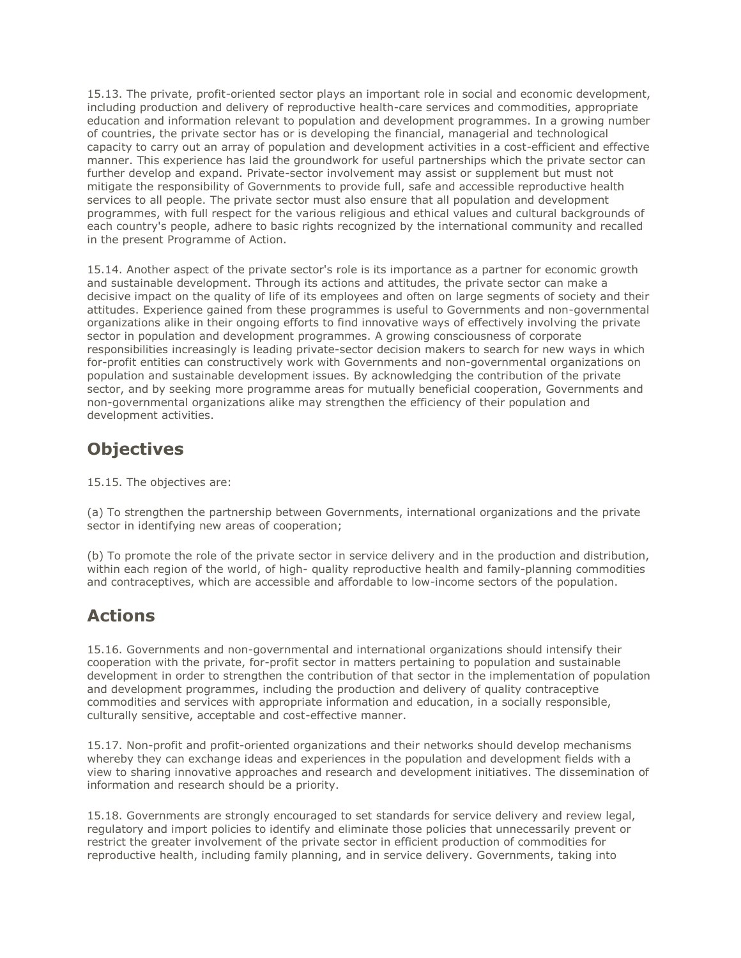15.13. The private, profit-oriented sector plays an important role in social and economic development, including production and delivery of reproductive health-care services and commodities, appropriate education and information relevant to population and development programmes. In a growing number of countries, the private sector has or is developing the financial, managerial and technological capacity to carry out an array of population and development activities in a cost-efficient and effective manner. This experience has laid the groundwork for useful partnerships which the private sector can further develop and expand. Private-sector involvement may assist or supplement but must not mitigate the responsibility of Governments to provide full, safe and accessible reproductive health services to all people. The private sector must also ensure that all population and development programmes, with full respect for the various religious and ethical values and cultural backgrounds of each country's people, adhere to basic rights recognized by the international community and recalled in the present Programme of Action.

15.14. Another aspect of the private sector's role is its importance as a partner for economic growth and sustainable development. Through its actions and attitudes, the private sector can make a decisive impact on the quality of life of its employees and often on large segments of society and their attitudes. Experience gained from these programmes is useful to Governments and non-governmental organizations alike in their ongoing efforts to find innovative ways of effectively involving the private sector in population and development programmes. A growing consciousness of corporate responsibilities increasingly is leading private-sector decision makers to search for new ways in which for-profit entities can constructively work with Governments and non-governmental organizations on population and sustainable development issues. By acknowledging the contribution of the private sector, and by seeking more programme areas for mutually beneficial cooperation, Governments and non-governmental organizations alike may strengthen the efficiency of their population and development activities.

# **Objectives**

15.15. The objectives are:

(a) To strengthen the partnership between Governments, international organizations and the private sector in identifying new areas of cooperation;

(b) To promote the role of the private sector in service delivery and in the production and distribution, within each region of the world, of high- quality reproductive health and family-planning commodities and contraceptives, which are accessible and affordable to low-income sectors of the population.

## **Actions**

15.16. Governments and non-governmental and international organizations should intensify their cooperation with the private, for-profit sector in matters pertaining to population and sustainable development in order to strengthen the contribution of that sector in the implementation of population and development programmes, including the production and delivery of quality contraceptive commodities and services with appropriate information and education, in a socially responsible, culturally sensitive, acceptable and cost-effective manner.

15.17. Non-profit and profit-oriented organizations and their networks should develop mechanisms whereby they can exchange ideas and experiences in the population and development fields with a view to sharing innovative approaches and research and development initiatives. The dissemination of information and research should be a priority.

15.18. Governments are strongly encouraged to set standards for service delivery and review legal, regulatory and import policies to identify and eliminate those policies that unnecessarily prevent or restrict the greater involvement of the private sector in efficient production of commodities for reproductive health, including family planning, and in service delivery. Governments, taking into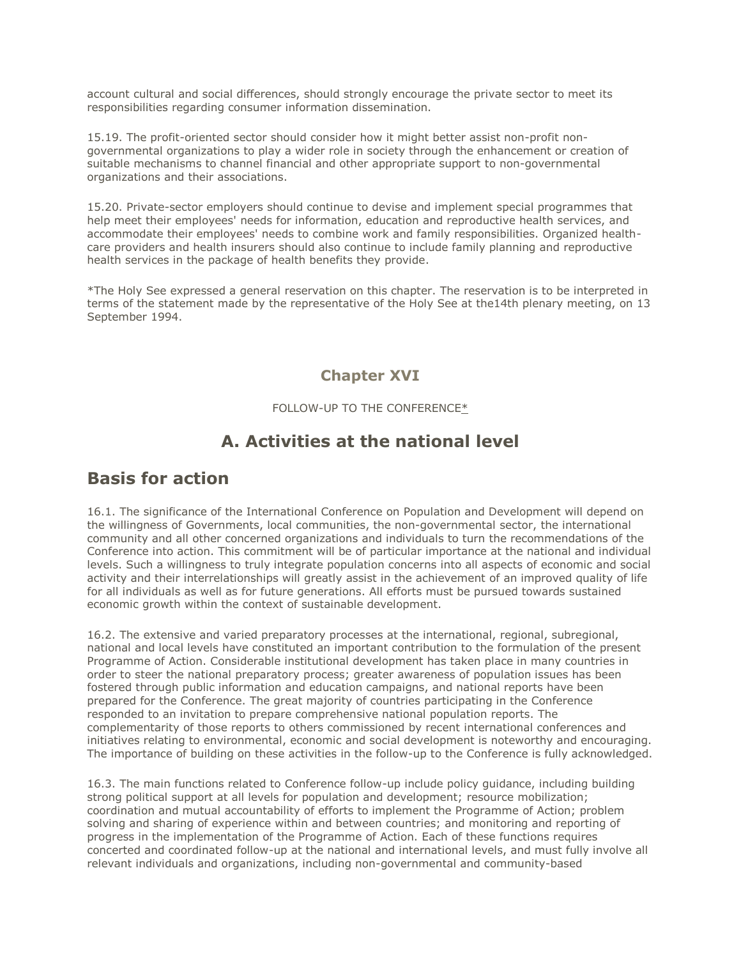account cultural and social differences, should strongly encourage the private sector to meet its responsibilities regarding consumer information dissemination.

15.19. The profit-oriented sector should consider how it might better assist non-profit nongovernmental organizations to play a wider role in society through the enhancement or creation of suitable mechanisms to channel financial and other appropriate support to non-governmental organizations and their associations.

15.20. Private-sector employers should continue to devise and implement special programmes that help meet their employees' needs for information, education and reproductive health services, and accommodate their employees' needs to combine work and family responsibilities. Organized healthcare providers and health insurers should also continue to include family planning and reproductive health services in the package of health benefits they provide.

\*The Holy See expressed a general reservation on this chapter. The reservation is to be interpreted in terms of the statement made by the representative of the Holy See at the14th plenary meeting, on 13 September 1994.

#### **Chapter XVI**

FOLLOW-UP TO THE CONFERENC[E\\*](http://www.unfpa.org/public/icpd/pid/5066#res2)

### **A. Activities at the national level**

#### **Basis for action**

16.1. The significance of the International Conference on Population and Development will depend on the willingness of Governments, local communities, the non-governmental sector, the international community and all other concerned organizations and individuals to turn the recommendations of the Conference into action. This commitment will be of particular importance at the national and individual levels. Such a willingness to truly integrate population concerns into all aspects of economic and social activity and their interrelationships will greatly assist in the achievement of an improved quality of life for all individuals as well as for future generations. All efforts must be pursued towards sustained economic growth within the context of sustainable development.

16.2. The extensive and varied preparatory processes at the international, regional, subregional, national and local levels have constituted an important contribution to the formulation of the present Programme of Action. Considerable institutional development has taken place in many countries in order to steer the national preparatory process; greater awareness of population issues has been fostered through public information and education campaigns, and national reports have been prepared for the Conference. The great majority of countries participating in the Conference responded to an invitation to prepare comprehensive national population reports. The complementarity of those reports to others commissioned by recent international conferences and initiatives relating to environmental, economic and social development is noteworthy and encouraging. The importance of building on these activities in the follow-up to the Conference is fully acknowledged.

16.3. The main functions related to Conference follow-up include policy guidance, including building strong political support at all levels for population and development; resource mobilization; coordination and mutual accountability of efforts to implement the Programme of Action; problem solving and sharing of experience within and between countries; and monitoring and reporting of progress in the implementation of the Programme of Action. Each of these functions requires concerted and coordinated follow-up at the national and international levels, and must fully involve all relevant individuals and organizations, including non-governmental and community-based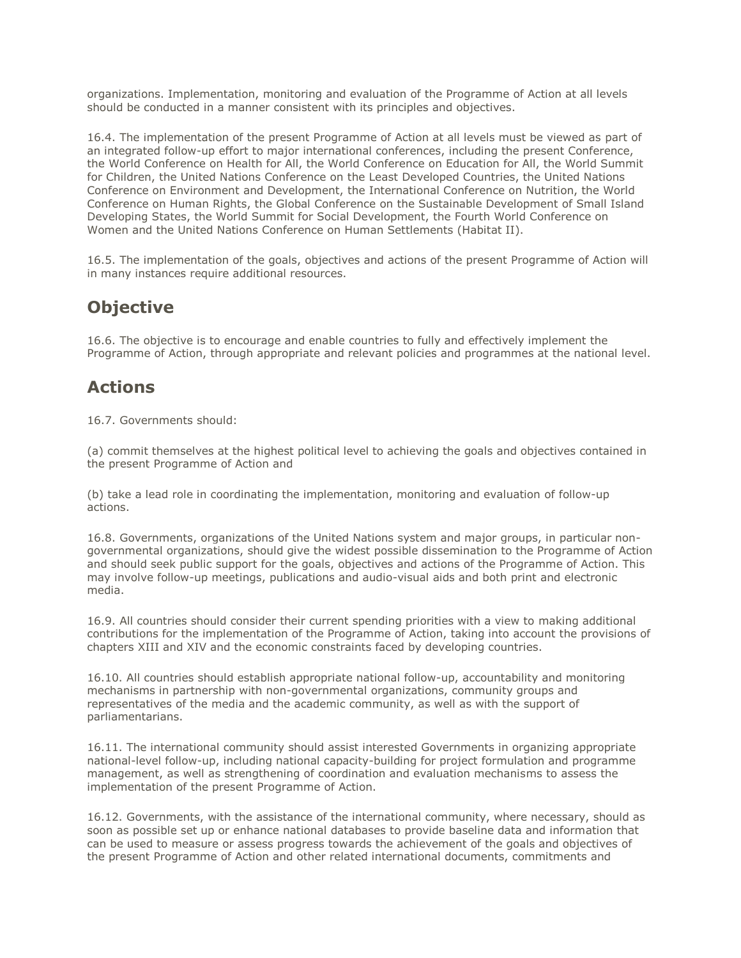organizations. Implementation, monitoring and evaluation of the Programme of Action at all levels should be conducted in a manner consistent with its principles and objectives.

16.4. The implementation of the present Programme of Action at all levels must be viewed as part of an integrated follow-up effort to major international conferences, including the present Conference, the World Conference on Health for All, the World Conference on Education for All, the World Summit for Children, the United Nations Conference on the Least Developed Countries, the United Nations Conference on Environment and Development, the International Conference on Nutrition, the World Conference on Human Rights, the Global Conference on the Sustainable Development of Small Island Developing States, the World Summit for Social Development, the Fourth World Conference on Women and the United Nations Conference on Human Settlements (Habitat II).

16.5. The implementation of the goals, objectives and actions of the present Programme of Action will in many instances require additional resources.

#### **Objective**

16.6. The objective is to encourage and enable countries to fully and effectively implement the Programme of Action, through appropriate and relevant policies and programmes at the national level.

## **Actions**

16.7. Governments should:

(a) commit themselves at the highest political level to achieving the goals and objectives contained in the present Programme of Action and

(b) take a lead role in coordinating the implementation, monitoring and evaluation of follow-up actions.

16.8. Governments, organizations of the United Nations system and major groups, in particular nongovernmental organizations, should give the widest possible dissemination to the Programme of Action and should seek public support for the goals, objectives and actions of the Programme of Action. This may involve follow-up meetings, publications and audio-visual aids and both print and electronic media.

16.9. All countries should consider their current spending priorities with a view to making additional contributions for the implementation of the Programme of Action, taking into account the provisions of chapters XIII and XIV and the economic constraints faced by developing countries.

16.10. All countries should establish appropriate national follow-up, accountability and monitoring mechanisms in partnership with non-governmental organizations, community groups and representatives of the media and the academic community, as well as with the support of parliamentarians.

16.11. The international community should assist interested Governments in organizing appropriate national-level follow-up, including national capacity-building for project formulation and programme management, as well as strengthening of coordination and evaluation mechanisms to assess the implementation of the present Programme of Action.

16.12. Governments, with the assistance of the international community, where necessary, should as soon as possible set up or enhance national databases to provide baseline data and information that can be used to measure or assess progress towards the achievement of the goals and objectives of the present Programme of Action and other related international documents, commitments and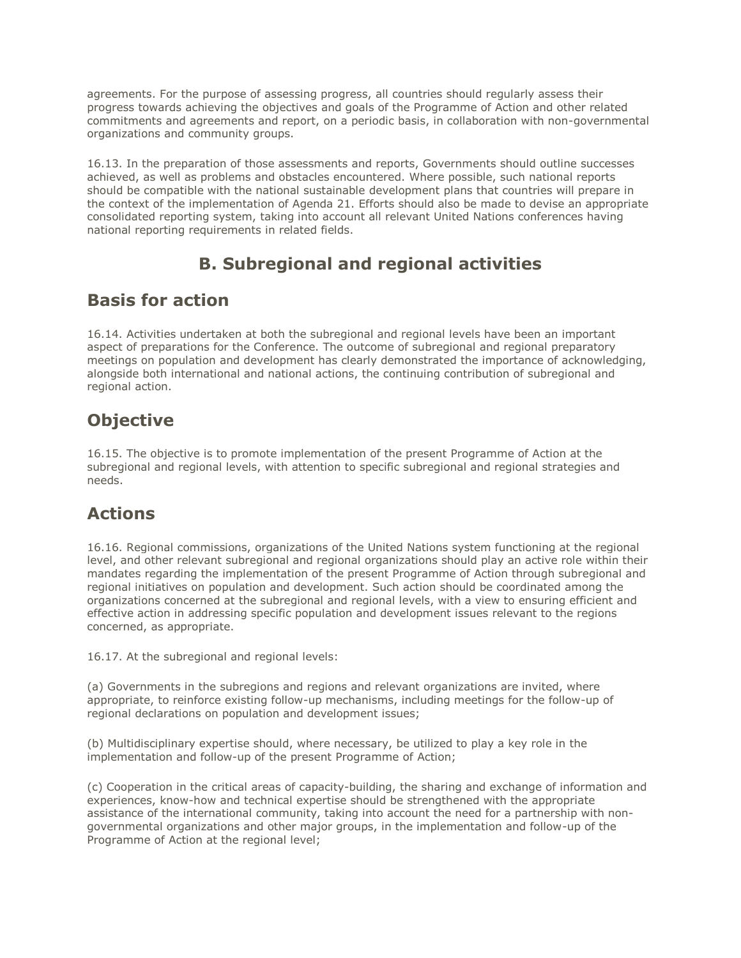agreements. For the purpose of assessing progress, all countries should regularly assess their progress towards achieving the objectives and goals of the Programme of Action and other related commitments and agreements and report, on a periodic basis, in collaboration with non-governmental organizations and community groups.

16.13. In the preparation of those assessments and reports, Governments should outline successes achieved, as well as problems and obstacles encountered. Where possible, such national reports should be compatible with the national sustainable development plans that countries will prepare in the context of the implementation of Agenda 21. Efforts should also be made to devise an appropriate consolidated reporting system, taking into account all relevant United Nations conferences having national reporting requirements in related fields.

# **B. Subregional and regional activities**

## **Basis for action**

16.14. Activities undertaken at both the subregional and regional levels have been an important aspect of preparations for the Conference. The outcome of subregional and regional preparatory meetings on population and development has clearly demonstrated the importance of acknowledging, alongside both international and national actions, the continuing contribution of subregional and regional action.

# **Objective**

16.15. The objective is to promote implementation of the present Programme of Action at the subregional and regional levels, with attention to specific subregional and regional strategies and needs.

# **Actions**

16.16. Regional commissions, organizations of the United Nations system functioning at the regional level, and other relevant subregional and regional organizations should play an active role within their mandates regarding the implementation of the present Programme of Action through subregional and regional initiatives on population and development. Such action should be coordinated among the organizations concerned at the subregional and regional levels, with a view to ensuring efficient and effective action in addressing specific population and development issues relevant to the regions concerned, as appropriate.

16.17. At the subregional and regional levels:

(a) Governments in the subregions and regions and relevant organizations are invited, where appropriate, to reinforce existing follow-up mechanisms, including meetings for the follow-up of regional declarations on population and development issues;

(b) Multidisciplinary expertise should, where necessary, be utilized to play a key role in the implementation and follow-up of the present Programme of Action;

(c) Cooperation in the critical areas of capacity-building, the sharing and exchange of information and experiences, know-how and technical expertise should be strengthened with the appropriate assistance of the international community, taking into account the need for a partnership with nongovernmental organizations and other major groups, in the implementation and follow-up of the Programme of Action at the regional level;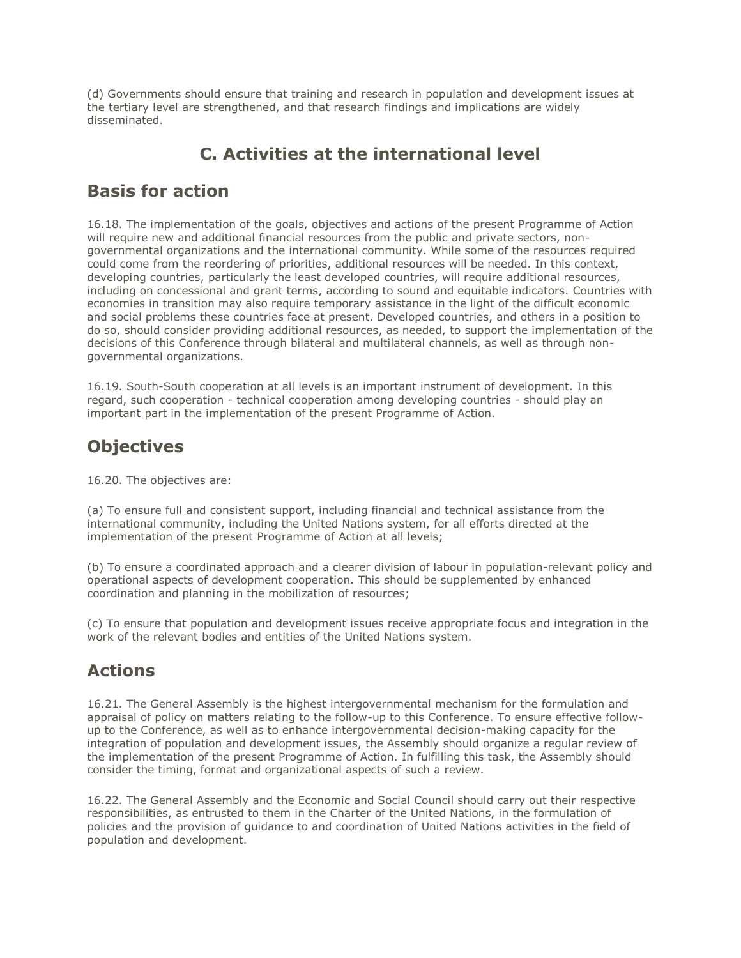(d) Governments should ensure that training and research in population and development issues at the tertiary level are strengthened, and that research findings and implications are widely disseminated.

# **C. Activities at the international level**

# **Basis for action**

16.18. The implementation of the goals, objectives and actions of the present Programme of Action will require new and additional financial resources from the public and private sectors, nongovernmental organizations and the international community. While some of the resources required could come from the reordering of priorities, additional resources will be needed. In this context, developing countries, particularly the least developed countries, will require additional resources, including on concessional and grant terms, according to sound and equitable indicators. Countries with economies in transition may also require temporary assistance in the light of the difficult economic and social problems these countries face at present. Developed countries, and others in a position to do so, should consider providing additional resources, as needed, to support the implementation of the decisions of this Conference through bilateral and multilateral channels, as well as through nongovernmental organizations.

16.19. South-South cooperation at all levels is an important instrument of development. In this regard, such cooperation - technical cooperation among developing countries - should play an important part in the implementation of the present Programme of Action.

# **Objectives**

16.20. The objectives are:

(a) To ensure full and consistent support, including financial and technical assistance from the international community, including the United Nations system, for all efforts directed at the implementation of the present Programme of Action at all levels;

(b) To ensure a coordinated approach and a clearer division of labour in population-relevant policy and operational aspects of development cooperation. This should be supplemented by enhanced coordination and planning in the mobilization of resources;

(c) To ensure that population and development issues receive appropriate focus and integration in the work of the relevant bodies and entities of the United Nations system.

# **Actions**

16.21. The General Assembly is the highest intergovernmental mechanism for the formulation and appraisal of policy on matters relating to the follow-up to this Conference. To ensure effective followup to the Conference, as well as to enhance intergovernmental decision-making capacity for the integration of population and development issues, the Assembly should organize a regular review of the implementation of the present Programme of Action. In fulfilling this task, the Assembly should consider the timing, format and organizational aspects of such a review.

16.22. The General Assembly and the Economic and Social Council should carry out their respective responsibilities, as entrusted to them in the Charter of the United Nations, in the formulation of policies and the provision of guidance to and coordination of United Nations activities in the field of population and development.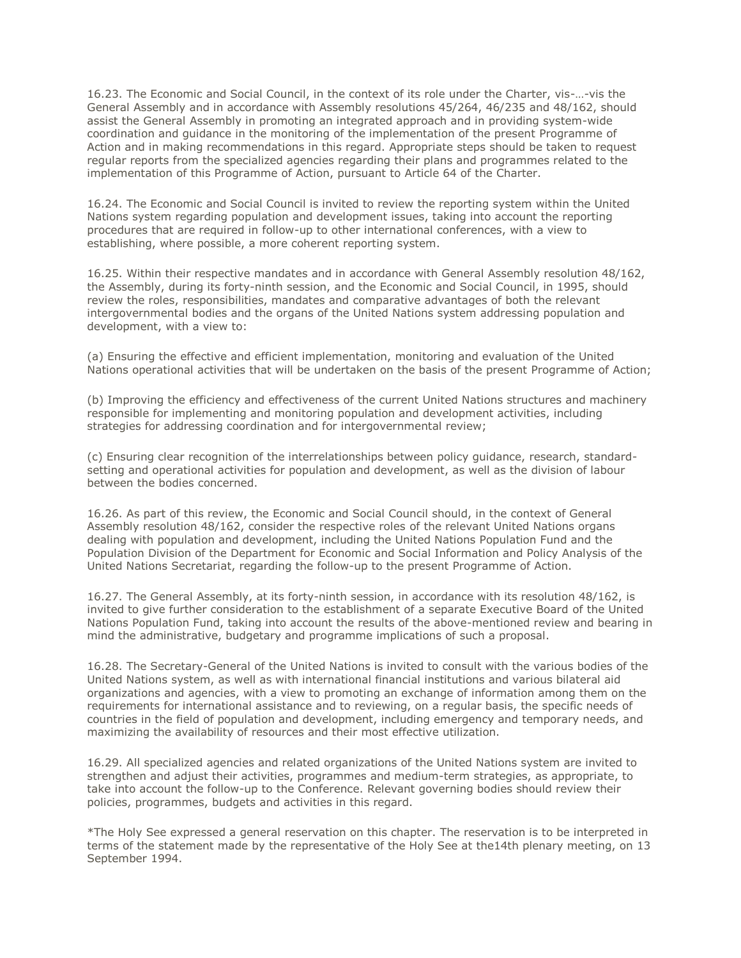16.23. The Economic and Social Council, in the context of its role under the Charter, vis-…-vis the General Assembly and in accordance with Assembly resolutions 45/264, 46/235 and 48/162, should assist the General Assembly in promoting an integrated approach and in providing system-wide coordination and guidance in the monitoring of the implementation of the present Programme of Action and in making recommendations in this regard. Appropriate steps should be taken to request regular reports from the specialized agencies regarding their plans and programmes related to the implementation of this Programme of Action, pursuant to Article 64 of the Charter.

16.24. The Economic and Social Council is invited to review the reporting system within the United Nations system regarding population and development issues, taking into account the reporting procedures that are required in follow-up to other international conferences, with a view to establishing, where possible, a more coherent reporting system.

16.25. Within their respective mandates and in accordance with General Assembly resolution 48/162, the Assembly, during its forty-ninth session, and the Economic and Social Council, in 1995, should review the roles, responsibilities, mandates and comparative advantages of both the relevant intergovernmental bodies and the organs of the United Nations system addressing population and development, with a view to:

(a) Ensuring the effective and efficient implementation, monitoring and evaluation of the United Nations operational activities that will be undertaken on the basis of the present Programme of Action;

(b) Improving the efficiency and effectiveness of the current United Nations structures and machinery responsible for implementing and monitoring population and development activities, including strategies for addressing coordination and for intergovernmental review;

(c) Ensuring clear recognition of the interrelationships between policy guidance, research, standardsetting and operational activities for population and development, as well as the division of labour between the bodies concerned.

16.26. As part of this review, the Economic and Social Council should, in the context of General Assembly resolution 48/162, consider the respective roles of the relevant United Nations organs dealing with population and development, including the United Nations Population Fund and the Population Division of the Department for Economic and Social Information and Policy Analysis of the United Nations Secretariat, regarding the follow-up to the present Programme of Action.

16.27. The General Assembly, at its forty-ninth session, in accordance with its resolution 48/162, is invited to give further consideration to the establishment of a separate Executive Board of the United Nations Population Fund, taking into account the results of the above-mentioned review and bearing in mind the administrative, budgetary and programme implications of such a proposal.

16.28. The Secretary-General of the United Nations is invited to consult with the various bodies of the United Nations system, as well as with international financial institutions and various bilateral aid organizations and agencies, with a view to promoting an exchange of information among them on the requirements for international assistance and to reviewing, on a regular basis, the specific needs of countries in the field of population and development, including emergency and temporary needs, and maximizing the availability of resources and their most effective utilization.

16.29. All specialized agencies and related organizations of the United Nations system are invited to strengthen and adjust their activities, programmes and medium-term strategies, as appropriate, to take into account the follow-up to the Conference. Relevant governing bodies should review their policies, programmes, budgets and activities in this regard.

\*The Holy See expressed a general reservation on this chapter. The reservation is to be interpreted in terms of the statement made by the representative of the Holy See at the14th plenary meeting, on 13 September 1994.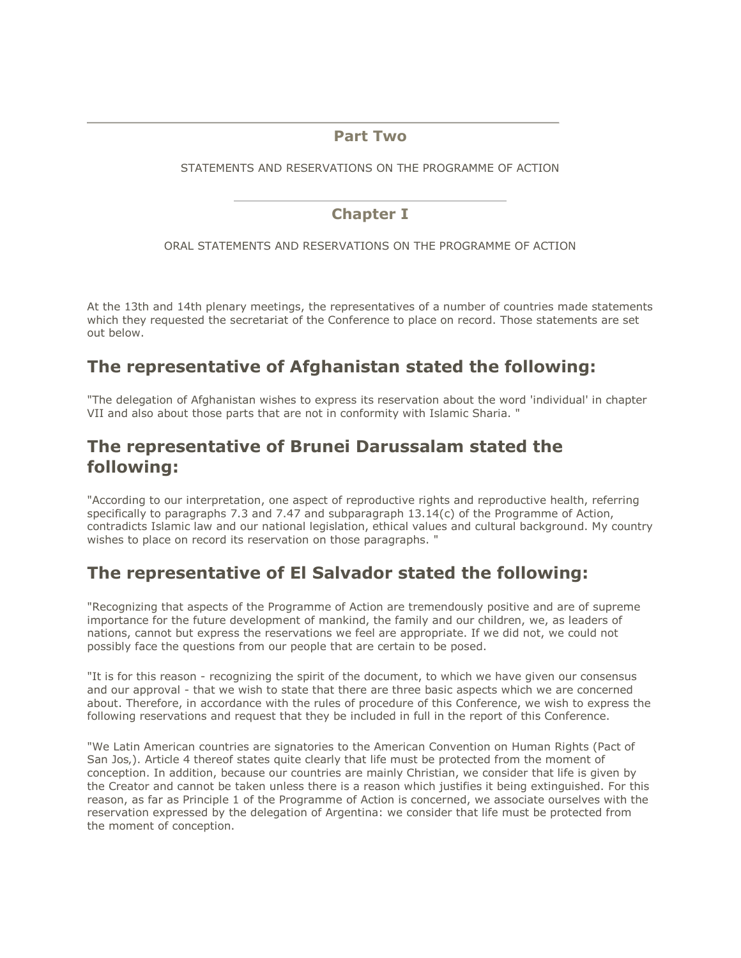#### **Part Two**

#### STATEMENTS AND RESERVATIONS ON THE PROGRAMME OF ACTION

#### **Chapter I**

#### ORAL STATEMENTS AND RESERVATIONS ON THE PROGRAMME OF ACTION

At the 13th and 14th plenary meetings, the representatives of a number of countries made statements which they requested the secretariat of the Conference to place on record. Those statements are set out below.

#### **The representative of Afghanistan stated the following:**

"The delegation of Afghanistan wishes to express its reservation about the word 'individual' in chapter VII and also about those parts that are not in conformity with Islamic Sharia. "

#### **The representative of Brunei Darussalam stated the following:**

"According to our interpretation, one aspect of reproductive rights and reproductive health, referring specifically to paragraphs 7.3 and 7.47 and subparagraph 13.14(c) of the Programme of Action, contradicts Islamic law and our national legislation, ethical values and cultural background. My country wishes to place on record its reservation on those paragraphs. "

## **The representative of El Salvador stated the following:**

"Recognizing that aspects of the Programme of Action are tremendously positive and are of supreme importance for the future development of mankind, the family and our children, we, as leaders of nations, cannot but express the reservations we feel are appropriate. If we did not, we could not possibly face the questions from our people that are certain to be posed.

"It is for this reason - recognizing the spirit of the document, to which we have given our consensus and our approval - that we wish to state that there are three basic aspects which we are concerned about. Therefore, in accordance with the rules of procedure of this Conference, we wish to express the following reservations and request that they be included in full in the report of this Conference.

"We Latin American countries are signatories to the American Convention on Human Rights (Pact of San Jos,). Article 4 thereof states quite clearly that life must be protected from the moment of conception. In addition, because our countries are mainly Christian, we consider that life is given by the Creator and cannot be taken unless there is a reason which justifies it being extinguished. For this reason, as far as Principle 1 of the Programme of Action is concerned, we associate ourselves with the reservation expressed by the delegation of Argentina: we consider that life must be protected from the moment of conception.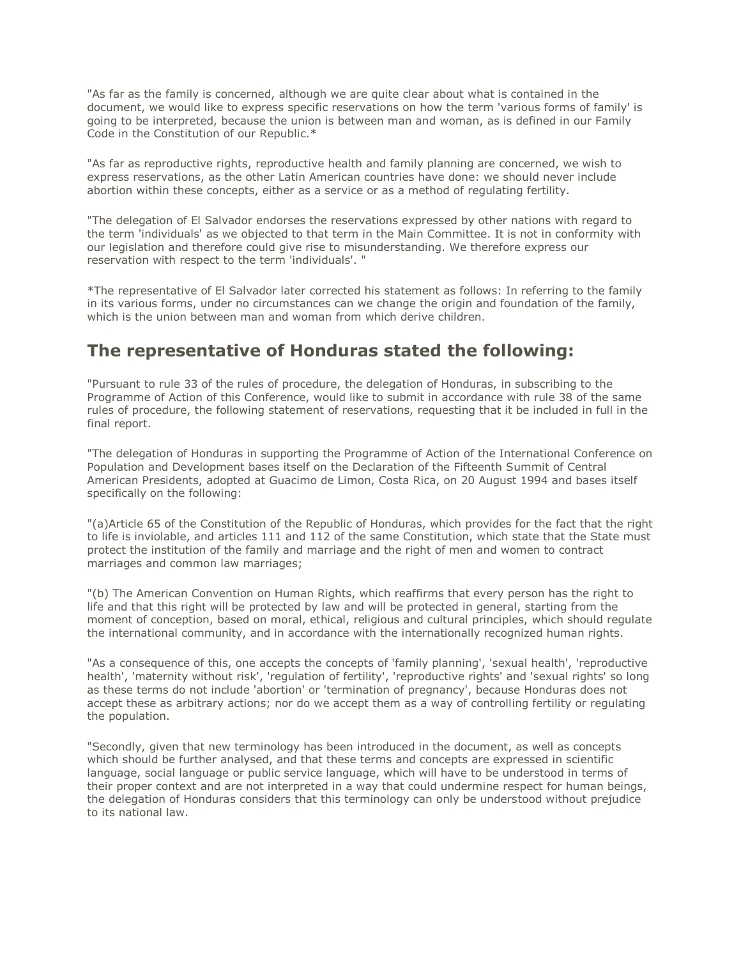"As far as the family is concerned, although we are quite clear about what is contained in the document, we would like to express specific reservations on how the term 'various forms of family' is going to be interpreted, because the union is between man and woman, as is defined in our Family Code in the Constitution of our Republic.\*

"As far as reproductive rights, reproductive health and family planning are concerned, we wish to express reservations, as the other Latin American countries have done: we should never include abortion within these concepts, either as a service or as a method of regulating fertility.

"The delegation of El Salvador endorses the reservations expressed by other nations with regard to the term 'individuals' as we objected to that term in the Main Committee. It is not in conformity with our legislation and therefore could give rise to misunderstanding. We therefore express our reservation with respect to the term 'individuals'. "

\*The representative of El Salvador later corrected his statement as follows: In referring to the family in its various forms, under no circumstances can we change the origin and foundation of the family, which is the union between man and woman from which derive children.

### **The representative of Honduras stated the following:**

"Pursuant to rule 33 of the rules of procedure, the delegation of Honduras, in subscribing to the Programme of Action of this Conference, would like to submit in accordance with rule 38 of the same rules of procedure, the following statement of reservations, requesting that it be included in full in the final report.

"The delegation of Honduras in supporting the Programme of Action of the International Conference on Population and Development bases itself on the Declaration of the Fifteenth Summit of Central American Presidents, adopted at Guacimo de Limon, Costa Rica, on 20 August 1994 and bases itself specifically on the following:

"(a)Article 65 of the Constitution of the Republic of Honduras, which provides for the fact that the right to life is inviolable, and articles 111 and 112 of the same Constitution, which state that the State must protect the institution of the family and marriage and the right of men and women to contract marriages and common law marriages;

"(b) The American Convention on Human Rights, which reaffirms that every person has the right to life and that this right will be protected by law and will be protected in general, starting from the moment of conception, based on moral, ethical, religious and cultural principles, which should regulate the international community, and in accordance with the internationally recognized human rights.

"As a consequence of this, one accepts the concepts of 'family planning', 'sexual health', 'reproductive health', 'maternity without risk', 'regulation of fertility', 'reproductive rights' and 'sexual rights' so long as these terms do not include 'abortion' or 'termination of pregnancy', because Honduras does not accept these as arbitrary actions; nor do we accept them as a way of controlling fertility or regulating the population.

"Secondly, given that new terminology has been introduced in the document, as well as concepts which should be further analysed, and that these terms and concepts are expressed in scientific language, social language or public service language, which will have to be understood in terms of their proper context and are not interpreted in a way that could undermine respect for human beings, the delegation of Honduras considers that this terminology can only be understood without prejudice to its national law.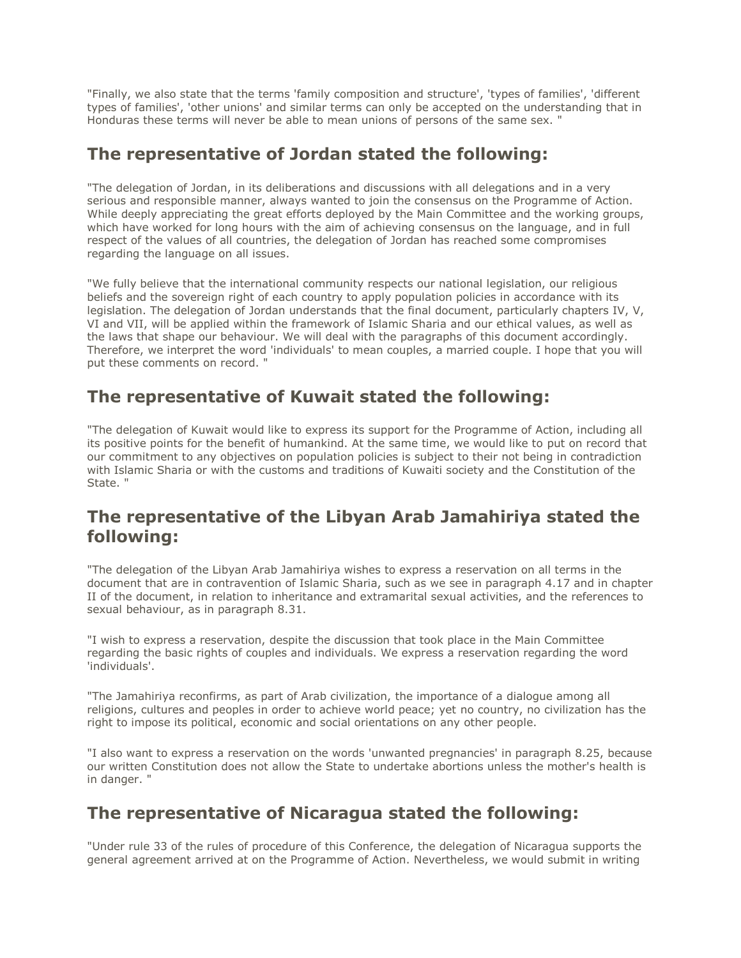"Finally, we also state that the terms 'family composition and structure', 'types of families', 'different types of families', 'other unions' and similar terms can only be accepted on the understanding that in Honduras these terms will never be able to mean unions of persons of the same sex. "

#### **The representative of Jordan stated the following:**

"The delegation of Jordan, in its deliberations and discussions with all delegations and in a very serious and responsible manner, always wanted to join the consensus on the Programme of Action. While deeply appreciating the great efforts deployed by the Main Committee and the working groups, which have worked for long hours with the aim of achieving consensus on the language, and in full respect of the values of all countries, the delegation of Jordan has reached some compromises regarding the language on all issues.

"We fully believe that the international community respects our national legislation, our religious beliefs and the sovereign right of each country to apply population policies in accordance with its legislation. The delegation of Jordan understands that the final document, particularly chapters IV, V, VI and VII, will be applied within the framework of Islamic Sharia and our ethical values, as well as the laws that shape our behaviour. We will deal with the paragraphs of this document accordingly. Therefore, we interpret the word 'individuals' to mean couples, a married couple. I hope that you will put these comments on record. "

### **The representative of Kuwait stated the following:**

"The delegation of Kuwait would like to express its support for the Programme of Action, including all its positive points for the benefit of humankind. At the same time, we would like to put on record that our commitment to any objectives on population policies is subject to their not being in contradiction with Islamic Sharia or with the customs and traditions of Kuwaiti society and the Constitution of the State. "

#### **The representative of the Libyan Arab Jamahiriya stated the following:**

"The delegation of the Libyan Arab Jamahiriya wishes to express a reservation on all terms in the document that are in contravention of Islamic Sharia, such as we see in paragraph 4.17 and in chapter II of the document, in relation to inheritance and extramarital sexual activities, and the references to sexual behaviour, as in paragraph 8.31.

"I wish to express a reservation, despite the discussion that took place in the Main Committee regarding the basic rights of couples and individuals. We express a reservation regarding the word 'individuals'.

"The Jamahiriya reconfirms, as part of Arab civilization, the importance of a dialogue among all religions, cultures and peoples in order to achieve world peace; yet no country, no civilization has the right to impose its political, economic and social orientations on any other people.

"I also want to express a reservation on the words 'unwanted pregnancies' in paragraph 8.25, because our written Constitution does not allow the State to undertake abortions unless the mother's health is in danger. "

## **The representative of Nicaragua stated the following:**

"Under rule 33 of the rules of procedure of this Conference, the delegation of Nicaragua supports the general agreement arrived at on the Programme of Action. Nevertheless, we would submit in writing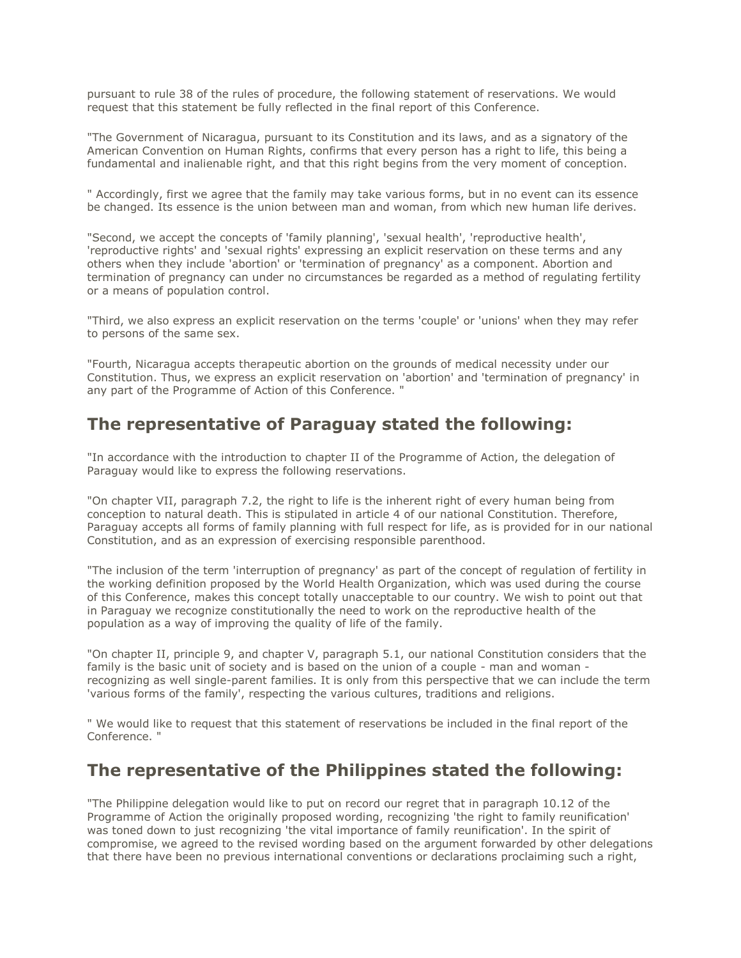pursuant to rule 38 of the rules of procedure, the following statement of reservations. We would request that this statement be fully reflected in the final report of this Conference.

"The Government of Nicaragua, pursuant to its Constitution and its laws, and as a signatory of the American Convention on Human Rights, confirms that every person has a right to life, this being a fundamental and inalienable right, and that this right begins from the very moment of conception.

" Accordingly, first we agree that the family may take various forms, but in no event can its essence be changed. Its essence is the union between man and woman, from which new human life derives.

"Second, we accept the concepts of 'family planning', 'sexual health', 'reproductive health', 'reproductive rights' and 'sexual rights' expressing an explicit reservation on these terms and any others when they include 'abortion' or 'termination of pregnancy' as a component. Abortion and termination of pregnancy can under no circumstances be regarded as a method of regulating fertility or a means of population control.

"Third, we also express an explicit reservation on the terms 'couple' or 'unions' when they may refer to persons of the same sex.

"Fourth, Nicaragua accepts therapeutic abortion on the grounds of medical necessity under our Constitution. Thus, we express an explicit reservation on 'abortion' and 'termination of pregnancy' in any part of the Programme of Action of this Conference. "

#### **The representative of Paraguay stated the following:**

"In accordance with the introduction to chapter II of the Programme of Action, the delegation of Paraguay would like to express the following reservations.

"On chapter VII, paragraph 7.2, the right to life is the inherent right of every human being from conception to natural death. This is stipulated in article 4 of our national Constitution. Therefore, Paraguay accepts all forms of family planning with full respect for life, as is provided for in our national Constitution, and as an expression of exercising responsible parenthood.

"The inclusion of the term 'interruption of pregnancy' as part of the concept of regulation of fertility in the working definition proposed by the World Health Organization, which was used during the course of this Conference, makes this concept totally unacceptable to our country. We wish to point out that in Paraguay we recognize constitutionally the need to work on the reproductive health of the population as a way of improving the quality of life of the family.

"On chapter II, principle 9, and chapter V, paragraph 5.1, our national Constitution considers that the family is the basic unit of society and is based on the union of a couple - man and woman recognizing as well single-parent families. It is only from this perspective that we can include the term 'various forms of the family', respecting the various cultures, traditions and religions.

" We would like to request that this statement of reservations be included in the final report of the Conference. "

#### **The representative of the Philippines stated the following:**

"The Philippine delegation would like to put on record our regret that in paragraph 10.12 of the Programme of Action the originally proposed wording, recognizing 'the right to family reunification' was toned down to just recognizing 'the vital importance of family reunification'. In the spirit of compromise, we agreed to the revised wording based on the argument forwarded by other delegations that there have been no previous international conventions or declarations proclaiming such a right,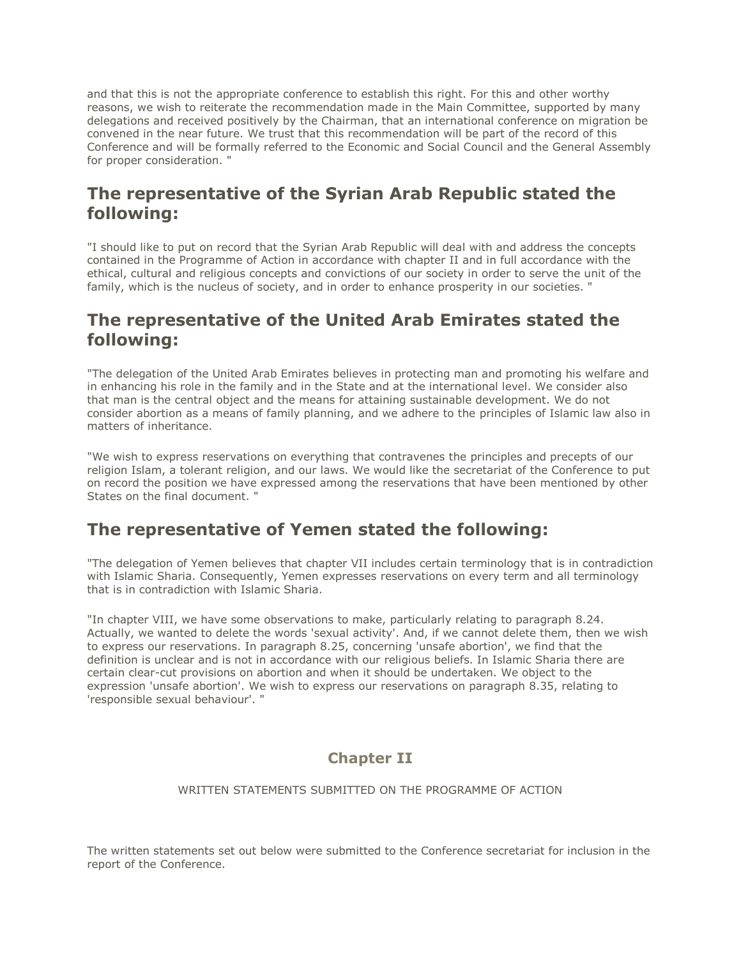and that this is not the appropriate conference to establish this right. For this and other worthy reasons, we wish to reiterate the recommendation made in the Main Committee, supported by many delegations and received positively by the Chairman, that an international conference on migration be convened in the near future. We trust that this recommendation will be part of the record of this Conference and will be formally referred to the Economic and Social Council and the General Assembly for proper consideration. "

### **The representative of the Syrian Arab Republic stated the following:**

"I should like to put on record that the Syrian Arab Republic will deal with and address the concepts contained in the Programme of Action in accordance with chapter II and in full accordance with the ethical, cultural and religious concepts and convictions of our society in order to serve the unit of the family, which is the nucleus of society, and in order to enhance prosperity in our societies. "

#### **The representative of the United Arab Emirates stated the following:**

"The delegation of the United Arab Emirates believes in protecting man and promoting his welfare and in enhancing his role in the family and in the State and at the international level. We consider also that man is the central object and the means for attaining sustainable development. We do not consider abortion as a means of family planning, and we adhere to the principles of Islamic law also in matters of inheritance.

"We wish to express reservations on everything that contravenes the principles and precepts of our religion Islam, a tolerant religion, and our laws. We would like the secretariat of the Conference to put on record the position we have expressed among the reservations that have been mentioned by other States on the final document. "

## **The representative of Yemen stated the following:**

"The delegation of Yemen believes that chapter VII includes certain terminology that is in contradiction with Islamic Sharia. Consequently, Yemen expresses reservations on every term and all terminology that is in contradiction with Islamic Sharia.

"In chapter VIII, we have some observations to make, particularly relating to paragraph 8.24. Actually, we wanted to delete the words 'sexual activity'. And, if we cannot delete them, then we wish to express our reservations. In paragraph 8.25, concerning 'unsafe abortion', we find that the definition is unclear and is not in accordance with our religious beliefs. In Islamic Sharia there are certain clear-cut provisions on abortion and when it should be undertaken. We object to the expression 'unsafe abortion'. We wish to express our reservations on paragraph 8.35, relating to 'responsible sexual behaviour'. "

#### **Chapter II**

#### WRITTEN STATEMENTS SUBMITTED ON THE PROGRAMME OF ACTION

The written statements set out below were submitted to the Conference secretariat for inclusion in the report of the Conference.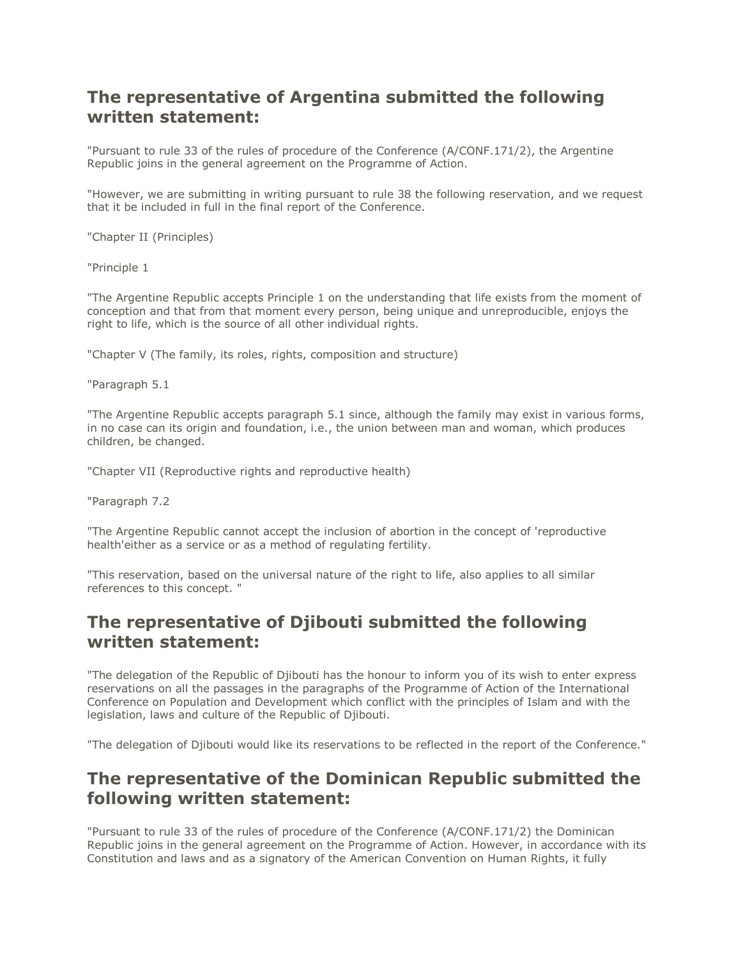### **The representative of Argentina submitted the following written statement:**

"Pursuant to rule 33 of the rules of procedure of the Conference (A/CONF.171/2), the Argentine Republic joins in the general agreement on the Programme of Action.

"However, we are submitting in writing pursuant to rule 38 the following reservation, and we request that it be included in full in the final report of the Conference.

"Chapter II (Principles)

"Principle 1

"The Argentine Republic accepts Principle 1 on the understanding that life exists from the moment of conception and that from that moment every person, being unique and unreproducible, enjoys the right to life, which is the source of all other individual rights.

"Chapter V (The family, its roles, rights, composition and structure)

"Paragraph 5.1

"The Argentine Republic accepts paragraph 5.1 since, although the family may exist in various forms, in no case can its origin and foundation, i.e., the union between man and woman, which produces children, be changed.

"Chapter VII (Reproductive rights and reproductive health)

"Paragraph 7.2

"The Argentine Republic cannot accept the inclusion of abortion in the concept of 'reproductive health'either as a service or as a method of regulating fertility.

"This reservation, based on the universal nature of the right to life, also applies to all similar references to this concept. "

#### **The representative of Djibouti submitted the following written statement:**

"The delegation of the Republic of Djibouti has the honour to inform you of its wish to enter express reservations on all the passages in the paragraphs of the Programme of Action of the International Conference on Population and Development which conflict with the principles of Islam and with the legislation, laws and culture of the Republic of Djibouti.

"The delegation of Djibouti would like its reservations to be reflected in the report of the Conference."

#### **The representative of the Dominican Republic submitted the following written statement:**

"Pursuant to rule 33 of the rules of procedure of the Conference (A/CONF.171/2) the Dominican Republic joins in the general agreement on the Programme of Action. However, in accordance with its Constitution and laws and as a signatory of the American Convention on Human Rights, it fully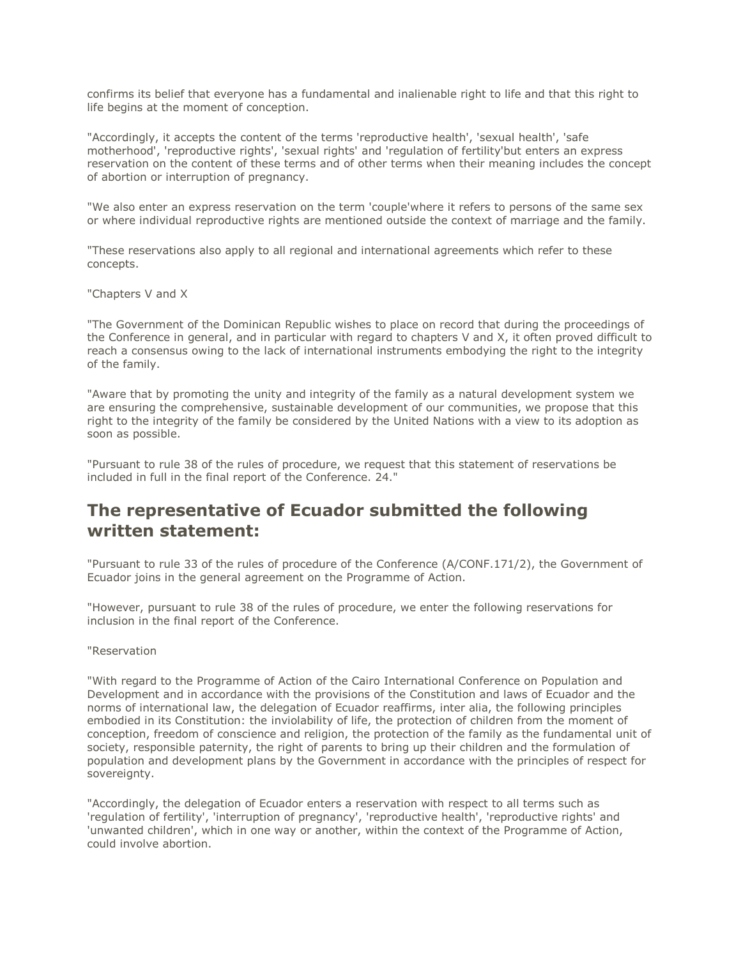confirms its belief that everyone has a fundamental and inalienable right to life and that this right to life begins at the moment of conception.

"Accordingly, it accepts the content of the terms 'reproductive health', 'sexual health', 'safe motherhood', 'reproductive rights', 'sexual rights' and 'regulation of fertility'but enters an express reservation on the content of these terms and of other terms when their meaning includes the concept of abortion or interruption of pregnancy.

"We also enter an express reservation on the term 'couple'where it refers to persons of the same sex or where individual reproductive rights are mentioned outside the context of marriage and the family.

"These reservations also apply to all regional and international agreements which refer to these concepts.

"Chapters V and X

"The Government of the Dominican Republic wishes to place on record that during the proceedings of the Conference in general, and in particular with regard to chapters V and X, it often proved difficult to reach a consensus owing to the lack of international instruments embodying the right to the integrity of the family.

"Aware that by promoting the unity and integrity of the family as a natural development system we are ensuring the comprehensive, sustainable development of our communities, we propose that this right to the integrity of the family be considered by the United Nations with a view to its adoption as soon as possible.

"Pursuant to rule 38 of the rules of procedure, we request that this statement of reservations be included in full in the final report of the Conference. 24."

#### **The representative of Ecuador submitted the following written statement:**

"Pursuant to rule 33 of the rules of procedure of the Conference (A/CONF.171/2), the Government of Ecuador joins in the general agreement on the Programme of Action.

"However, pursuant to rule 38 of the rules of procedure, we enter the following reservations for inclusion in the final report of the Conference.

#### "Reservation

"With regard to the Programme of Action of the Cairo International Conference on Population and Development and in accordance with the provisions of the Constitution and laws of Ecuador and the norms of international law, the delegation of Ecuador reaffirms, inter alia, the following principles embodied in its Constitution: the inviolability of life, the protection of children from the moment of conception, freedom of conscience and religion, the protection of the family as the fundamental unit of society, responsible paternity, the right of parents to bring up their children and the formulation of population and development plans by the Government in accordance with the principles of respect for sovereignty.

"Accordingly, the delegation of Ecuador enters a reservation with respect to all terms such as 'regulation of fertility', 'interruption of pregnancy', 'reproductive health', 'reproductive rights' and 'unwanted children', which in one way or another, within the context of the Programme of Action, could involve abortion.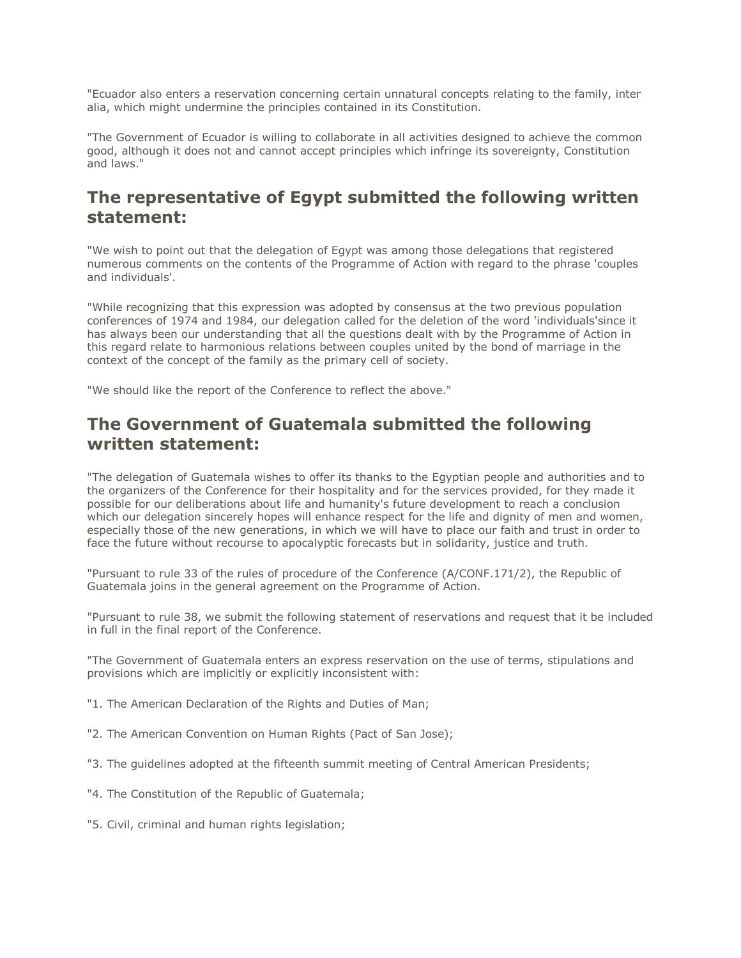"Ecuador also enters a reservation concerning certain unnatural concepts relating to the family, inter alia, which might undermine the principles contained in its Constitution.

"The Government of Ecuador is willing to collaborate in all activities designed to achieve the common good, although it does not and cannot accept principles which infringe its sovereignty, Constitution and laws."

#### **The representative of Egypt submitted the following written statement:**

"We wish to point out that the delegation of Egypt was among those delegations that registered numerous comments on the contents of the Programme of Action with regard to the phrase 'couples and individuals'.

"While recognizing that this expression was adopted by consensus at the two previous population conferences of 1974 and 1984, our delegation called for the deletion of the word 'individuals'since it has always been our understanding that all the questions dealt with by the Programme of Action in this regard relate to harmonious relations between couples united by the bond of marriage in the context of the concept of the family as the primary cell of society.

"We should like the report of the Conference to reflect the above."

### **The Government of Guatemala submitted the following written statement:**

"The delegation of Guatemala wishes to offer its thanks to the Egyptian people and authorities and to the organizers of the Conference for their hospitality and for the services provided, for they made it possible for our deliberations about life and humanity's future development to reach a conclusion which our delegation sincerely hopes will enhance respect for the life and dignity of men and women, especially those of the new generations, in which we will have to place our faith and trust in order to face the future without recourse to apocalyptic forecasts but in solidarity, justice and truth.

"Pursuant to rule 33 of the rules of procedure of the Conference (A/CONF.171/2), the Republic of Guatemala joins in the general agreement on the Programme of Action.

"Pursuant to rule 38, we submit the following statement of reservations and request that it be included in full in the final report of the Conference.

"The Government of Guatemala enters an express reservation on the use of terms, stipulations and provisions which are implicitly or explicitly inconsistent with:

"1. The American Declaration of the Rights and Duties of Man;

- "2. The American Convention on Human Rights (Pact of San Jose);
- "3. The guidelines adopted at the fifteenth summit meeting of Central American Presidents;
- "4. The Constitution of the Republic of Guatemala;
- "5. Civil, criminal and human rights legislation;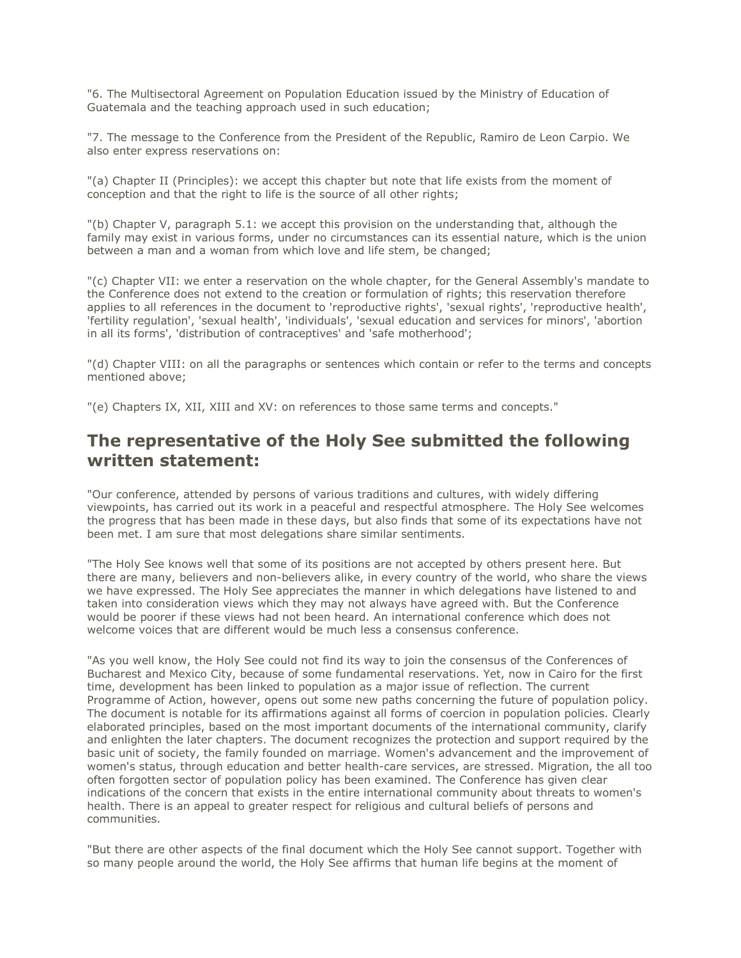"6. The Multisectoral Agreement on Population Education issued by the Ministry of Education of Guatemala and the teaching approach used in such education;

"7. The message to the Conference from the President of the Republic, Ramiro de Leon Carpio. We also enter express reservations on:

"(a) Chapter II (Principles): we accept this chapter but note that life exists from the moment of conception and that the right to life is the source of all other rights;

"(b) Chapter V, paragraph 5.1: we accept this provision on the understanding that, although the family may exist in various forms, under no circumstances can its essential nature, which is the union between a man and a woman from which love and life stem, be changed;

"(c) Chapter VII: we enter a reservation on the whole chapter, for the General Assembly's mandate to the Conference does not extend to the creation or formulation of rights; this reservation therefore applies to all references in the document to 'reproductive rights', 'sexual rights', 'reproductive health', 'fertility regulation', 'sexual health', 'individuals', 'sexual education and services for minors', 'abortion in all its forms', 'distribution of contraceptives' and 'safe motherhood';

"(d) Chapter VIII: on all the paragraphs or sentences which contain or refer to the terms and concepts mentioned above;

"(e) Chapters IX, XII, XIII and XV: on references to those same terms and concepts."

#### **The representative of the Holy See submitted the following written statement:**

"Our conference, attended by persons of various traditions and cultures, with widely differing viewpoints, has carried out its work in a peaceful and respectful atmosphere. The Holy See welcomes the progress that has been made in these days, but also finds that some of its expectations have not been met. I am sure that most delegations share similar sentiments.

"The Holy See knows well that some of its positions are not accepted by others present here. But there are many, believers and non-believers alike, in every country of the world, who share the views we have expressed. The Holy See appreciates the manner in which delegations have listened to and taken into consideration views which they may not always have agreed with. But the Conference would be poorer if these views had not been heard. An international conference which does not welcome voices that are different would be much less a consensus conference.

"As you well know, the Holy See could not find its way to join the consensus of the Conferences of Bucharest and Mexico City, because of some fundamental reservations. Yet, now in Cairo for the first time, development has been linked to population as a major issue of reflection. The current Programme of Action, however, opens out some new paths concerning the future of population policy. The document is notable for its affirmations against all forms of coercion in population policies. Clearly elaborated principles, based on the most important documents of the international community, clarify and enlighten the later chapters. The document recognizes the protection and support required by the basic unit of society, the family founded on marriage. Women's advancement and the improvement of women's status, through education and better health-care services, are stressed. Migration, the all too often forgotten sector of population policy has been examined. The Conference has given clear indications of the concern that exists in the entire international community about threats to women's health. There is an appeal to greater respect for religious and cultural beliefs of persons and communities.

"But there are other aspects of the final document which the Holy See cannot support. Together with so many people around the world, the Holy See affirms that human life begins at the moment of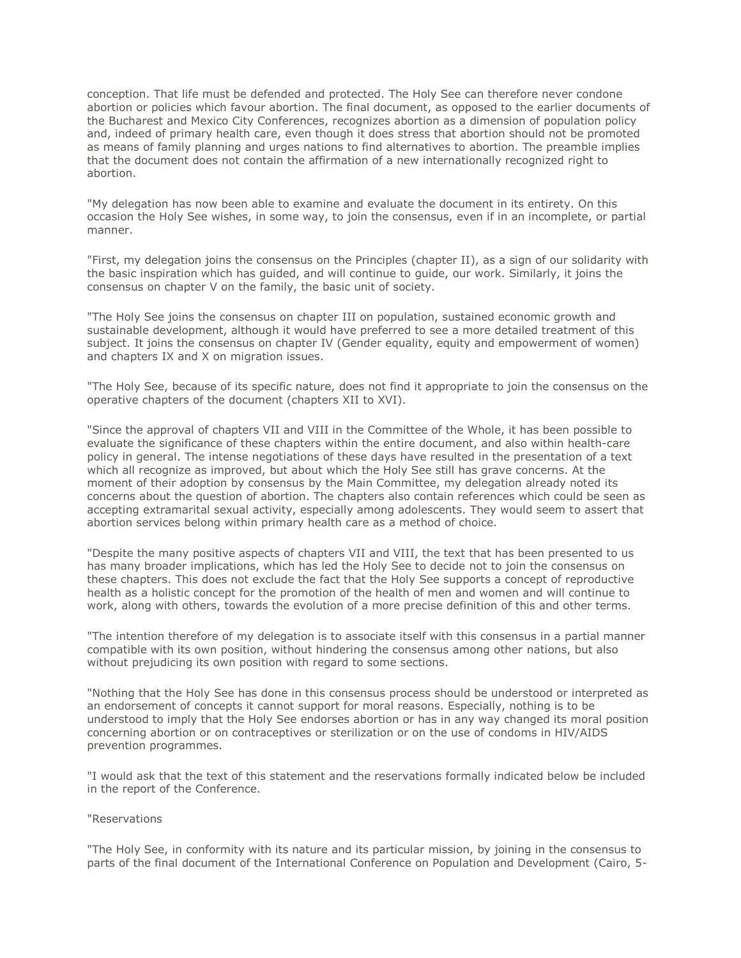conception. That life must be defended and protected. The Holy See can therefore never condone abortion or policies which favour abortion. The final document, as opposed to the earlier documents of the Bucharest and Mexico City Conferences, recognizes abortion as a dimension of population policy and, indeed of primary health care, even though it does stress that abortion should not be promoted as means of family planning and urges nations to find alternatives to abortion. The preamble implies that the document does not contain the affirmation of a new internationally recognized right to abortion.

"My delegation has now been able to examine and evaluate the document in its entirety. On this occasion the Holy See wishes, in some way, to join the consensus, even if in an incomplete, or partial manner.

"First, my delegation joins the consensus on the Principles (chapter II), as a sign of our solidarity with the basic inspiration which has guided, and will continue to guide, our work. Similarly, it joins the consensus on chapter V on the family, the basic unit of society.

"The Holy See joins the consensus on chapter III on population, sustained economic growth and sustainable development, although it would have preferred to see a more detailed treatment of this subject. It joins the consensus on chapter IV (Gender equality, equity and empowerment of women) and chapters IX and X on migration issues.

"The Holy See, because of its specific nature, does not find it appropriate to join the consensus on the operative chapters of the document (chapters XII to XVI).

"Since the approval of chapters VII and VIII in the Committee of the Whole, it has been possible to evaluate the significance of these chapters within the entire document, and also within health-care policy in general. The intense negotiations of these days have resulted in the presentation of a text which all recognize as improved, but about which the Holy See still has grave concerns. At the moment of their adoption by consensus by the Main Committee, my delegation already noted its concerns about the question of abortion. The chapters also contain references which could be seen as accepting extramarital sexual activity, especially among adolescents. They would seem to assert that abortion services belong within primary health care as a method of choice.

"Despite the many positive aspects of chapters VII and VIII, the text that has been presented to us has many broader implications, which has led the Holy See to decide not to join the consensus on these chapters. This does not exclude the fact that the Holy See supports a concept of reproductive health as a holistic concept for the promotion of the health of men and women and will continue to work, along with others, towards the evolution of a more precise definition of this and other terms.

"The intention therefore of my delegation is to associate itself with this consensus in a partial manner compatible with its own position, without hindering the consensus among other nations, but also without prejudicing its own position with regard to some sections.

"Nothing that the Holy See has done in this consensus process should be understood or interpreted as an endorsement of concepts it cannot support for moral reasons. Especially, nothing is to be understood to imply that the Holy See endorses abortion or has in any way changed its moral position concerning abortion or on contraceptives or sterilization or on the use of condoms in HIV/AIDS prevention programmes.

"I would ask that the text of this statement and the reservations formally indicated below be included in the report of the Conference.

#### "Reservations

"The Holy See, in conformity with its nature and its particular mission, by joining in the consensus to parts of the final document of the International Conference on Population and Development (Cairo, 5-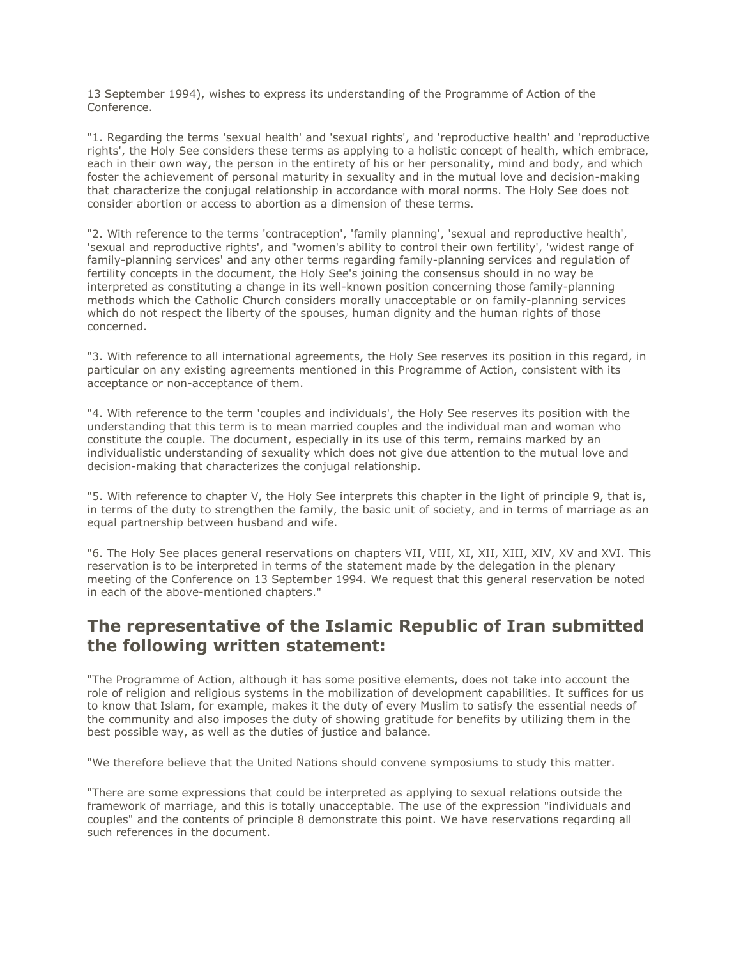13 September 1994), wishes to express its understanding of the Programme of Action of the Conference.

"1. Regarding the terms 'sexual health' and 'sexual rights', and 'reproductive health' and 'reproductive rights', the Holy See considers these terms as applying to a holistic concept of health, which embrace, each in their own way, the person in the entirety of his or her personality, mind and body, and which foster the achievement of personal maturity in sexuality and in the mutual love and decision-making that characterize the conjugal relationship in accordance with moral norms. The Holy See does not consider abortion or access to abortion as a dimension of these terms.

"2. With reference to the terms 'contraception', 'family planning', 'sexual and reproductive health', 'sexual and reproductive rights', and "women's ability to control their own fertility', 'widest range of family-planning services' and any other terms regarding family-planning services and regulation of fertility concepts in the document, the Holy See's joining the consensus should in no way be interpreted as constituting a change in its well-known position concerning those family-planning methods which the Catholic Church considers morally unacceptable or on family-planning services which do not respect the liberty of the spouses, human dignity and the human rights of those concerned.

"3. With reference to all international agreements, the Holy See reserves its position in this regard, in particular on any existing agreements mentioned in this Programme of Action, consistent with its acceptance or non-acceptance of them.

"4. With reference to the term 'couples and individuals', the Holy See reserves its position with the understanding that this term is to mean married couples and the individual man and woman who constitute the couple. The document, especially in its use of this term, remains marked by an individualistic understanding of sexuality which does not give due attention to the mutual love and decision-making that characterizes the conjugal relationship.

"5. With reference to chapter V, the Holy See interprets this chapter in the light of principle 9, that is, in terms of the duty to strengthen the family, the basic unit of society, and in terms of marriage as an equal partnership between husband and wife.

"6. The Holy See places general reservations on chapters VII, VIII, XI, XII, XIII, XIV, XV and XVI. This reservation is to be interpreted in terms of the statement made by the delegation in the plenary meeting of the Conference on 13 September 1994. We request that this general reservation be noted in each of the above-mentioned chapters."

#### **The representative of the Islamic Republic of Iran submitted the following written statement:**

"The Programme of Action, although it has some positive elements, does not take into account the role of religion and religious systems in the mobilization of development capabilities. It suffices for us to know that Islam, for example, makes it the duty of every Muslim to satisfy the essential needs of the community and also imposes the duty of showing gratitude for benefits by utilizing them in the best possible way, as well as the duties of justice and balance.

"We therefore believe that the United Nations should convene symposiums to study this matter.

"There are some expressions that could be interpreted as applying to sexual relations outside the framework of marriage, and this is totally unacceptable. The use of the expression "individuals and couples" and the contents of principle 8 demonstrate this point. We have reservations regarding all such references in the document.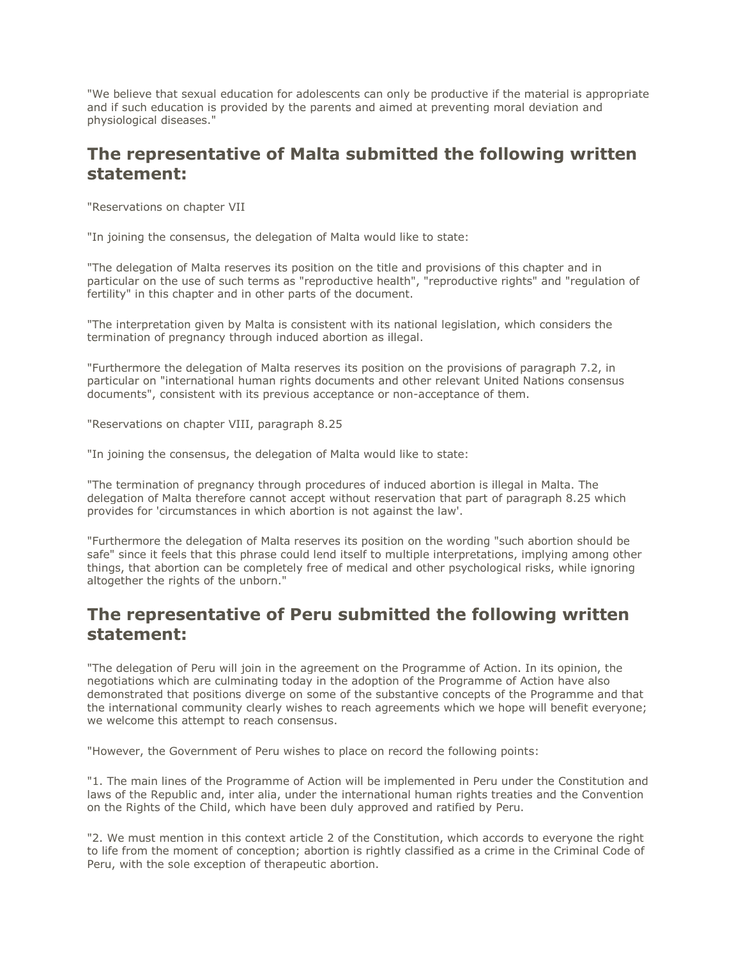"We believe that sexual education for adolescents can only be productive if the material is appropriate and if such education is provided by the parents and aimed at preventing moral deviation and physiological diseases."

#### **The representative of Malta submitted the following written statement:**

"Reservations on chapter VII

"In joining the consensus, the delegation of Malta would like to state:

"The delegation of Malta reserves its position on the title and provisions of this chapter and in particular on the use of such terms as "reproductive health", "reproductive rights" and "regulation of fertility" in this chapter and in other parts of the document.

"The interpretation given by Malta is consistent with its national legislation, which considers the termination of pregnancy through induced abortion as illegal.

"Furthermore the delegation of Malta reserves its position on the provisions of paragraph 7.2, in particular on "international human rights documents and other relevant United Nations consensus documents", consistent with its previous acceptance or non-acceptance of them.

"Reservations on chapter VIII, paragraph 8.25

"In joining the consensus, the delegation of Malta would like to state:

"The termination of pregnancy through procedures of induced abortion is illegal in Malta. The delegation of Malta therefore cannot accept without reservation that part of paragraph 8.25 which provides for 'circumstances in which abortion is not against the law'.

"Furthermore the delegation of Malta reserves its position on the wording "such abortion should be safe" since it feels that this phrase could lend itself to multiple interpretations, implying among other things, that abortion can be completely free of medical and other psychological risks, while ignoring altogether the rights of the unborn."

#### **The representative of Peru submitted the following written statement:**

"The delegation of Peru will join in the agreement on the Programme of Action. In its opinion, the negotiations which are culminating today in the adoption of the Programme of Action have also demonstrated that positions diverge on some of the substantive concepts of the Programme and that the international community clearly wishes to reach agreements which we hope will benefit everyone; we welcome this attempt to reach consensus.

"However, the Government of Peru wishes to place on record the following points:

"1. The main lines of the Programme of Action will be implemented in Peru under the Constitution and laws of the Republic and, inter alia, under the international human rights treaties and the Convention on the Rights of the Child, which have been duly approved and ratified by Peru.

"2. We must mention in this context article 2 of the Constitution, which accords to everyone the right to life from the moment of conception; abortion is rightly classified as a crime in the Criminal Code of Peru, with the sole exception of therapeutic abortion.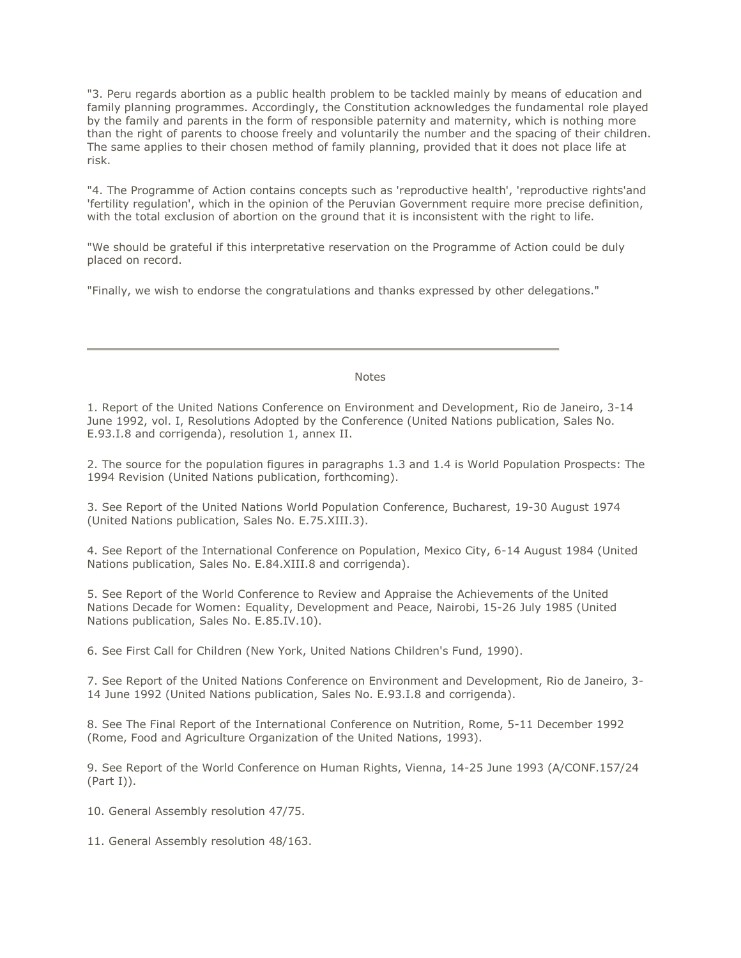"3. Peru regards abortion as a public health problem to be tackled mainly by means of education and family planning programmes. Accordingly, the Constitution acknowledges the fundamental role played by the family and parents in the form of responsible paternity and maternity, which is nothing more than the right of parents to choose freely and voluntarily the number and the spacing of their children. The same applies to their chosen method of family planning, provided that it does not place life at risk.

"4. The Programme of Action contains concepts such as 'reproductive health', 'reproductive rights'and 'fertility regulation', which in the opinion of the Peruvian Government require more precise definition, with the total exclusion of abortion on the ground that it is inconsistent with the right to life.

"We should be grateful if this interpretative reservation on the Programme of Action could be duly placed on record.

"Finally, we wish to endorse the congratulations and thanks expressed by other delegations."

Notes

1. Report of the United Nations Conference on Environment and Development, Rio de Janeiro, 3-14 June 1992, vol. I, Resolutions Adopted by the Conference (United Nations publication, Sales No. E.93.I.8 and corrigenda), resolution 1, annex II.

2. The source for the population figures in paragraphs 1.3 and 1.4 is World Population Prospects: The 1994 Revision (United Nations publication, forthcoming).

3. See Report of the United Nations World Population Conference, Bucharest, 19-30 August 1974 (United Nations publication, Sales No. E.75.XIII.3).

4. See Report of the International Conference on Population, Mexico City, 6-14 August 1984 (United Nations publication, Sales No. E.84.XIII.8 and corrigenda).

5. See Report of the World Conference to Review and Appraise the Achievements of the United Nations Decade for Women: Equality, Development and Peace, Nairobi, 15-26 July 1985 (United Nations publication, Sales No. E.85.IV.10).

6. See First Call for Children (New York, United Nations Children's Fund, 1990).

7. See Report of the United Nations Conference on Environment and Development, Rio de Janeiro, 3- 14 June 1992 (United Nations publication, Sales No. E.93.I.8 and corrigenda).

8. See The Final Report of the International Conference on Nutrition, Rome, 5-11 December 1992 (Rome, Food and Agriculture Organization of the United Nations, 1993).

9. See Report of the World Conference on Human Rights, Vienna, 14-25 June 1993 (A/CONF.157/24 (Part I)).

10. General Assembly resolution 47/75.

11. General Assembly resolution 48/163.